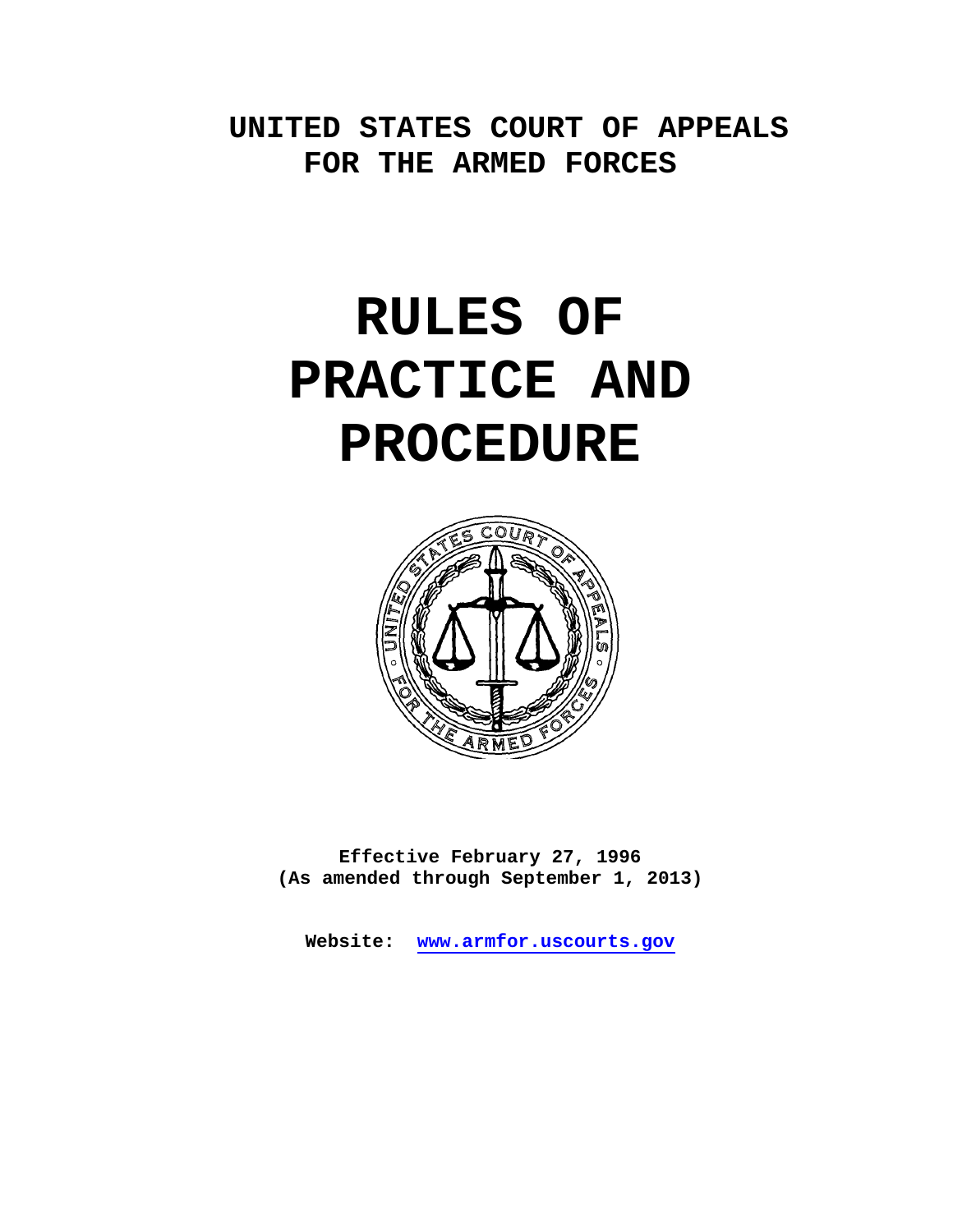# **UNITED STATES COURT OF APPEALS FOR THE ARMED FORCES**

# **RULES OF PRACTICE AND PROCEDURE**



**Effective February 27, 1996 (As amended through September 1, 2013)** 

**Website: www.armfor.uscourts.gov**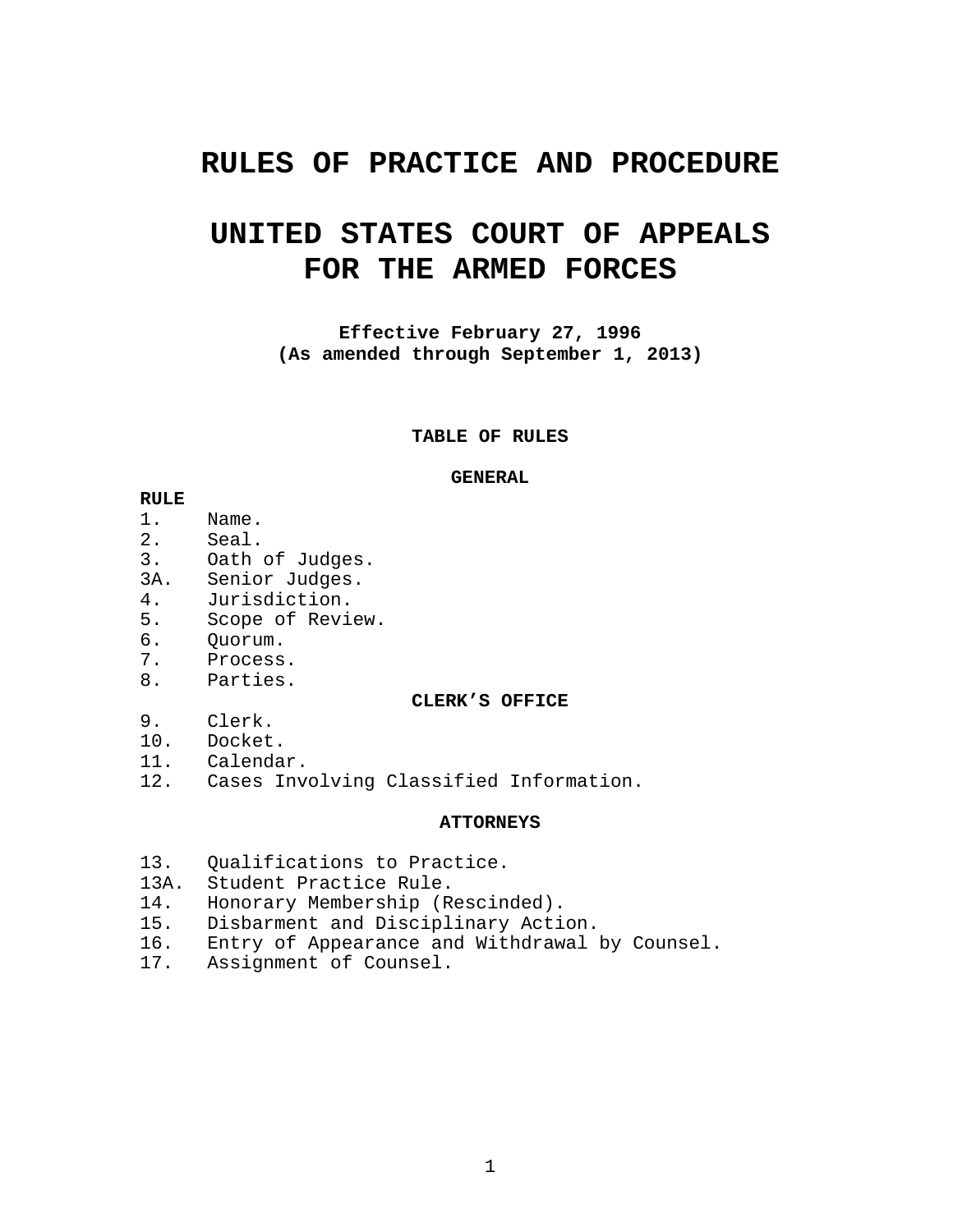# **RULES OF PRACTICE AND PROCEDURE**

# **UNITED STATES COURT OF APPEALS FOR THE ARMED FORCES**

**Effective February 27, 1996 (As amended through September 1, 2013)** 

**TABLE OF RULES** 

#### **GENERAL**

#### **RULE**

- 1. Name.
- 2. Seal.
- 3. Oath of Judges.
- 3A. Senior Judges.
- 4. Jurisdiction.
- 5. Scope of Review.
- 6. Quorum.
- 7. Process.
- 8. Parties.

#### **CLERK'S OFFICE**

- 9. Clerk.
- 10. Docket.
- 11. Calendar.
- 12. Cases Involving Classified Information.

#### **ATTORNEYS**

- 13. Qualifications to Practice.
- 13A. Student Practice Rule.
- 14. Honorary Membership (Rescinded).
- 15. Disbarment and Disciplinary Action.
- 16. Entry of Appearance and Withdrawal by Counsel.
- 17. Assignment of Counsel.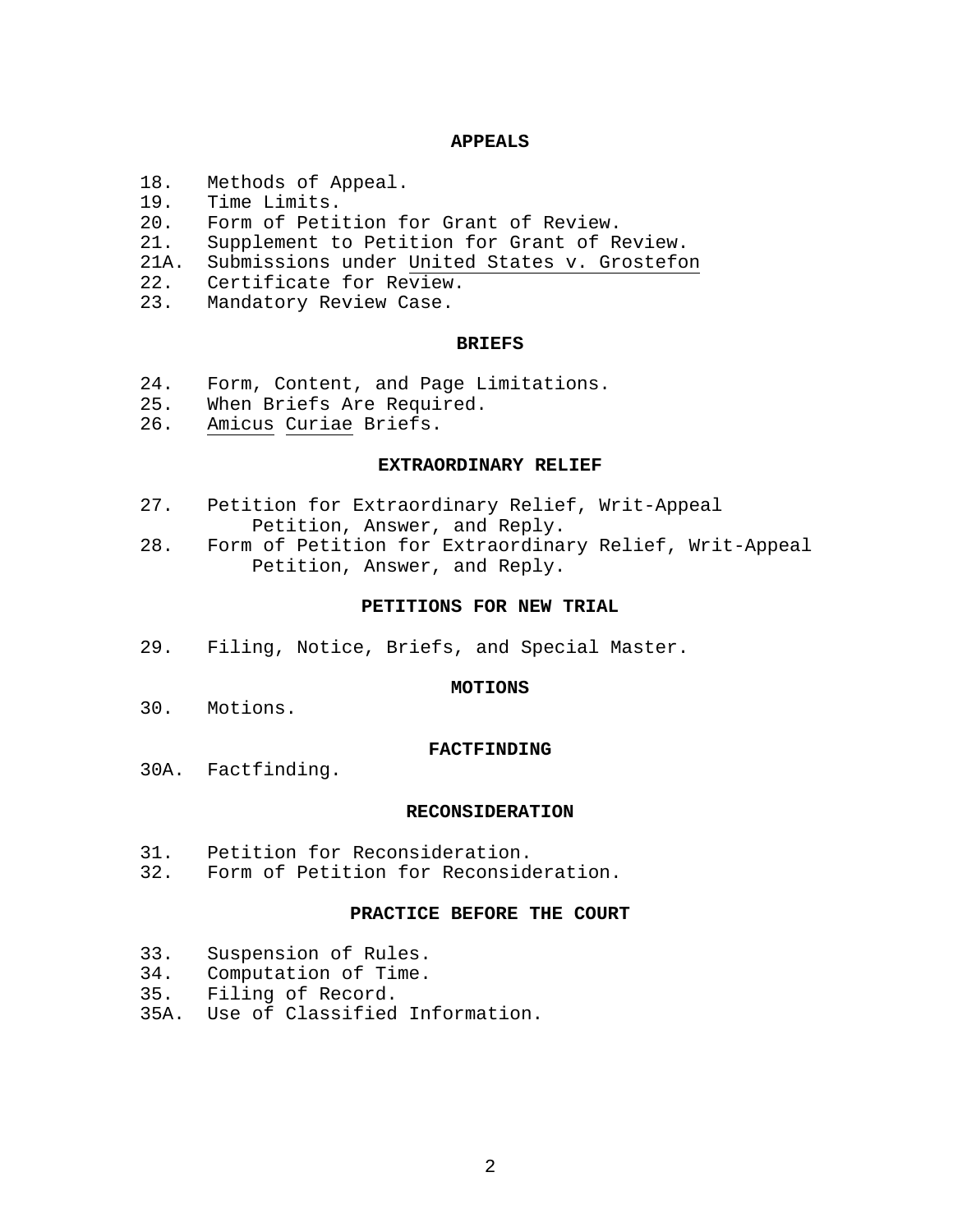#### **APPEALS**

- 18. Methods of Appeal.
- 19. Time Limits.
- 20. Form of Petition for Grant of Review.
- 21. Supplement to Petition for Grant of Review.
- 21A. Submissions under United States v. Grostefon
- 22. Certificate for Review.
- 23. Mandatory Review Case.

#### **BRIEFS**

- 24. Form, Content, and Page Limitations.
- 25. When Briefs Are Required.
- 26. Amicus Curiae Briefs.

#### **EXTRAORDINARY RELIEF**

- 27. Petition for Extraordinary Relief, Writ-Appeal Petition, Answer, and Reply.
- 28. Form of Petition for Extraordinary Relief, Writ-Appeal Petition, Answer, and Reply.

#### **PETITIONS FOR NEW TRIAL**

29. Filing, Notice, Briefs, and Special Master.

#### **MOTIONS**

30. Motions.

#### **FACTFINDING**

30A. Factfinding.

#### **RECONSIDERATION**

- 31. Petition for Reconsideration.
- 32. Form of Petition for Reconsideration.

#### **PRACTICE BEFORE THE COURT**

- 33. Suspension of Rules.
- 34. Computation of Time.<br>35. Filing of Record.
- Filing of Record.
- 35A. Use of Classified Information.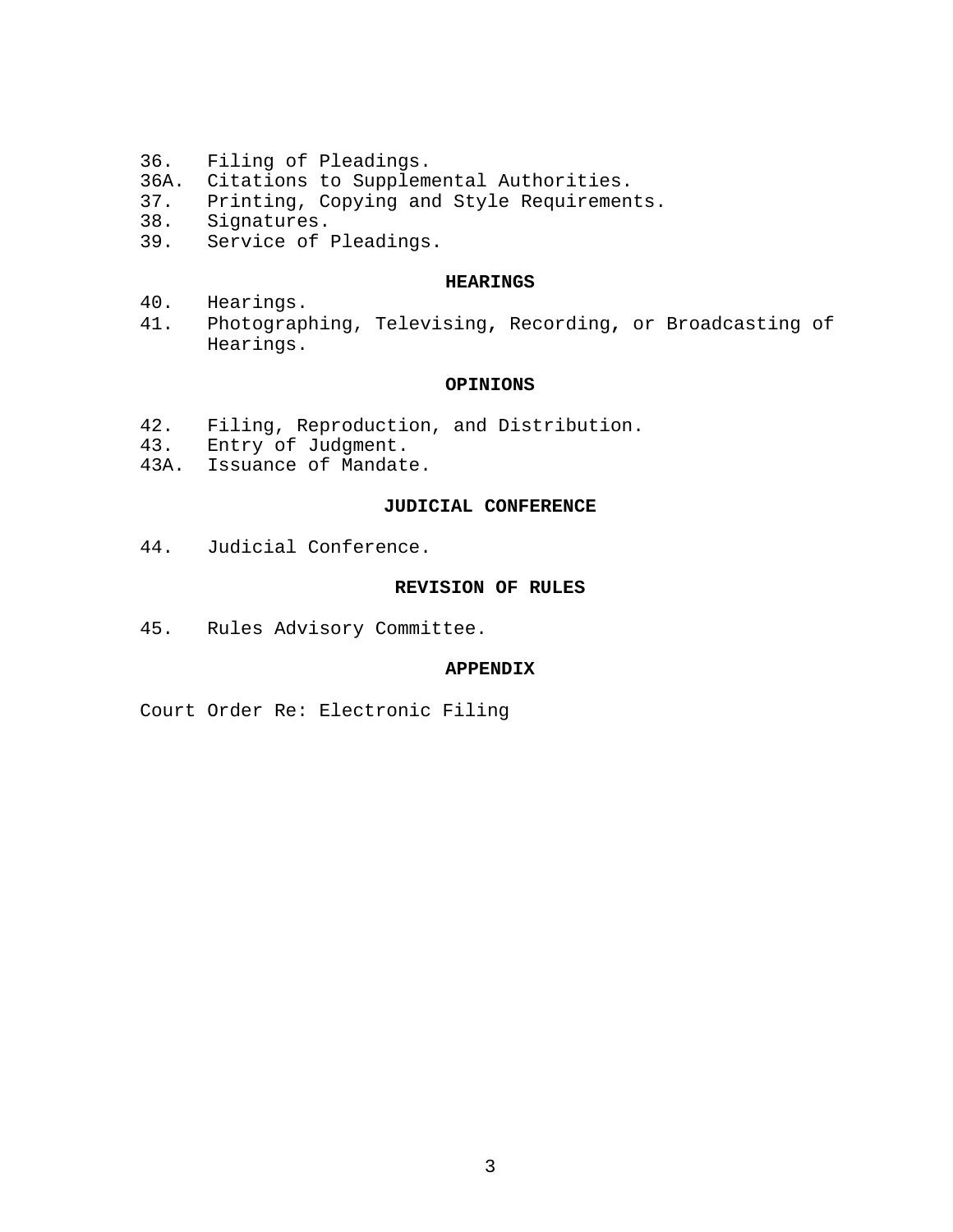- 36. Filing of Pleadings.
- 36A. Citations to Supplemental Authorities.
- 37. Printing, Copying and Style Requirements.<br>38. Signatures.
- Signatures.
- 39. Service of Pleadings.

#### **HEARINGS**

- 40. Hearings.
- 41. Photographing, Televising**,** Recording**,** or Broadcasting of Hearings.

#### **OPINIONS**

- 42. Filing, Reproduction, and Distribution.
- 43. Entry of Judgment.
- 43A. Issuance of Mandate.

#### **JUDICIAL CONFERENCE**

44. Judicial Conference.

#### **REVISION OF RULES**

45. Rules Advisory Committee.

#### **APPENDIX**

Court Order Re: Electronic Filing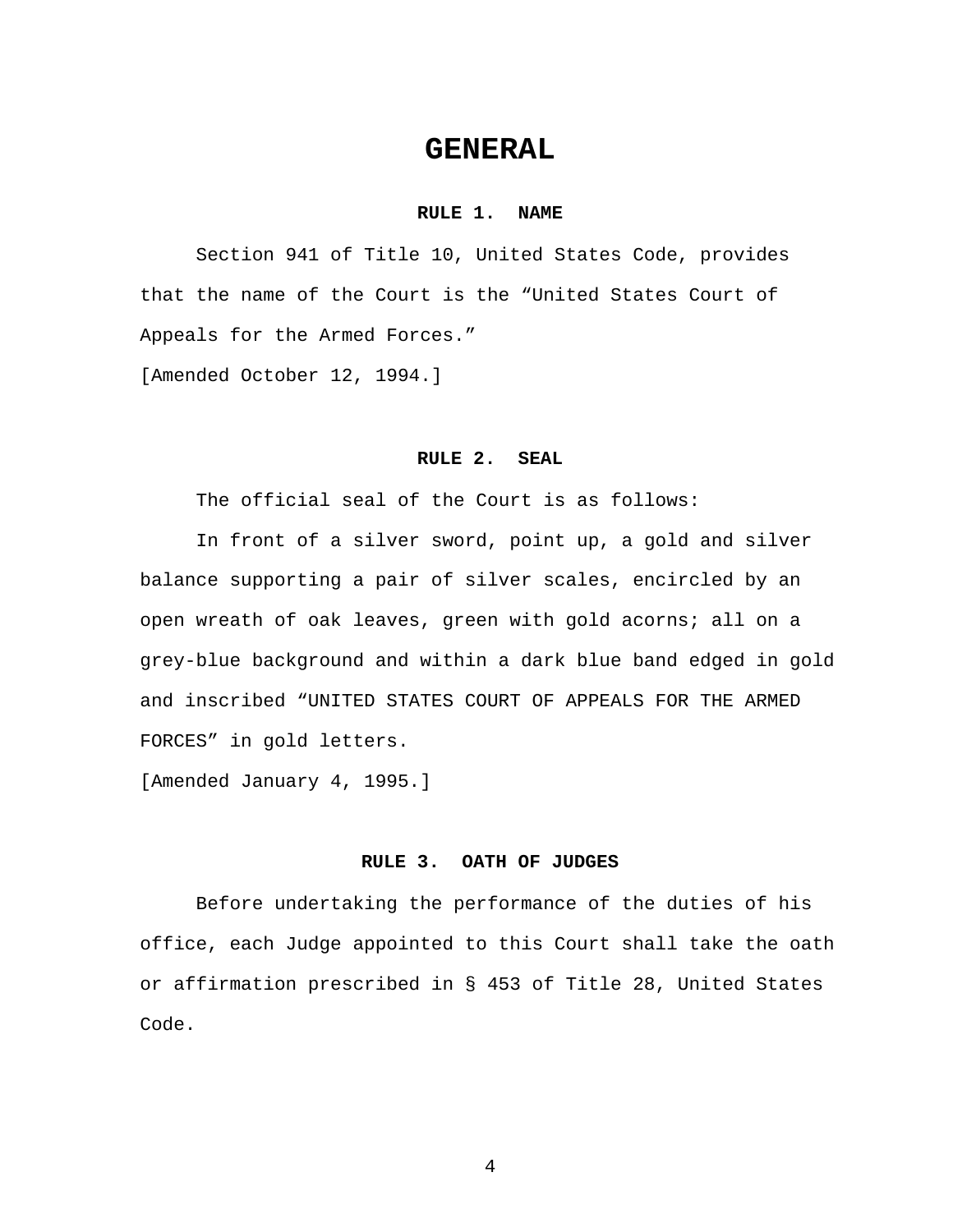## **GENERAL**

#### **RULE 1. NAME**

 Section 941 of Title 10, United States Code, provides that the name of the Court is the "United States Court of Appeals for the Armed Forces."

[Amended October 12, 1994.]

#### **RULE 2. SEAL**

The official seal of the Court is as follows:

In front of a silver sword, point up, a gold and silver balance supporting a pair of silver scales, encircled by an open wreath of oak leaves, green with gold acorns; all on a grey-blue background and within a dark blue band edged in gold and inscribed "UNITED STATES COURT OF APPEALS FOR THE ARMED FORCES" in gold letters.

[Amended January 4, 1995.]

#### **RULE 3. OATH OF JUDGES**

Before undertaking the performance of the duties of his office, each Judge appointed to this Court shall take the oath or affirmation prescribed in § 453 of Title 28, United States Code.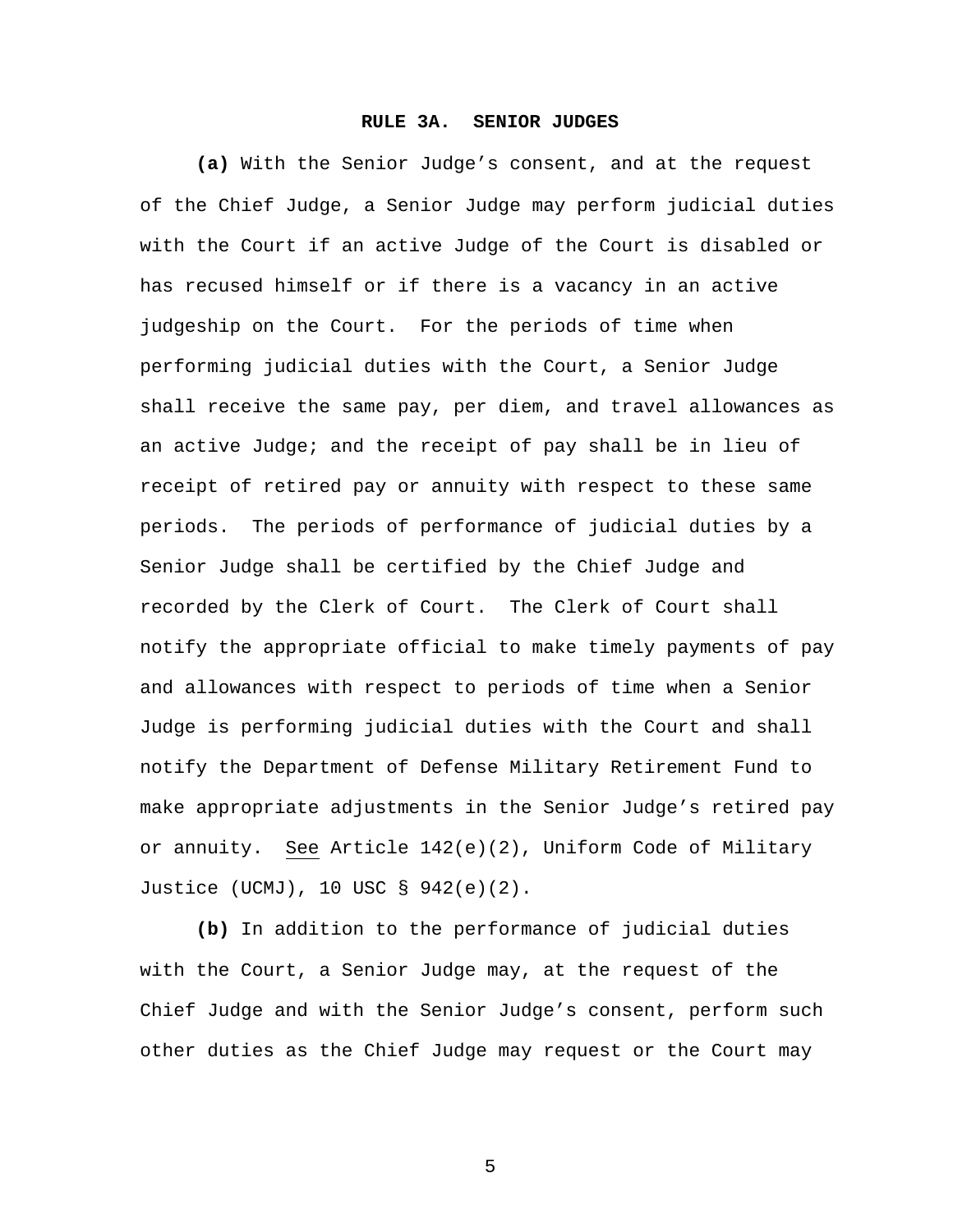#### **RULE 3A. SENIOR JUDGES**

**(a)** With the Senior Judge's consent, and at the request of the Chief Judge, a Senior Judge may perform judicial duties with the Court if an active Judge of the Court is disabled or has recused himself or if there is a vacancy in an active judgeship on the Court. For the periods of time when performing judicial duties with the Court, a Senior Judge shall receive the same pay, per diem, and travel allowances as an active Judge; and the receipt of pay shall be in lieu of receipt of retired pay or annuity with respect to these same periods. The periods of performance of judicial duties by a Senior Judge shall be certified by the Chief Judge and recorded by the Clerk of Court. The Clerk of Court shall notify the appropriate official to make timely payments of pay and allowances with respect to periods of time when a Senior Judge is performing judicial duties with the Court and shall notify the Department of Defense Military Retirement Fund to make appropriate adjustments in the Senior Judge's retired pay or annuity. See Article 142(e)(2), Uniform Code of Military Justice (UCMJ), 10 USC § 942(e)(2).

**(b)** In addition to the performance of judicial duties with the Court, a Senior Judge may, at the request of the Chief Judge and with the Senior Judge's consent, perform such other duties as the Chief Judge may request or the Court may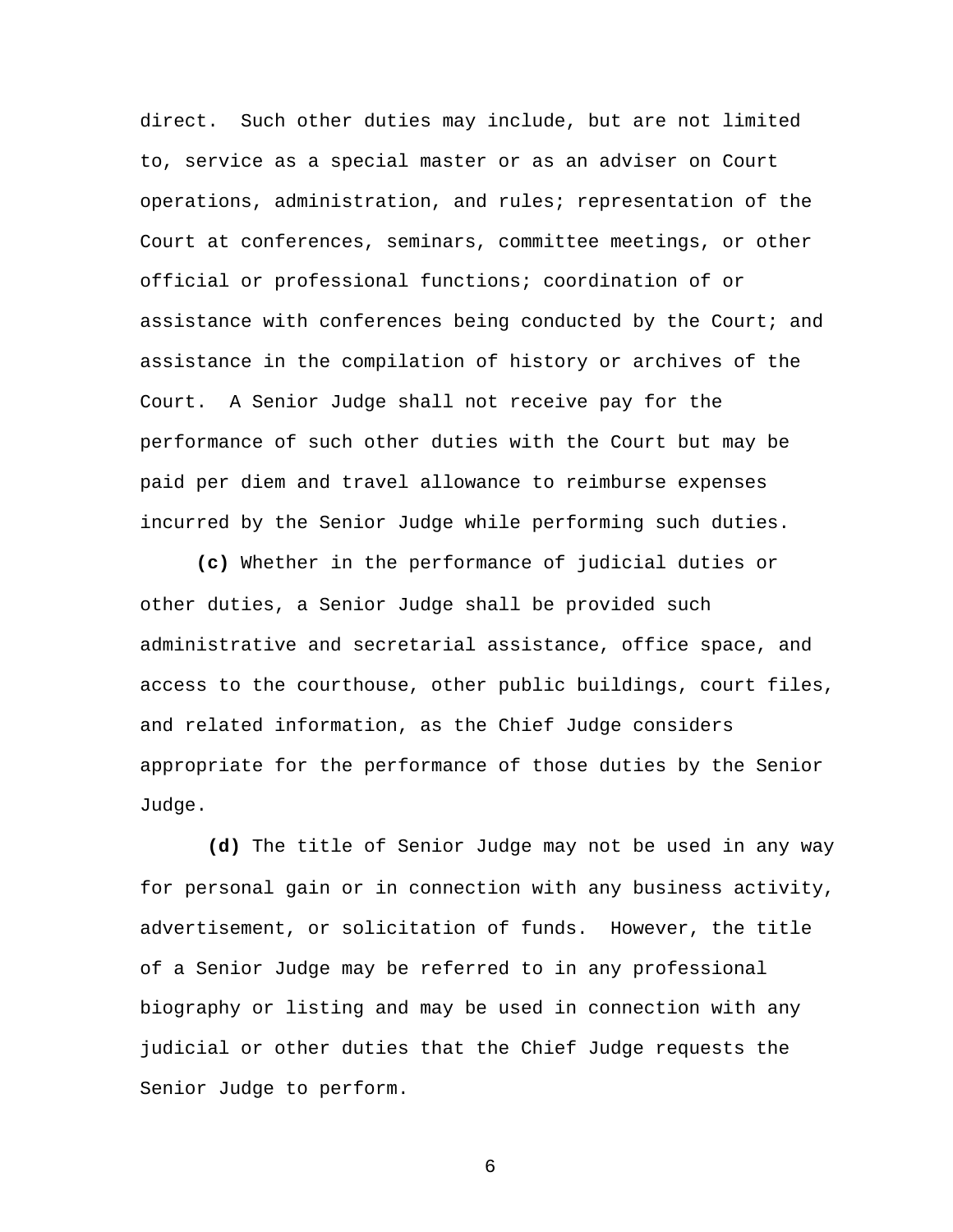direct. Such other duties may include, but are not limited to, service as a special master or as an adviser on Court operations, administration, and rules; representation of the Court at conferences, seminars, committee meetings, or other official or professional functions; coordination of or assistance with conferences being conducted by the Court; and assistance in the compilation of history or archives of the Court. A Senior Judge shall not receive pay for the performance of such other duties with the Court but may be paid per diem and travel allowance to reimburse expenses incurred by the Senior Judge while performing such duties.

**(c)** Whether in the performance of judicial duties or other duties, a Senior Judge shall be provided such administrative and secretarial assistance, office space, and access to the courthouse, other public buildings, court files, and related information, as the Chief Judge considers appropriate for the performance of those duties by the Senior Judge.

 **(d)** The title of Senior Judge may not be used in any way for personal gain or in connection with any business activity, advertisement, or solicitation of funds. However, the title of a Senior Judge may be referred to in any professional biography or listing and may be used in connection with any judicial or other duties that the Chief Judge requests the Senior Judge to perform.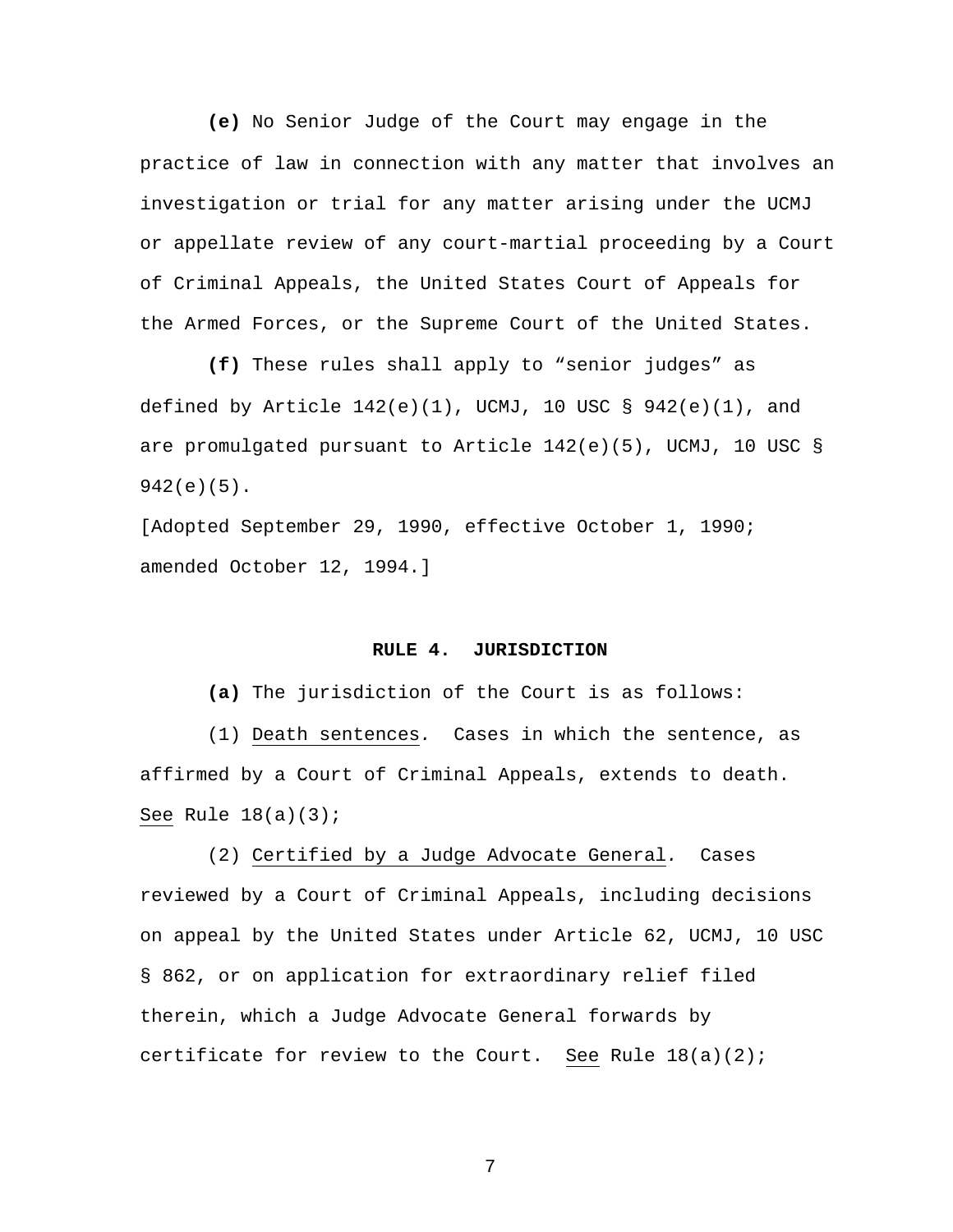**(e)** No Senior Judge of the Court may engage in the practice of law in connection with any matter that involves an investigation or trial for any matter arising under the UCMJ or appellate review of any court-martial proceeding by a Court of Criminal Appeals, the United States Court of Appeals for the Armed Forces, or the Supreme Court of the United States.

 **(f)** These rules shall apply to "senior judges" as defined by Article  $142(e)(1)$ , UCMJ, 10 USC § 942(e)(1), and are promulgated pursuant to Article  $142(e)(5)$ , UCMJ, 10 USC § 942(e)(5).

[Adopted September 29, 1990, effective October 1, 1990; amended October 12, 1994.]

#### **RULE 4. JURISDICTION**

**(a)** The jurisdiction of the Court is as follows:

 (1) Death sentences*.* Cases in which the sentence, as affirmed by a Court of Criminal Appeals, extends to death. See Rule  $18(a)(3)$ ;

(2) Certified by a Judge Advocate General*.* Cases reviewed by a Court of Criminal Appeals, including decisions on appeal by the United States under Article 62, UCMJ, 10 USC § 862, or on application for extraordinary relief filed therein, which a Judge Advocate General forwards by certificate for review to the Court. See Rule  $18(a)(2)$ ;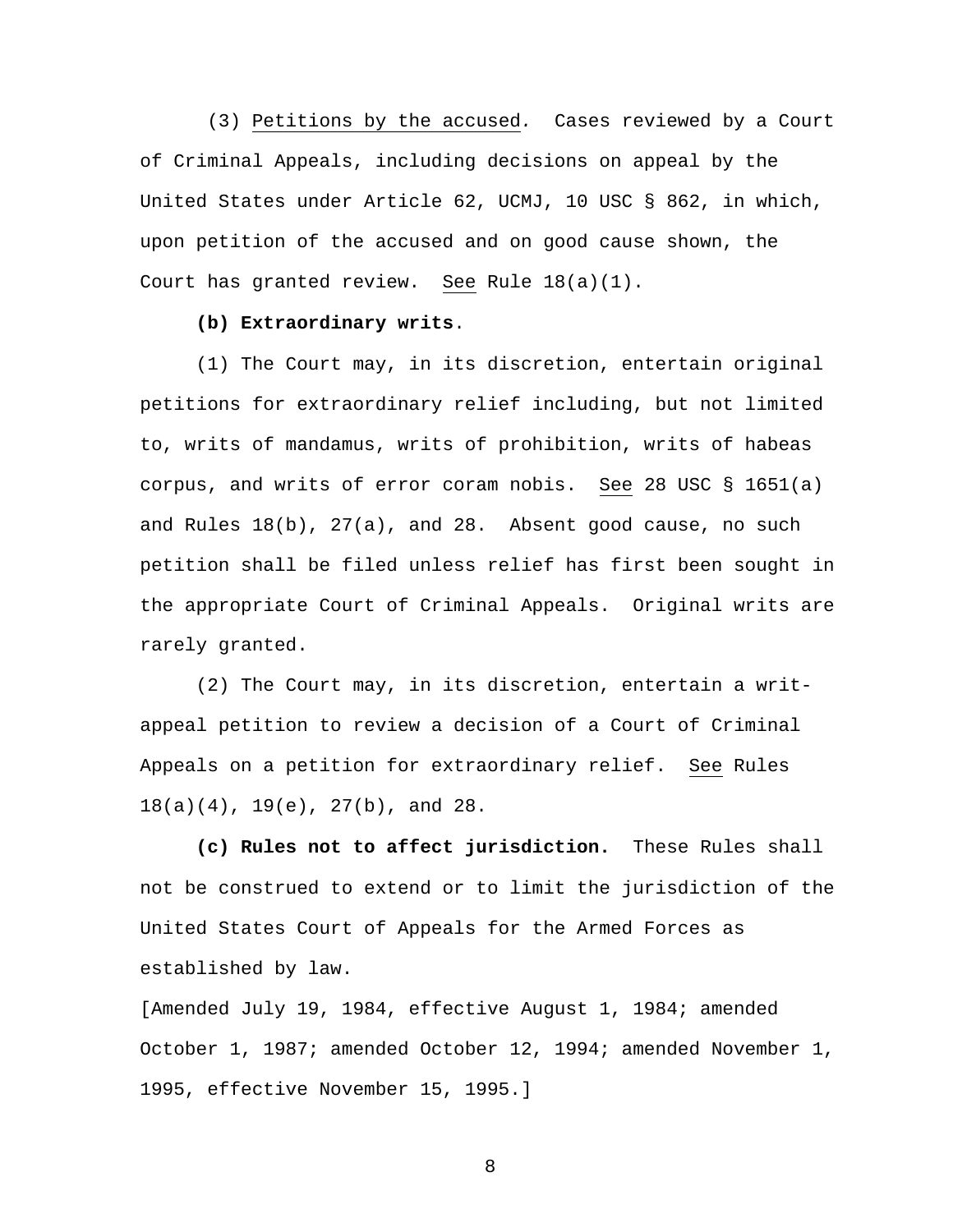(3) Petitions by the accused*.*Cases reviewed by a Court of Criminal Appeals, including decisions on appeal by the United States under Article 62, UCMJ, 10 USC § 862, in which, upon petition of the accused and on good cause shown, the Court has granted review. See Rule 18(a)(1).

#### **(b) Extraordinary writs**.

(1) The Court may, in its discretion, entertain original petitions for extraordinary relief including, but not limited to, writs of mandamus, writs of prohibition, writs of habeas corpus, and writs of error coram nobis. See 28 USC § 1651(a) and Rules  $18(b)$ ,  $27(a)$ , and  $28$ . Absent good cause, no such petition shall be filed unless relief has first been sought in the appropriate Court of Criminal Appeals. Original writs are rarely granted.

(2) The Court may, in its discretion, entertain a writappeal petition to review a decision of a Court of Criminal Appeals on a petition for extraordinary relief. See Rules 18(a)(4), 19(e), 27(b), and 28.

**(c) Rules not to affect jurisdiction.** These Rules shall not be construed to extend or to limit the jurisdiction of the United States Court of Appeals for the Armed Forces as established by law.

[Amended July 19, 1984, effective August 1, 1984; amended October 1, 1987; amended October 12, 1994; amended November 1, 1995, effective November 15, 1995.]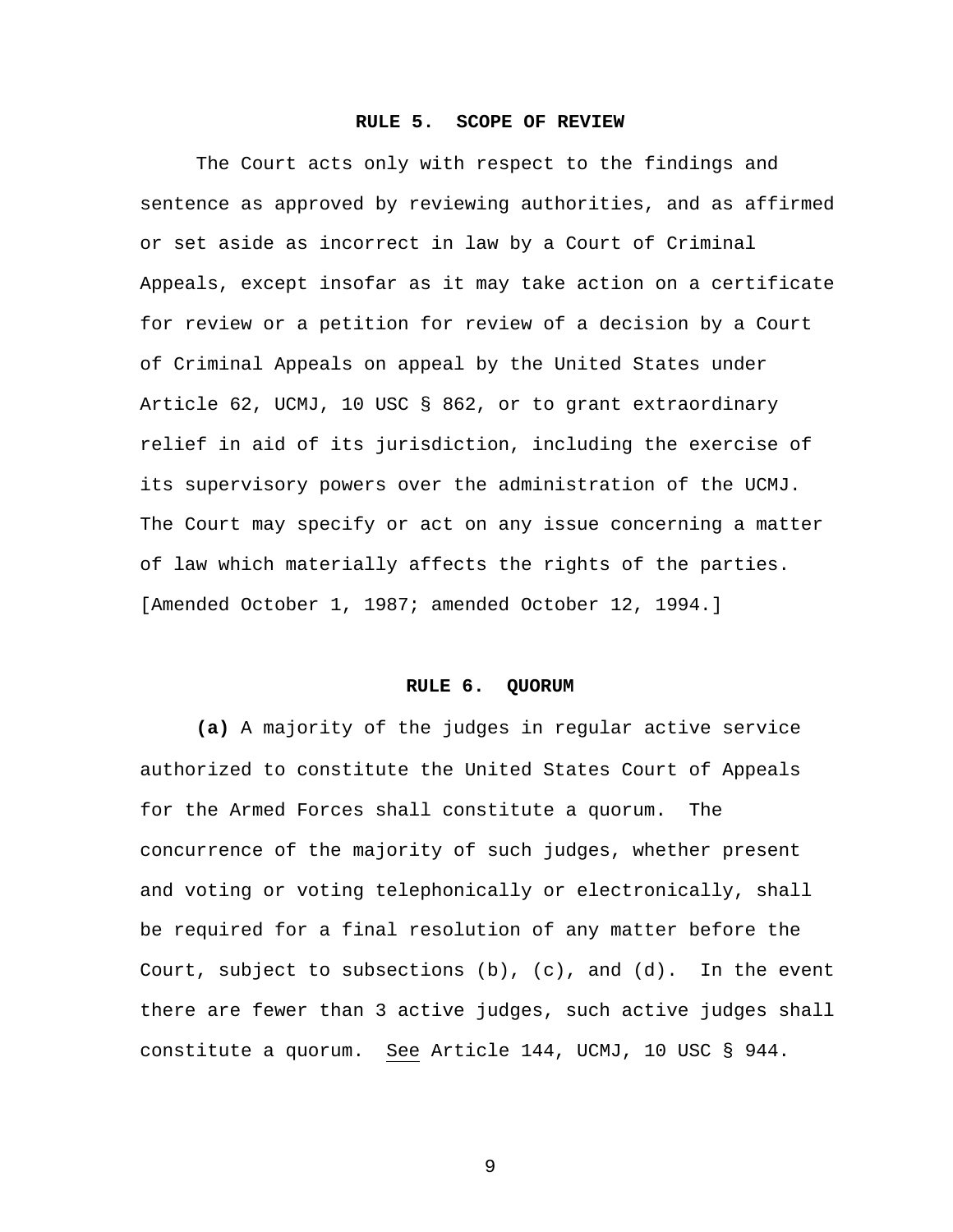#### **RULE 5. SCOPE OF REVIEW**

The Court acts only with respect to the findings and sentence as approved by reviewing authorities, and as affirmed or set aside as incorrect in law by a Court of Criminal Appeals, except insofar as it may take action on a certificate for review or a petition for review of a decision by a Court of Criminal Appeals on appeal by the United States under Article 62, UCMJ, 10 USC § 862, or to grant extraordinary relief in aid of its jurisdiction, including the exercise of its supervisory powers over the administration of the UCMJ. The Court may specify or act on any issue concerning a matter of law which materially affects the rights of the parties. [Amended October 1, 1987; amended October 12, 1994.]

#### **RULE 6. QUORUM**

**(a)** A majority of the judges in regular active service authorized to constitute the United States Court of Appeals for the Armed Forces shall constitute a quorum. The concurrence of the majority of such judges, whether present and voting or voting telephonically or electronically, shall be required for a final resolution of any matter before the Court, subject to subsections  $(b)$ ,  $(c)$ , and  $(d)$ . In the event there are fewer than 3 active judges, such active judges shall constitute a quorum. See Article 144, UCMJ, 10 USC § 944.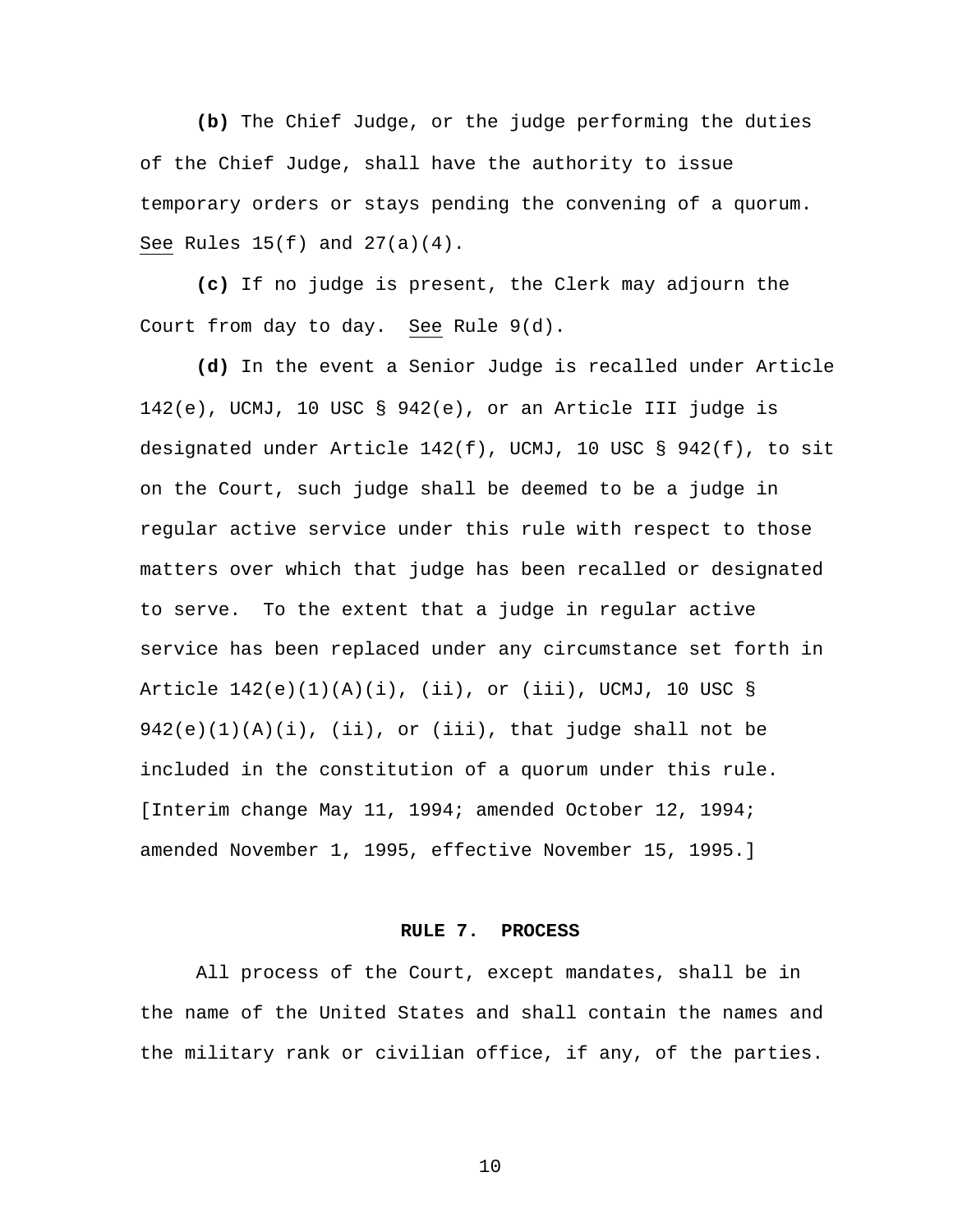**(b)** The Chief Judge, or the judge performing the duties of the Chief Judge, shall have the authority to issue temporary orders or stays pending the convening of a quorum. See Rules  $15(f)$  and  $27(a)(4)$ .

**(c)** If no judge is present, the Clerk may adjourn the Court from day to day. See Rule 9(d).

**(d)** In the event a Senior Judge is recalled under Article 142(e), UCMJ, 10 USC § 942(e), or an Article III judge is designated under Article 142(f), UCMJ, 10 USC § 942(f), to sit on the Court, such judge shall be deemed to be a judge in regular active service under this rule with respect to those matters over which that judge has been recalled or designated to serve. To the extent that a judge in regular active service has been replaced under any circumstance set forth in Article 142(e)(1)(A)(i), (ii), or (iii), UCMJ, 10 USC §  $942(e)(1)(A)(i)$ , (ii), or (iii), that judge shall not be included in the constitution of a quorum under this rule. [Interim change May 11, 1994; amended October 12, 1994; amended November 1, 1995, effective November 15, 1995.]

#### **RULE 7. PROCESS**

All process of the Court, except mandates, shall be in the name of the United States and shall contain the names and the military rank or civilian office, if any, of the parties.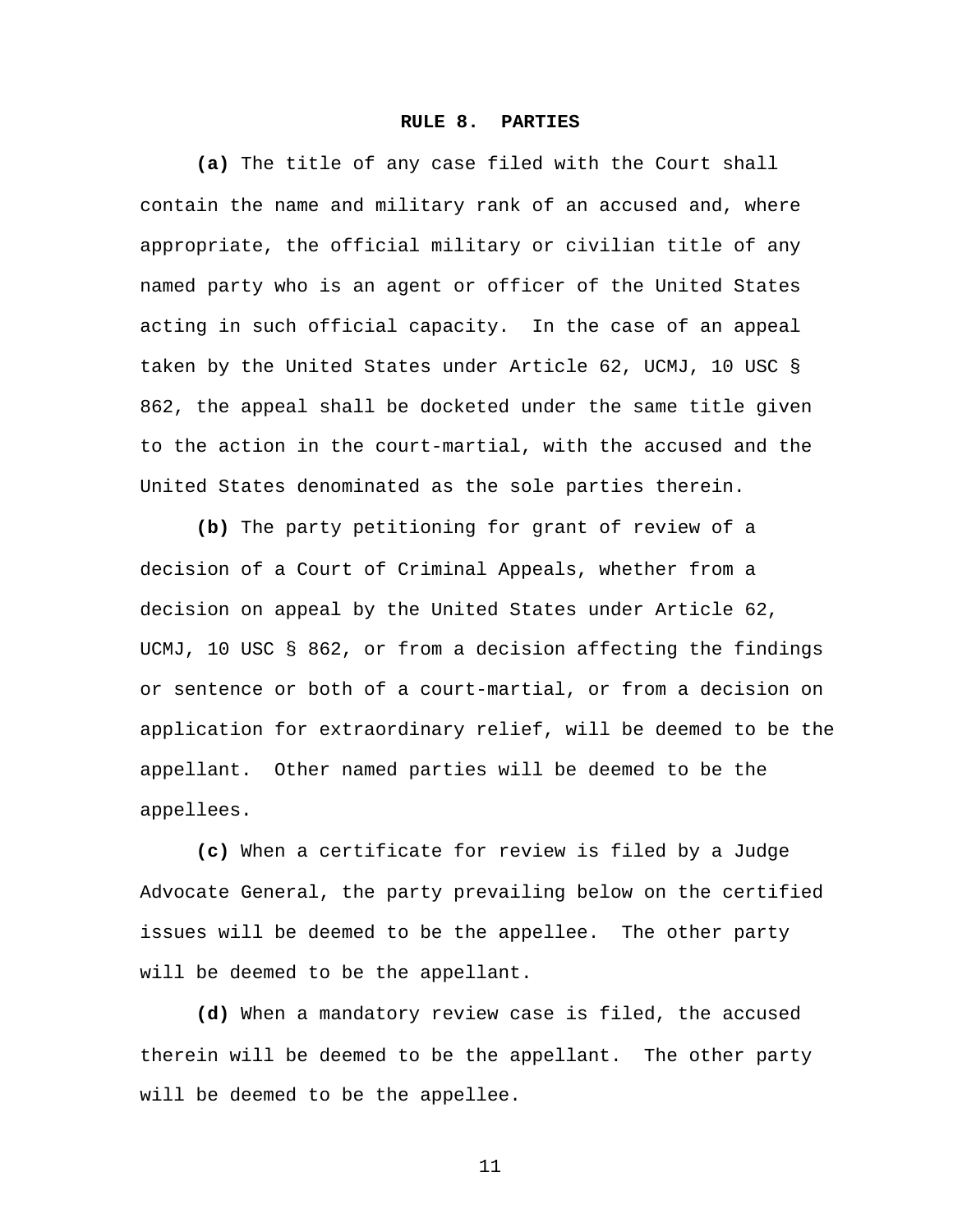#### **RULE 8. PARTIES**

**(a)** The title of any case filed with the Court shall contain the name and military rank of an accused and, where appropriate, the official military or civilian title of any named party who is an agent or officer of the United States acting in such official capacity. In the case of an appeal taken by the United States under Article 62, UCMJ, 10 USC § 862, the appeal shall be docketed under the same title given to the action in the court-martial, with the accused and the United States denominated as the sole parties therein.

**(b)** The party petitioning for grant of review of a decision of a Court of Criminal Appeals, whether from a decision on appeal by the United States under Article 62, UCMJ, 10 USC § 862, or from a decision affecting the findings or sentence or both of a court-martial, or from a decision on application for extraordinary relief, will be deemed to be the appellant. Other named parties will be deemed to be the appellees.

**(c)** When a certificate for review is filed by a Judge Advocate General, the party prevailing below on the certified issues will be deemed to be the appellee. The other party will be deemed to be the appellant.

**(d)** When a mandatory review case is filed, the accused therein will be deemed to be the appellant. The other party will be deemed to be the appellee.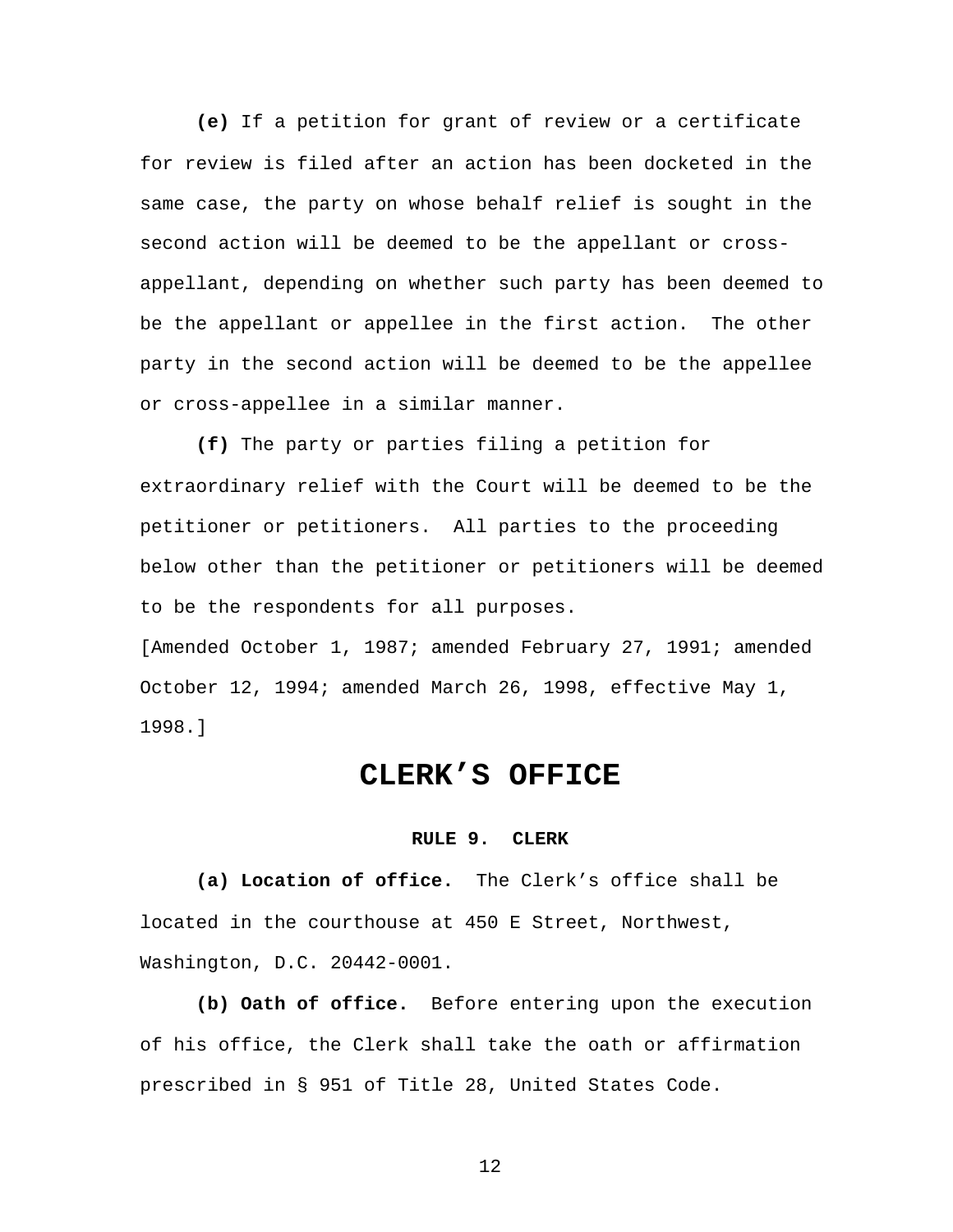**(e)** If a petition for grant of review or a certificate for review is filed after an action has been docketed in the same case, the party on whose behalf relief is sought in the second action will be deemed to be the appellant or crossappellant, depending on whether such party has been deemed to be the appellant or appellee in the first action. The other party in the second action will be deemed to be the appellee or cross-appellee in a similar manner.

**(f)** The party or parties filing a petition for extraordinary relief with the Court will be deemed to be the petitioner or petitioners. All parties to the proceeding below other than the petitioner or petitioners will be deemed to be the respondents for all purposes.

[Amended October 1, 1987; amended February 27, 1991; amended October 12, 1994; amended March 26, 1998, effective May 1, 1998.]

# **CLERK'S OFFICE**

#### **RULE 9. CLERK**

**(a) Location of office.** The Clerk's office shall be located in the courthouse at 450 E Street, Northwest, Washington, D.C. 20442-0001.

**(b) Oath of office.** Before entering upon the execution of his office, the Clerk shall take the oath or affirmation prescribed in § 951 of Title 28, United States Code.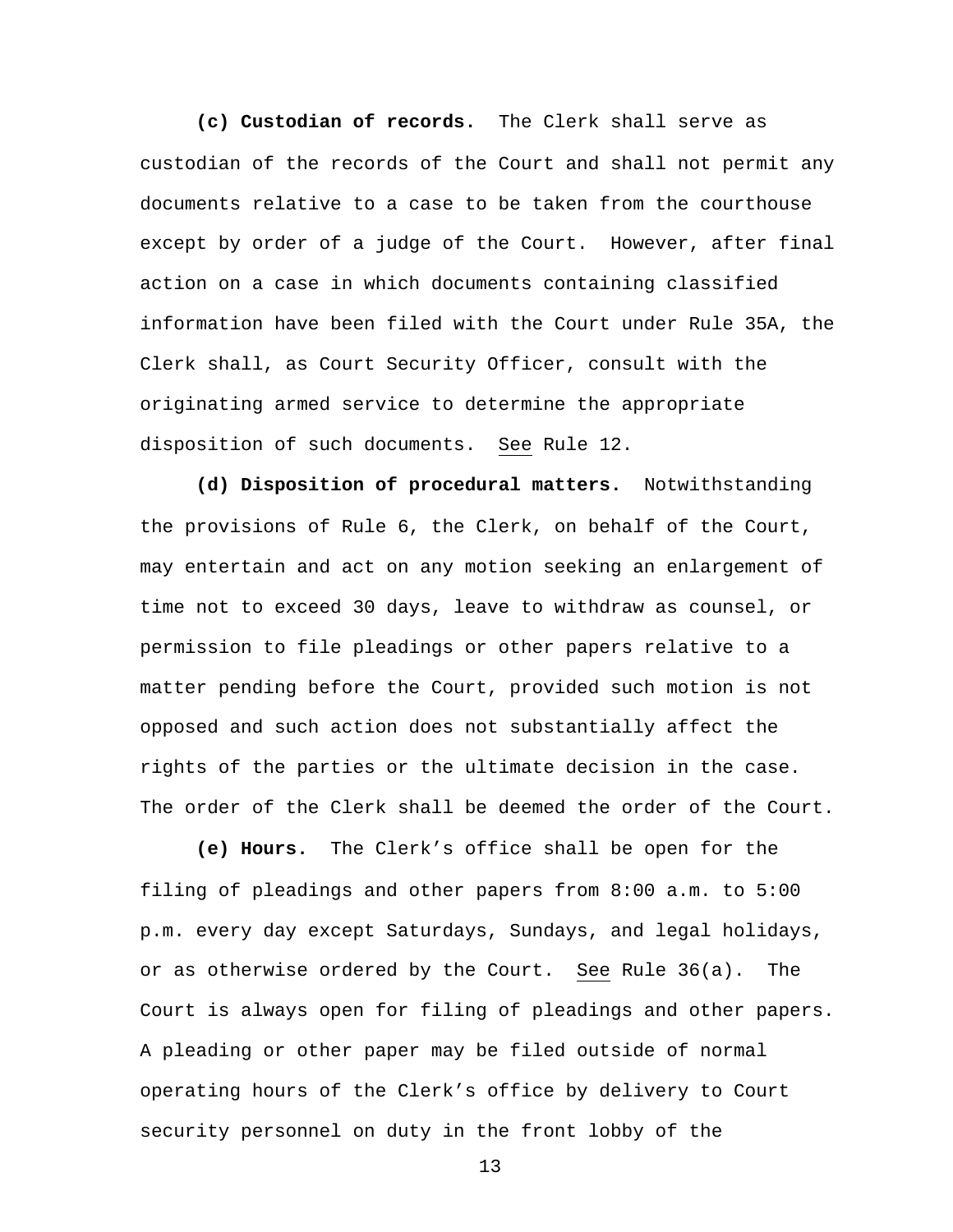**(c) Custodian of records.** The Clerk shall serve as custodian of the records of the Court and shall not permit any documents relative to a case to be taken from the courthouse except by order of a judge of the Court. However, after final action on a case in which documents containing classified information have been filed with the Court under Rule 35A, the Clerk shall, as Court Security Officer, consult with the originating armed service to determine the appropriate disposition of such documents. See Rule 12.

**(d) Disposition of procedural matters.** Notwithstanding the provisions of Rule 6, the Clerk, on behalf of the Court, may entertain and act on any motion seeking an enlargement of time not to exceed 30 days, leave to withdraw as counsel, or permission to file pleadings or other papers relative to a matter pending before the Court, provided such motion is not opposed and such action does not substantially affect the rights of the parties or the ultimate decision in the case. The order of the Clerk shall be deemed the order of the Court.

**(e) Hours.** The Clerk's office shall be open for the filing of pleadings and other papers from 8:00 a.m. to 5:00 p.m. every day except Saturdays, Sundays, and legal holidays, or as otherwise ordered by the Court. See Rule 36(a). The Court is always open for filing of pleadings and other papers. A pleading or other paper may be filed outside of normal operating hours of the Clerk's office by delivery to Court security personnel on duty in the front lobby of the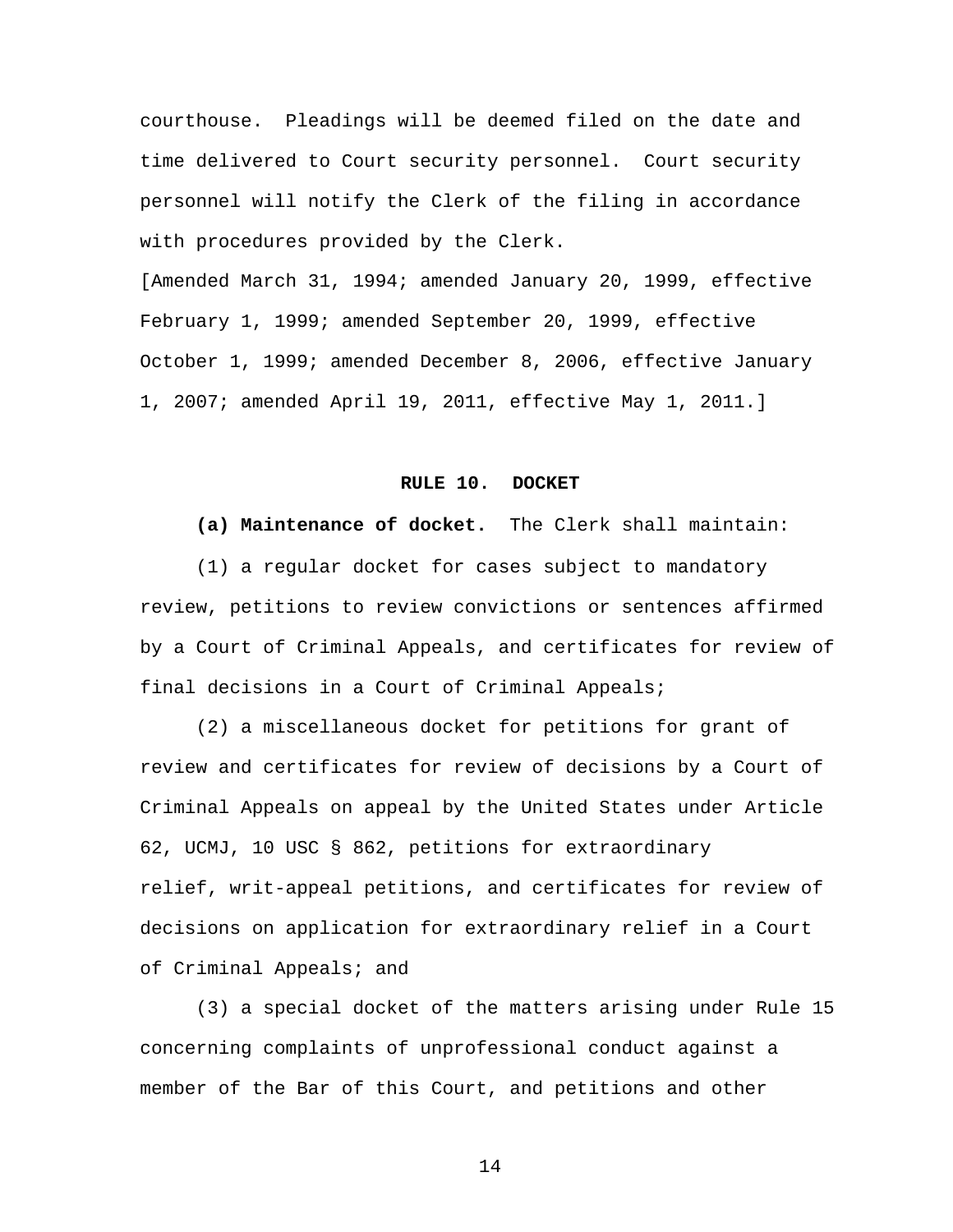courthouse. Pleadings will be deemed filed on the date and time delivered to Court security personnel. Court security personnel will notify the Clerk of the filing in accordance with procedures provided by the Clerk.

[Amended March 31, 1994; amended January 20, 1999, effective February 1, 1999; amended September 20, 1999, effective October 1, 1999; amended December 8, 2006, effective January 1, 2007; amended April 19, 2011, effective May 1, 2011.]

#### **RULE 10. DOCKET**

**(a) Maintenance of docket.** The Clerk shall maintain:

(1) a regular docket for cases subject to mandatory review, petitions to review convictions or sentences affirmed by a Court of Criminal Appeals, and certificates for review of final decisions in a Court of Criminal Appeals;

(2) a miscellaneous docket for petitions for grant of review and certificates for review of decisions by a Court of Criminal Appeals on appeal by the United States under Article 62, UCMJ, 10 USC § 862, petitions for extraordinary relief, writ-appeal petitions, and certificates for review of decisions on application for extraordinary relief in a Court of Criminal Appeals; and

(3) a special docket of the matters arising under Rule 15 concerning complaints of unprofessional conduct against a member of the Bar of this Court, and petitions and other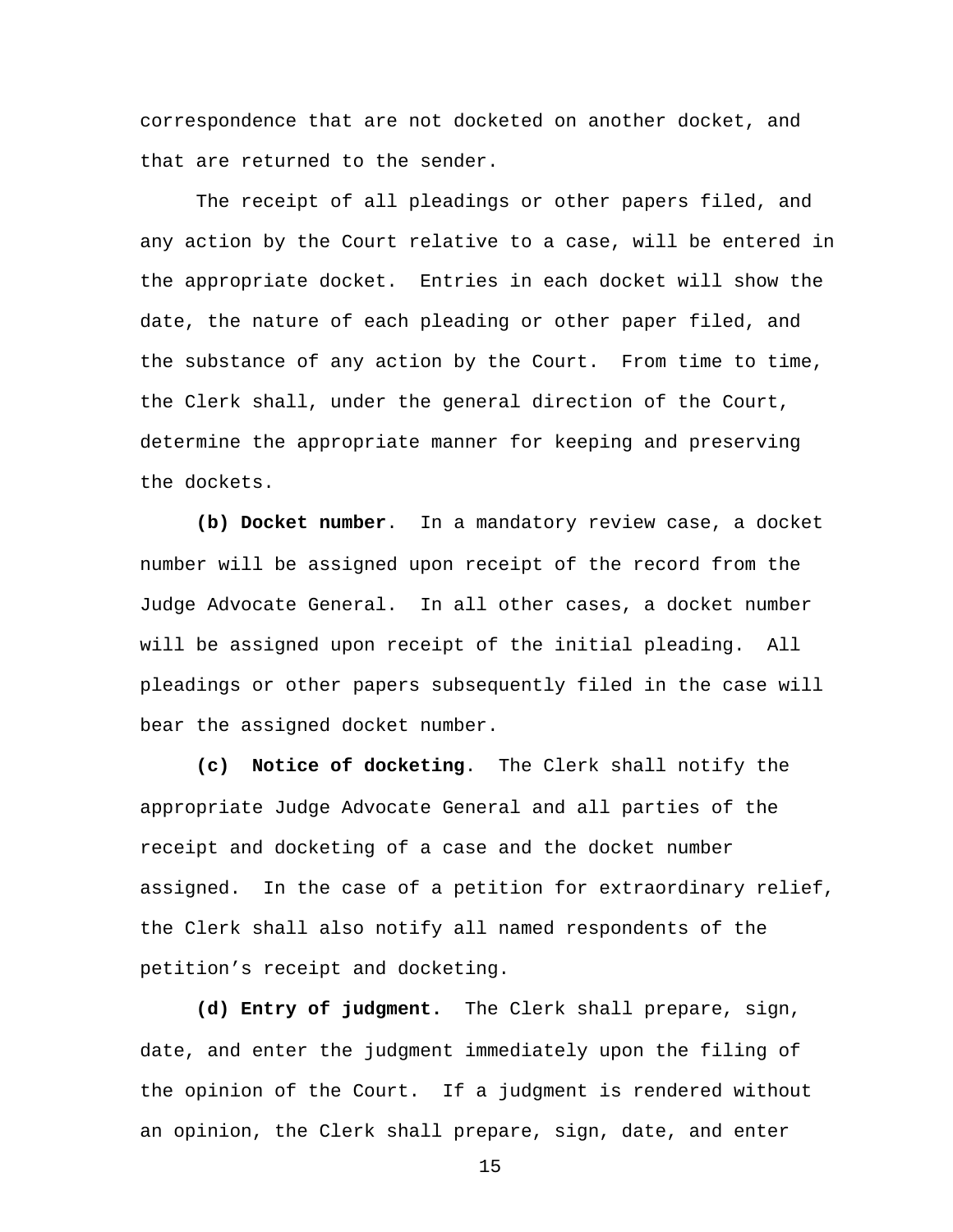correspondence that are not docketed on another docket, and that are returned to the sender.

The receipt of all pleadings or other papers filed, and any action by the Court relative to a case, will be entered in the appropriate docket. Entries in each docket will show the date, the nature of each pleading or other paper filed, and the substance of any action by the Court. From time to time, the Clerk shall, under the general direction of the Court, determine the appropriate manner for keeping and preserving the dockets.

**(b) Docket number**. In a mandatory review case, a docket number will be assigned upon receipt of the record from the Judge Advocate General. In all other cases, a docket number will be assigned upon receipt of the initial pleading. All pleadings or other papers subsequently filed in the case will bear the assigned docket number.

**(c) Notice of docketing**. The Clerk shall notify the appropriate Judge Advocate General and all parties of the receipt and docketing of a case and the docket number assigned. In the case of a petition for extraordinary relief, the Clerk shall also notify all named respondents of the petition's receipt and docketing.

**(d) Entry of judgment.** The Clerk shall prepare, sign, date, and enter the judgment immediately upon the filing of the opinion of the Court. If a judgment is rendered without an opinion, the Clerk shall prepare, sign, date, and enter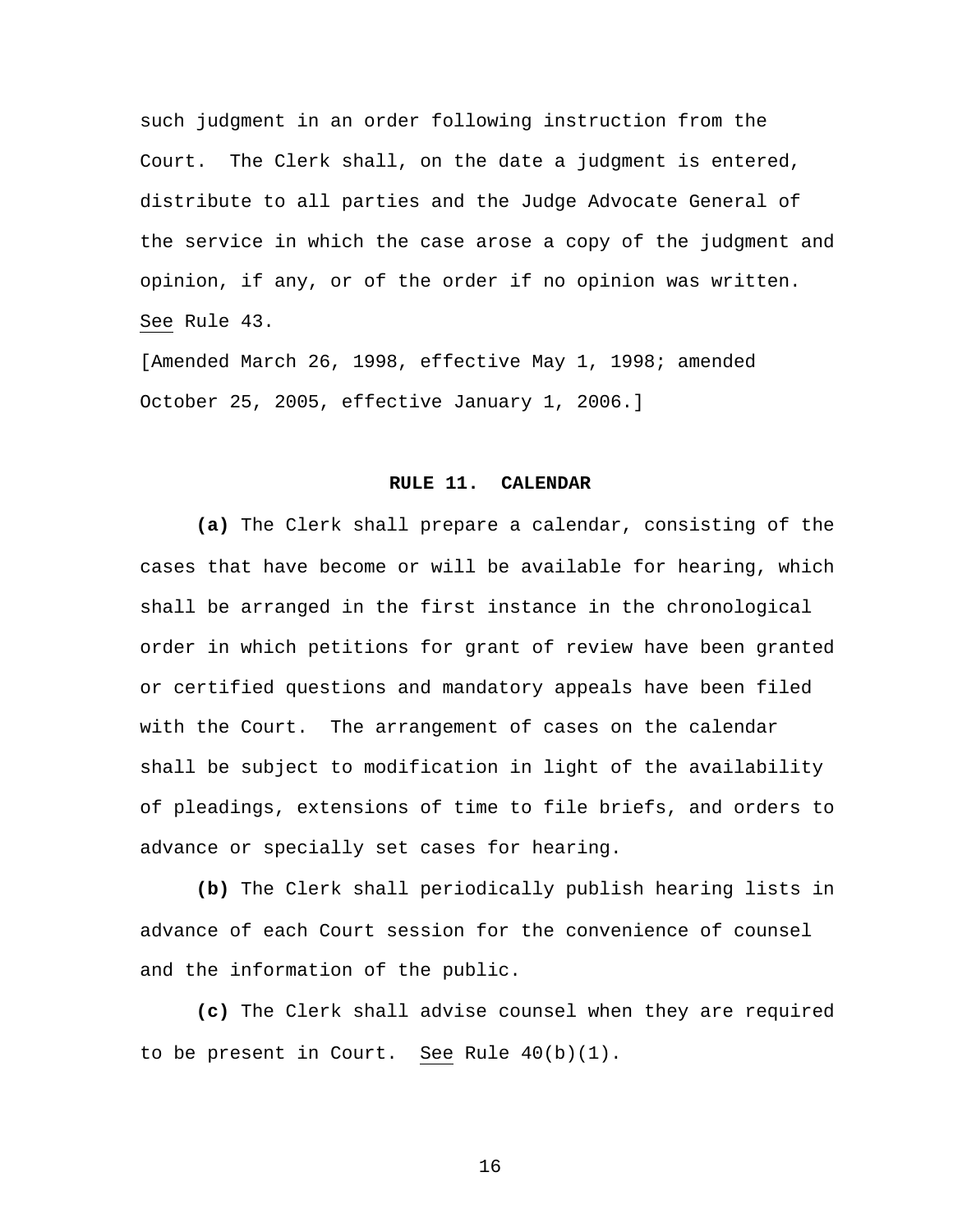such judgment in an order following instruction from the Court. The Clerk shall, on the date a judgment is entered, distribute to all parties and the Judge Advocate General of the service in which the case arose a copy of the judgment and opinion, if any, or of the order if no opinion was written. See Rule 43.

[Amended March 26, 1998, effective May 1, 1998; amended October 25, 2005, effective January 1, 2006.]

#### **RULE 11. CALENDAR**

**(a)** The Clerk shall prepare a calendar, consisting of the cases that have become or will be available for hearing, which shall be arranged in the first instance in the chronological order in which petitions for grant of review have been granted or certified questions and mandatory appeals have been filed with the Court. The arrangement of cases on the calendar shall be subject to modification in light of the availability of pleadings, extensions of time to file briefs, and orders to advance or specially set cases for hearing.

**(b)** The Clerk shall periodically publish hearing lists in advance of each Court session for the convenience of counsel and the information of the public.

**(c)** The Clerk shall advise counsel when they are required to be present in Court. See Rule 40(b)(1).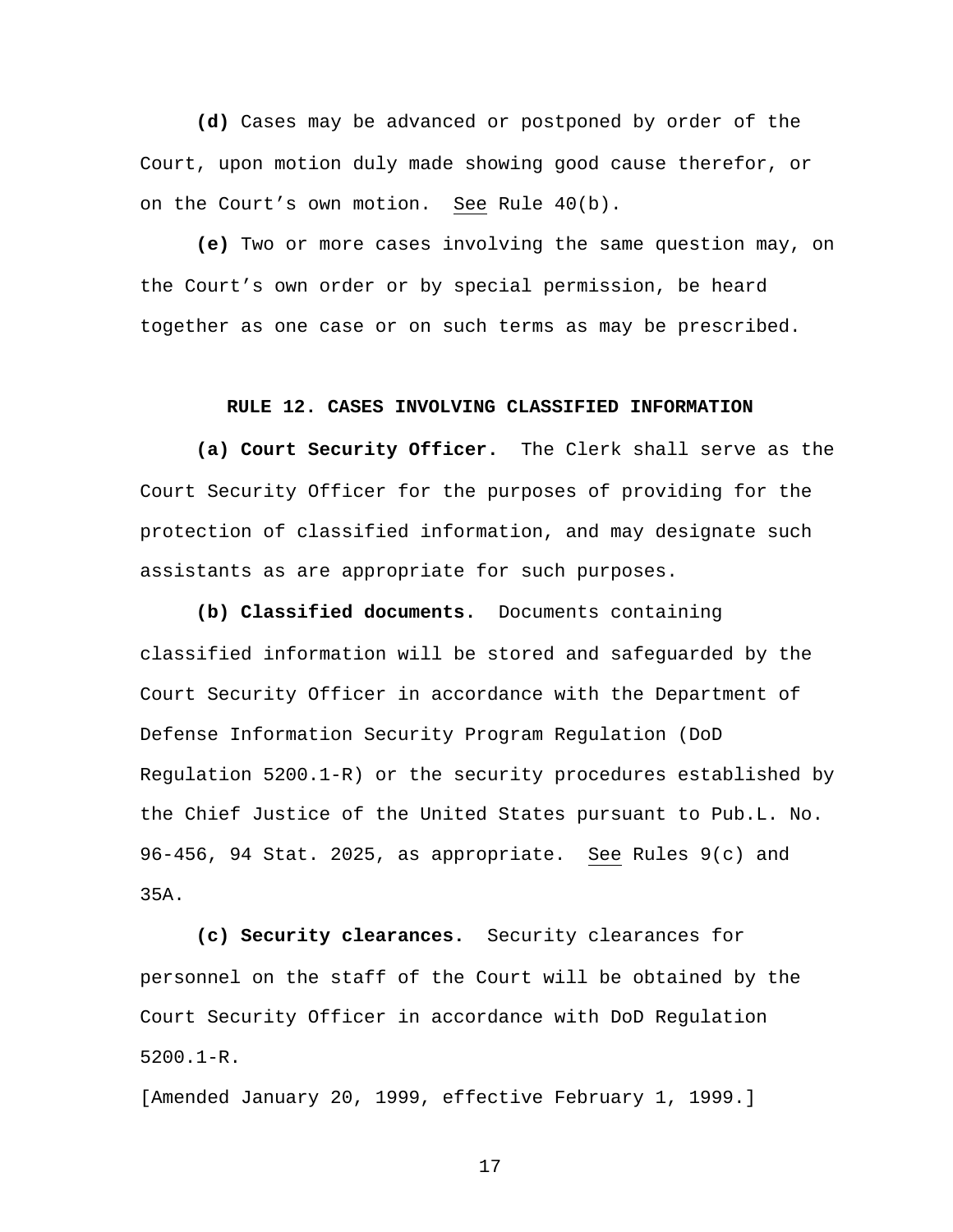**(d)** Cases may be advanced or postponed by order of the Court, upon motion duly made showing good cause therefor, or on the Court's own motion. See Rule 40(b).

**(e)** Two or more cases involving the same question may, on the Court's own order or by special permission, be heard together as one case or on such terms as may be prescribed.

#### **RULE 12. CASES INVOLVING CLASSIFIED INFORMATION**

**(a) Court Security Officer.** The Clerk shall serve as the Court Security Officer for the purposes of providing for the protection of classified information, and may designate such assistants as are appropriate for such purposes.

**(b) Classified documents.** Documents containing classified information will be stored and safeguarded by the Court Security Officer in accordance with the Department of Defense Information Security Program Regulation (DoD Regulation 5200.1-R) or the security procedures established by the Chief Justice of the United States pursuant to Pub.L. No. 96-456, 94 Stat. 2025, as appropriate. See Rules 9(c) and 35A.

**(c) Security clearances.** Security clearances for personnel on the staff of the Court will be obtained by the Court Security Officer in accordance with DoD Regulation 5200.1-R.

[Amended January 20, 1999, effective February 1, 1999.]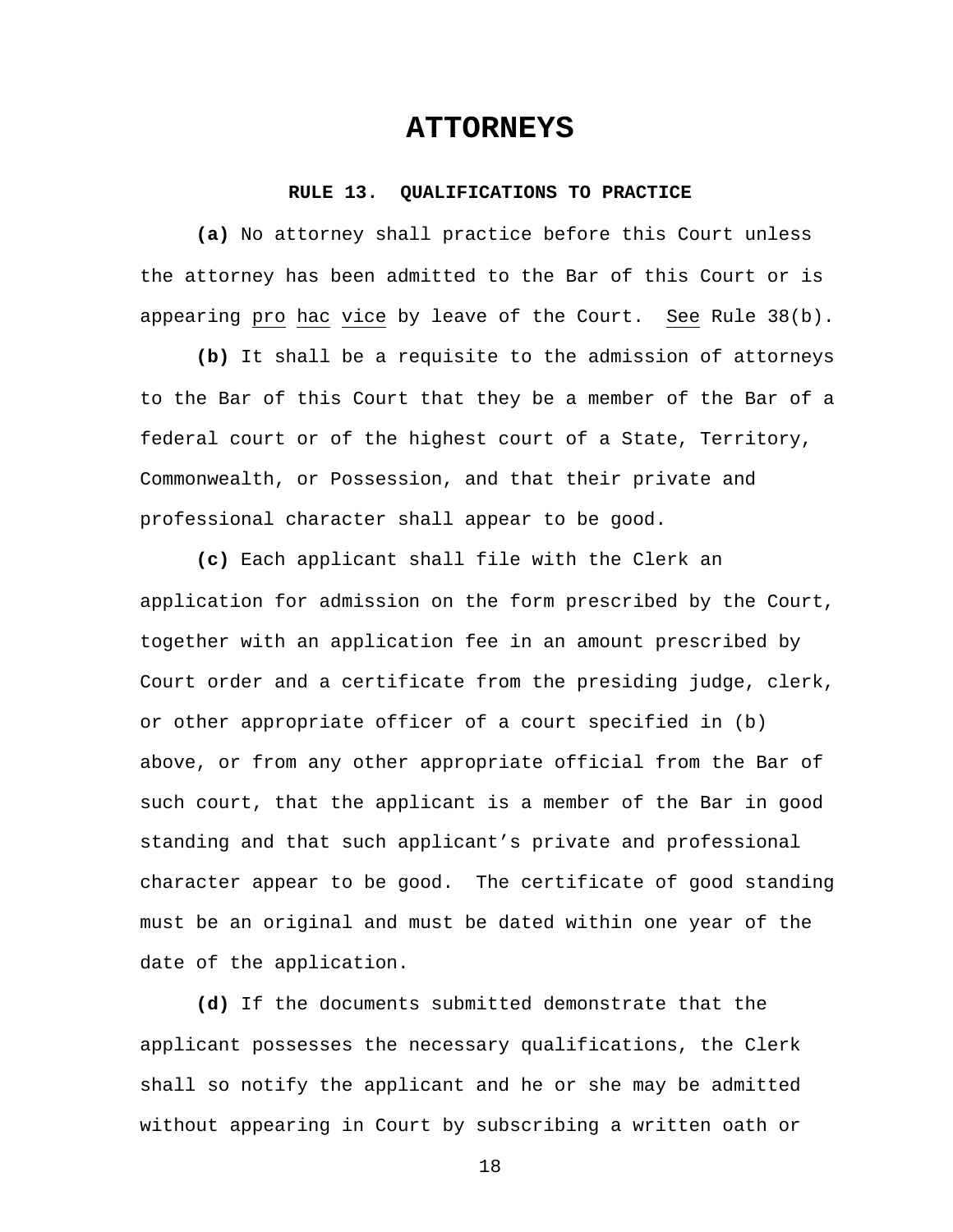## **ATTORNEYS**

#### **RULE 13. QUALIFICATIONS TO PRACTICE**

**(a)** No attorney shall practice before this Court unless the attorney has been admitted to the Bar of this Court or is appearing pro hac vice by leave of the Court. See Rule 38(b).

**(b)** It shall be a requisite to the admission of attorneys to the Bar of this Court that they be a member of the Bar of a federal court or of the highest court of a State, Territory, Commonwealth, or Possession, and that their private and professional character shall appear to be good.

**(c)** Each applicant shall file with the Clerk an application for admission on the form prescribed by the Court, together with an application fee in an amount prescribed by Court order and a certificate from the presiding judge, clerk, or other appropriate officer of a court specified in (b) above, or from any other appropriate official from the Bar of such court, that the applicant is a member of the Bar in good standing and that such applicant's private and professional character appear to be good. The certificate of good standing must be an original and must be dated within one year of the date of the application.

**(d)** If the documents submitted demonstrate that the applicant possesses the necessary qualifications, the Clerk shall so notify the applicant and he or she may be admitted without appearing in Court by subscribing a written oath or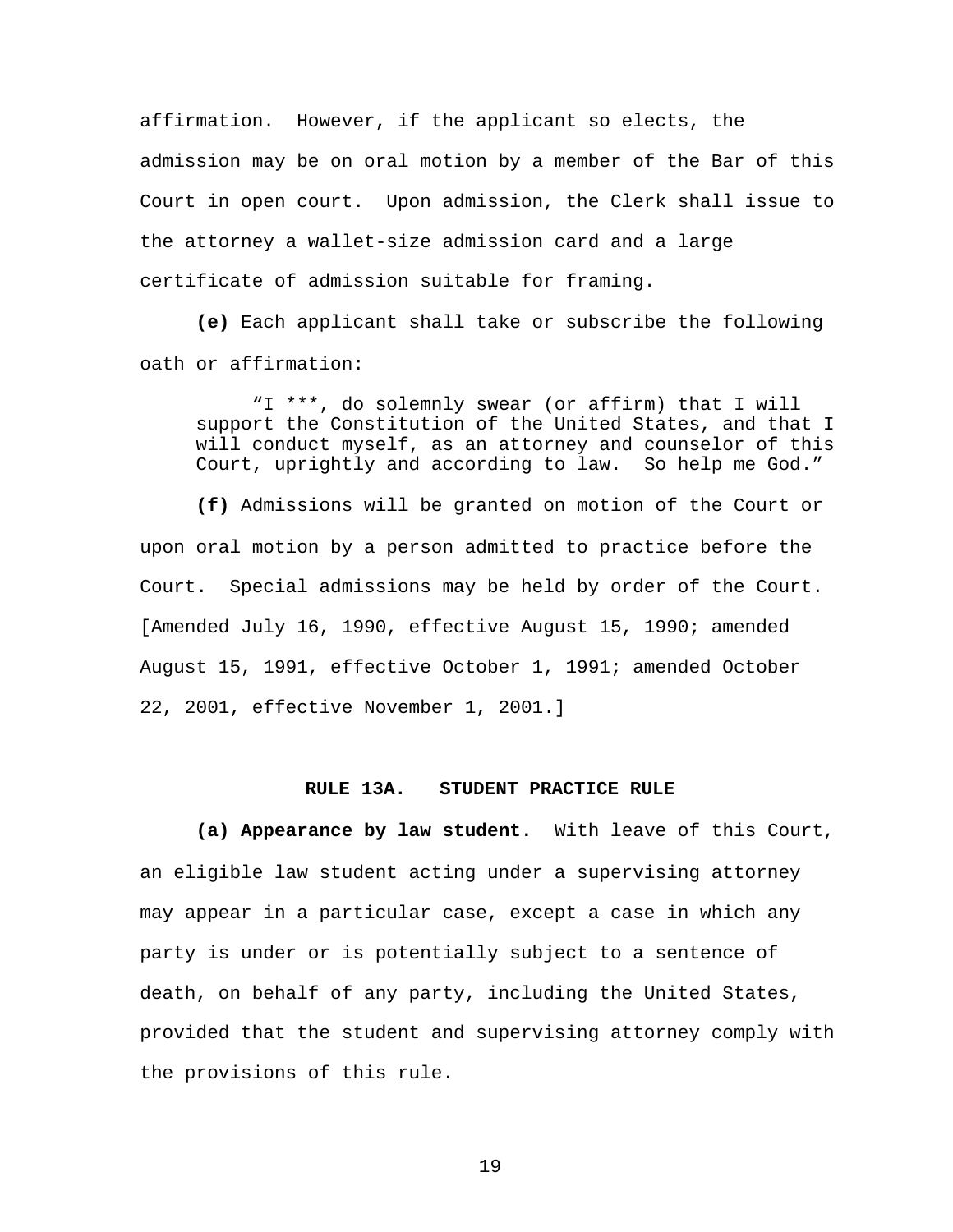affirmation. However, if the applicant so elects, the admission may be on oral motion by a member of the Bar of this Court in open court. Upon admission, the Clerk shall issue to the attorney a wallet-size admission card and a large certificate of admission suitable for framing.

**(e)** Each applicant shall take or subscribe the following oath or affirmation:

"I \*\*\*, do solemnly swear (or affirm) that I will support the Constitution of the United States, and that I will conduct myself, as an attorney and counselor of this Court, uprightly and according to law. So help me God."

**(f)** Admissions will be granted on motion of the Court or upon oral motion by a person admitted to practice before the Court. Special admissions may be held by order of the Court. [Amended July 16, 1990, effective August 15, 1990; amended August 15, 1991, effective October 1, 1991; amended October 22, 2001, effective November 1, 2001.]

#### **RULE 13A. STUDENT PRACTICE RULE**

**(a) Appearance by law student.** With leave of this Court, an eligible law student acting under a supervising attorney may appear in a particular case, except a case in which any party is under or is potentially subject to a sentence of death, on behalf of any party, including the United States, provided that the student and supervising attorney comply with the provisions of this rule.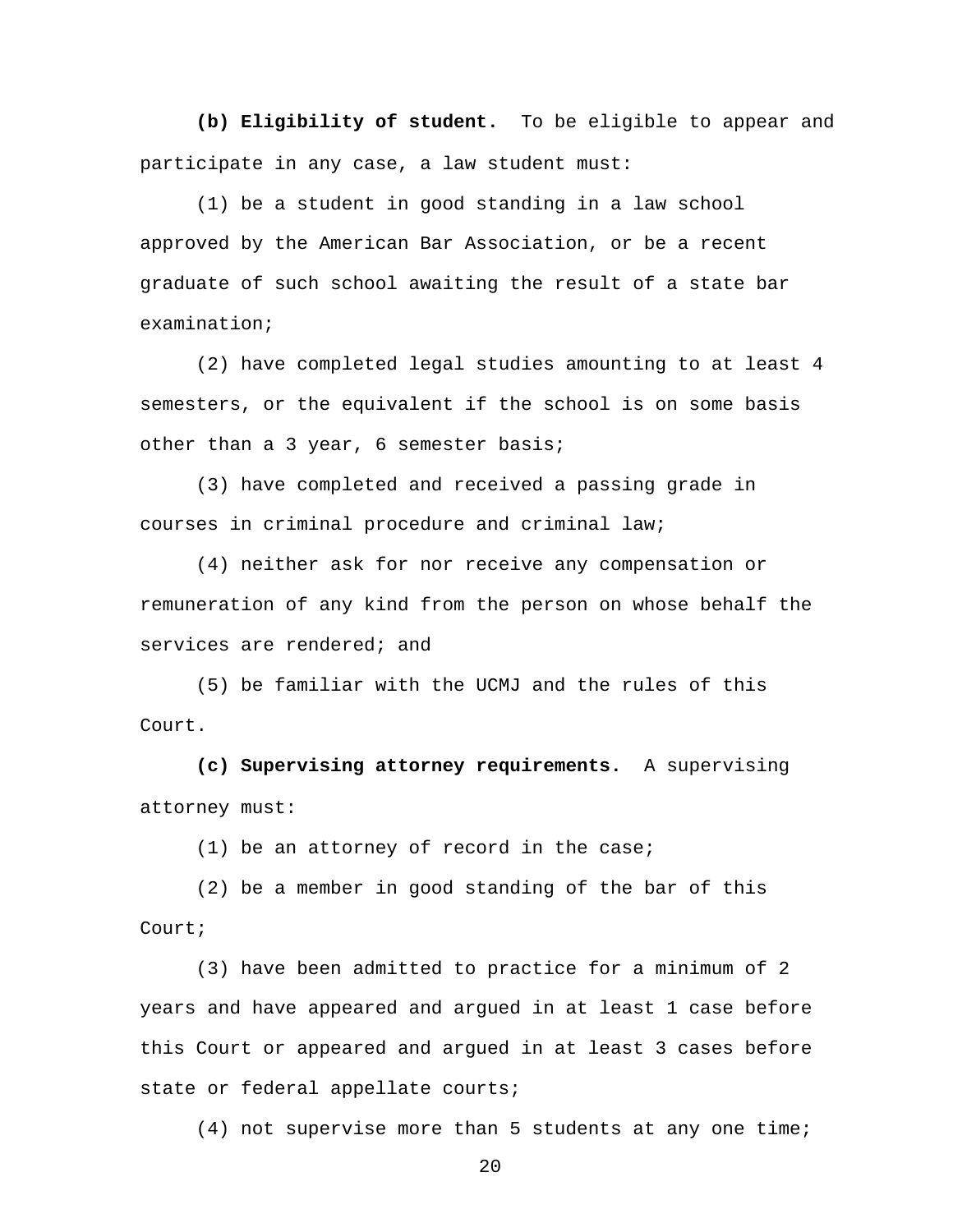**(b) Eligibility of student.** To be eligible to appear and participate in any case, a law student must:

(1) be a student in good standing in a law school approved by the American Bar Association, or be a recent graduate of such school awaiting the result of a state bar examination;

(2) have completed legal studies amounting to at least 4 semesters, or the equivalent if the school is on some basis other than a 3 year, 6 semester basis;

(3) have completed and received a passing grade in courses in criminal procedure and criminal law;

(4) neither ask for nor receive any compensation or remuneration of any kind from the person on whose behalf the services are rendered; and

 (5) be familiar with the UCMJ and the rules of this Court.

**(c) Supervising attorney requirements.** A supervising attorney must:

(1) be an attorney of record in the case;

(2) be a member in good standing of the bar of this Court;

(3) have been admitted to practice for a minimum of 2 years and have appeared and argued in at least 1 case before this Court or appeared and argued in at least 3 cases before state or federal appellate courts;

(4) not supervise more than 5 students at any one time;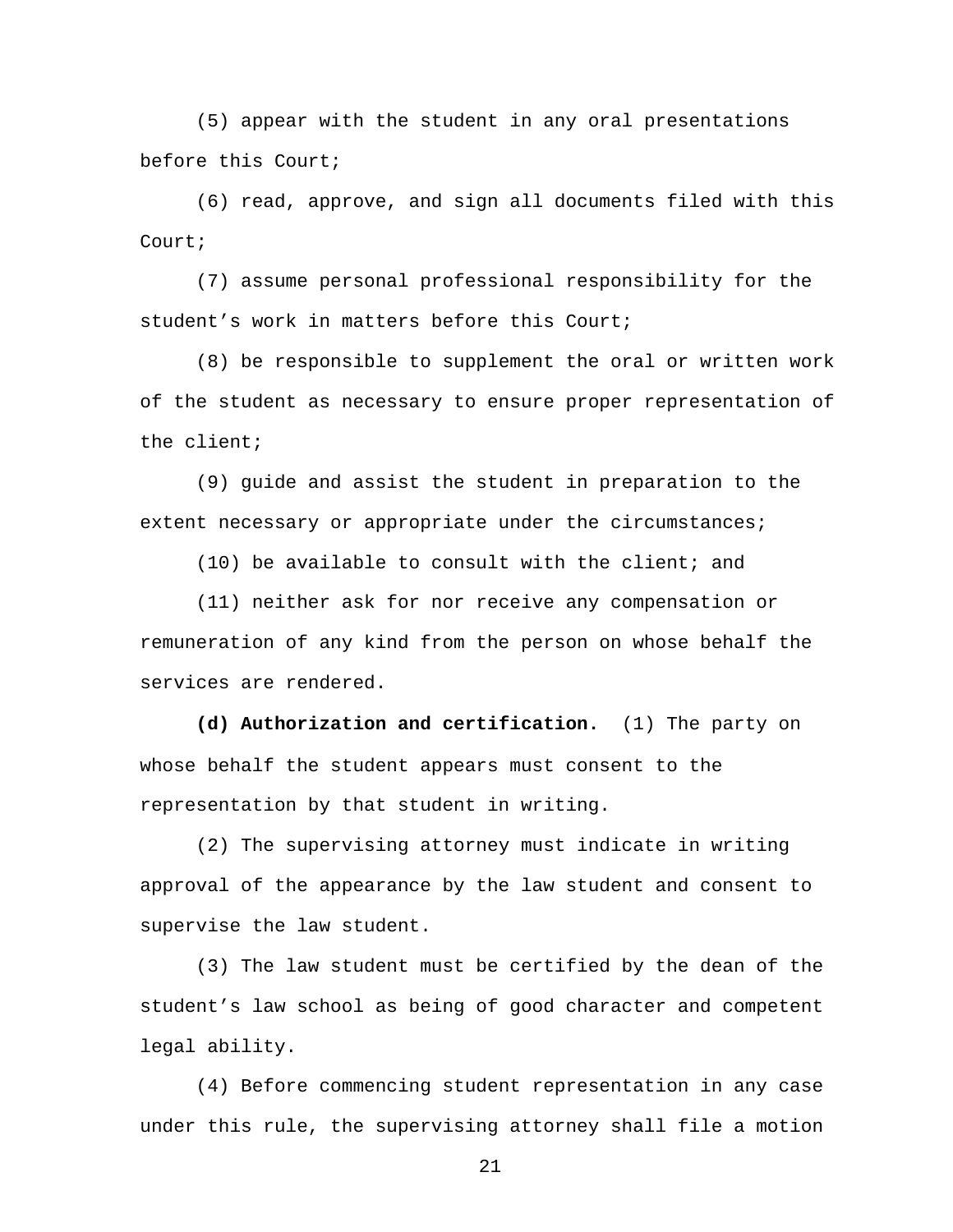(5) appear with the student in any oral presentations before this Court;

(6) read, approve, and sign all documents filed with this Court;

(7) assume personal professional responsibility for the student's work in matters before this Court;

(8) be responsible to supplement the oral or written work of the student as necessary to ensure proper representation of the client;

(9) guide and assist the student in preparation to the extent necessary or appropriate under the circumstances;

(10) be available to consult with the client; and

(11) neither ask for nor receive any compensation or remuneration of any kind from the person on whose behalf the services are rendered.

**(d) Authorization and certification.** (1) The party on whose behalf the student appears must consent to the representation by that student in writing.

 (2) The supervising attorney must indicate in writing approval of the appearance by the law student and consent to supervise the law student.

 (3) The law student must be certified by the dean of the student's law school as being of good character and competent legal ability.

 (4) Before commencing student representation in any case under this rule, the supervising attorney shall file a motion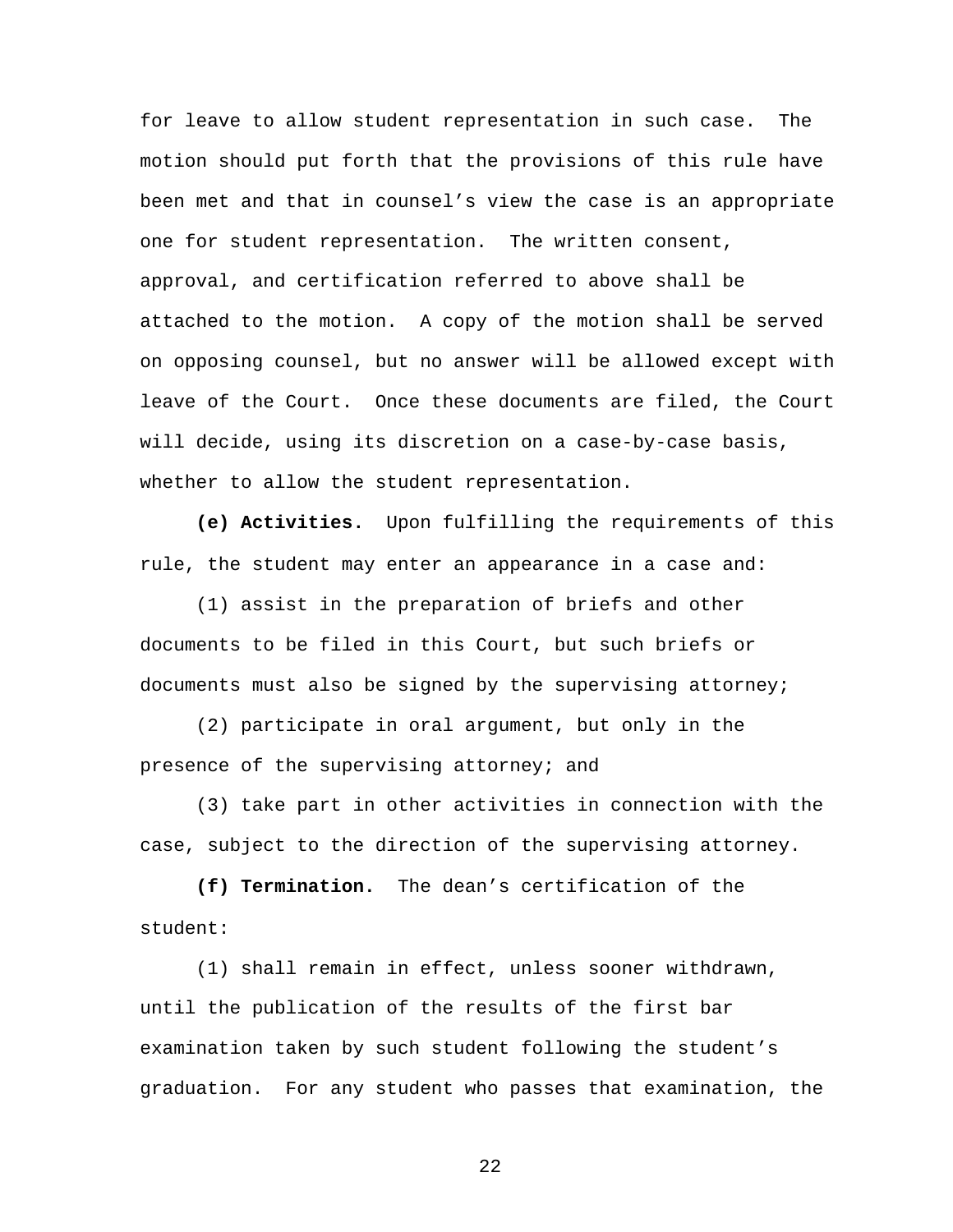for leave to allow student representation in such case. The motion should put forth that the provisions of this rule have been met and that in counsel's view the case is an appropriate one for student representation. The written consent, approval, and certification referred to above shall be attached to the motion. A copy of the motion shall be served on opposing counsel, but no answer will be allowed except with leave of the Court. Once these documents are filed, the Court will decide, using its discretion on a case-by-case basis, whether to allow the student representation.

**(e) Activities.** Upon fulfilling the requirements of this rule, the student may enter an appearance in a case and:

 (1) assist in the preparation of briefs and other documents to be filed in this Court, but such briefs or documents must also be signed by the supervising attorney;

 (2) participate in oral argument, but only in the presence of the supervising attorney; and

 (3) take part in other activities in connection with the case, subject to the direction of the supervising attorney.

**(f) Termination.** The dean's certification of the student:

 (1) shall remain in effect, unless sooner withdrawn, until the publication of the results of the first bar examination taken by such student following the student's graduation. For any student who passes that examination, the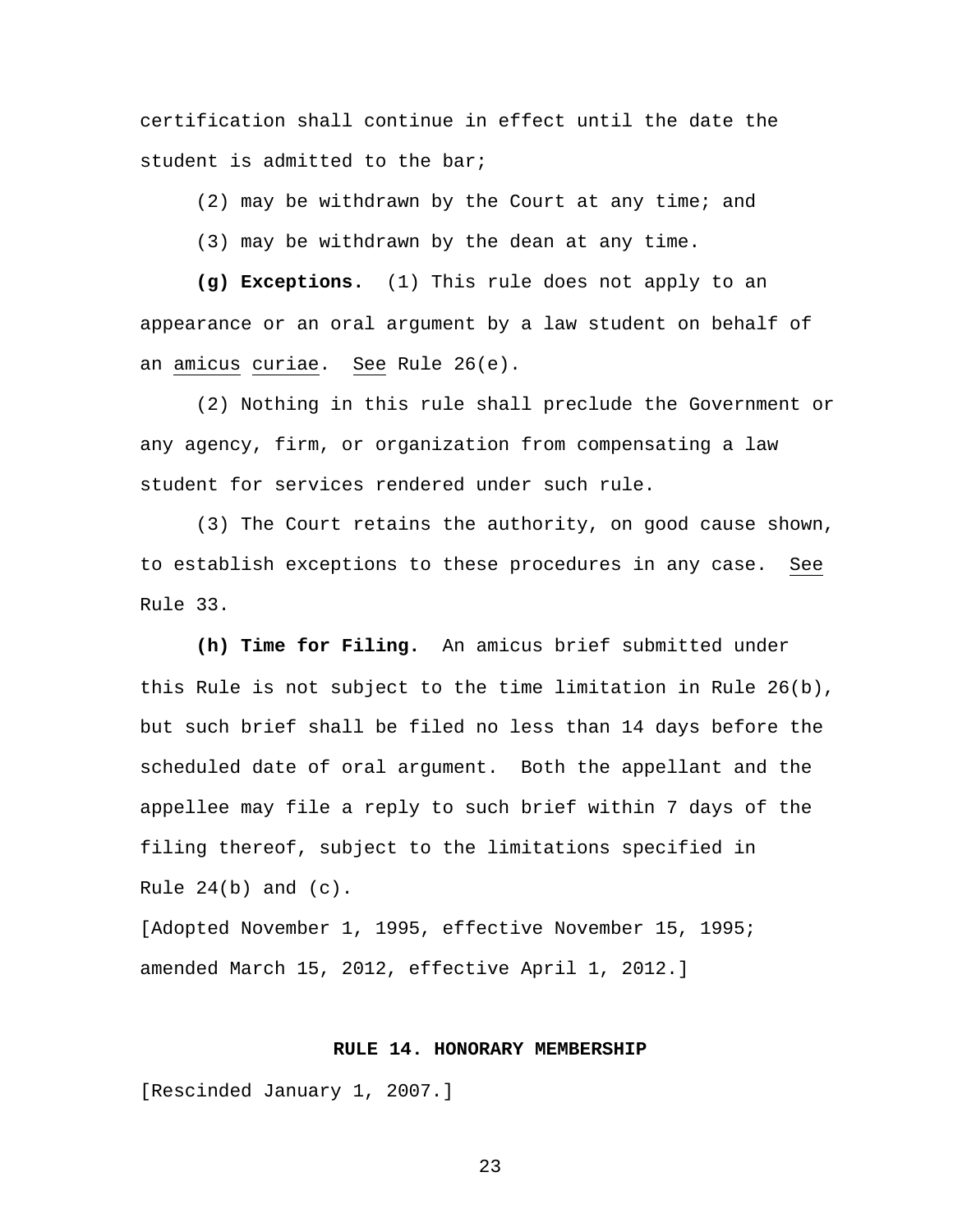certification shall continue in effect until the date the student is admitted to the bar;

(2) may be withdrawn by the Court at any time; and

(3) may be withdrawn by the dean at any time.

**(g) Exceptions.** (1) This rule does not apply to an appearance or an oral argument by a law student on behalf of an amicus curiae. See Rule 26(e).

 (2) Nothing in this rule shall preclude the Government or any agency, firm, or organization from compensating a law student for services rendered under such rule.

 (3) The Court retains the authority, on good cause shown, to establish exceptions to these procedures in any case. See Rule 33.

**(h) Time for Filing.** An amicus brief submitted under this Rule is not subject to the time limitation in Rule 26(b), but such brief shall be filed no less than 14 days before the scheduled date of oral argument. Both the appellant and the appellee may file a reply to such brief within 7 days of the filing thereof, subject to the limitations specified in Rule  $24(b)$  and  $(c)$ .

[Adopted November 1, 1995, effective November 15, 1995; amended March 15, 2012, effective April 1, 2012.]

#### **RULE 14. HONORARY MEMBERSHIP**

[Rescinded January 1, 2007.]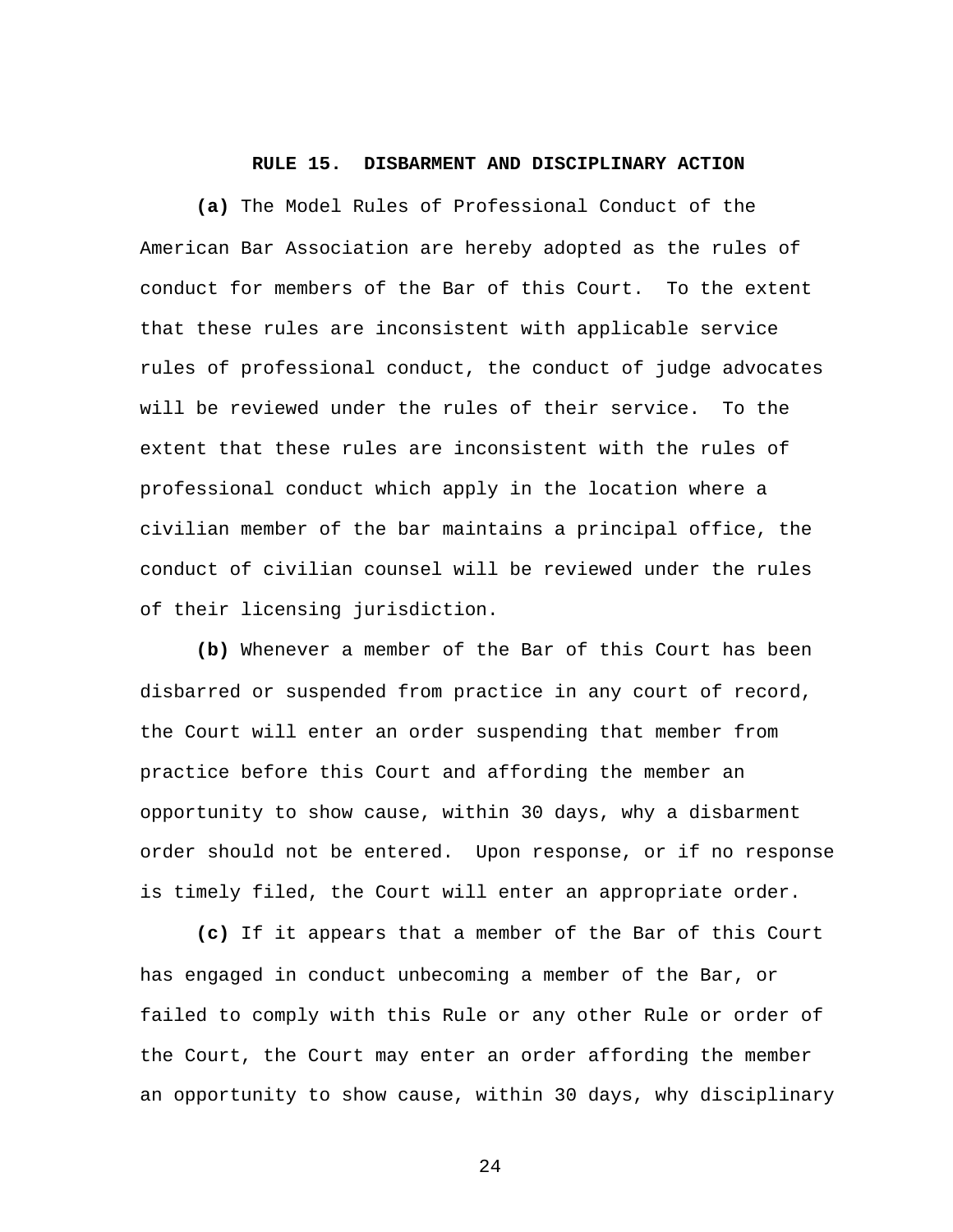#### **RULE 15. DISBARMENT AND DISCIPLINARY ACTION**

**(a)** The Model Rules of Professional Conduct of the American Bar Association are hereby adopted as the rules of conduct for members of the Bar of this Court. To the extent that these rules are inconsistent with applicable service rules of professional conduct, the conduct of judge advocates will be reviewed under the rules of their service. To the extent that these rules are inconsistent with the rules of professional conduct which apply in the location where a civilian member of the bar maintains a principal office, the conduct of civilian counsel will be reviewed under the rules of their licensing jurisdiction.

**(b)** Whenever a member of the Bar of this Court has been disbarred or suspended from practice in any court of record, the Court will enter an order suspending that member from practice before this Court and affording the member an opportunity to show cause, within 30 days, why a disbarment order should not be entered. Upon response, or if no response is timely filed, the Court will enter an appropriate order.

**(c)** If it appears that a member of the Bar of this Court has engaged in conduct unbecoming a member of the Bar, or failed to comply with this Rule or any other Rule or order of the Court, the Court may enter an order affording the member an opportunity to show cause, within 30 days, why disciplinary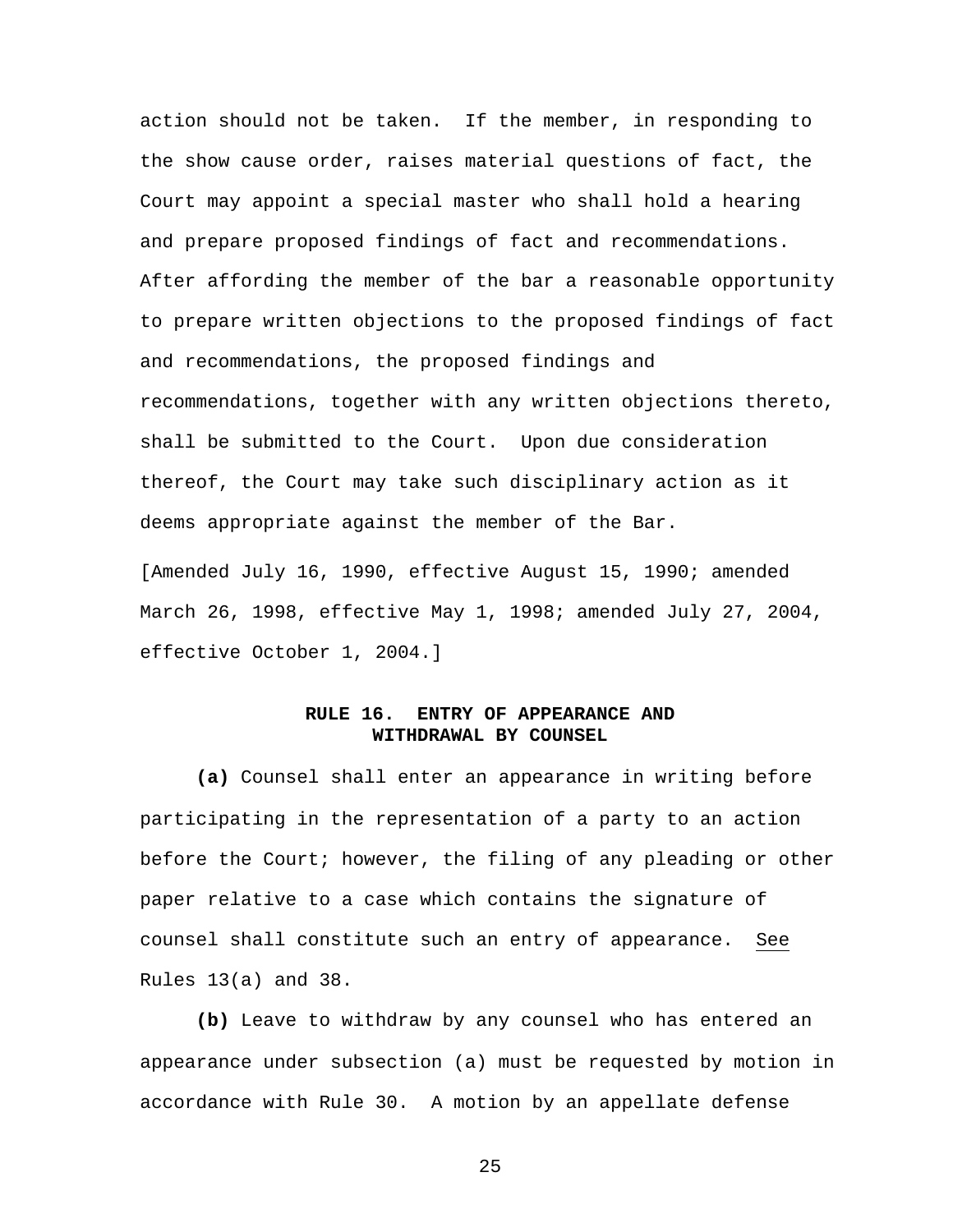action should not be taken. If the member, in responding to the show cause order, raises material questions of fact, the Court may appoint a special master who shall hold a hearing and prepare proposed findings of fact and recommendations. After affording the member of the bar a reasonable opportunity to prepare written objections to the proposed findings of fact and recommendations, the proposed findings and recommendations, together with any written objections thereto, shall be submitted to the Court. Upon due consideration thereof, the Court may take such disciplinary action as it deems appropriate against the member of the Bar.

[Amended July 16, 1990, effective August 15, 1990; amended March 26, 1998, effective May 1, 1998; amended July 27, 2004, effective October 1, 2004.]

#### **RULE 16. ENTRY OF APPEARANCE AND WITHDRAWAL BY COUNSEL**

 **(a)** Counsel shall enter an appearance in writing before participating in the representation of a party to an action before the Court; however, the filing of any pleading or other paper relative to a case which contains the signature of counsel shall constitute such an entry of appearance. See Rules 13(a) and 38.

**(b)** Leave to withdraw by any counsel who has entered an appearance under subsection (a) must be requested by motion in accordance with Rule 30. A motion by an appellate defense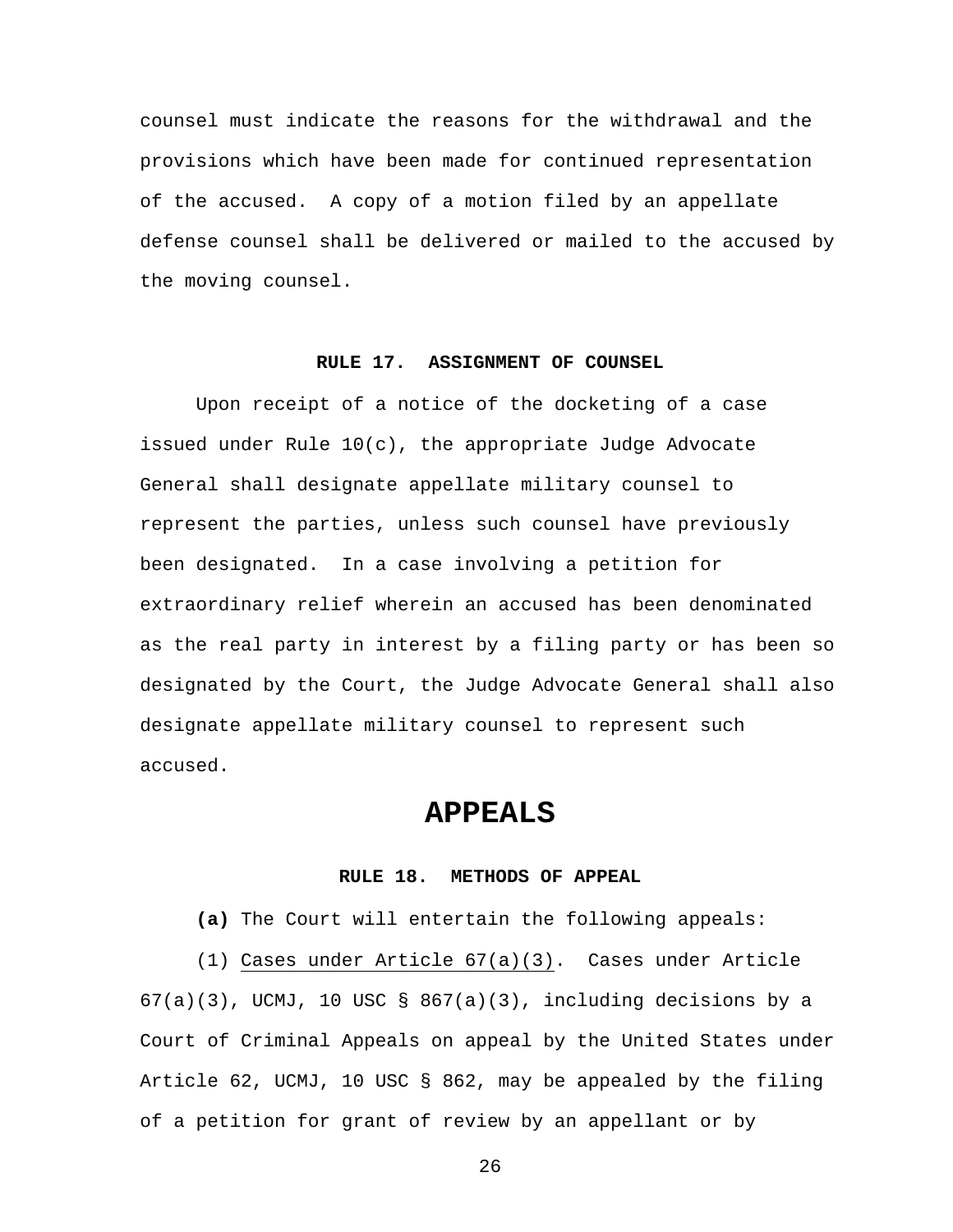counsel must indicate the reasons for the withdrawal and the provisions which have been made for continued representation of the accused. A copy of a motion filed by an appellate defense counsel shall be delivered or mailed to the accused by the moving counsel.

#### **RULE 17. ASSIGNMENT OF COUNSEL**

Upon receipt of a notice of the docketing of a case issued under Rule 10(c), the appropriate Judge Advocate General shall designate appellate military counsel to represent the parties, unless such counsel have previously been designated. In a case involving a petition for extraordinary relief wherein an accused has been denominated as the real party in interest by a filing party or has been so designated by the Court, the Judge Advocate General shall also designate appellate military counsel to represent such accused.

### **APPEALS**

#### **RULE 18. METHODS OF APPEAL**

**(a)** The Court will entertain the following appeals:

(1) Cases under Article 67(a)(3).Cases under Article

 $67(a)(3)$ , UCMJ, 10 USC § 867(a)(3), including decisions by a Court of Criminal Appeals on appeal by the United States under Article 62, UCMJ, 10 USC § 862, may be appealed by the filing of a petition for grant of review by an appellant or by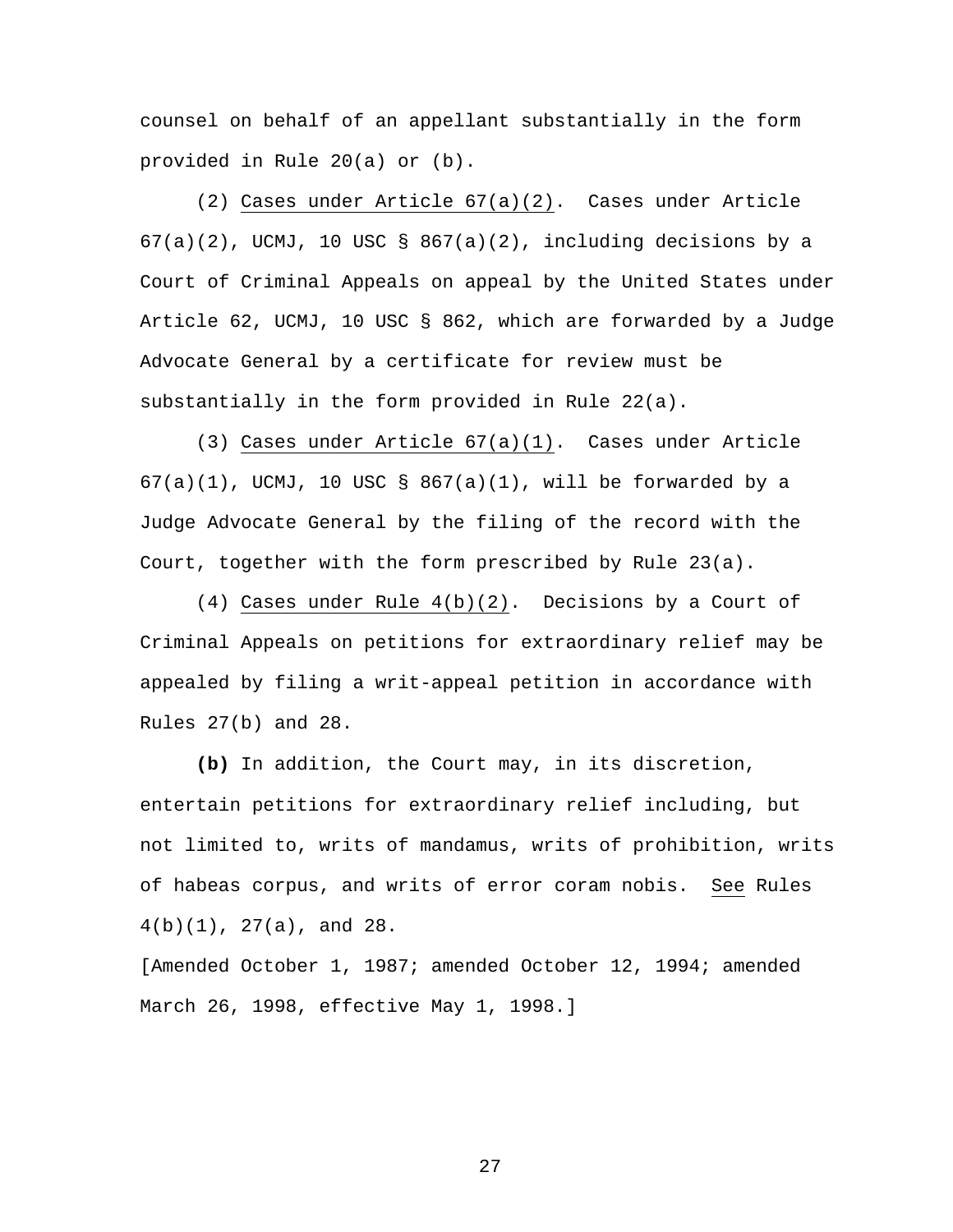counsel on behalf of an appellant substantially in the form provided in Rule 20(a) or (b).

 (2) Cases under Article 67(a)(2). Cases under Article  $67(a)(2)$ , UCMJ, 10 USC §  $867(a)(2)$ , including decisions by a Court of Criminal Appeals on appeal by the United States under Article 62, UCMJ, 10 USC § 862, which are forwarded by a Judge Advocate General by a certificate for review must be substantially in the form provided in Rule 22(a).

 (3) Cases under Article 67(a)(1). Cases under Article  $67(a)(1)$ , UCMJ, 10 USC §  $867(a)(1)$ , will be forwarded by a Judge Advocate General by the filing of the record with the Court, together with the form prescribed by Rule 23(a).

 (4) Cases under Rule 4(b)(2). Decisions by a Court of Criminal Appeals on petitions for extraordinary relief may be appealed by filing a writ-appeal petition in accordance with Rules 27(b) and 28.

**(b)** In addition, the Court may, in its discretion, entertain petitions for extraordinary relief including, but not limited to, writs of mandamus, writs of prohibition, writs of habeas corpus, and writs of error coram nobis. See Rules 4(b)(1), 27(a), and 28.

[Amended October 1, 1987; amended October 12, 1994; amended March 26, 1998, effective May 1, 1998.]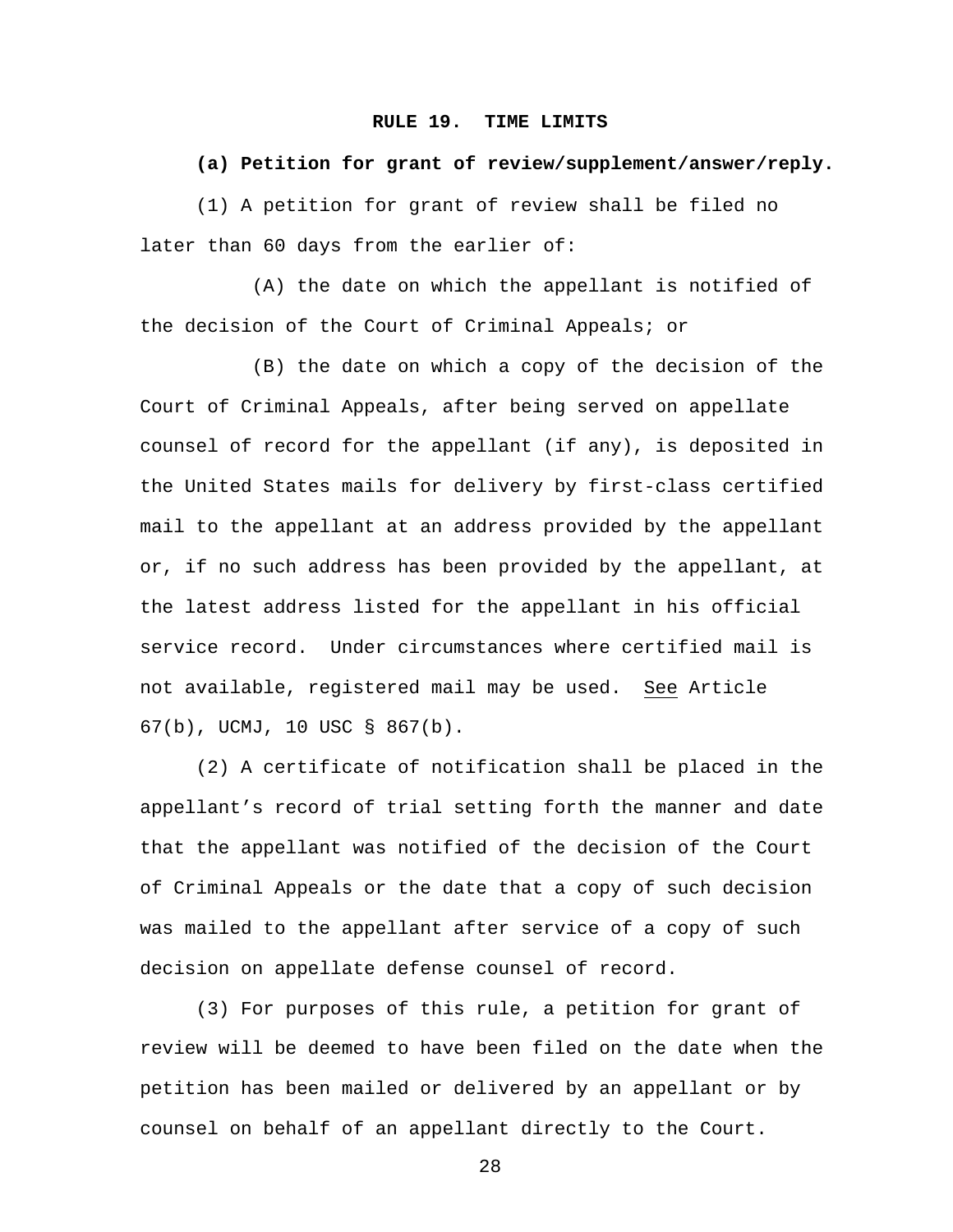#### **RULE 19. TIME LIMITS**

#### **(a) Petition for grant of review/supplement/answer/reply.**

(1) A petition for grant of review shall be filed no later than 60 days from the earlier of:

 (A) the date on which the appellant is notified of the decision of the Court of Criminal Appeals; or

 (B) the date on which a copy of the decision of the Court of Criminal Appeals, after being served on appellate counsel of record for the appellant (if any), is deposited in the United States mails for delivery by first-class certified mail to the appellant at an address provided by the appellant or, if no such address has been provided by the appellant, at the latest address listed for the appellant in his official service record. Under circumstances where certified mail is not available, registered mail may be used. See Article 67(b), UCMJ, 10 USC § 867(b).

 (2) A certificate of notification shall be placed in the appellant's record of trial setting forth the manner and date that the appellant was notified of the decision of the Court of Criminal Appeals or the date that a copy of such decision was mailed to the appellant after service of a copy of such decision on appellate defense counsel of record.

 (3) For purposes of this rule, a petition for grant of review will be deemed to have been filed on the date when the petition has been mailed or delivered by an appellant or by counsel on behalf of an appellant directly to the Court.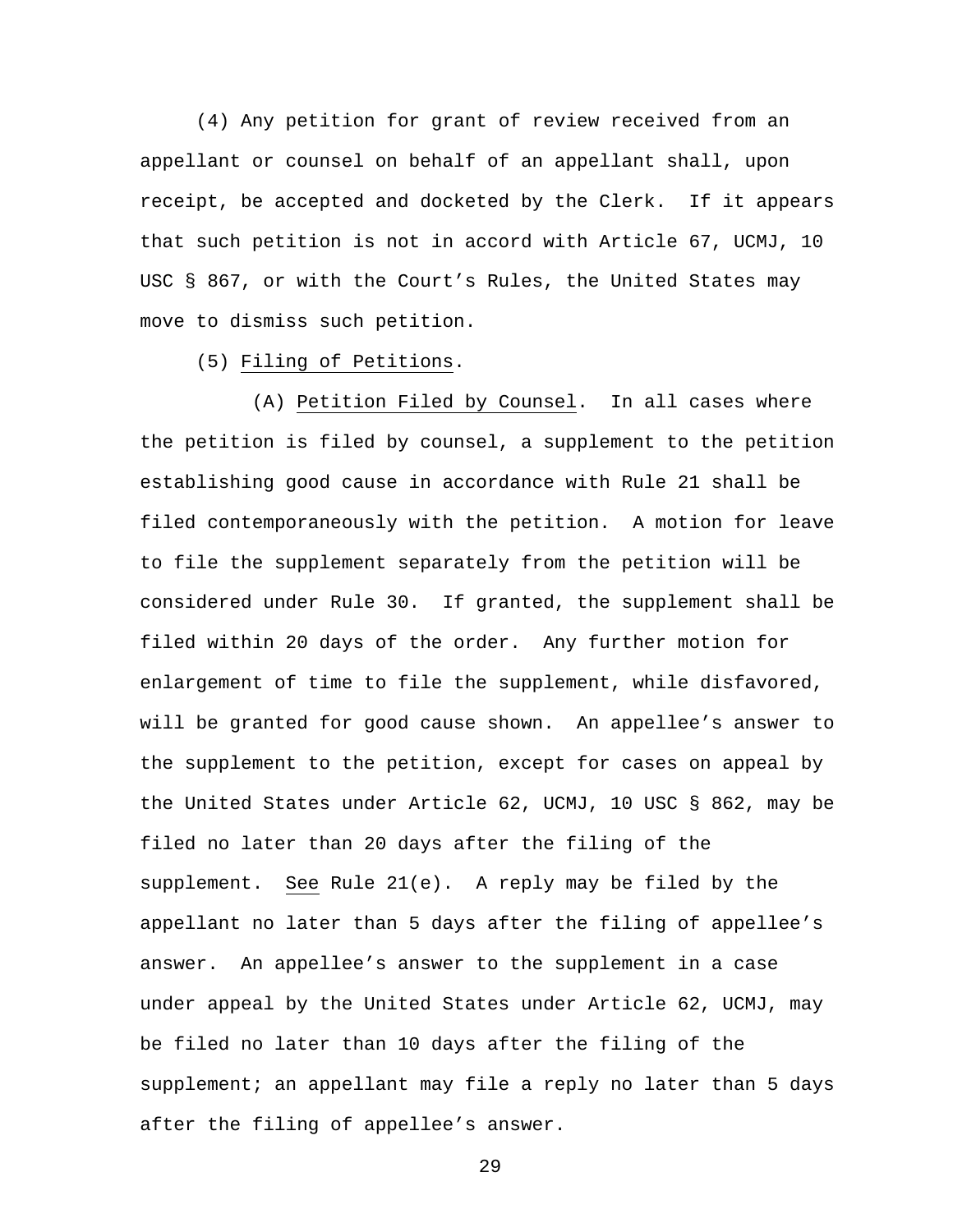(4) Any petition for grant of review received from an appellant or counsel on behalf of an appellant shall, upon receipt, be accepted and docketed by the Clerk. If it appears that such petition is not in accord with Article 67, UCMJ, 10 USC § 867, or with the Court's Rules, the United States may move to dismiss such petition.

(5) Filing of Petitions.

(A) Petition Filed by Counsel. In all cases where the petition is filed by counsel, a supplement to the petition establishing good cause in accordance with Rule 21 shall be filed contemporaneously with the petition. A motion for leave to file the supplement separately from the petition will be considered under Rule 30. If granted, the supplement shall be filed within 20 days of the order. Any further motion for enlargement of time to file the supplement, while disfavored, will be granted for good cause shown. An appellee's answer to the supplement to the petition, except for cases on appeal by the United States under Article 62, UCMJ, 10 USC § 862, may be filed no later than 20 days after the filing of the supplement. See Rule 21(e). A reply may be filed by the appellant no later than 5 days after the filing of appellee's answer. An appellee's answer to the supplement in a case under appeal by the United States under Article 62, UCMJ, may be filed no later than 10 days after the filing of the supplement; an appellant may file a reply no later than 5 days after the filing of appellee's answer.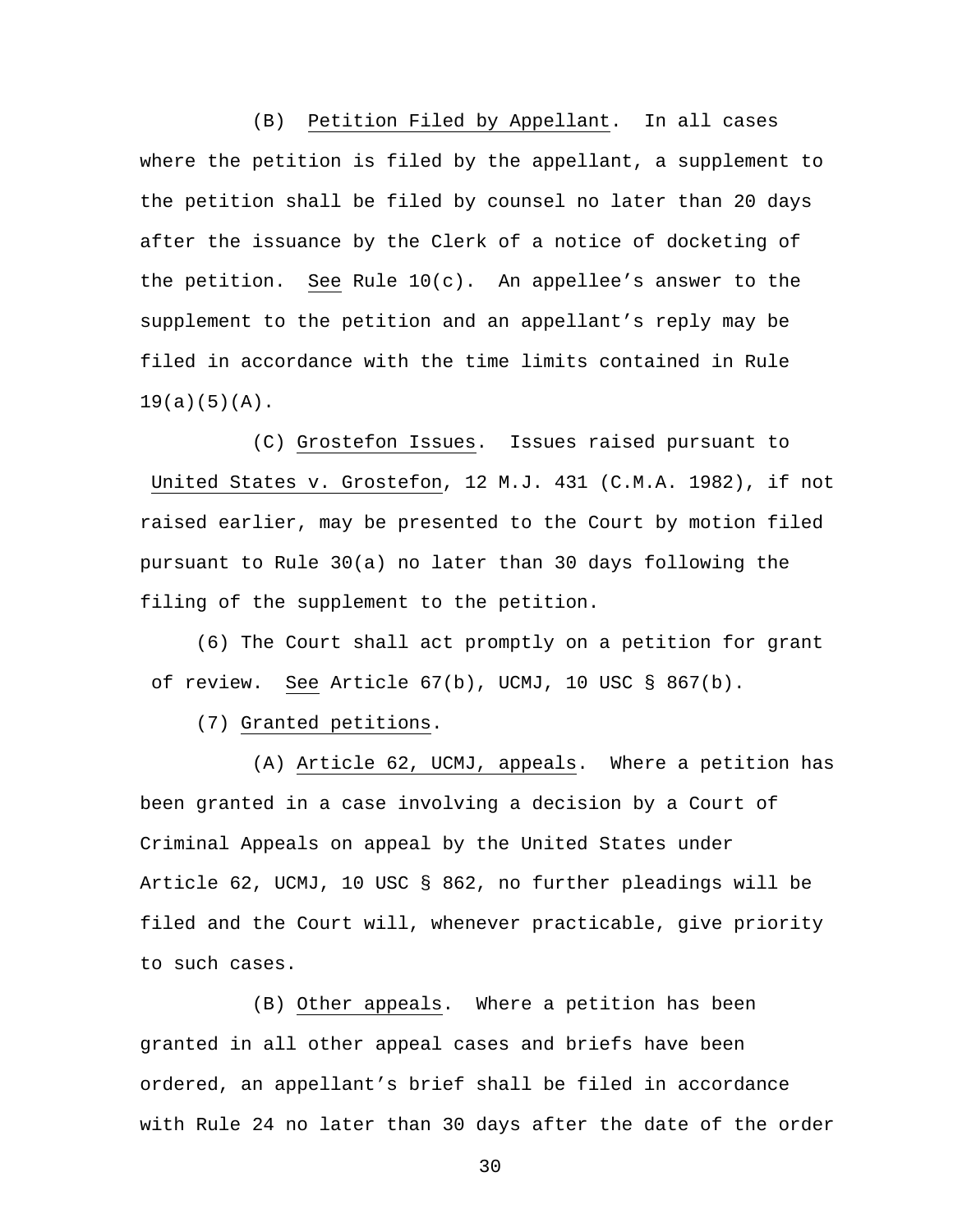(B) Petition Filed by Appellant. In all cases where the petition is filed by the appellant, a supplement to the petition shall be filed by counsel no later than 20 days after the issuance by the Clerk of a notice of docketing of the petition. See Rule 10(c). An appellee's answer to the supplement to the petition and an appellant's reply may be filed in accordance with the time limits contained in Rule  $19(a)(5)(A)$ .

(C) Grostefon Issues. Issues raised pursuant to United States v. Grostefon, 12 M.J. 431 (C.M.A. 1982), if not raised earlier, may be presented to the Court by motion filed pursuant to Rule 30(a) no later than 30 days following the filing of the supplement to the petition.

(6) The Court shall act promptly on a petition for grant of review. See Article 67(b), UCMJ, 10 USC § 867(b).

(7) Granted petitions.

 (A) Article 62, UCMJ, appeals. Where a petition has been granted in a case involving a decision by a Court of Criminal Appeals on appeal by the United States under Article 62, UCMJ, 10 USC § 862, no further pleadings will be filed and the Court will, whenever practicable, give priority to such cases.

(B) Other appeals. Where a petition has been granted in all other appeal cases and briefs have been ordered, an appellant's brief shall be filed in accordance with Rule 24 no later than 30 days after the date of the order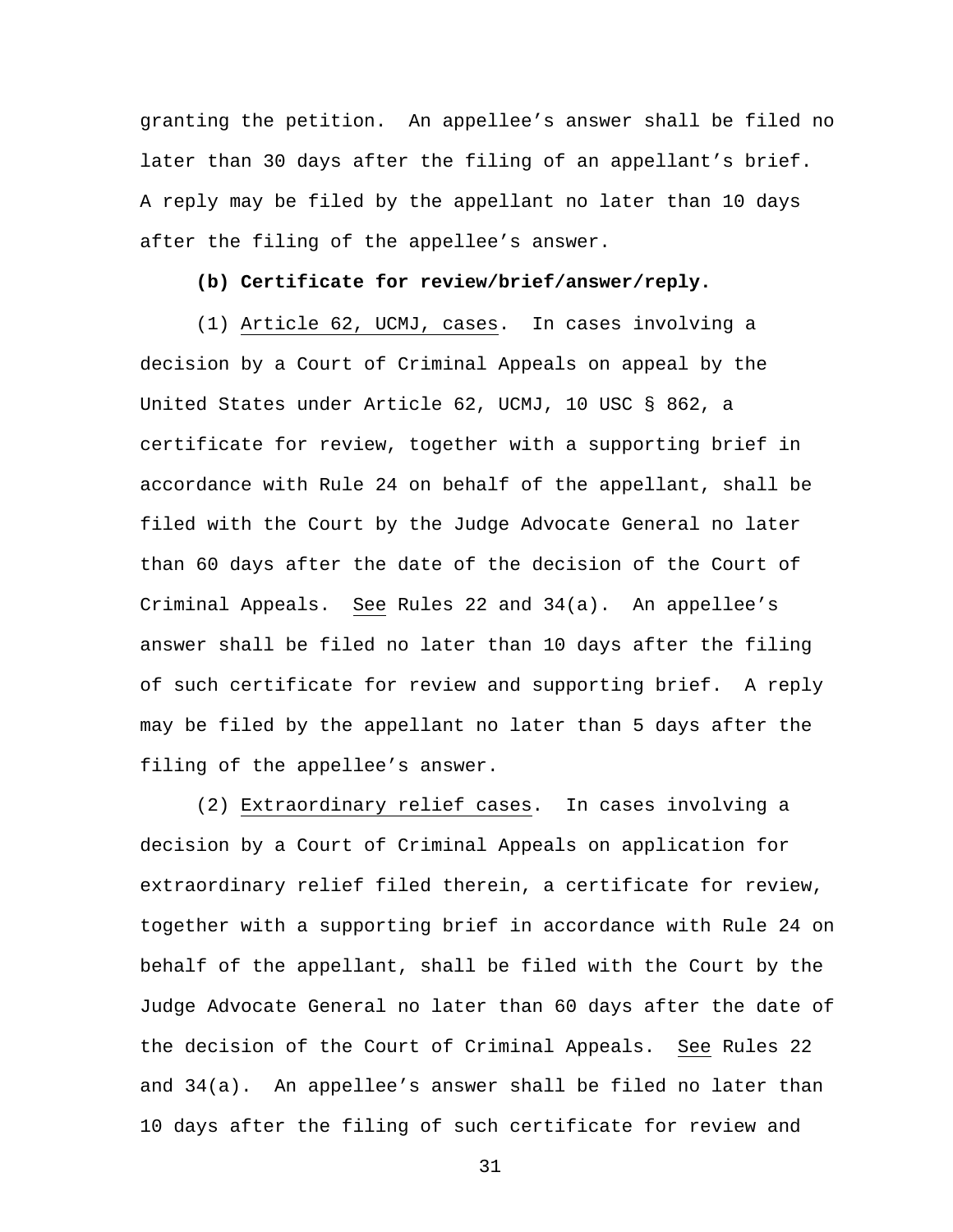granting the petition. An appellee's answer shall be filed no later than 30 days after the filing of an appellant's brief. A reply may be filed by the appellant no later than 10 days after the filing of the appellee's answer.

#### **(b) Certificate for review/brief/answer/reply.**

(1) Article 62, UCMJ, cases. In cases involving a decision by a Court of Criminal Appeals on appeal by the United States under Article 62, UCMJ, 10 USC § 862, a certificate for review, together with a supporting brief in accordance with Rule 24 on behalf of the appellant, shall be filed with the Court by the Judge Advocate General no later than 60 days after the date of the decision of the Court of Criminal Appeals. See Rules 22 and 34(a). An appellee's answer shall be filed no later than 10 days after the filing of such certificate for review and supporting brief. A reply may be filed by the appellant no later than 5 days after the filing of the appellee's answer.

(2) Extraordinary relief cases. In cases involving a decision by a Court of Criminal Appeals on application for extraordinary relief filed therein, a certificate for review, together with a supporting brief in accordance with Rule 24 on behalf of the appellant, shall be filed with the Court by the Judge Advocate General no later than 60 days after the date of the decision of the Court of Criminal Appeals. See Rules 22 and 34(a). An appellee's answer shall be filed no later than 10 days after the filing of such certificate for review and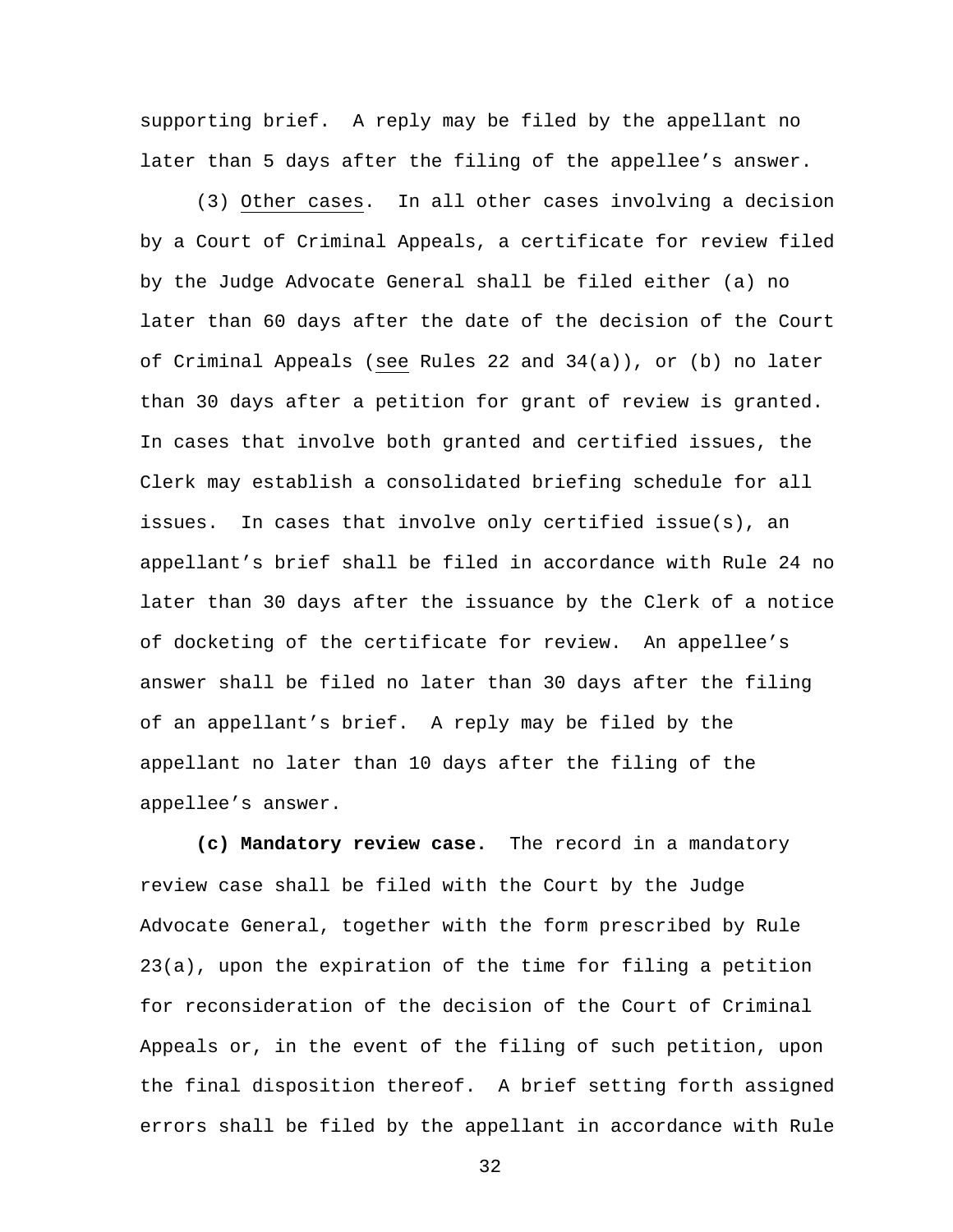supporting brief. A reply may be filed by the appellant no later than 5 days after the filing of the appellee's answer.

(3) Other cases. In all other cases involving a decision by a Court of Criminal Appeals, a certificate for review filed by the Judge Advocate General shall be filed either (a) no later than 60 days after the date of the decision of the Court of Criminal Appeals (see Rules 22 and 34(a)), or (b) no later than 30 days after a petition for grant of review is granted. In cases that involve both granted and certified issues, the Clerk may establish a consolidated briefing schedule for all issues. In cases that involve only certified issue(s), an appellant's brief shall be filed in accordance with Rule 24 no later than 30 days after the issuance by the Clerk of a notice of docketing of the certificate for review. An appellee's answer shall be filed no later than 30 days after the filing of an appellant's brief. A reply may be filed by the appellant no later than 10 days after the filing of the appellee's answer.

**(c) Mandatory review case.** The record in a mandatory review case shall be filed with the Court by the Judge Advocate General, together with the form prescribed by Rule 23(a), upon the expiration of the time for filing a petition for reconsideration of the decision of the Court of Criminal Appeals or, in the event of the filing of such petition, upon the final disposition thereof. A brief setting forth assigned errors shall be filed by the appellant in accordance with Rule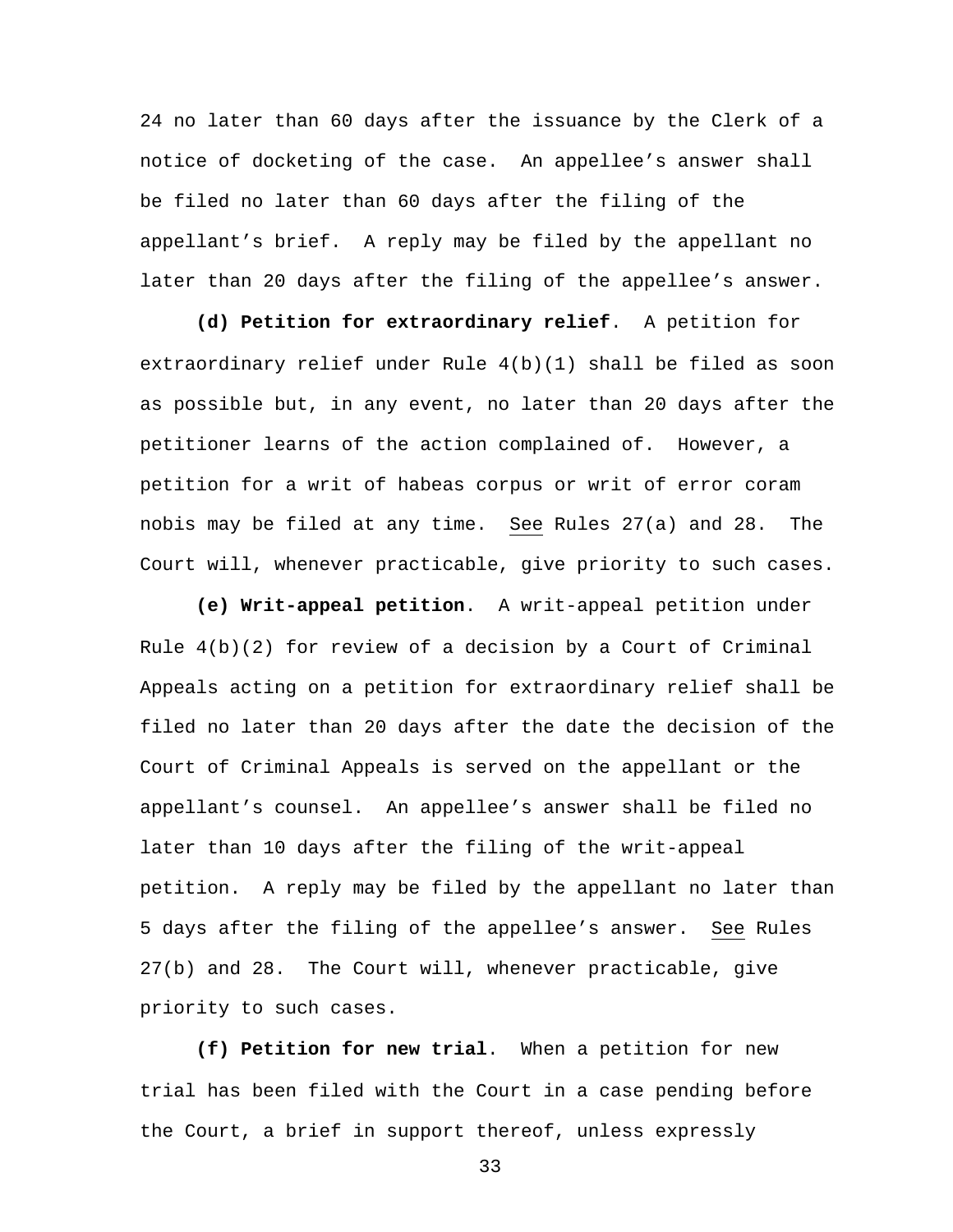24 no later than 60 days after the issuance by the Clerk of a notice of docketing of the case. An appellee's answer shall be filed no later than 60 days after the filing of the appellant's brief. A reply may be filed by the appellant no later than 20 days after the filing of the appellee's answer.

**(d) Petition for extraordinary relief**. A petition for extraordinary relief under Rule 4(b)(1) shall be filed as soon as possible but, in any event, no later than 20 days after the petitioner learns of the action complained of. However, a petition for a writ of habeas corpus or writ of error coram nobis may be filed at any time. See Rules 27(a) and 28. The Court will, whenever practicable, give priority to such cases.

**(e) Writ-appeal petition**. A writ-appeal petition under Rule  $4(b)(2)$  for review of a decision by a Court of Criminal Appeals acting on a petition for extraordinary relief shall be filed no later than 20 days after the date the decision of the Court of Criminal Appeals is served on the appellant or the appellant's counsel. An appellee's answer shall be filed no later than 10 days after the filing of the writ-appeal petition. A reply may be filed by the appellant no later than 5 days after the filing of the appellee's answer. See Rules 27(b) and 28. The Court will, whenever practicable, give priority to such cases.

**(f) Petition for new trial**. When a petition for new trial has been filed with the Court in a case pending before the Court, a brief in support thereof, unless expressly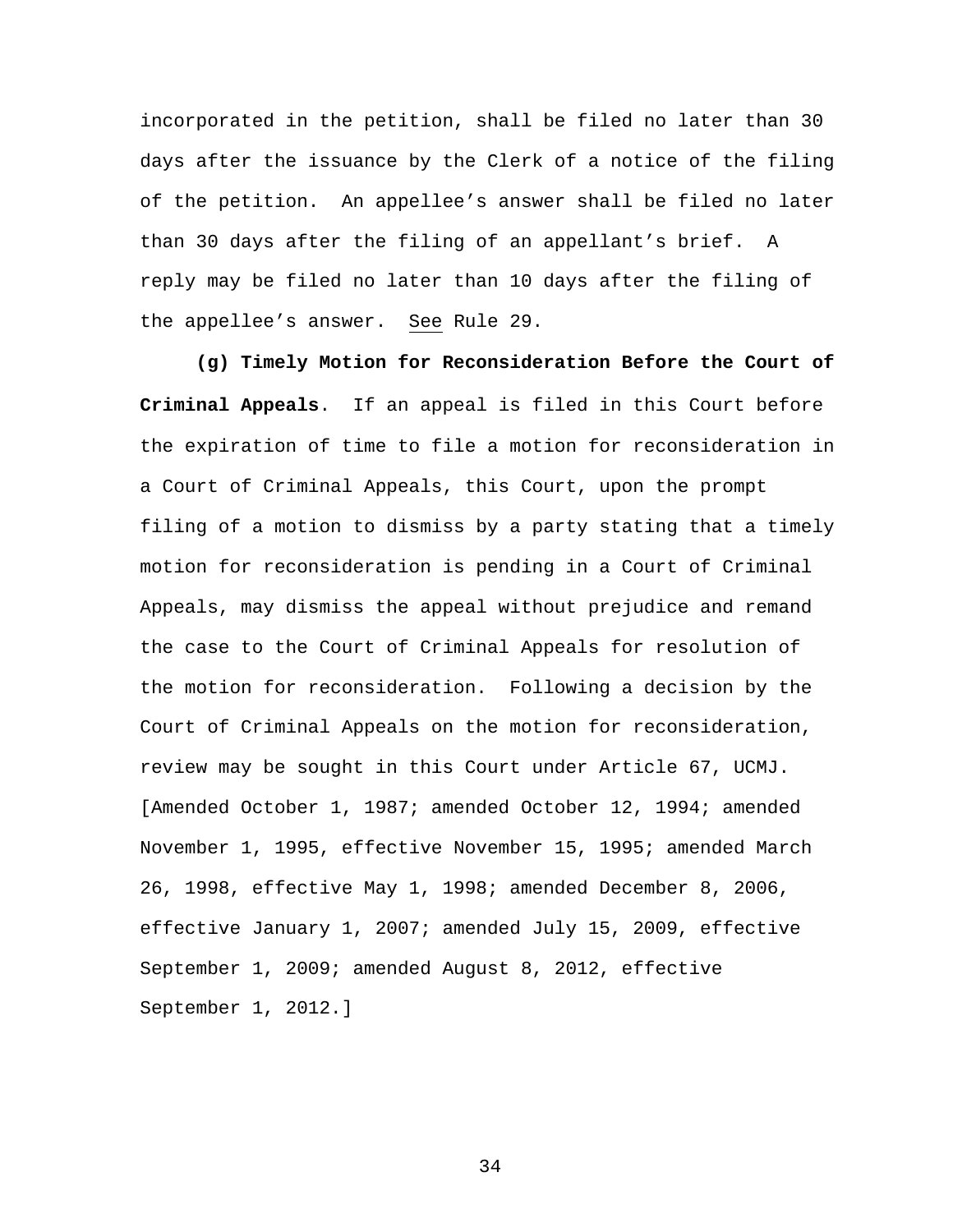incorporated in the petition, shall be filed no later than 30 days after the issuance by the Clerk of a notice of the filing of the petition. An appellee's answer shall be filed no later than 30 days after the filing of an appellant's brief. A reply may be filed no later than 10 days after the filing of the appellee's answer. See Rule 29.

**(g) Timely Motion for Reconsideration Before the Court of Criminal Appeals**. If an appeal is filed in this Court before the expiration of time to file a motion for reconsideration in a Court of Criminal Appeals, this Court, upon the prompt filing of a motion to dismiss by a party stating that a timely motion for reconsideration is pending in a Court of Criminal Appeals, may dismiss the appeal without prejudice and remand the case to the Court of Criminal Appeals for resolution of the motion for reconsideration. Following a decision by the Court of Criminal Appeals on the motion for reconsideration, review may be sought in this Court under Article 67, UCMJ. [Amended October 1, 1987; amended October 12, 1994; amended November 1, 1995, effective November 15, 1995; amended March 26, 1998, effective May 1, 1998; amended December 8, 2006, effective January 1, 2007; amended July 15, 2009, effective September 1, 2009; amended August 8, 2012, effective September 1, 2012.]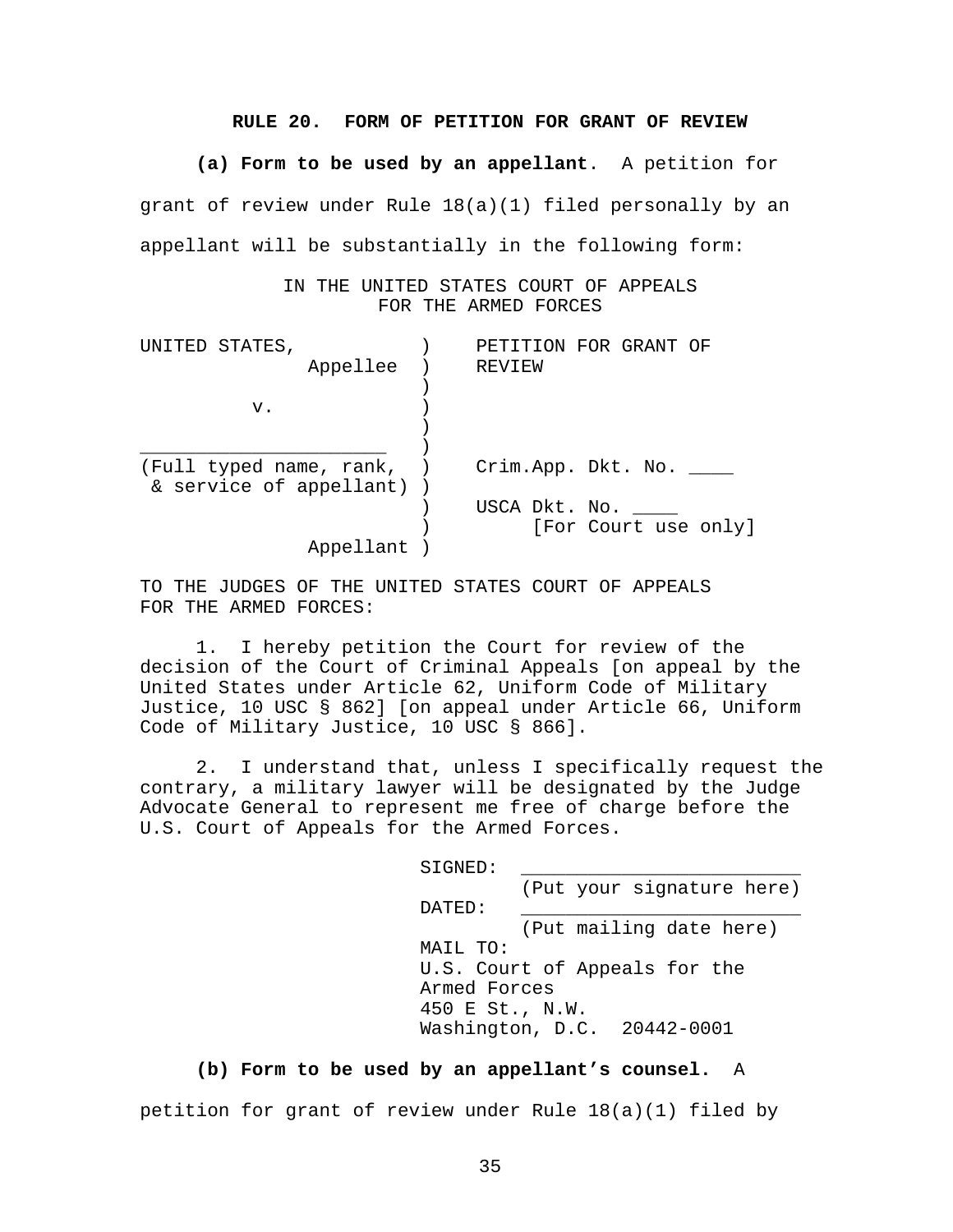#### **RULE 20. FORM OF PETITION FOR GRANT OF REVIEW**

**(a) Form to be used by an appellant**. A petition for grant of review under Rule 18(a)(1) filed personally by an appellant will be substantially in the following form:

> IN THE UNITED STATES COURT OF APPEALS FOR THE ARMED FORCES

| UNITED STATES,            |               | PETITION FOR GRANT OF |
|---------------------------|---------------|-----------------------|
| Appellee                  | REVIEW        |                       |
|                           |               |                       |
| v.                        |               |                       |
|                           |               |                       |
|                           |               |                       |
| (Full typed name, rank, ) |               | Crim.App. Dkt. No.    |
| & service of appellant) ) |               |                       |
|                           | USCA Dkt. No. |                       |
|                           |               | [For Court use only]  |
| Appellant                 |               |                       |

TO THE JUDGES OF THE UNITED STATES COURT OF APPEALS FOR THE ARMED FORCES:

 1. I hereby petition the Court for review of the decision of the Court of Criminal Appeals [on appeal by the United States under Article 62, Uniform Code of Military Justice, 10 USC § 862] [on appeal under Article 66, Uniform Code of Military Justice, 10 USC § 866].

 2. I understand that, unless I specifically request the contrary, a military lawyer will be designated by the Judge Advocate General to represent me free of charge before the U.S. Court of Appeals for the Armed Forces.

| SIGNED:         |                               |  |
|-----------------|-------------------------------|--|
|                 | (Put your signature here)     |  |
| DATED:          |                               |  |
|                 | (Put mailing date here)       |  |
| MAIL TO:        |                               |  |
|                 | U.S. Court of Appeals for the |  |
|                 | Armed Forces                  |  |
| 450 E St., N.W. |                               |  |
|                 | Washington, D.C. 20442-0001   |  |

#### **(b) Form to be used by an appellant's counsel.** A

petition for grant of review under Rule 18(a)(1) filed by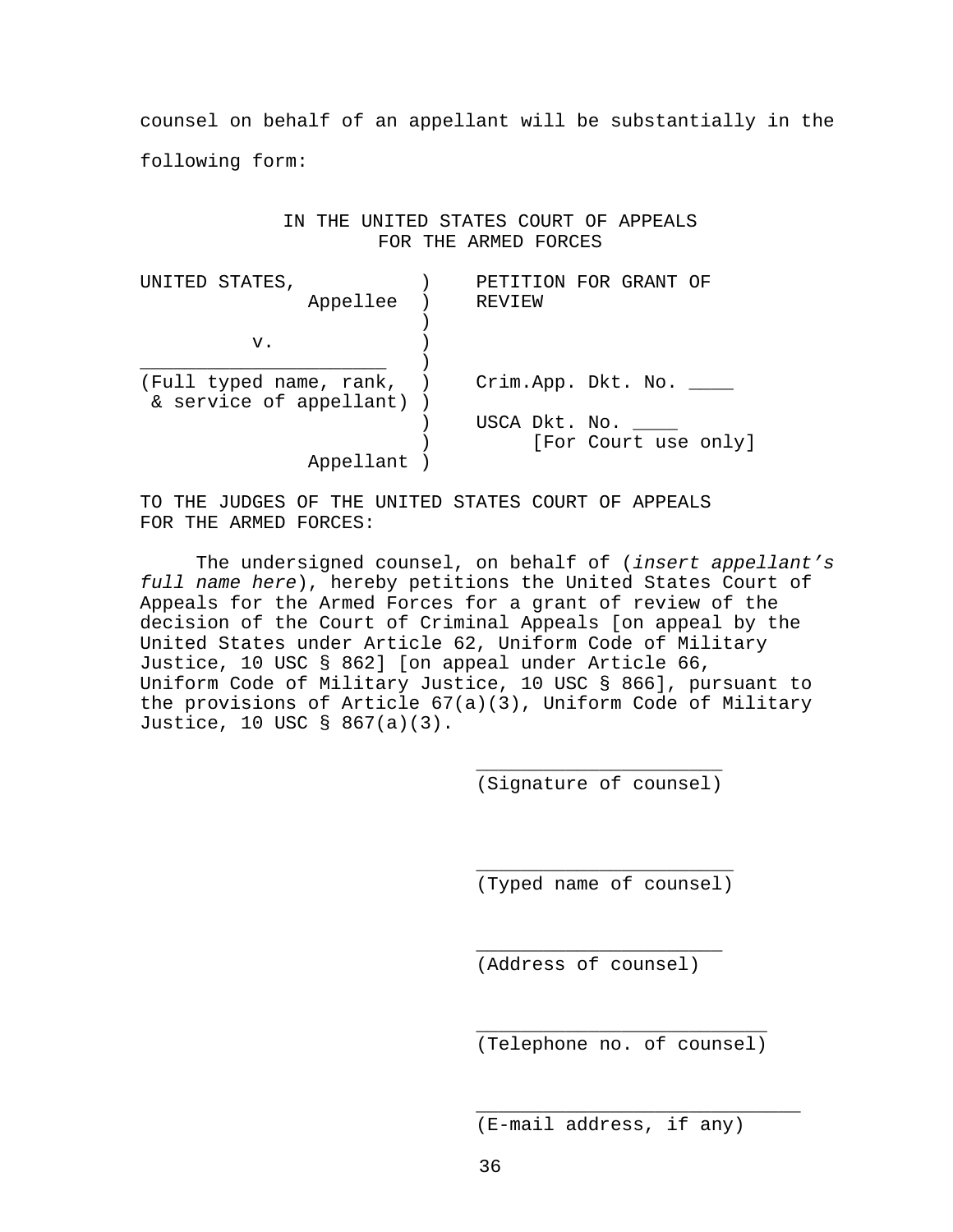counsel on behalf of an appellant will be substantially in the following form:

> IN THE UNITED STATES COURT OF APPEALS FOR THE ARMED FORCES

| UNITED STATES,                                       | PETITION FOR GRANT OF |
|------------------------------------------------------|-----------------------|
| Appellee                                             | REVIEW                |
|                                                      |                       |
| v.                                                   |                       |
|                                                      |                       |
| (Full typed name, rank, )<br>& service of appellant) | Crim.App. Dkt. No.    |
|                                                      | USCA Dkt. No.         |
|                                                      | [For Court use only]  |
| Appellant                                            |                       |

TO THE JUDGES OF THE UNITED STATES COURT OF APPEALS FOR THE ARMED FORCES:

 $\overline{\phantom{a}}$  , which is a set of the set of the set of the set of the set of the set of the set of the set of the set of the set of the set of the set of the set of the set of the set of the set of the set of the set of th

 $\frac{1}{\sqrt{2}}$  ,  $\frac{1}{\sqrt{2}}$  ,  $\frac{1}{\sqrt{2}}$  ,  $\frac{1}{\sqrt{2}}$  ,  $\frac{1}{\sqrt{2}}$  ,  $\frac{1}{\sqrt{2}}$  ,  $\frac{1}{\sqrt{2}}$  ,  $\frac{1}{\sqrt{2}}$  ,  $\frac{1}{\sqrt{2}}$  ,  $\frac{1}{\sqrt{2}}$  ,  $\frac{1}{\sqrt{2}}$  ,  $\frac{1}{\sqrt{2}}$  ,  $\frac{1}{\sqrt{2}}$  ,  $\frac{1}{\sqrt{2}}$  ,  $\frac{1}{\sqrt{2}}$ 

 $\overline{\phantom{a}}$  , which is a set of the set of the set of the set of the set of the set of the set of the set of the set of the set of the set of the set of the set of the set of the set of the set of the set of the set of th

 $\frac{1}{\sqrt{2\pi}}$  ,  $\frac{1}{\sqrt{2\pi}}$  ,  $\frac{1}{\sqrt{2\pi}}$  ,  $\frac{1}{\sqrt{2\pi}}$  ,  $\frac{1}{\sqrt{2\pi}}$  ,  $\frac{1}{\sqrt{2\pi}}$  ,  $\frac{1}{\sqrt{2\pi}}$  ,  $\frac{1}{\sqrt{2\pi}}$  ,  $\frac{1}{\sqrt{2\pi}}$  ,  $\frac{1}{\sqrt{2\pi}}$  ,  $\frac{1}{\sqrt{2\pi}}$  ,  $\frac{1}{\sqrt{2\pi}}$  ,  $\frac{1}{\sqrt{2\pi}}$  ,

 The undersigned counsel, on behalf of (*insert appellant's full name here*), hereby petitions the United States Court of Appeals for the Armed Forces for a grant of review of the decision of the Court of Criminal Appeals [on appeal by the United States under Article 62, Uniform Code of Military Justice, 10 USC § 862] [on appeal under Article 66, Uniform Code of Military Justice, 10 USC § 866], pursuant to the provisions of Article 67(a)(3), Uniform Code of Military Justice, 10 USC § 867(a)(3).

(Signature of counsel)

(Typed name of counsel)

(Address of counsel)

(Telephone no. of counsel)

(E-mail address, if any)

 $\overline{\phantom{a}}$  , and the contract of the contract of the contract of the contract of the contract of the contract of the contract of the contract of the contract of the contract of the contract of the contract of the contrac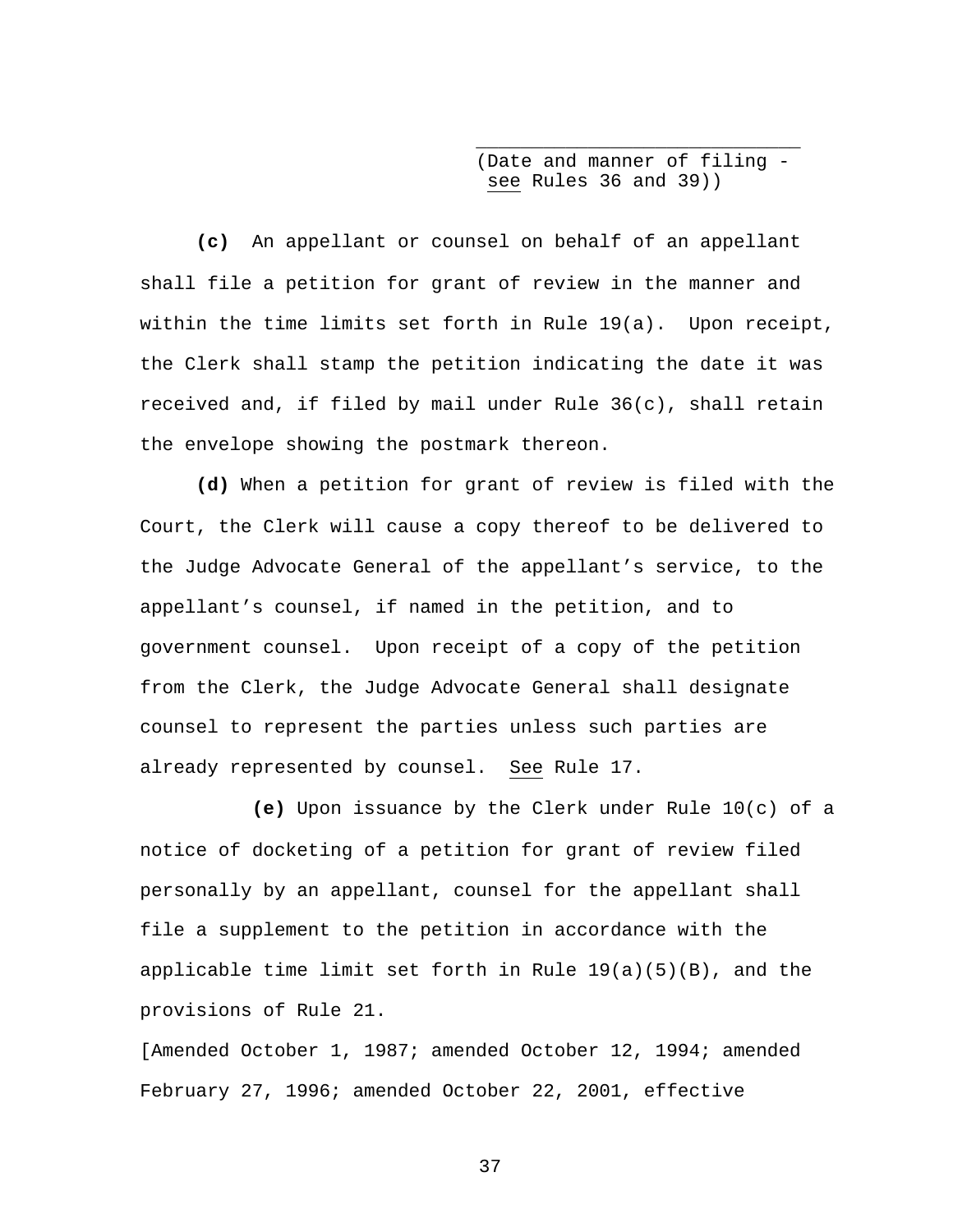(Date and manner of filing see Rules 36 and 39))

**(c)** An appellant or counsel on behalf of an appellant shall file a petition for grant of review in the manner and within the time limits set forth in Rule 19(a). Upon receipt, the Clerk shall stamp the petition indicating the date it was received and, if filed by mail under Rule  $36(c)$ , shall retain the envelope showing the postmark thereon.

 $\overline{\phantom{a}}$  , and the contract of the contract of the contract of the contract of the contract of the contract of the contract of the contract of the contract of the contract of the contract of the contract of the contrac

**(d)** When a petition for grant of review is filed with the Court, the Clerk will cause a copy thereof to be delivered to the Judge Advocate General of the appellant's service, to the appellant's counsel, if named in the petition, and to government counsel. Upon receipt of a copy of the petition from the Clerk, the Judge Advocate General shall designate counsel to represent the parties unless such parties are already represented by counsel. See Rule 17.

**(e)** Upon issuance by the Clerk under Rule 10(c) of a notice of docketing of a petition for grant of review filed personally by an appellant, counsel for the appellant shall file a supplement to the petition in accordance with the applicable time limit set forth in Rule  $19(a)(5)(B)$ , and the provisions of Rule 21.

[Amended October 1, 1987; amended October 12, 1994; amended February 27, 1996; amended October 22, 2001, effective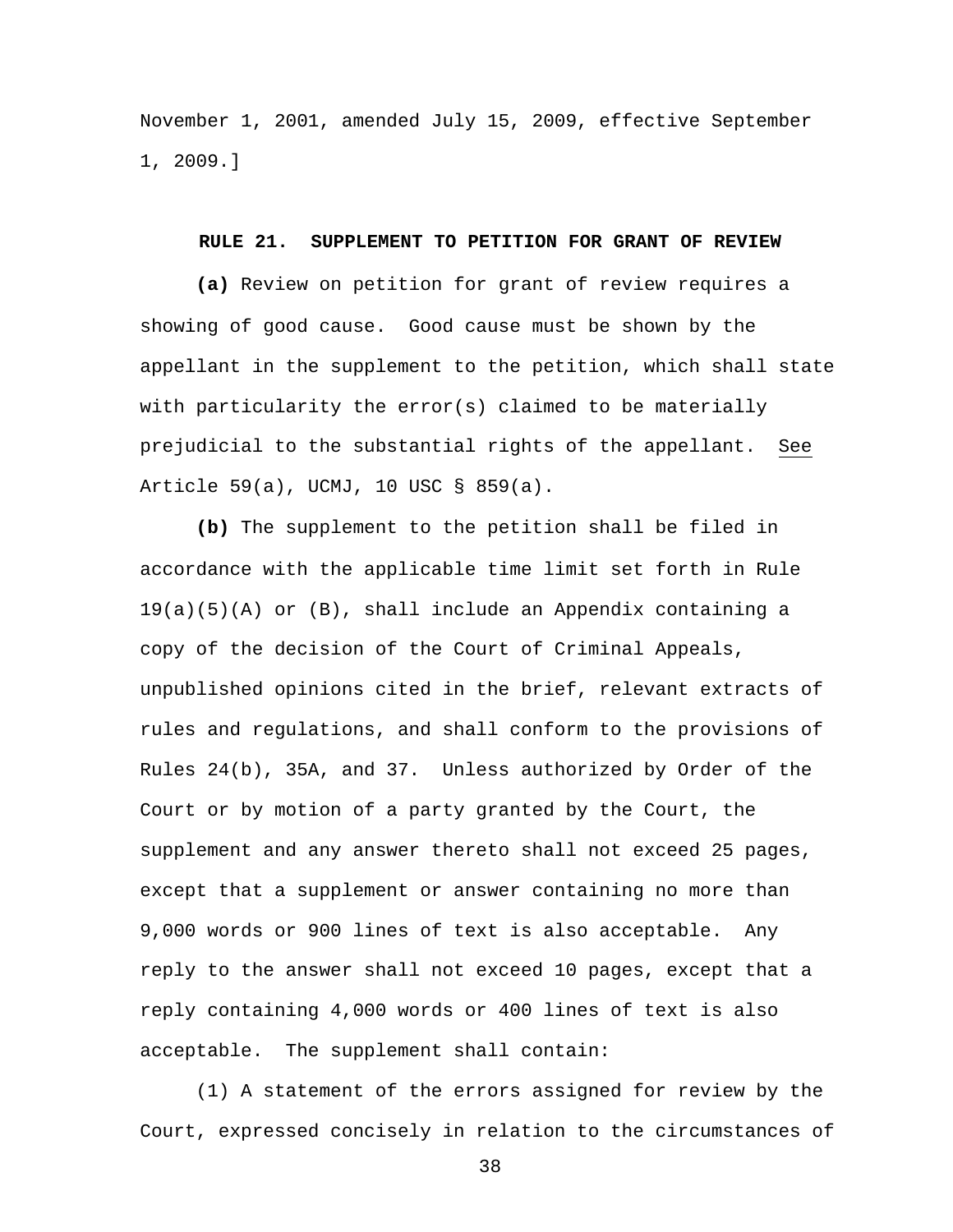November 1, 2001, amended July 15, 2009, effective September 1, 2009.]

#### **RULE 21. SUPPLEMENT TO PETITION FOR GRANT OF REVIEW**

 **(a)** Review on petition for grant of review requires a showing of good cause. Good cause must be shown by the appellant in the supplement to the petition, which shall state with particularity the error(s) claimed to be materially prejudicial to the substantial rights of the appellant. See Article 59(a), UCMJ, 10 USC § 859(a).

**(b)** The supplement to the petition shall be filed in accordance with the applicable time limit set forth in Rule 19(a)(5)(A) or (B), shall include an Appendix containing a copy of the decision of the Court of Criminal Appeals, unpublished opinions cited in the brief, relevant extracts of rules and regulations, and shall conform to the provisions of Rules 24(b), 35A, and 37. Unless authorized by Order of the Court or by motion of a party granted by the Court, the supplement and any answer thereto shall not exceed 25 pages, except that a supplement or answer containing no more than 9,000 words or 900 lines of text is also acceptable. Any reply to the answer shall not exceed 10 pages, except that a reply containing 4,000 words or 400 lines of text is also acceptable. The supplement shall contain:

 (1) A statement of the errors assigned for review by the Court, expressed concisely in relation to the circumstances of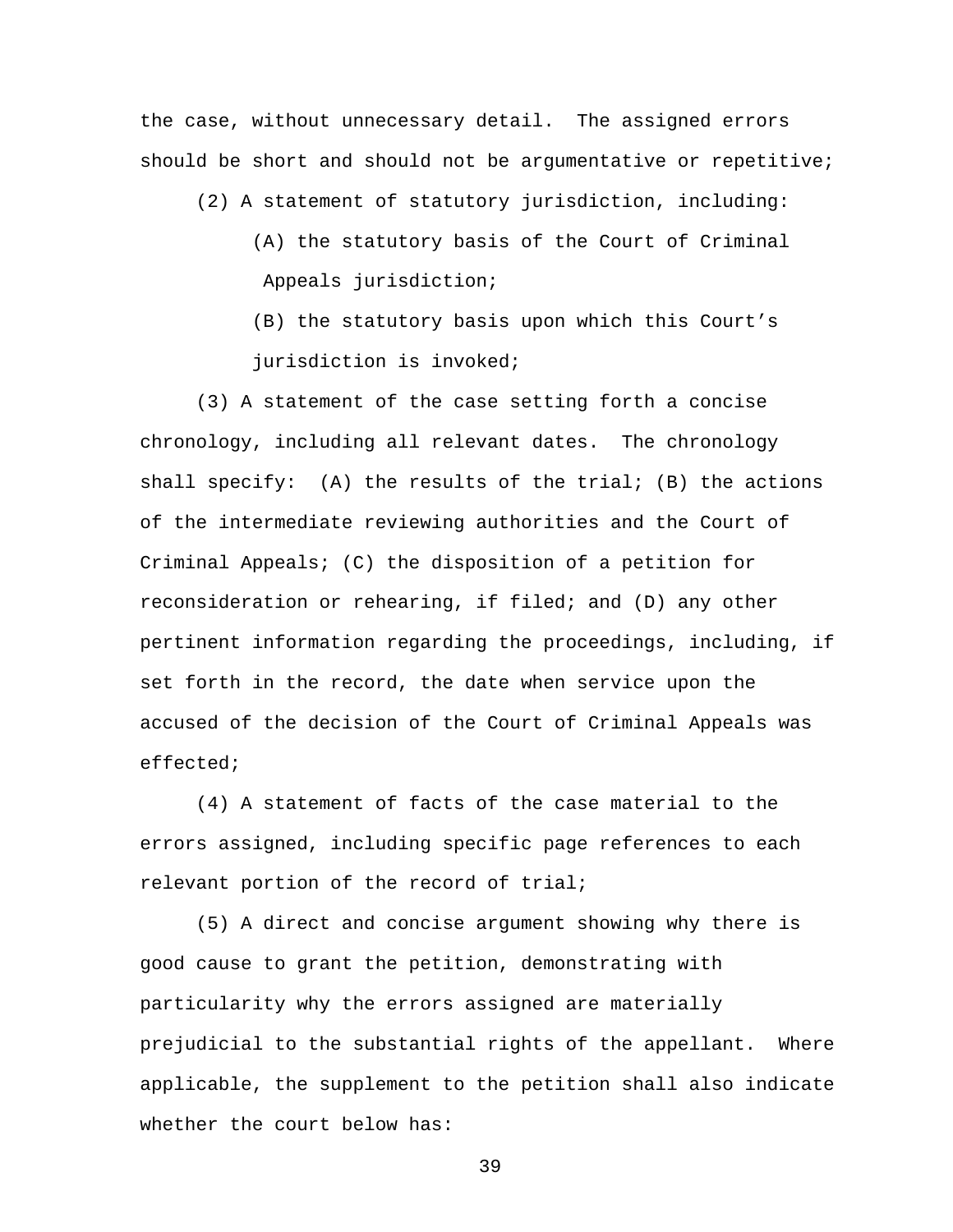the case, without unnecessary detail. The assigned errors should be short and should not be argumentative or repetitive;

(2) A statement of statutory jurisdiction, including:

- (A) the statutory basis of the Court of Criminal Appeals jurisdiction;
- (B) the statutory basis upon which this Court's jurisdiction is invoked;

 (3) A statement of the case setting forth a concise chronology, including all relevant dates. The chronology shall specify:  $(A)$  the results of the trial;  $(B)$  the actions of the intermediate reviewing authorities and the Court of Criminal Appeals; (C) the disposition of a petition for reconsideration or rehearing, if filed; and (D) any other pertinent information regarding the proceedings, including, if set forth in the record, the date when service upon the accused of the decision of the Court of Criminal Appeals was effected;

(4) A statement of facts of the case material to the errors assigned, including specific page references to each relevant portion of the record of trial;

 (5) A direct and concise argument showing why there is good cause to grant the petition, demonstrating with particularity why the errors assigned are materially prejudicial to the substantial rights of the appellant. Where applicable, the supplement to the petition shall also indicate whether the court below has: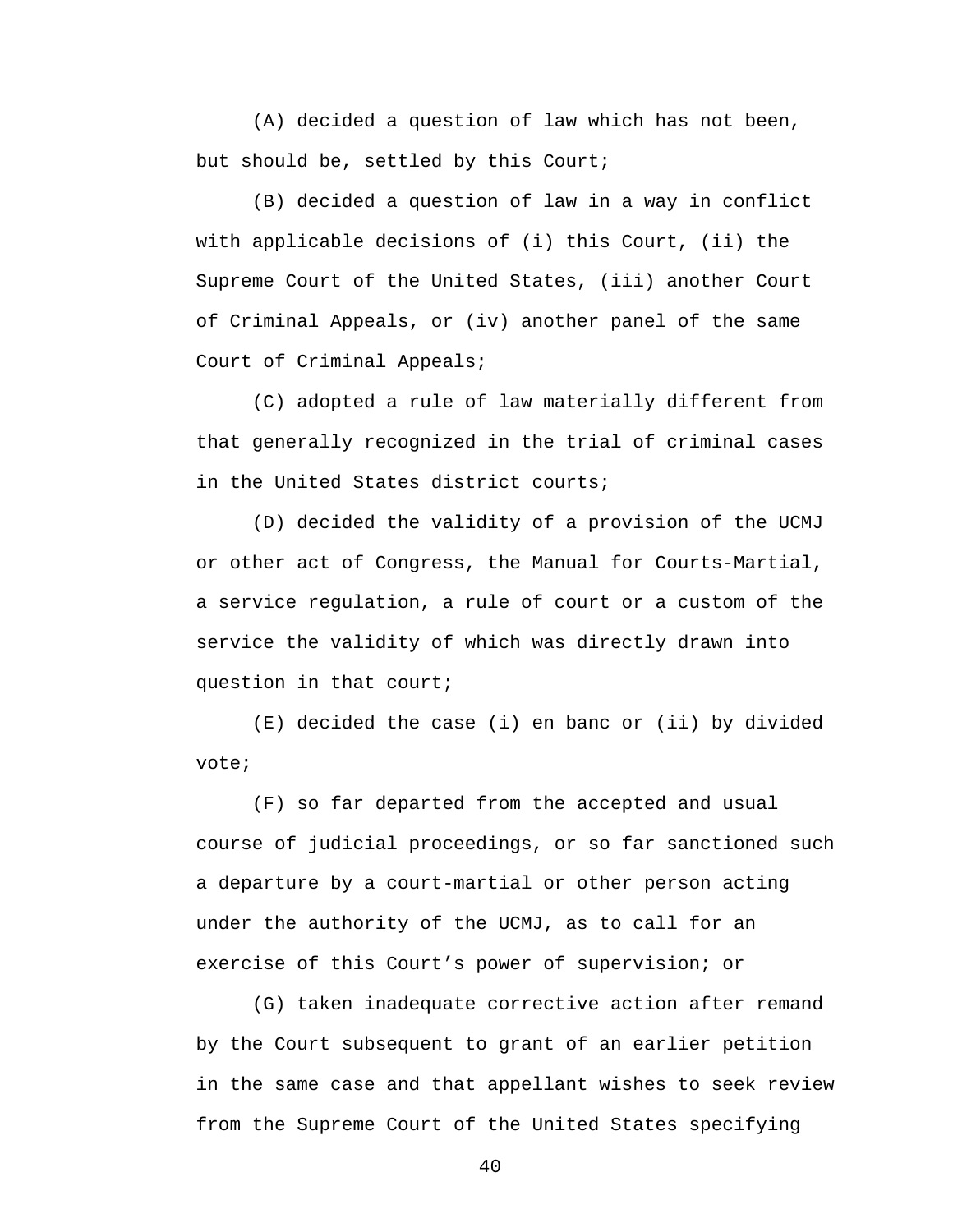(A) decided a question of law which has not been, but should be, settled by this Court;

(B) decided a question of law in a way in conflict with applicable decisions of (i) this Court, (ii) the Supreme Court of the United States, (iii) another Court of Criminal Appeals, or (iv) another panel of the same Court of Criminal Appeals;

(C) adopted a rule of law materially different from that generally recognized in the trial of criminal cases in the United States district courts;

(D) decided the validity of a provision of the UCMJ or other act of Congress, the Manual for Courts-Martial, a service regulation, a rule of court or a custom of the service the validity of which was directly drawn into question in that court;

(E) decided the case (i) en banc or (ii) by divided vote;

(F) so far departed from the accepted and usual course of judicial proceedings, or so far sanctioned such a departure by a court-martial or other person acting under the authority of the UCMJ, as to call for an exercise of this Court's power of supervision; or

(G) taken inadequate corrective action after remand by the Court subsequent to grant of an earlier petition in the same case and that appellant wishes to seek review from the Supreme Court of the United States specifying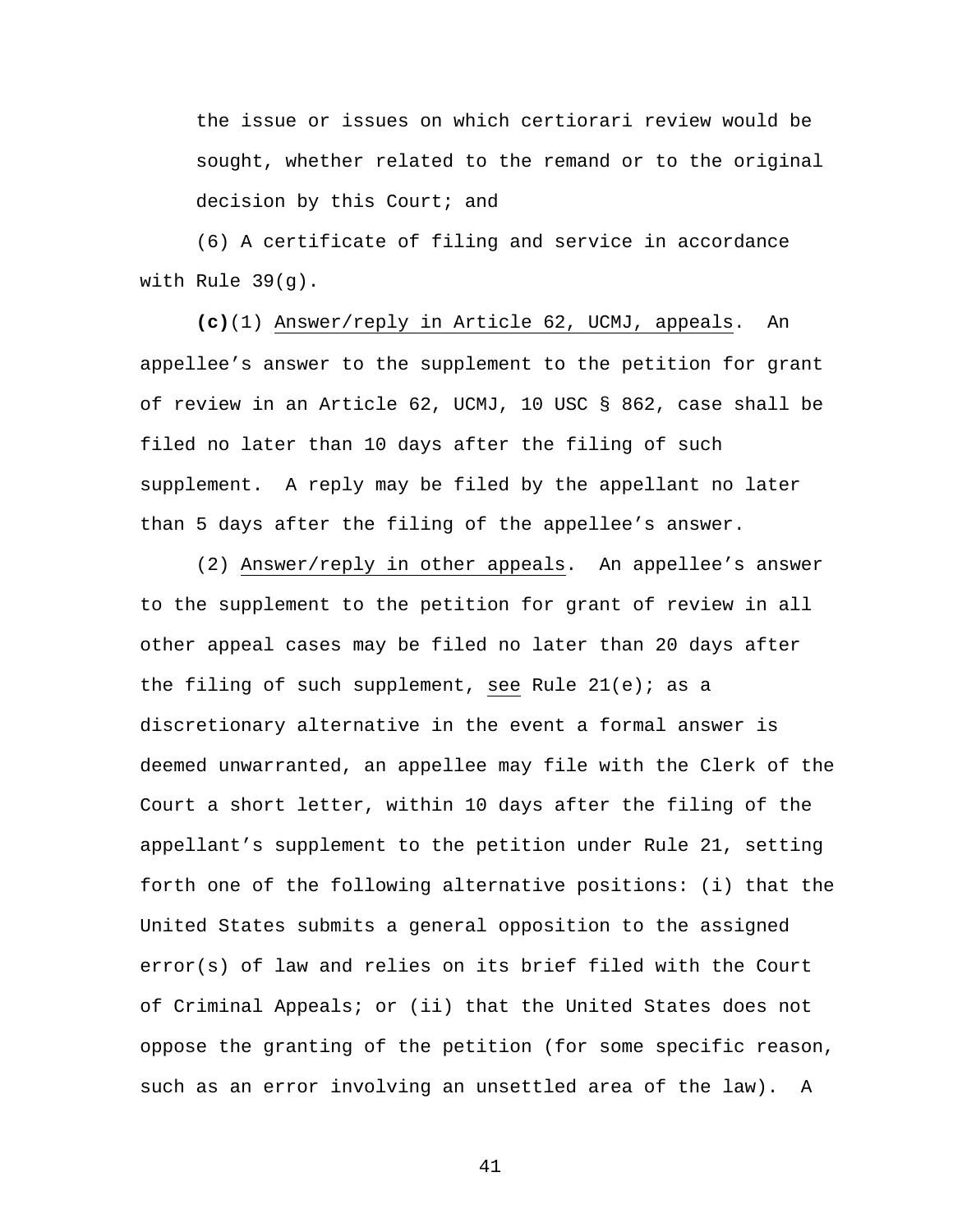the issue or issues on which certiorari review would be sought, whether related to the remand or to the original decision by this Court; and

 (6) A certificate of filing and service in accordance with Rule 39(g).

**(c)**(1) Answer/reply in Article 62, UCMJ, appeals. An appellee's answer to the supplement to the petition for grant of review in an Article 62, UCMJ, 10 USC § 862, case shall be filed no later than 10 days after the filing of such supplement. A reply may be filed by the appellant no later than 5 days after the filing of the appellee's answer.

 (2) Answer/reply in other appeals. An appellee's answer to the supplement to the petition for grant of review in all other appeal cases may be filed no later than 20 days after the filing of such supplement, see Rule  $21(e)$ ; as a discretionary alternative in the event a formal answer is deemed unwarranted, an appellee may file with the Clerk of the Court a short letter, within 10 days after the filing of the appellant's supplement to the petition under Rule 21, setting forth one of the following alternative positions: (i) that the United States submits a general opposition to the assigned error(s) of law and relies on its brief filed with the Court of Criminal Appeals; or (ii) that the United States does not oppose the granting of the petition (for some specific reason, such as an error involving an unsettled area of the law). A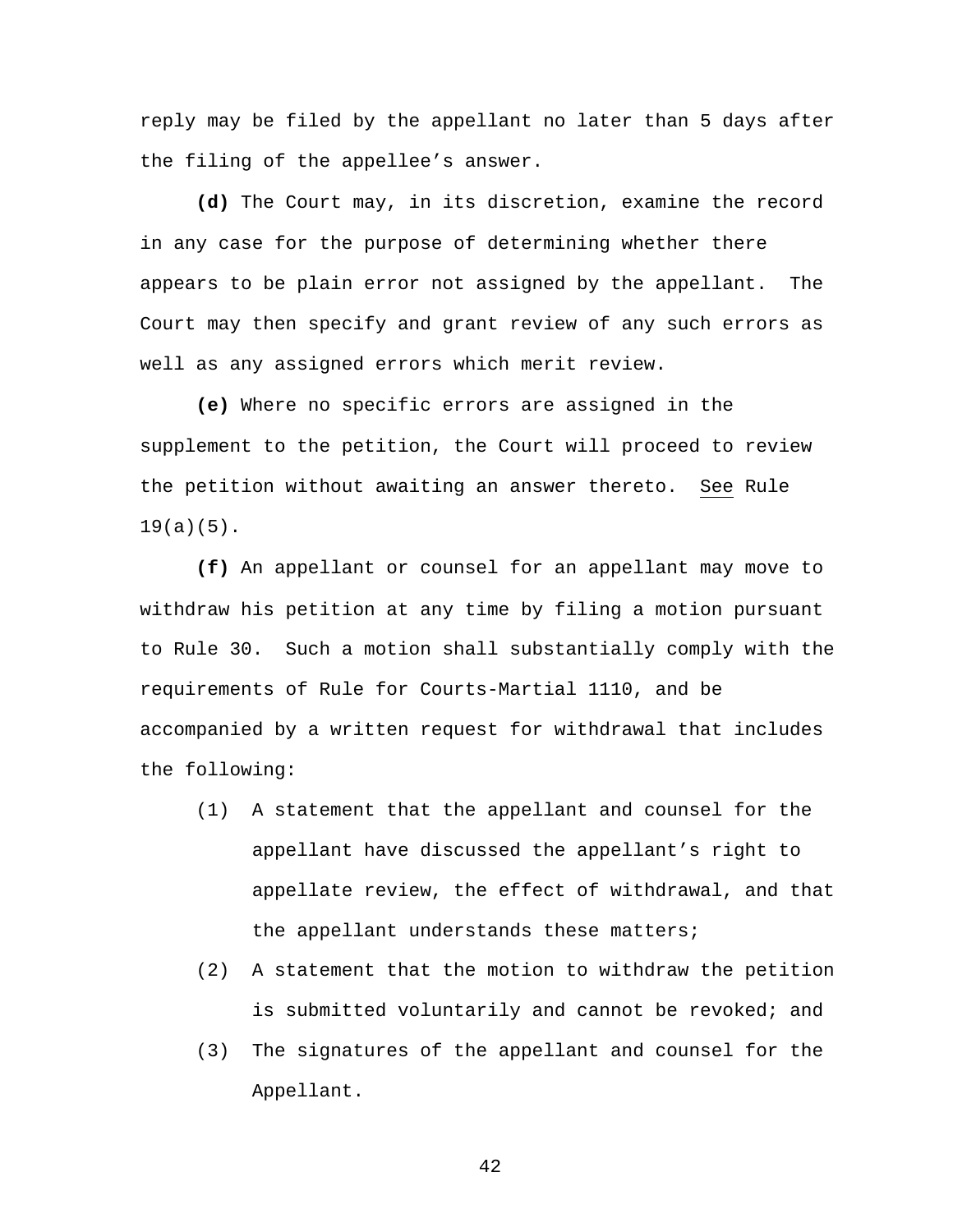reply may be filed by the appellant no later than 5 days after the filing of the appellee's answer.

**(d)** The Court may, in its discretion, examine the record in any case for the purpose of determining whether there appears to be plain error not assigned by the appellant. The Court may then specify and grant review of any such errors as well as any assigned errors which merit review.

 **(e)** Where no specific errors are assigned in the supplement to the petition, the Court will proceed to review the petition without awaiting an answer thereto. See Rule  $19(a)(5)$ .

**(f)** An appellant or counsel for an appellant may move to withdraw his petition at any time by filing a motion pursuant to Rule 30. Such a motion shall substantially comply with the requirements of Rule for Courts-Martial 1110, and be accompanied by a written request for withdrawal that includes the following:

- (1) A statement that the appellant and counsel for the appellant have discussed the appellant's right to appellate review, the effect of withdrawal, and that the appellant understands these matters;
- (2) A statement that the motion to withdraw the petition is submitted voluntarily and cannot be revoked; and
- (3) The signatures of the appellant and counsel for the Appellant.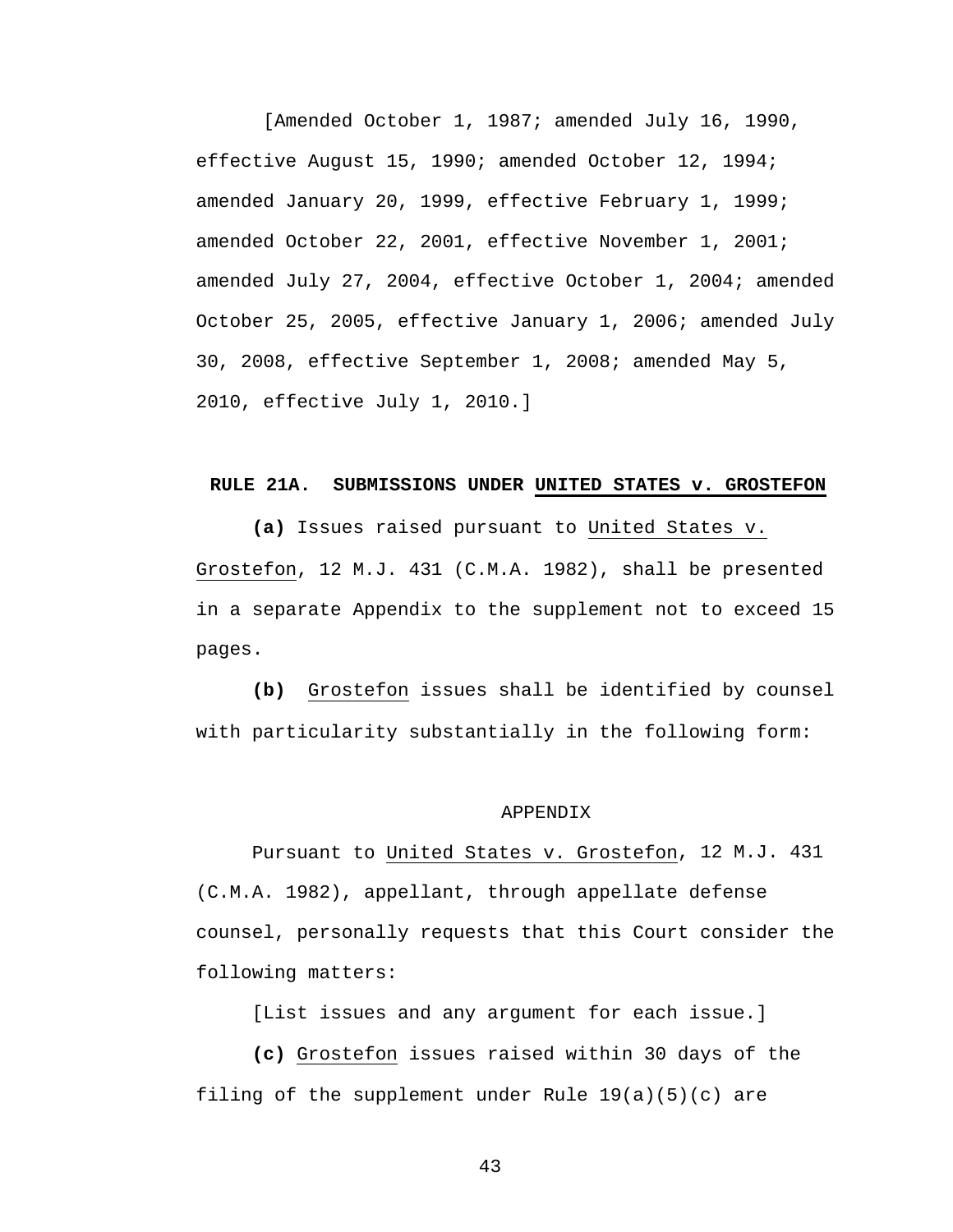[Amended October 1, 1987; amended July 16, 1990, effective August 15, 1990; amended October 12, 1994; amended January 20, 1999, effective February 1, 1999; amended October 22, 2001, effective November 1, 2001; amended July 27, 2004, effective October 1, 2004; amended October 25, 2005, effective January 1, 2006; amended July 30, 2008, effective September 1, 2008; amended May 5, 2010, effective July 1, 2010.]

#### **RULE 21A. SUBMISSIONS UNDER UNITED STATES v. GROSTEFON**

**(a)** Issues raised pursuant to United States v. Grostefon, 12 M.J. 431 (C.M.A. 1982), shall be presented in a separate Appendix to the supplement not to exceed 15 pages.

**(b)** Grostefon issues shall be identified by counsel with particularity substantially in the following form:

#### APPENDIX

Pursuant to United States v. Grostefon, 12 M.J. 431 (C.M.A. 1982), appellant, through appellate defense counsel, personally requests that this Court consider the following matters:

[List issues and any argument for each issue.]

**(c)** Grostefon issues raised within 30 days of the filing of the supplement under Rule  $19(a)(5)(c)$  are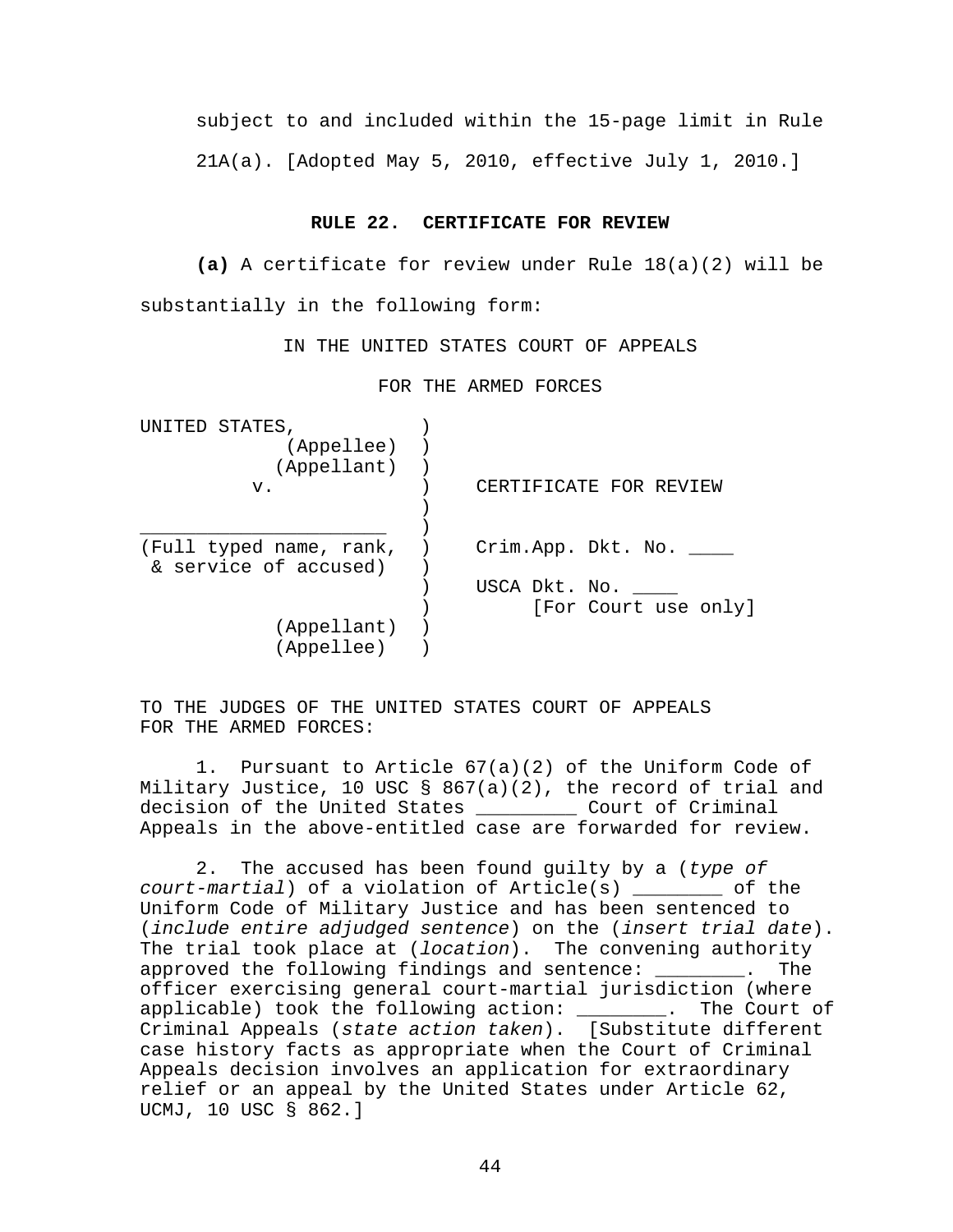subject to and included within the 15-page limit in Rule 21A(a). [Adopted May 5, 2010, effective July 1, 2010.]

#### **RULE 22. CERTIFICATE FOR REVIEW**

**(a)** A certificate for review under Rule 18(a)(2) will be substantially in the following form:

IN THE UNITED STATES COURT OF APPEALS

FOR THE ARMED FORCES

| UNITED<br>STATES,       |                        |
|-------------------------|------------------------|
| (Appellee)              |                        |
| (Appellant)             |                        |
| v.                      | CERTIFICATE FOR REVIEW |
|                         |                        |
|                         |                        |
| (Full typed name, rank, | Crim.App. Dkt. No.     |
| & service of accused)   |                        |
|                         | USCA Dkt. No.          |
|                         | [For Court use only]   |
| (Appellant)             |                        |
| (Appellee)              |                        |

TO THE JUDGES OF THE UNITED STATES COURT OF APPEALS FOR THE ARMED FORCES:

 1. Pursuant to Article 67(a)(2) of the Uniform Code of Military Justice, 10 USC § 867(a)(2), the record of trial and decision of the United States \_\_\_\_\_\_\_\_\_ Court of Criminal Appeals in the above-entitled case are forwarded for review.

2. The accused has been found guilty by a (*type of court-martial*) of a violation of Article(s) \_\_\_\_\_\_\_\_ of the Uniform Code of Military Justice and has been sentenced to (*include entire adjudged sentence*) on the (*insert trial date*). The trial took place at (*location*). The convening authority approved the following findings and sentence: \_\_\_\_\_\_\_\_. The officer exercising general court-martial jurisdiction (where applicable) took the following action: \_\_\_\_\_\_\_\_. The Court of Criminal Appeals (*state action taken*). [Substitute different case history facts as appropriate when the Court of Criminal Appeals decision involves an application for extraordinary relief or an appeal by the United States under Article 62, UCMJ, 10 USC § 862.]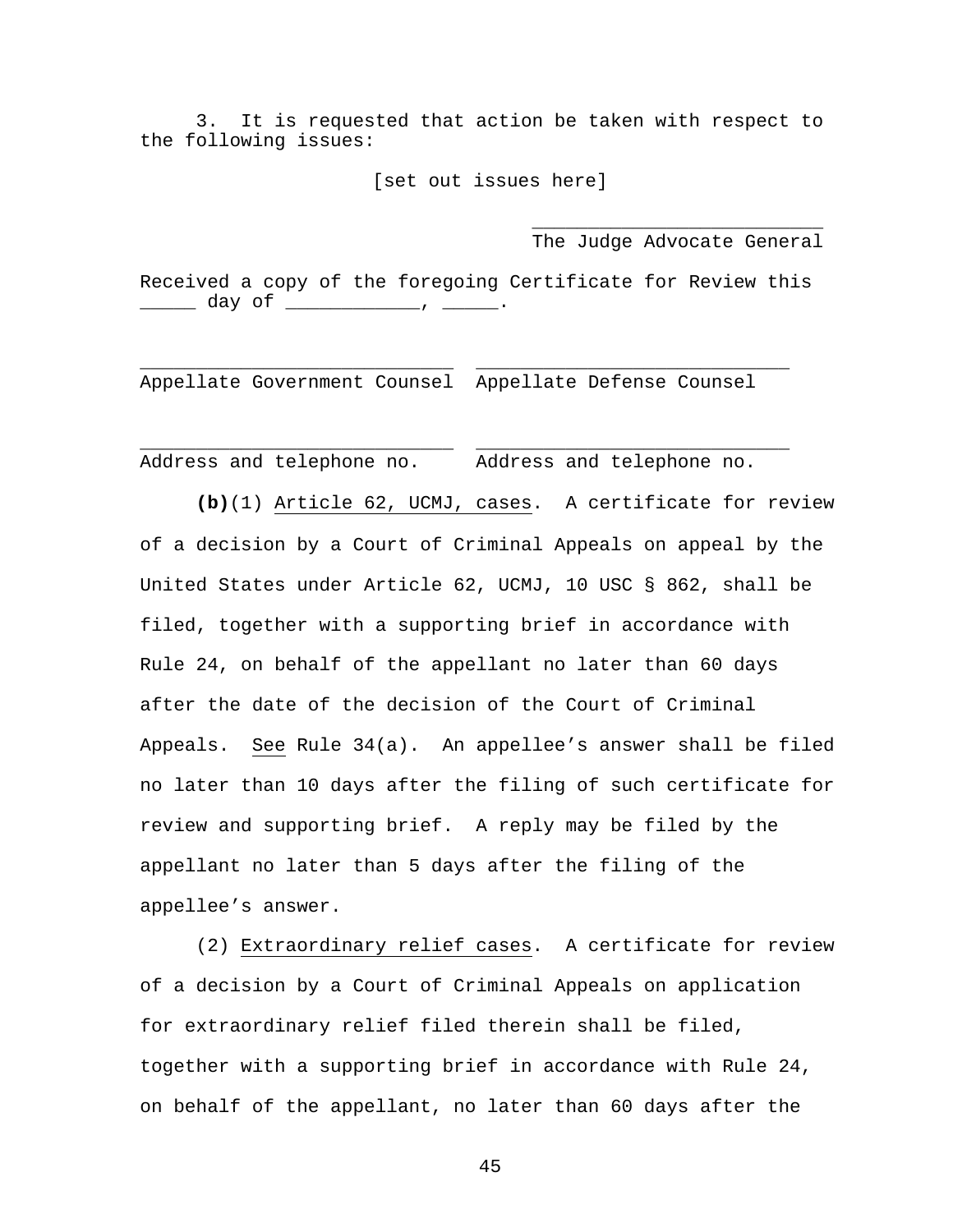3. It is requested that action be taken with respect to the following issues:

[set out issues here]

 $\overline{\phantom{a}}$  , which is a set of the set of the set of the set of the set of the set of the set of the set of the set of the set of the set of the set of the set of the set of the set of the set of the set of the set of th

The Judge Advocate General

Received a copy of the foregoing Certificate for Review this \_\_\_\_\_\_\_ day of \_\_\_\_\_\_\_\_\_\_\_\_\_\_\_, \_\_\_\_\_\_\_.

\_\_\_\_\_\_\_\_\_\_\_\_\_\_\_\_\_\_\_\_\_\_\_\_\_\_\_\_ \_\_\_\_\_\_\_\_\_\_\_\_\_\_\_\_\_\_\_\_\_\_\_\_\_\_\_\_

\_\_\_\_\_\_\_\_\_\_\_\_\_\_\_\_\_\_\_\_\_\_\_\_\_\_\_\_ \_\_\_\_\_\_\_\_\_\_\_\_\_\_\_\_\_\_\_\_\_\_\_\_\_\_\_\_

Appellate Government Counsel Appellate Defense Counsel

Address and telephone no. Address and telephone no.

**(b)**(1) Article 62, UCMJ, cases. A certificate for review of a decision by a Court of Criminal Appeals on appeal by the United States under Article 62, UCMJ, 10 USC § 862, shall be filed, together with a supporting brief in accordance with Rule 24, on behalf of the appellant no later than 60 days after the date of the decision of the Court of Criminal Appeals. See Rule 34(a). An appellee's answer shall be filed no later than 10 days after the filing of such certificate for review and supporting brief. A reply may be filed by the appellant no later than 5 days after the filing of the appellee's answer.

 (2) Extraordinary relief cases. A certificate for review of a decision by a Court of Criminal Appeals on application for extraordinary relief filed therein shall be filed, together with a supporting brief in accordance with Rule 24, on behalf of the appellant, no later than 60 days after the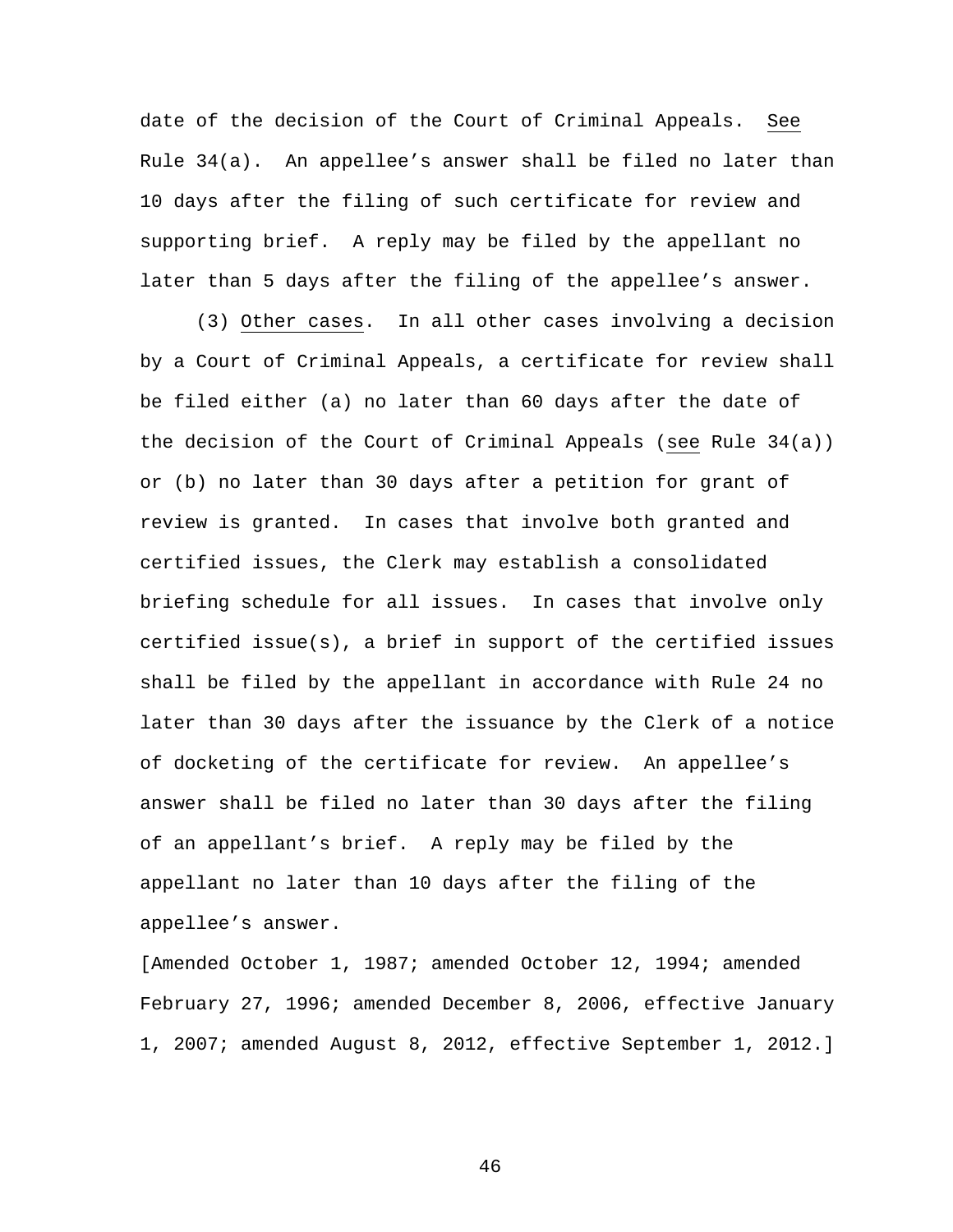date of the decision of the Court of Criminal Appeals. See Rule 34(a). An appellee's answer shall be filed no later than 10 days after the filing of such certificate for review and supporting brief. A reply may be filed by the appellant no later than 5 days after the filing of the appellee's answer.

 (3) Other cases. In all other cases involving a decision by a Court of Criminal Appeals, a certificate for review shall be filed either (a) no later than 60 days after the date of the decision of the Court of Criminal Appeals (see Rule 34(a)) or (b) no later than 30 days after a petition for grant of review is granted. In cases that involve both granted and certified issues, the Clerk may establish a consolidated briefing schedule for all issues. In cases that involve only certified issue(s), a brief in support of the certified issues shall be filed by the appellant in accordance with Rule 24 no later than 30 days after the issuance by the Clerk of a notice of docketing of the certificate for review. An appellee's answer shall be filed no later than 30 days after the filing of an appellant's brief. A reply may be filed by the appellant no later than 10 days after the filing of the appellee's answer.

[Amended October 1, 1987; amended October 12, 1994; amended February 27, 1996; amended December 8, 2006, effective January 1, 2007; amended August 8, 2012, effective September 1, 2012.]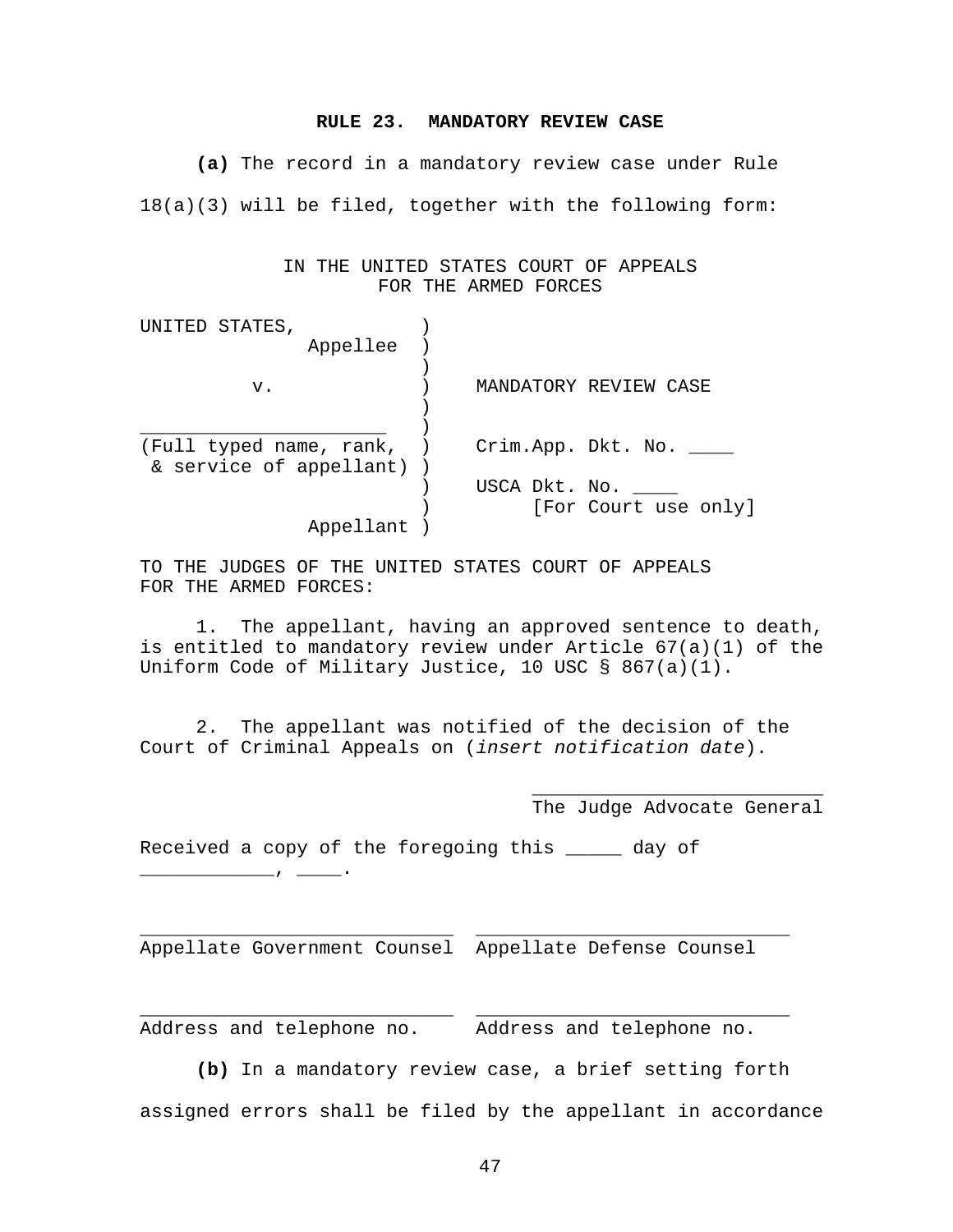#### **RULE 23. MANDATORY REVIEW CASE**

**(a)** The record in a mandatory review case under Rule 18(a)(3) will be filed, together with the following form:

> IN THE UNITED STATES COURT OF APPEALS FOR THE ARMED FORCES

| UNITED STATES,            |               |                        |
|---------------------------|---------------|------------------------|
| Appellee                  |               |                        |
|                           |               |                        |
| v.                        |               | MANDATORY REVIEW CASE  |
|                           |               |                        |
|                           |               |                        |
| (Full typed name, rank, ) |               | Crim.App. Dkt. No. ___ |
| & service of appellant) ) |               |                        |
|                           | USCA Dkt. No. |                        |
|                           |               | [For Court use only]   |
| Appellant                 |               |                        |

TO THE JUDGES OF THE UNITED STATES COURT OF APPEALS FOR THE ARMED FORCES:

 1. The appellant, having an approved sentence to death, is entitled to mandatory review under Article 67(a)(1) of the Uniform Code of Military Justice, 10 USC § 867(a)(1).

 2. The appellant was notified of the decision of the Court of Criminal Appeals on (*insert notification date*).

 $\overline{\phantom{a}}$  , which is a set of the set of the set of the set of the set of the set of the set of the set of the set of the set of the set of the set of the set of the set of the set of the set of the set of the set of th

The Judge Advocate General

Received a copy of the foregoing this \_\_\_\_\_ day of

\_\_\_\_\_\_\_\_\_\_\_\_, \_\_\_\_.

Appellate Government Counsel Appellate Defense Counsel

\_\_\_\_\_\_\_\_\_\_\_\_\_\_\_\_\_\_\_\_\_\_\_\_\_\_\_\_ \_\_\_\_\_\_\_\_\_\_\_\_\_\_\_\_\_\_\_\_\_\_\_\_\_\_\_\_

\_\_\_\_\_\_\_\_\_\_\_\_\_\_\_\_\_\_\_\_\_\_\_\_\_\_\_\_ \_\_\_\_\_\_\_\_\_\_\_\_\_\_\_\_\_\_\_\_\_\_\_\_\_\_\_\_

Address and telephone no. Address and telephone no.

**(b)** In a mandatory review case, a brief setting forth

assigned errors shall be filed by the appellant in accordance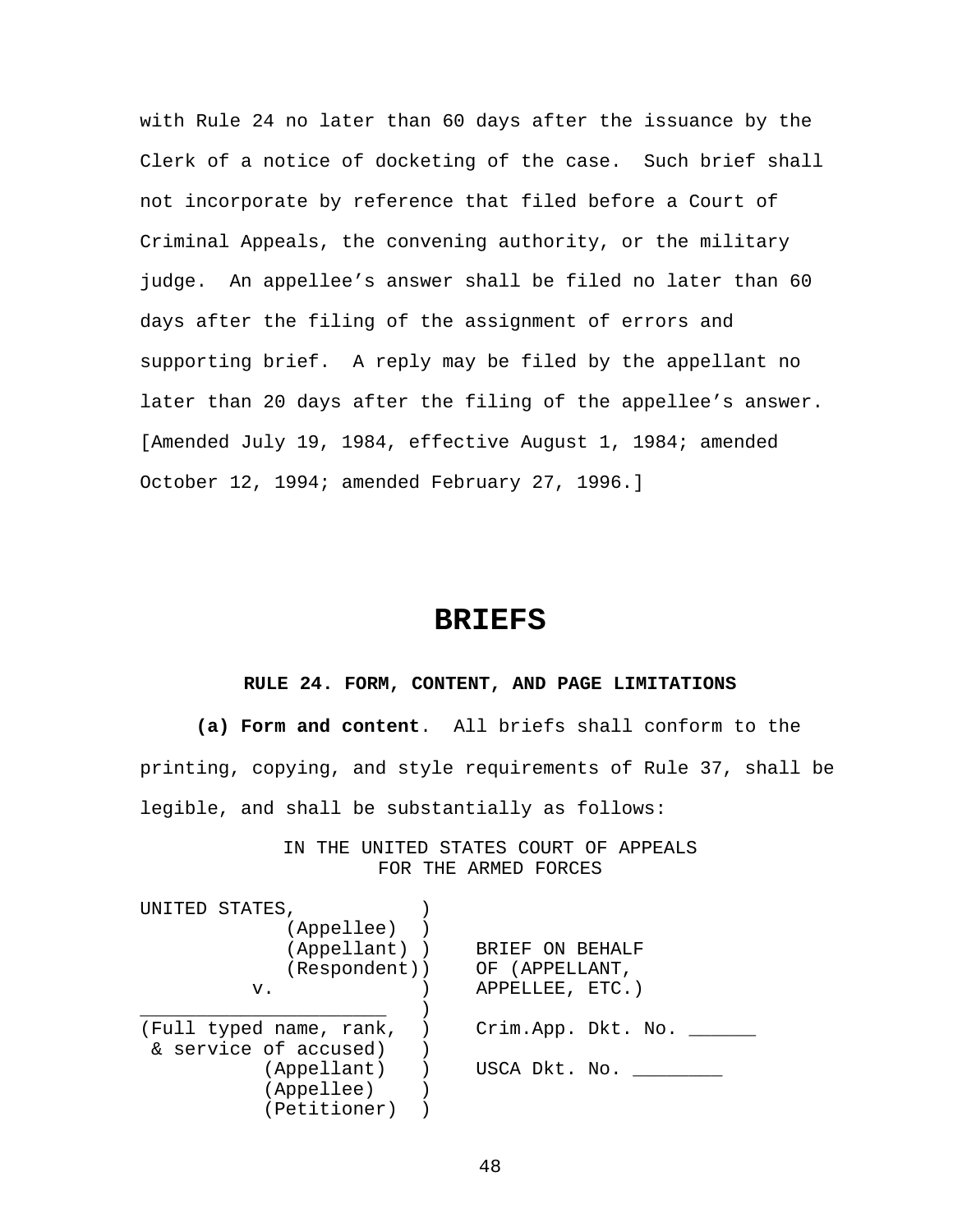with Rule 24 no later than 60 days after the issuance by the Clerk of a notice of docketing of the case. Such brief shall not incorporate by reference that filed before a Court of Criminal Appeals, the convening authority, or the military judge. An appellee's answer shall be filed no later than 60 days after the filing of the assignment of errors and supporting brief. A reply may be filed by the appellant no later than 20 days after the filing of the appellee's answer. [Amended July 19, 1984, effective August 1, 1984; amended October 12, 1994; amended February 27, 1996.]

## **BRIEFS**

## **RULE 24. FORM, CONTENT, AND PAGE LIMITATIONS**

**(a) Form and content**. All briefs shall conform to the printing, copying, and style requirements of Rule 37, shall be legible, and shall be substantially as follows:

> IN THE UNITED STATES COURT OF APPEALS FOR THE ARMED FORCES

| UNITED STATES,          |                    |
|-------------------------|--------------------|
| (Appellee)              |                    |
| (Appellant))            | BRIEF ON BEHALF    |
| (Respondent))           | OF (APPELLANT,     |
| v.                      | APPELLEE, ETC.)    |
|                         |                    |
| (Full typed name, rank, | Crim.App. Dkt. No. |
| & service of accused)   |                    |
| (Appellant)             | USCA Dkt. No.      |
| (Appellee)              |                    |
| (Petitioner)            |                    |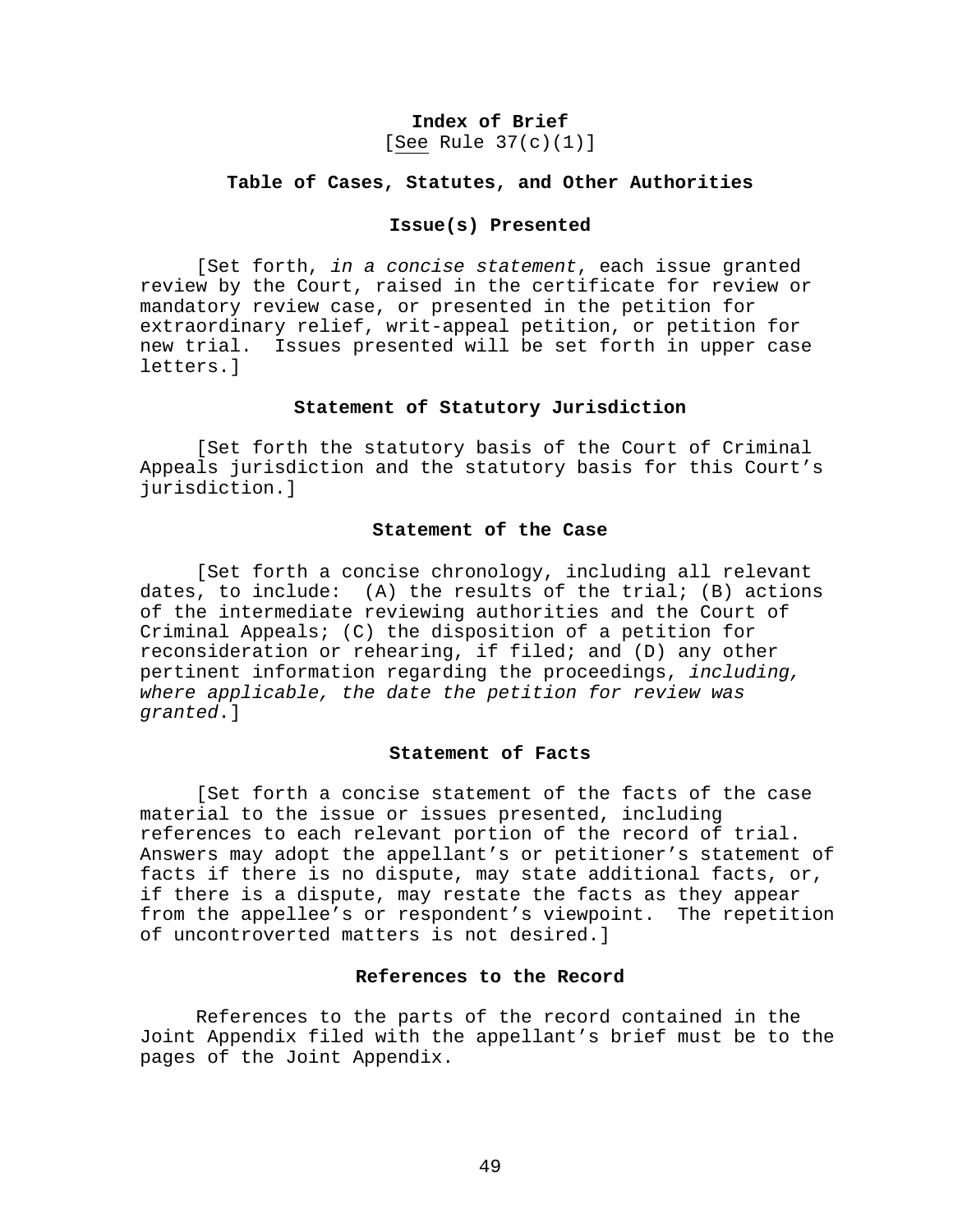## **Index of Brief**

[See Rule 37(c)(1)]

#### **Table of Cases, Statutes, and Other Authorities**

#### **Issue(s) Presented**

 [Set forth, *in a concise statement*, each issue granted review by the Court, raised in the certificate for review or mandatory review case, or presented in the petition for extraordinary relief, writ-appeal petition, or petition for new trial. Issues presented will be set forth in upper case letters.]

#### **Statement of Statutory Jurisdiction**

 [Set forth the statutory basis of the Court of Criminal Appeals jurisdiction and the statutory basis for this Court's jurisdiction.]

## **Statement of the Case**

 [Set forth a concise chronology, including all relevant dates, to include:  $(A)$  the results of the trial;  $(B)$  actions of the intermediate reviewing authorities and the Court of Criminal Appeals; (C) the disposition of a petition for reconsideration or rehearing, if filed; and (D) any other pertinent information regarding the proceedings, *including, where applicable, the date the petition for review was granted*.]

## **Statement of Facts**

 [Set forth a concise statement of the facts of the case material to the issue or issues presented, including references to each relevant portion of the record of trial. Answers may adopt the appellant's or petitioner's statement of facts if there is no dispute, may state additional facts, or, if there is a dispute, may restate the facts as they appear from the appellee's or respondent's viewpoint. The repetition of uncontroverted matters is not desired.]

## **References to the Record**

 References to the parts of the record contained in the Joint Appendix filed with the appellant's brief must be to the pages of the Joint Appendix.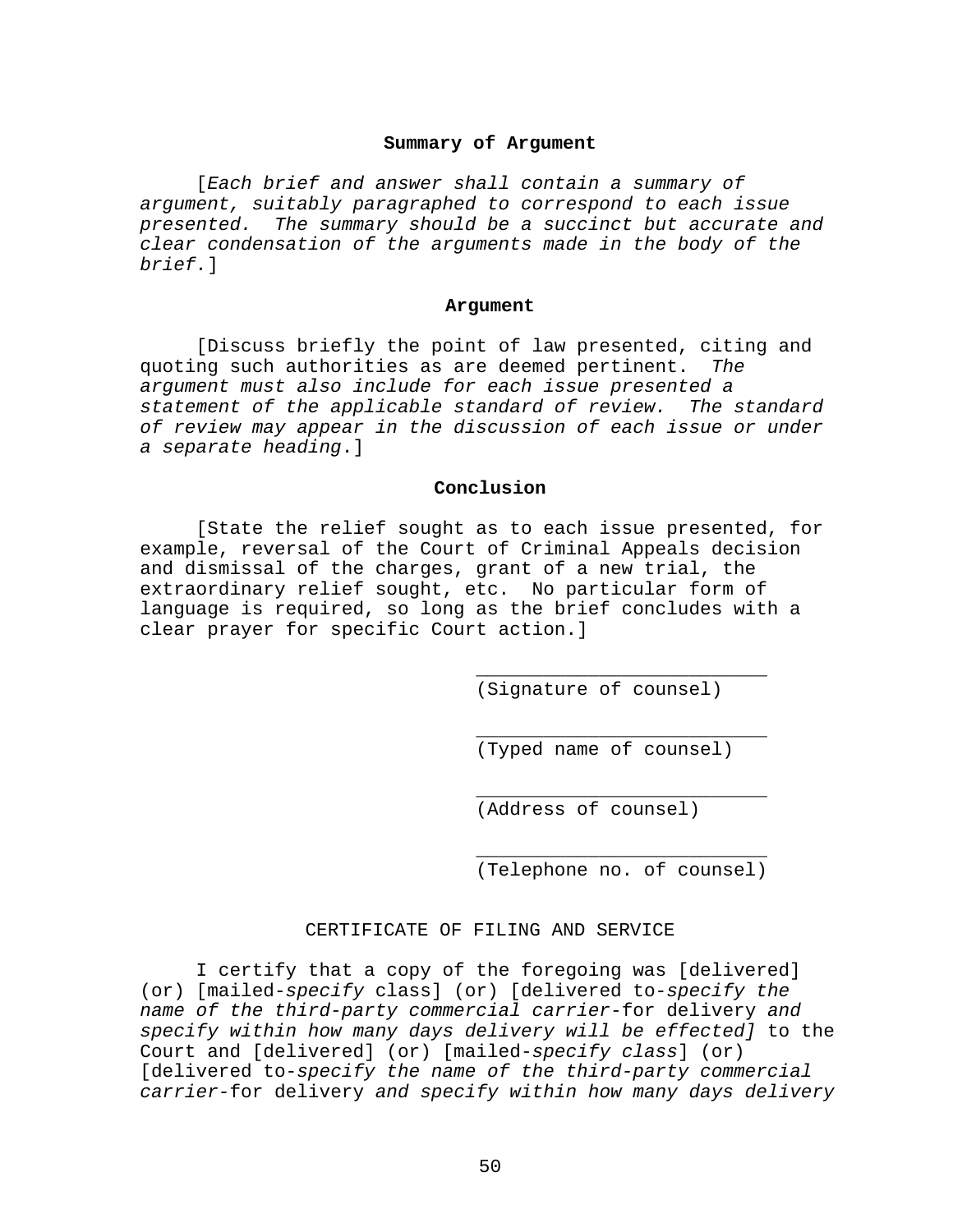#### **Summary of Argument**

 [*Each brief and answer shall contain a summary of argument, suitably paragraphed to correspond to each issue presented. The summary should be a succinct but accurate and clear condensation of the arguments made in the body of the brief.*]

#### **Argument**

 [Discuss briefly the point of law presented, citing and quoting such authorities as are deemed pertinent. *The argument must also include for each issue presented a statement of the applicable standard of review. The standard of review may appear in the discussion of each issue or under a separate heading*.]

## **Conclusion**

 [State the relief sought as to each issue presented, for example, reversal of the Court of Criminal Appeals decision and dismissal of the charges, grant of a new trial, the extraordinary relief sought, etc. No particular form of language is required, so long as the brief concludes with a clear prayer for specific Court action.]

 $\frac{1}{\sqrt{2\pi}}$  ,  $\frac{1}{\sqrt{2\pi}}$  ,  $\frac{1}{\sqrt{2\pi}}$  ,  $\frac{1}{\sqrt{2\pi}}$  ,  $\frac{1}{\sqrt{2\pi}}$  ,  $\frac{1}{\sqrt{2\pi}}$  ,  $\frac{1}{\sqrt{2\pi}}$  ,  $\frac{1}{\sqrt{2\pi}}$  ,  $\frac{1}{\sqrt{2\pi}}$  ,  $\frac{1}{\sqrt{2\pi}}$  ,  $\frac{1}{\sqrt{2\pi}}$  ,  $\frac{1}{\sqrt{2\pi}}$  ,  $\frac{1}{\sqrt{2\pi}}$  ,

 $\frac{1}{\sqrt{2\pi}}$  ,  $\frac{1}{\sqrt{2\pi}}$  ,  $\frac{1}{\sqrt{2\pi}}$  ,  $\frac{1}{\sqrt{2\pi}}$  ,  $\frac{1}{\sqrt{2\pi}}$  ,  $\frac{1}{\sqrt{2\pi}}$  ,  $\frac{1}{\sqrt{2\pi}}$  ,  $\frac{1}{\sqrt{2\pi}}$  ,  $\frac{1}{\sqrt{2\pi}}$  ,  $\frac{1}{\sqrt{2\pi}}$  ,  $\frac{1}{\sqrt{2\pi}}$  ,  $\frac{1}{\sqrt{2\pi}}$  ,  $\frac{1}{\sqrt{2\pi}}$  ,

 $\frac{1}{\sqrt{2\pi}}$  ,  $\frac{1}{\sqrt{2\pi}}$  ,  $\frac{1}{\sqrt{2\pi}}$  ,  $\frac{1}{\sqrt{2\pi}}$  ,  $\frac{1}{\sqrt{2\pi}}$  ,  $\frac{1}{\sqrt{2\pi}}$  ,  $\frac{1}{\sqrt{2\pi}}$  ,  $\frac{1}{\sqrt{2\pi}}$  ,  $\frac{1}{\sqrt{2\pi}}$  ,  $\frac{1}{\sqrt{2\pi}}$  ,  $\frac{1}{\sqrt{2\pi}}$  ,  $\frac{1}{\sqrt{2\pi}}$  ,  $\frac{1}{\sqrt{2\pi}}$  ,

 $\frac{1}{\sqrt{2\pi}}$  ,  $\frac{1}{\sqrt{2\pi}}$  ,  $\frac{1}{\sqrt{2\pi}}$  ,  $\frac{1}{\sqrt{2\pi}}$  ,  $\frac{1}{\sqrt{2\pi}}$  ,  $\frac{1}{\sqrt{2\pi}}$  ,  $\frac{1}{\sqrt{2\pi}}$  ,  $\frac{1}{\sqrt{2\pi}}$  ,  $\frac{1}{\sqrt{2\pi}}$  ,  $\frac{1}{\sqrt{2\pi}}$  ,  $\frac{1}{\sqrt{2\pi}}$  ,  $\frac{1}{\sqrt{2\pi}}$  ,  $\frac{1}{\sqrt{2\pi}}$  ,

(Signature of counsel)

(Typed name of counsel)

(Address of counsel)

(Telephone no. of counsel)

#### CERTIFICATE OF FILING AND SERVICE

 I certify that a copy of the foregoing was [delivered] (or) [mailed-*specify* class] (or) [delivered to-*specify the name of the third-party commercial carrier-*for delivery *and specify within how many days delivery will be effected]* to the Court and [delivered] (or) [mailed-*specify class*] (or) [delivered to-*specify the name of the third-party commercial carrier-*for delivery *and specify within how many days delivery*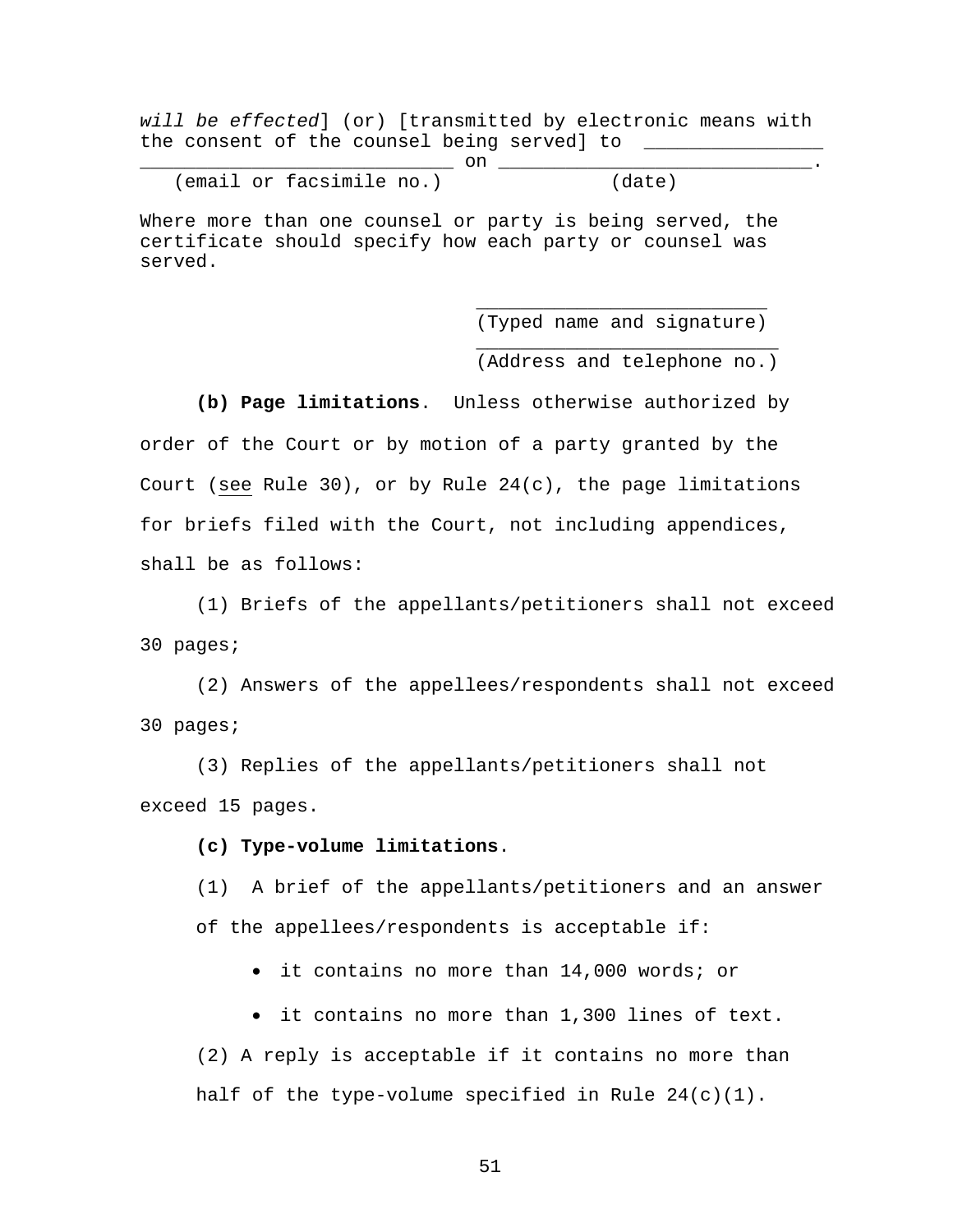*will be effected*] (or) [transmitted by electronic means with the consent of the counsel being served] to \_\_\_\_\_\_\_\_\_

\_\_\_\_\_\_\_\_\_\_\_\_\_\_\_\_\_\_\_\_\_\_\_\_\_\_\_\_ on \_\_\_\_\_\_\_\_\_\_\_\_\_\_\_\_\_\_\_\_\_\_\_\_\_\_\_\_. (email or facsimile no.) (date)

Where more than one counsel or party is being served, the certificate should specify how each party or counsel was served.

 $\frac{1}{\sqrt{2\pi}}$  ,  $\frac{1}{\sqrt{2\pi}}$  ,  $\frac{1}{\sqrt{2\pi}}$  ,  $\frac{1}{\sqrt{2\pi}}$  ,  $\frac{1}{\sqrt{2\pi}}$  ,  $\frac{1}{\sqrt{2\pi}}$  ,  $\frac{1}{\sqrt{2\pi}}$  ,  $\frac{1}{\sqrt{2\pi}}$  ,  $\frac{1}{\sqrt{2\pi}}$  ,  $\frac{1}{\sqrt{2\pi}}$  ,  $\frac{1}{\sqrt{2\pi}}$  ,  $\frac{1}{\sqrt{2\pi}}$  ,  $\frac{1}{\sqrt{2\pi}}$  ,

 $\frac{1}{\sqrt{2\pi}}$  ,  $\frac{1}{\sqrt{2\pi}}$  ,  $\frac{1}{\sqrt{2\pi}}$  ,  $\frac{1}{\sqrt{2\pi}}$  ,  $\frac{1}{\sqrt{2\pi}}$  ,  $\frac{1}{\sqrt{2\pi}}$  ,  $\frac{1}{\sqrt{2\pi}}$  ,  $\frac{1}{\sqrt{2\pi}}$  ,  $\frac{1}{\sqrt{2\pi}}$  ,  $\frac{1}{\sqrt{2\pi}}$  ,  $\frac{1}{\sqrt{2\pi}}$  ,  $\frac{1}{\sqrt{2\pi}}$  ,  $\frac{1}{\sqrt{2\pi}}$  ,

(Typed name and signature)

(Address and telephone no.)

**(b) Page limitations**. Unless otherwise authorized by

order of the Court or by motion of a party granted by the Court (see Rule 30), or by Rule  $24(c)$ , the page limitations for briefs filed with the Court, not including appendices, shall be as follows:

(1) Briefs of the appellants/petitioners shall not exceed 30 pages;

(2) Answers of the appellees/respondents shall not exceed 30 pages;

(3) Replies of the appellants/petitioners shall not exceed 15 pages.

**(c) Type-volume limitations**.

(1) A brief of the appellants/petitioners and an answer of the appellees/respondents is acceptable if:

it contains no more than 14,000 words; or

it contains no more than 1,300 lines of text.

(2) A reply is acceptable if it contains no more than half of the type-volume specified in Rule  $24(c)(1)$ .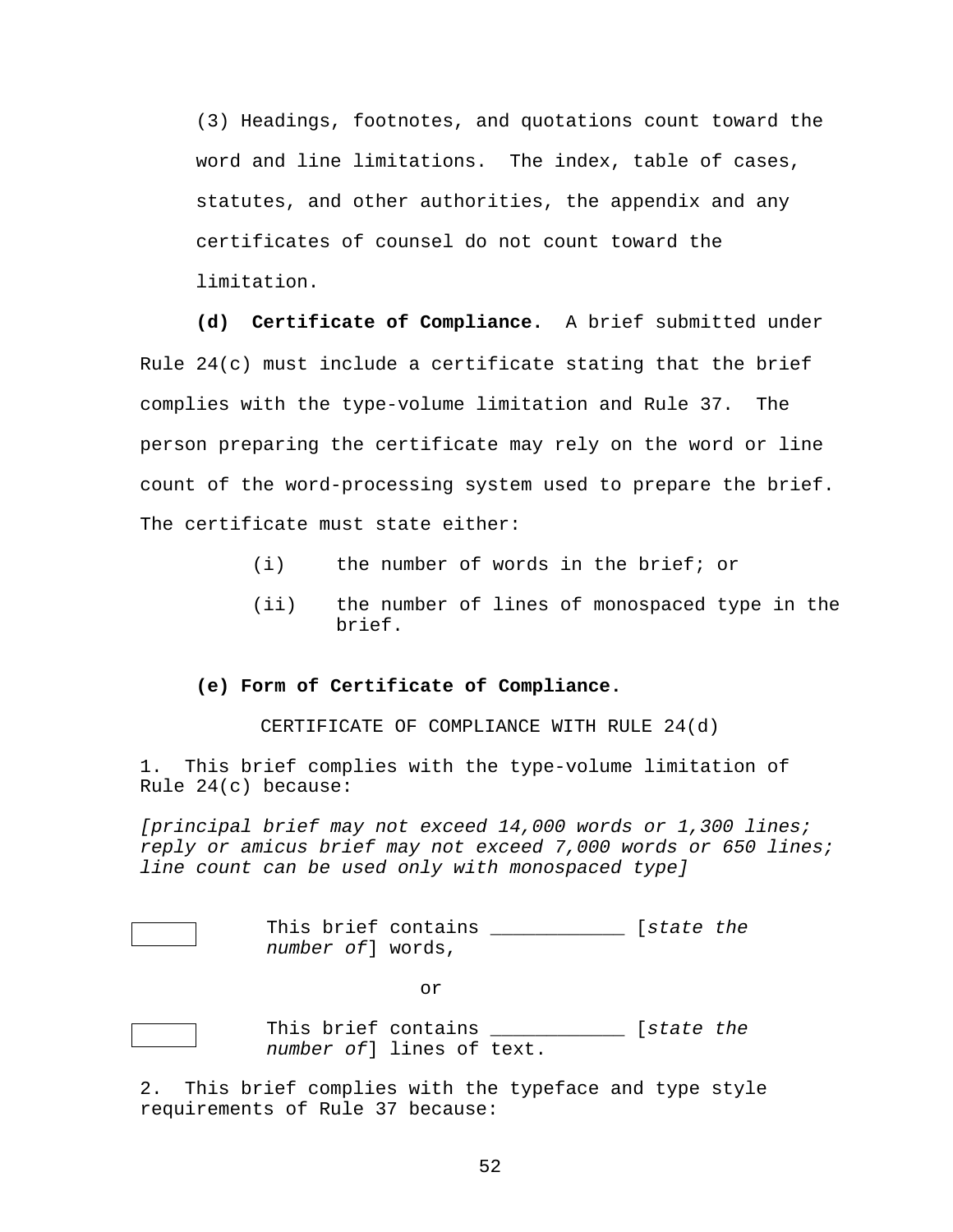(3) Headings, footnotes, and quotations count toward the word and line limitations. The index, table of cases, statutes, and other authorities, the appendix and any certificates of counsel do not count toward the limitation.

**(d) Certificate of Compliance.** A brief submitted under Rule  $24(c)$  must include a certificate stating that the brief complies with the type-volume limitation and Rule 37. The person preparing the certificate may rely on the word or line count of the word-processing system used to prepare the brief. The certificate must state either:

- (i) the number of words in the brief; or
- (ii) the number of lines of monospaced type in the brief.

#### **(e) Form of Certificate of Compliance.**

CERTIFICATE OF COMPLIANCE WITH RULE 24(d)

1. This brief complies with the type-volume limitation of Rule 24(c) because:

*[principal brief may not exceed 14,000 words or 1,300 lines; reply or amicus brief may not exceed 7,000 words or 650 lines; line count can be used only with monospaced type]* 

 This brief contains \_\_\_\_\_\_\_\_\_\_\_\_ [*state the number of*] words,

or

 This brief contains \_\_\_\_\_\_\_\_\_\_\_\_ [*state the number of*] lines of text.

2. This brief complies with the typeface and type style requirements of Rule 37 because: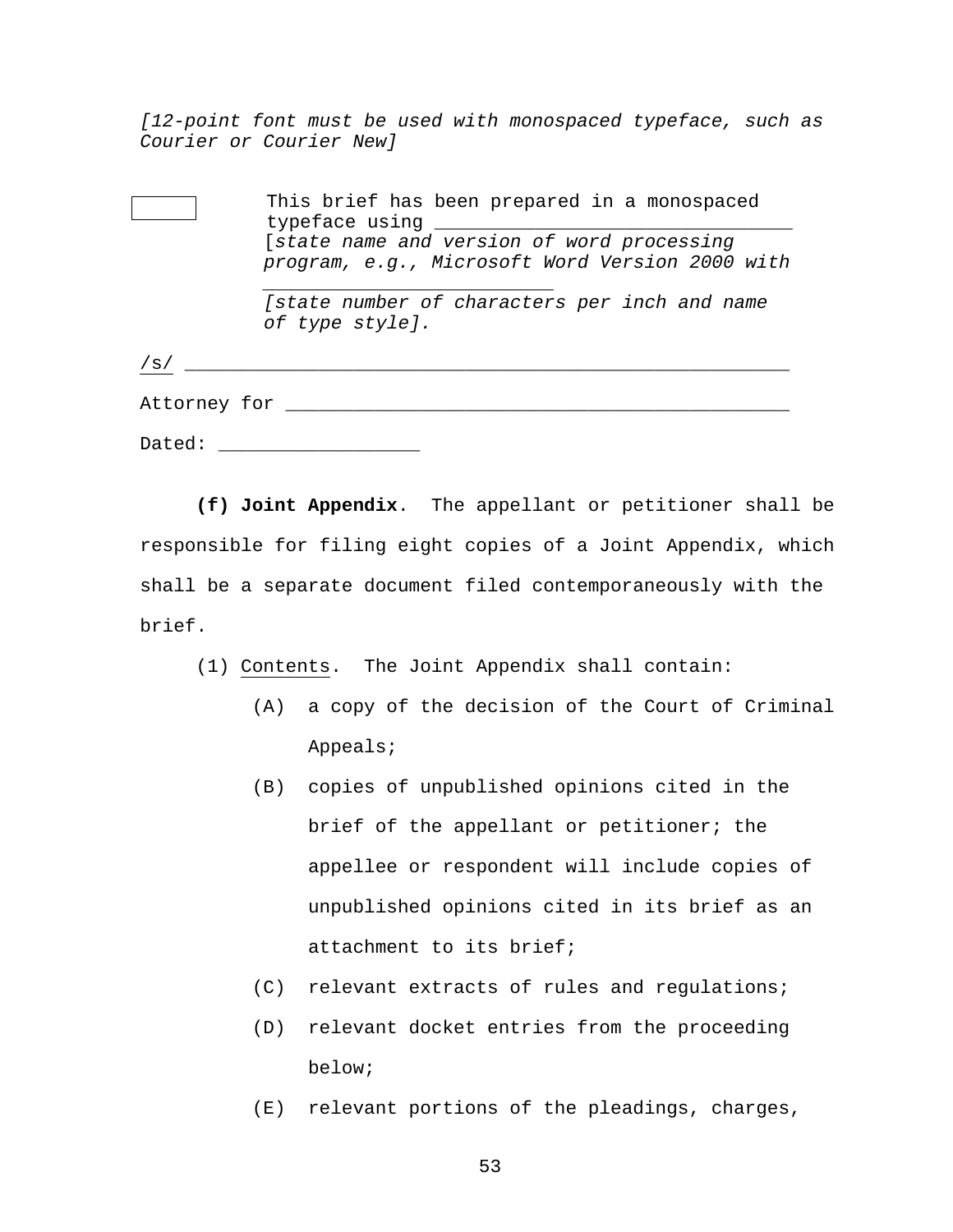*[12-point font must be used with monospaced typeface, such as Courier or Courier New]* 

|                  | This brief has been prepared in a monospaced<br>typeface using                                |  |  |  |
|------------------|-----------------------------------------------------------------------------------------------|--|--|--|
|                  | [state name and version of word processing<br>program, e.g., Microsoft Word Version 2000 with |  |  |  |
|                  | [state number of characters per inch and name<br>of type style].                              |  |  |  |
| /s/              |                                                                                               |  |  |  |
| Attorney for ___ |                                                                                               |  |  |  |
| Dated:           |                                                                                               |  |  |  |

**(f) Joint Appendix**. The appellant or petitioner shall be responsible for filing eight copies of a Joint Appendix, which shall be a separate document filed contemporaneously with the brief.

- (1) Contents. The Joint Appendix shall contain:
	- (A) a copy of the decision of the Court of Criminal Appeals;
	- (B) copies of unpublished opinions cited in the brief of the appellant or petitioner; the appellee or respondent will include copies of unpublished opinions cited in its brief as an attachment to its brief;
	- (C) relevant extracts of rules and regulations;
	- (D) relevant docket entries from the proceeding below;
	- (E) relevant portions of the pleadings, charges,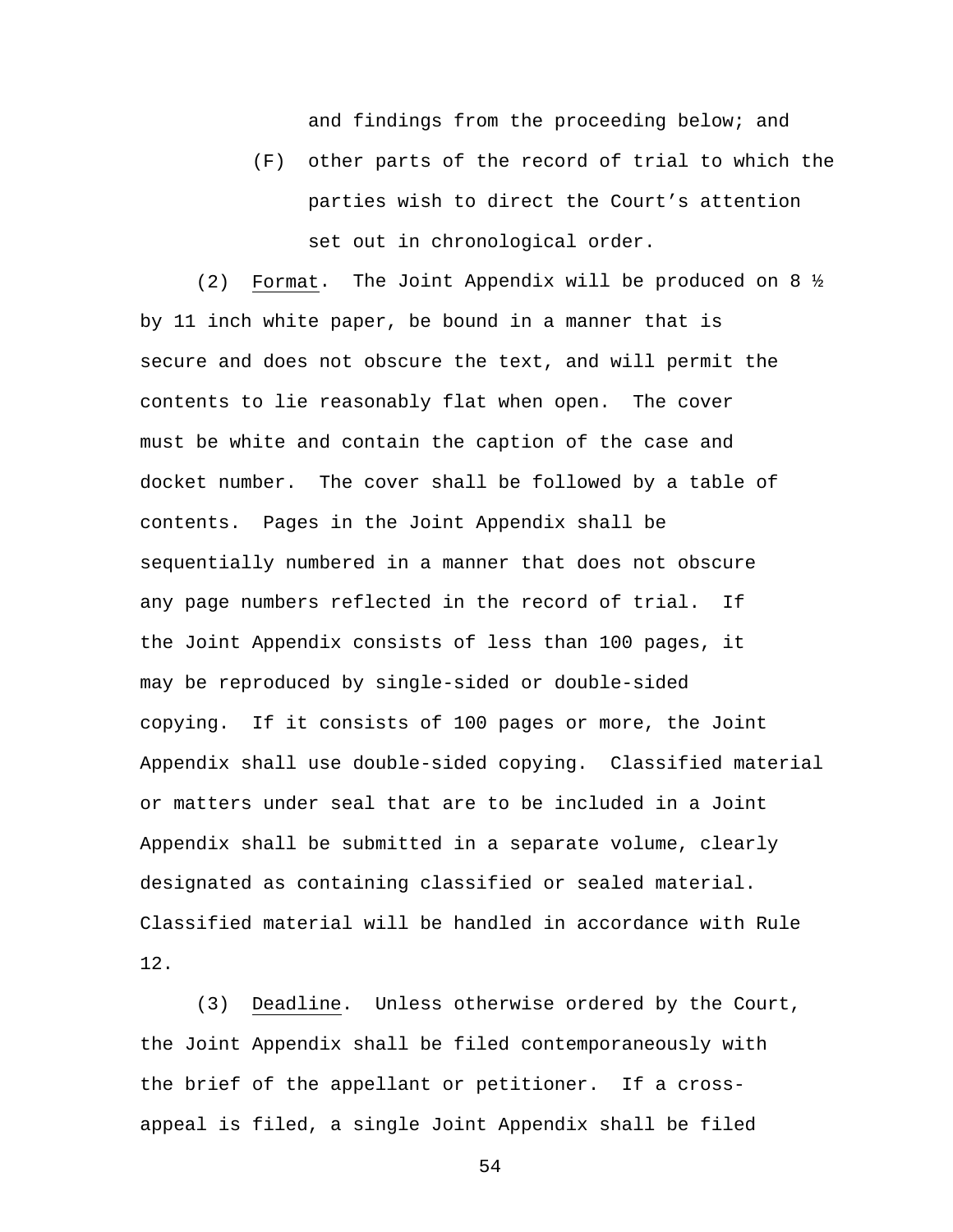and findings from the proceeding below; and

(F) other parts of the record of trial to which the parties wish to direct the Court's attention set out in chronological order.

(2) Format. The Joint Appendix will be produced on 8 ½ by 11 inch white paper, be bound in a manner that is secure and does not obscure the text, and will permit the contents to lie reasonably flat when open. The cover must be white and contain the caption of the case and docket number. The cover shall be followed by a table of contents. Pages in the Joint Appendix shall be sequentially numbered in a manner that does not obscure any page numbers reflected in the record of trial. If the Joint Appendix consists of less than 100 pages, it may be reproduced by single-sided or double-sided copying. If it consists of 100 pages or more, the Joint Appendix shall use double-sided copying. Classified material or matters under seal that are to be included in a Joint Appendix shall be submitted in a separate volume, clearly designated as containing classified or sealed material. Classified material will be handled in accordance with Rule 12.

(3) Deadline. Unless otherwise ordered by the Court, the Joint Appendix shall be filed contemporaneously with the brief of the appellant or petitioner. If a crossappeal is filed, a single Joint Appendix shall be filed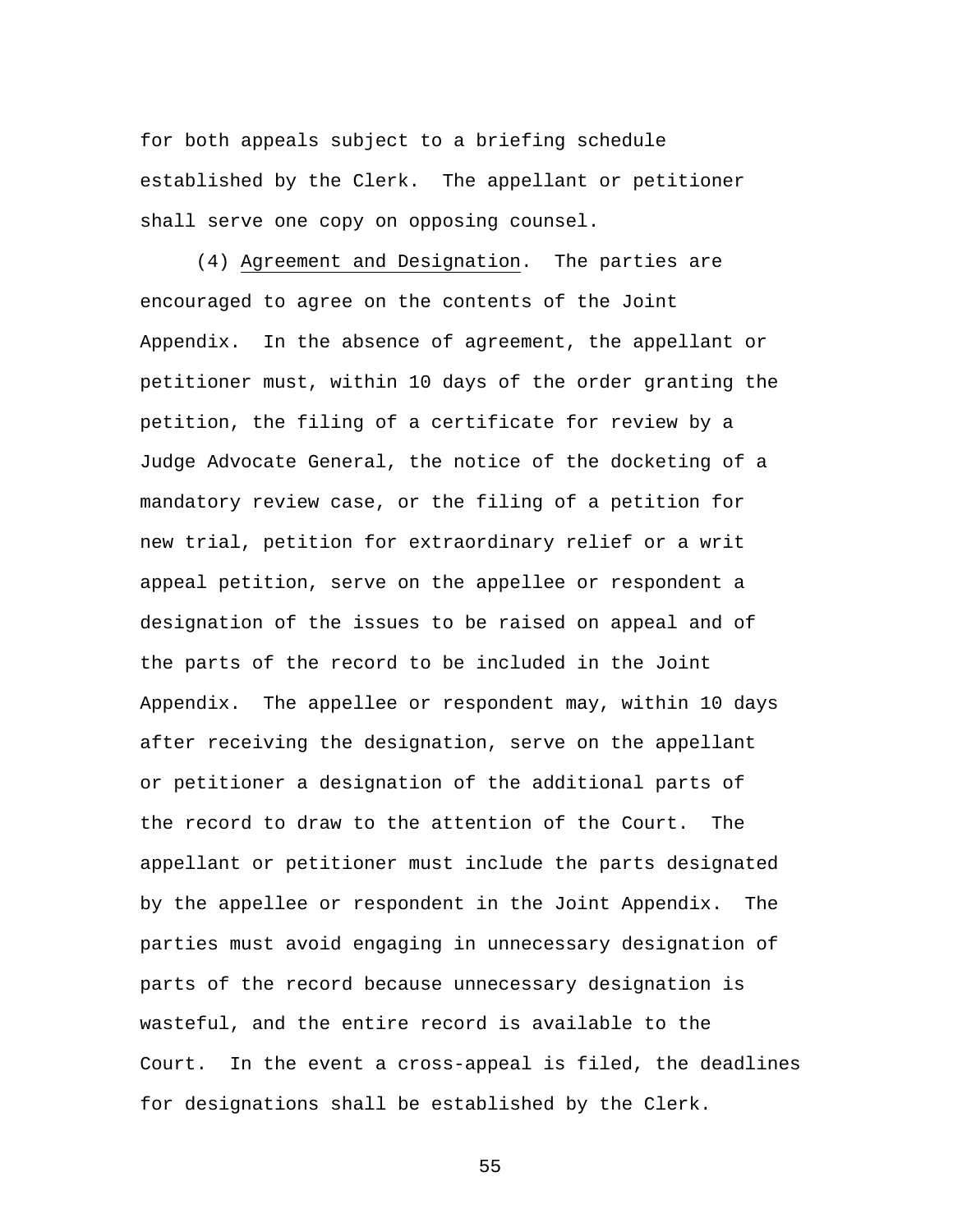for both appeals subject to a briefing schedule established by the Clerk. The appellant or petitioner shall serve one copy on opposing counsel.

(4) Agreement and Designation. The parties are encouraged to agree on the contents of the Joint Appendix. In the absence of agreement, the appellant or petitioner must, within 10 days of the order granting the petition, the filing of a certificate for review by a Judge Advocate General, the notice of the docketing of a mandatory review case, or the filing of a petition for new trial, petition for extraordinary relief or a writ appeal petition, serve on the appellee or respondent a designation of the issues to be raised on appeal and of the parts of the record to be included in the Joint Appendix. The appellee or respondent may, within 10 days after receiving the designation, serve on the appellant or petitioner a designation of the additional parts of the record to draw to the attention of the Court. The appellant or petitioner must include the parts designated by the appellee or respondent in the Joint Appendix. The parties must avoid engaging in unnecessary designation of parts of the record because unnecessary designation is wasteful, and the entire record is available to the Court. In the event a cross-appeal is filed, the deadlines for designations shall be established by the Clerk.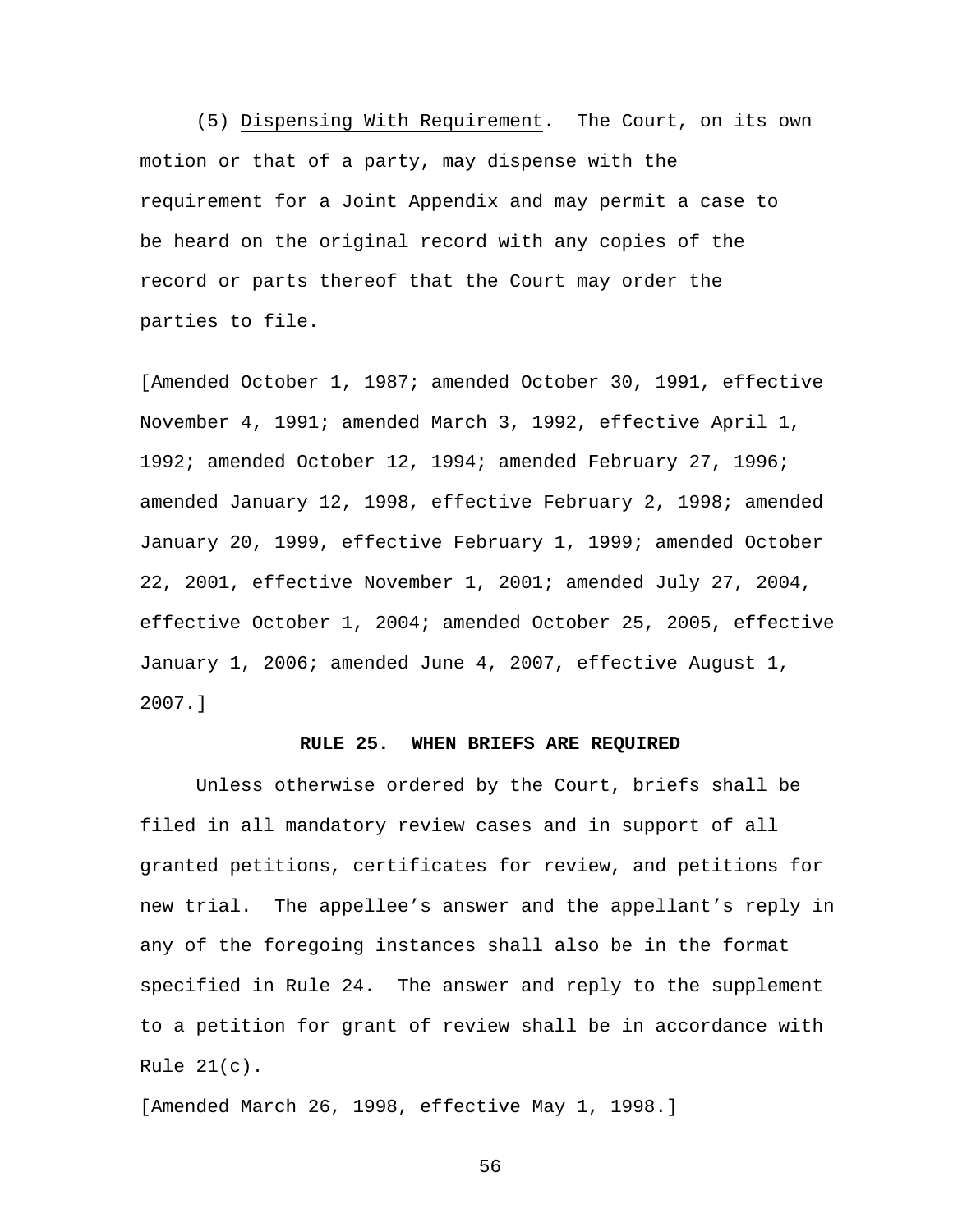(5) Dispensing With Requirement. The Court, on its own motion or that of a party, may dispense with the requirement for a Joint Appendix and may permit a case to be heard on the original record with any copies of the record or parts thereof that the Court may order the parties to file.

[Amended October 1, 1987; amended October 30, 1991, effective November 4, 1991; amended March 3, 1992, effective April 1, 1992; amended October 12, 1994; amended February 27, 1996; amended January 12, 1998, effective February 2, 1998; amended January 20, 1999, effective February 1, 1999; amended October 22, 2001, effective November 1, 2001; amended July 27, 2004, effective October 1, 2004; amended October 25, 2005, effective January 1, 2006; amended June 4, 2007, effective August 1, 2007.]

## **RULE 25. WHEN BRIEFS ARE REQUIRED**

 Unless otherwise ordered by the Court, briefs shall be filed in all mandatory review cases and in support of all granted petitions, certificates for review, and petitions for new trial. The appellee's answer and the appellant's reply in any of the foregoing instances shall also be in the format specified in Rule 24. The answer and reply to the supplement to a petition for grant of review shall be in accordance with Rule 21(c).

[Amended March 26, 1998, effective May 1, 1998.]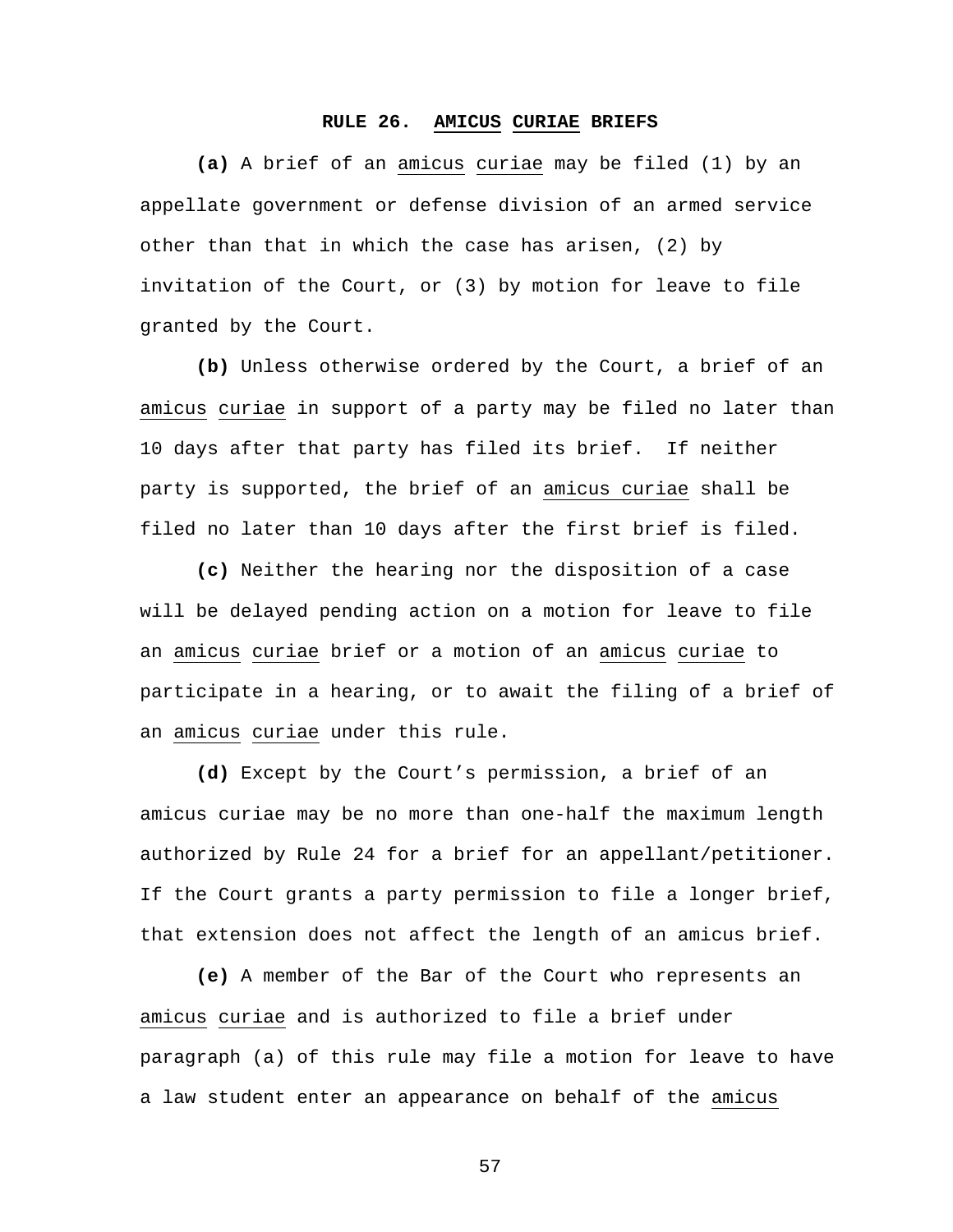## **RULE 26. AMICUS CURIAE BRIEFS**

**(a)** A brief of an amicus curiae may be filed (1) by an appellate government or defense division of an armed service other than that in which the case has arisen, (2) by invitation of the Court, or (3) by motion for leave to file granted by the Court.

**(b)** Unless otherwise ordered by the Court, a brief of an amicus curiae in support of a party may be filed no later than 10 days after that party has filed its brief. If neither party is supported, the brief of an amicus curiae shall be filed no later than 10 days after the first brief is filed.

**(c)** Neither the hearing nor the disposition of a case will be delayed pending action on a motion for leave to file an amicus curiae brief or a motion of an amicus curiae to participate in a hearing, or to await the filing of a brief of an amicus curiae under this rule.

**(d)** Except by the Court's permission, a brief of an amicus curiae may be no more than one-half the maximum length authorized by Rule 24 for a brief for an appellant/petitioner. If the Court grants a party permission to file a longer brief, that extension does not affect the length of an amicus brief.

**(e)** A member of the Bar of the Court who represents an amicus curiae and is authorized to file a brief under paragraph (a) of this rule may file a motion for leave to have a law student enter an appearance on behalf of the amicus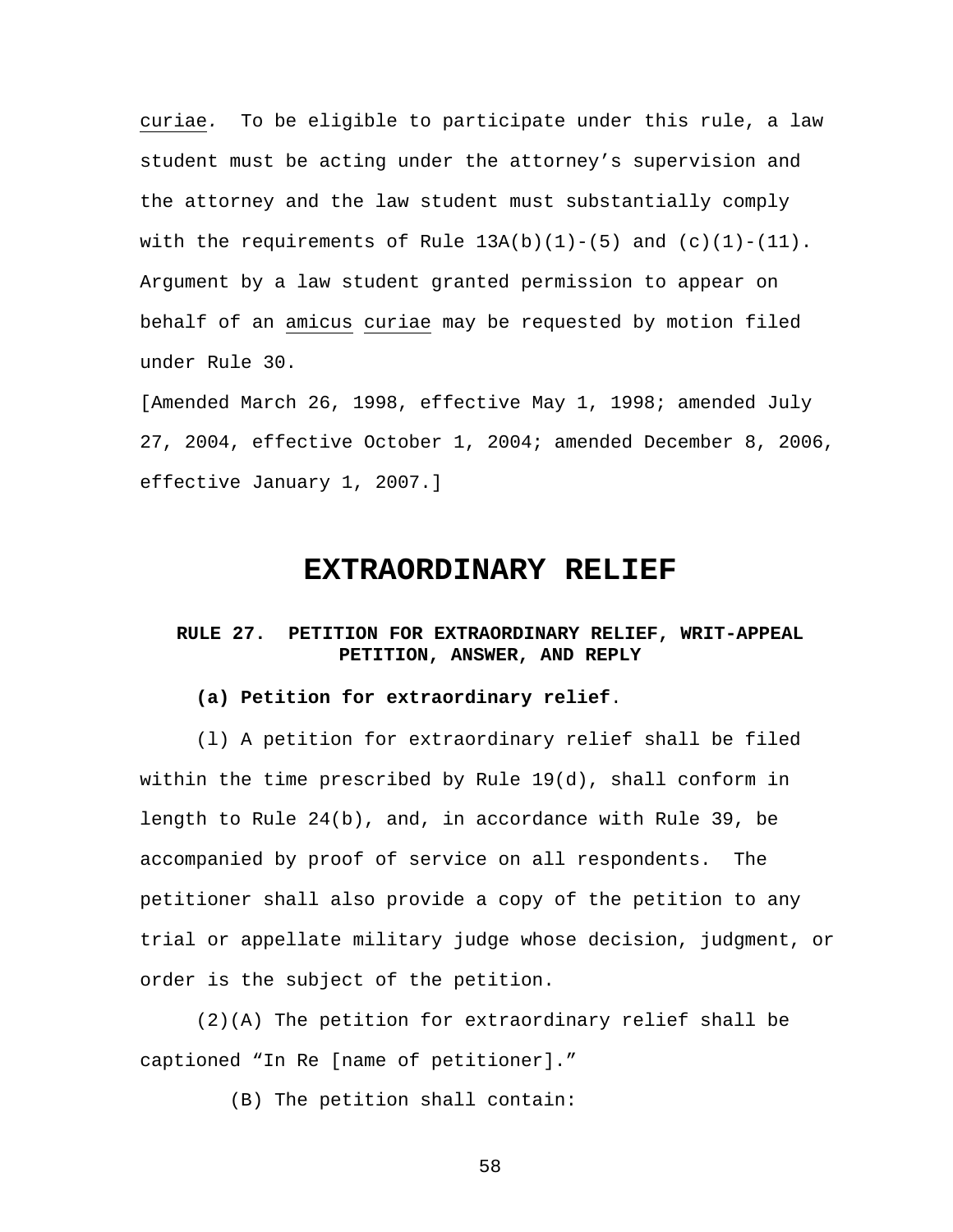curiae*.* To be eligible to participate under this rule, a law student must be acting under the attorney's supervision and the attorney and the law student must substantially comply with the requirements of Rule  $13A(b)(1)-(5)$  and  $(c)(1)-(11)$ . Argument by a law student granted permission to appear on behalf of an amicus curiae may be requested by motion filed under Rule 30.

[Amended March 26, 1998, effective May 1, 1998; amended July 27, 2004, effective October 1, 2004; amended December 8, 2006, effective January 1, 2007.]

## **EXTRAORDINARY RELIEF**

## **RULE 27. PETITION FOR EXTRAORDINARY RELIEF, WRIT-APPEAL PETITION, ANSWER, AND REPLY**

#### **(a) Petition for extraordinary relief**.

(l) A petition for extraordinary relief shall be filed within the time prescribed by Rule 19(d), shall conform in length to Rule 24(b), and, in accordance with Rule 39, be accompanied by proof of service on all respondents. The petitioner shall also provide a copy of the petition to any trial or appellate military judge whose decision, judgment, or order is the subject of the petition.

(2)(A) The petition for extraordinary relief shall be captioned "In Re [name of petitioner]."

(B) The petition shall contain: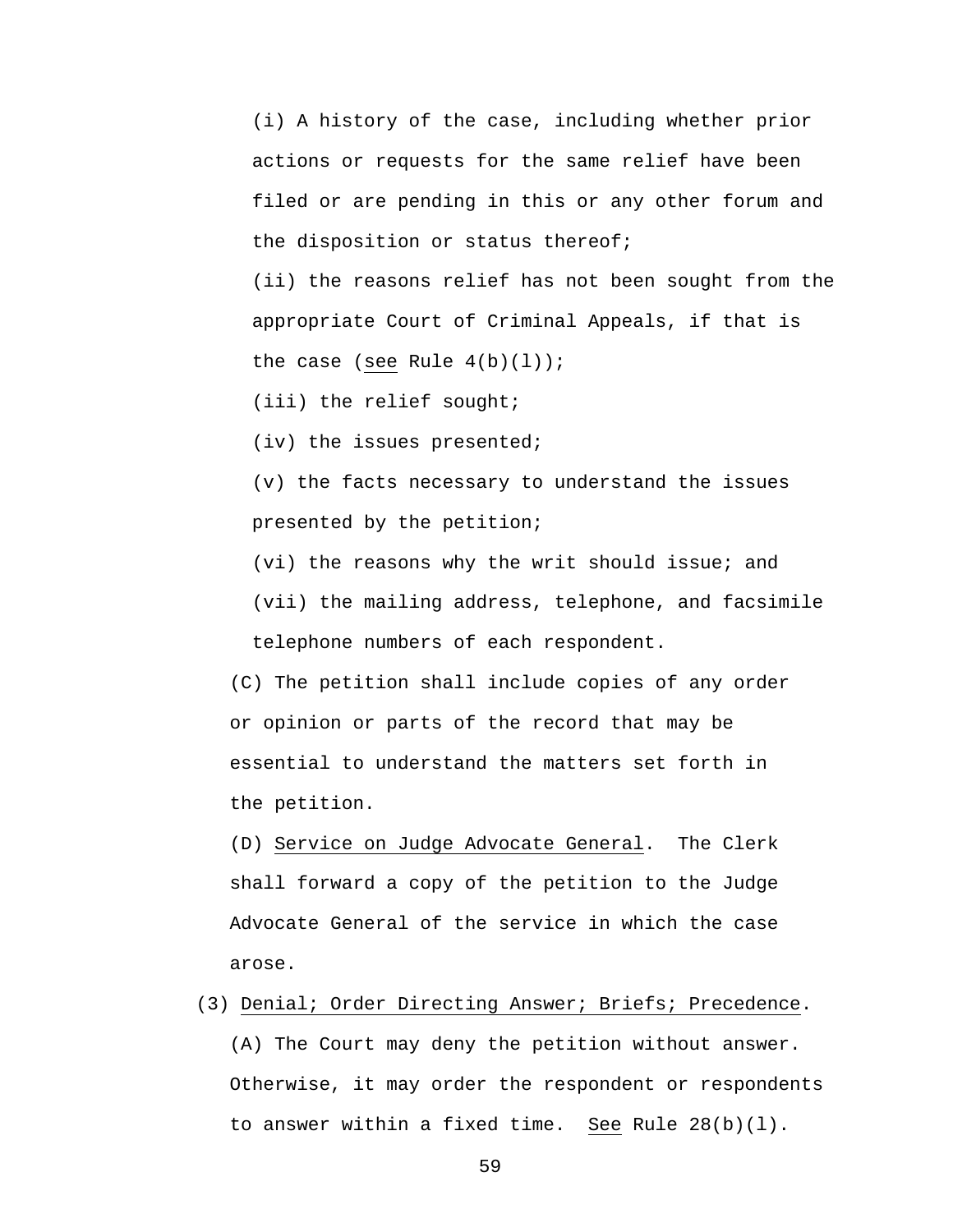(i) A history of the case, including whether prior actions or requests for the same relief have been filed or are pending in this or any other forum and the disposition or status thereof;

(ii) the reasons relief has not been sought from the appropriate Court of Criminal Appeals, if that is the case (see Rule  $4(b)(1)$ );

(iii) the relief sought;

(iv) the issues presented;

(v) the facts necessary to understand the issues presented by the petition;

(vi) the reasons why the writ should issue; and

(vii) the mailing address, telephone, and facsimile telephone numbers of each respondent.

 (C) The petition shall include copies of any order or opinion or parts of the record that may be essential to understand the matters set forth in the petition.

 (D) Service on Judge Advocate General. The Clerk shall forward a copy of the petition to the Judge Advocate General of the service in which the case arose.

(3) Denial; Order Directing Answer; Briefs; Precedence.

 (A) The Court may deny the petition without answer. Otherwise, it may order the respondent or respondents to answer within a fixed time. See Rule 28(b)(l).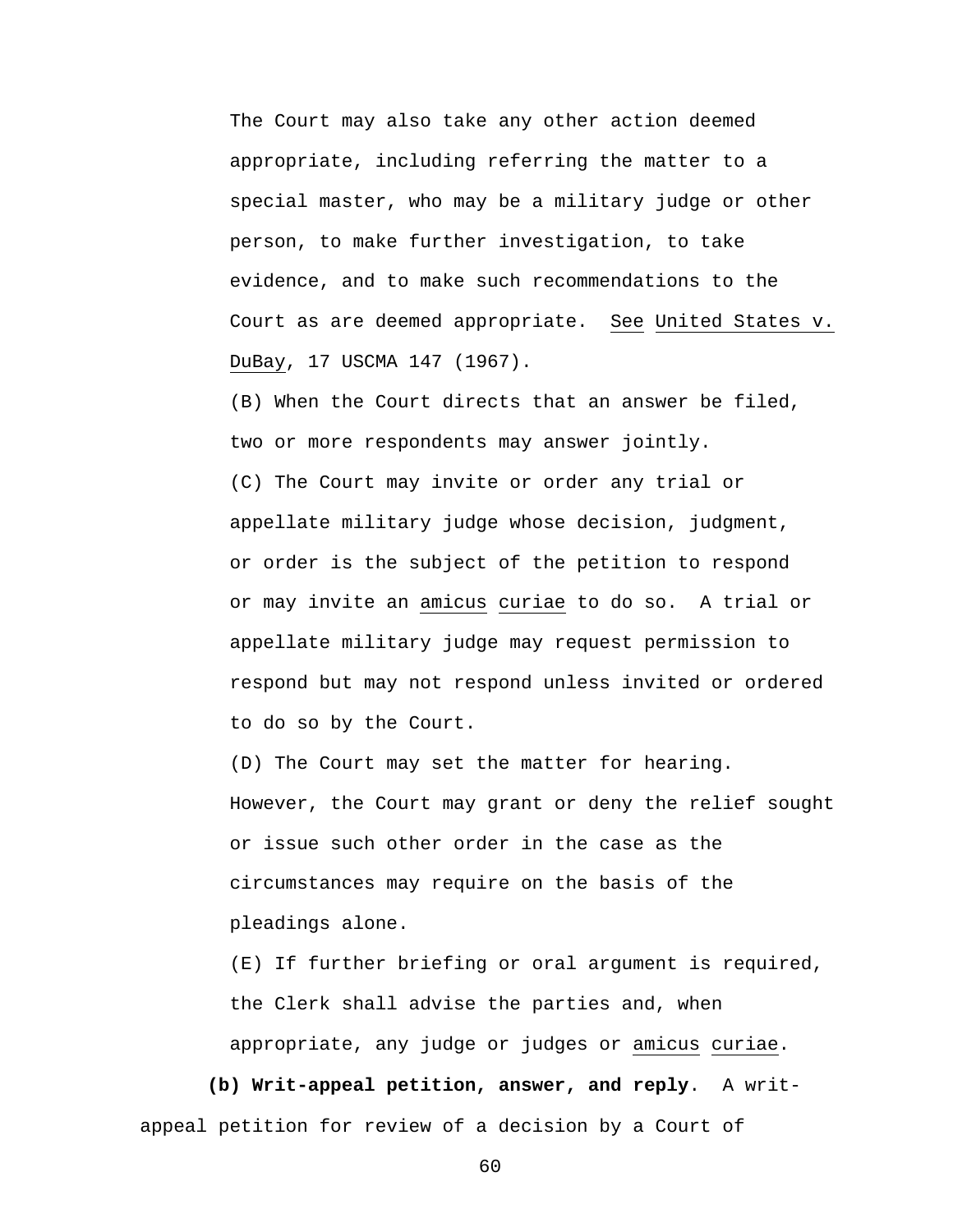The Court may also take any other action deemed appropriate, including referring the matter to a special master, who may be a military judge or other person, to make further investigation, to take evidence, and to make such recommendations to the Court as are deemed appropriate. See United States v. DuBay, 17 USCMA 147 (1967).

 (B) When the Court directs that an answer be filed, two or more respondents may answer jointly. (C) The Court may invite or order any trial or appellate military judge whose decision, judgment, or order is the subject of the petition to respond or may invite an amicus curiae to do so. A trial or appellate military judge may request permission to respond but may not respond unless invited or ordered to do so by the Court.

 (D) The Court may set the matter for hearing. However, the Court may grant or deny the relief sought or issue such other order in the case as the circumstances may require on the basis of the pleadings alone.

 (E) If further briefing or oral argument is required, the Clerk shall advise the parties and, when appropriate, any judge or judges or amicus curiae.

 **(b) Writ-appeal petition, answer, and reply**. A writappeal petition for review of a decision by a Court of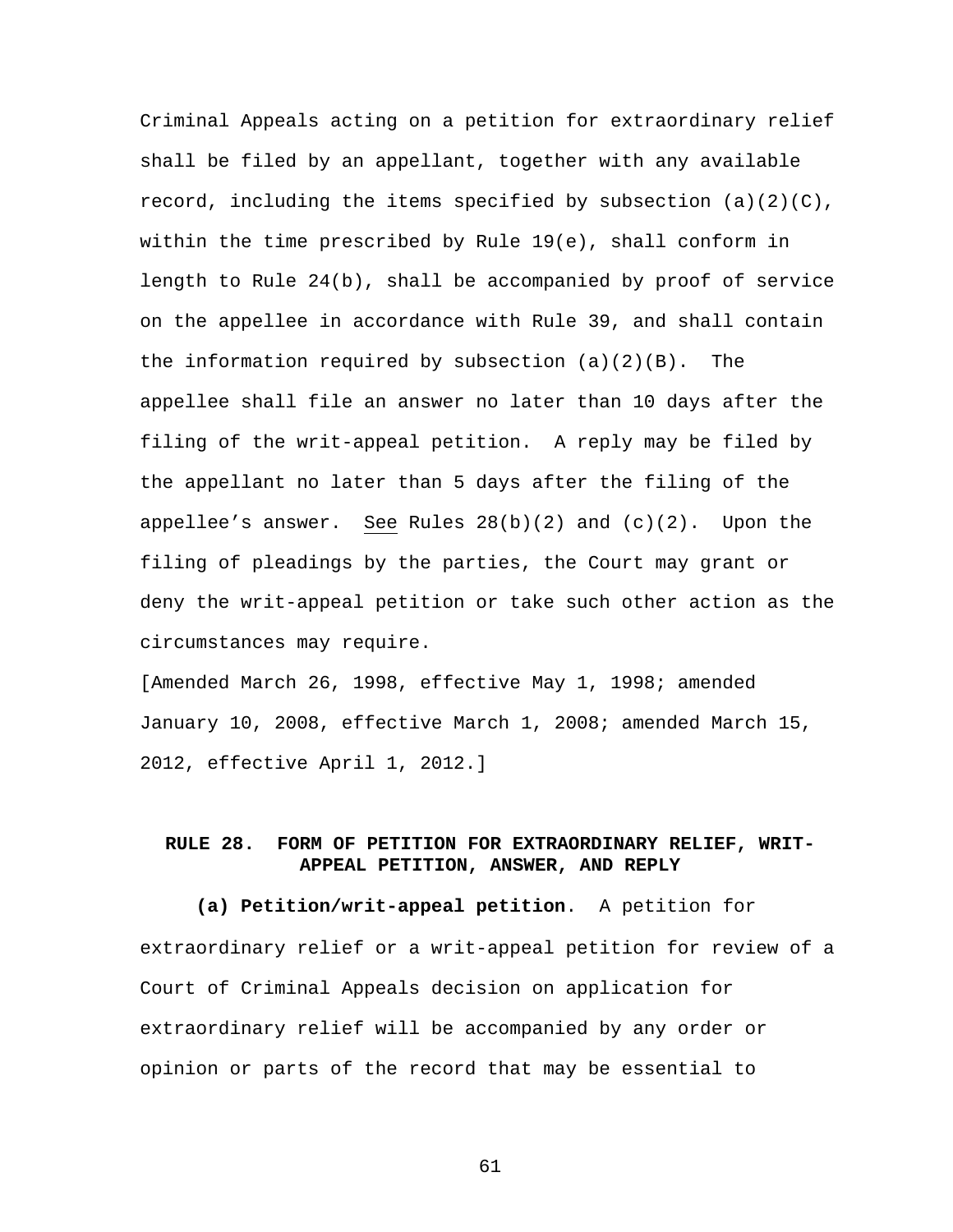Criminal Appeals acting on a petition for extraordinary relief shall be filed by an appellant, together with any available record, including the items specified by subsection  $(a)(2)(C)$ , within the time prescribed by Rule 19(e), shall conform in length to Rule 24(b), shall be accompanied by proof of service on the appellee in accordance with Rule 39, and shall contain the information required by subsection  $(a)(2)(B)$ . The appellee shall file an answer no later than 10 days after the filing of the writ-appeal petition. A reply may be filed by the appellant no later than 5 days after the filing of the appellee's answer. See Rules  $28(b)(2)$  and  $(c)(2)$ . Upon the filing of pleadings by the parties, the Court may grant or deny the writ-appeal petition or take such other action as the circumstances may require.

[Amended March 26, 1998, effective May 1, 1998; amended January 10, 2008, effective March 1, 2008; amended March 15, 2012, effective April 1, 2012.]

## **RULE 28. FORM OF PETITION FOR EXTRAORDINARY RELIEF, WRIT-APPEAL PETITION, ANSWER, AND REPLY**

**(a) Petition/writ-appeal petition**. A petition for extraordinary relief or a writ-appeal petition for review of a Court of Criminal Appeals decision on application for extraordinary relief will be accompanied by any order or opinion or parts of the record that may be essential to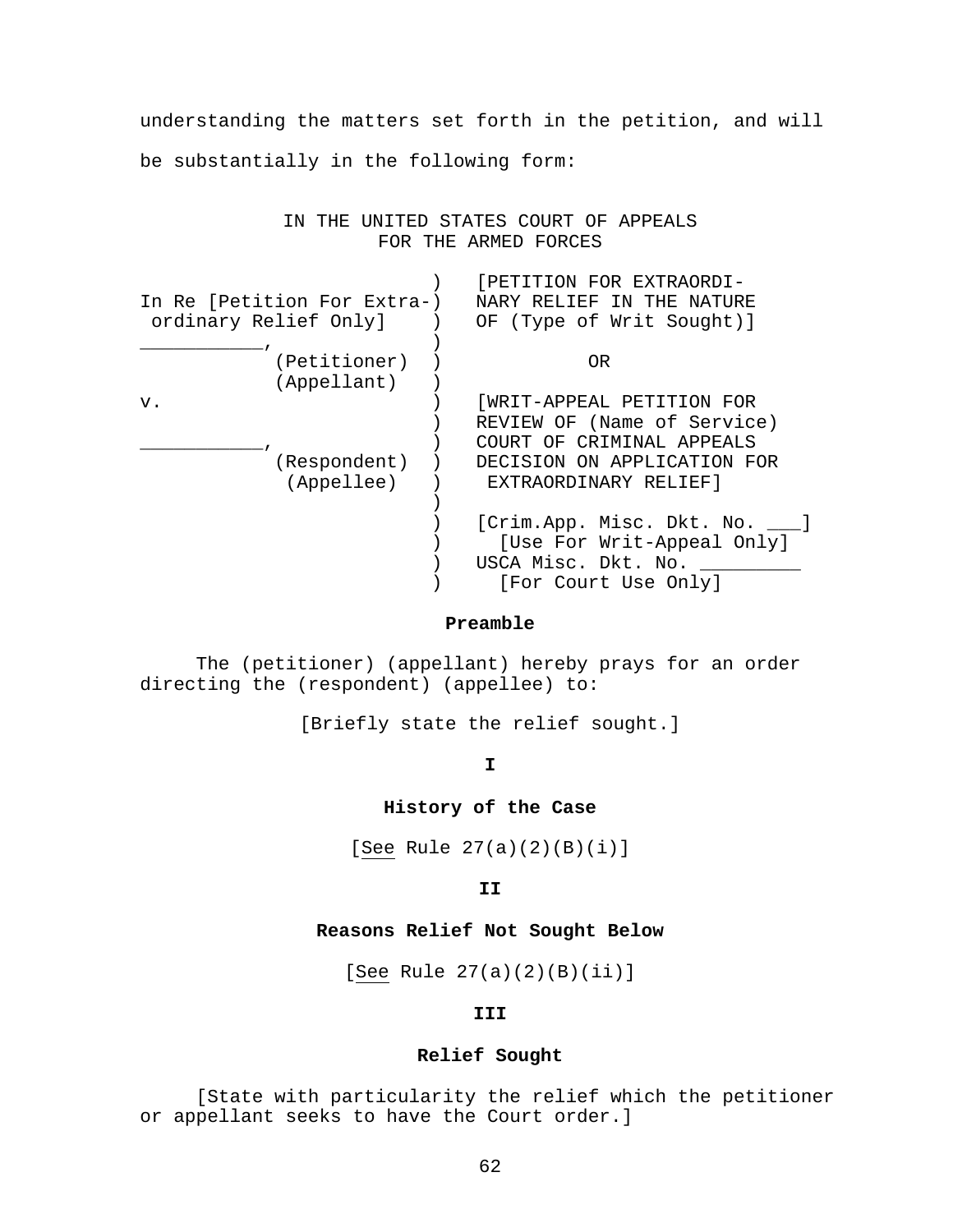understanding the matters set forth in the petition, and will be substantially in the following form:

> IN THE UNITED STATES COURT OF APPEALS FOR THE ARMED FORCES

|                                                      |  | [PETITION FOR EXTRAORDI-       |
|------------------------------------------------------|--|--------------------------------|
| In Re [Petition For Extra-)<br>ordinary Relief Only] |  | NARY RELIEF IN THE NATURE      |
|                                                      |  | OF (Type of Writ Sought)]      |
|                                                      |  |                                |
| (Petitioner)                                         |  | 0R                             |
| (Appellant)                                          |  |                                |
| v.                                                   |  | WRIT-APPEAL PETITION FOR       |
|                                                      |  | REVIEW OF (Name of Service)    |
|                                                      |  | COURT OF CRIMINAL APPEALS      |
| (Respondent)                                         |  | DECISION ON APPLICATION FOR    |
| (Appellee)                                           |  | EXTRAORDINARY RELIEF]          |
|                                                      |  |                                |
|                                                      |  | [Crim.App. Misc. Dkt. No. ___] |
|                                                      |  | [Use For Writ-Appeal Only]     |
|                                                      |  | USCA Misc. Dkt. No.            |
|                                                      |  | [For Court Use Only]           |

#### **Preamble**

The (petitioner) (appellant) hereby prays for an order directing the (respondent) (appellee) to:

[Briefly state the relief sought.]

**I** 

## **History of the Case**

[See Rule 27(a)(2)(B)(i)]

**II** 

#### **Reasons Relief Not Sought Below**

[See Rule 27(a)(2)(B)(ii)]

**III** 

## **Relief Sought**

[State with particularity the relief which the petitioner or appellant seeks to have the Court order.]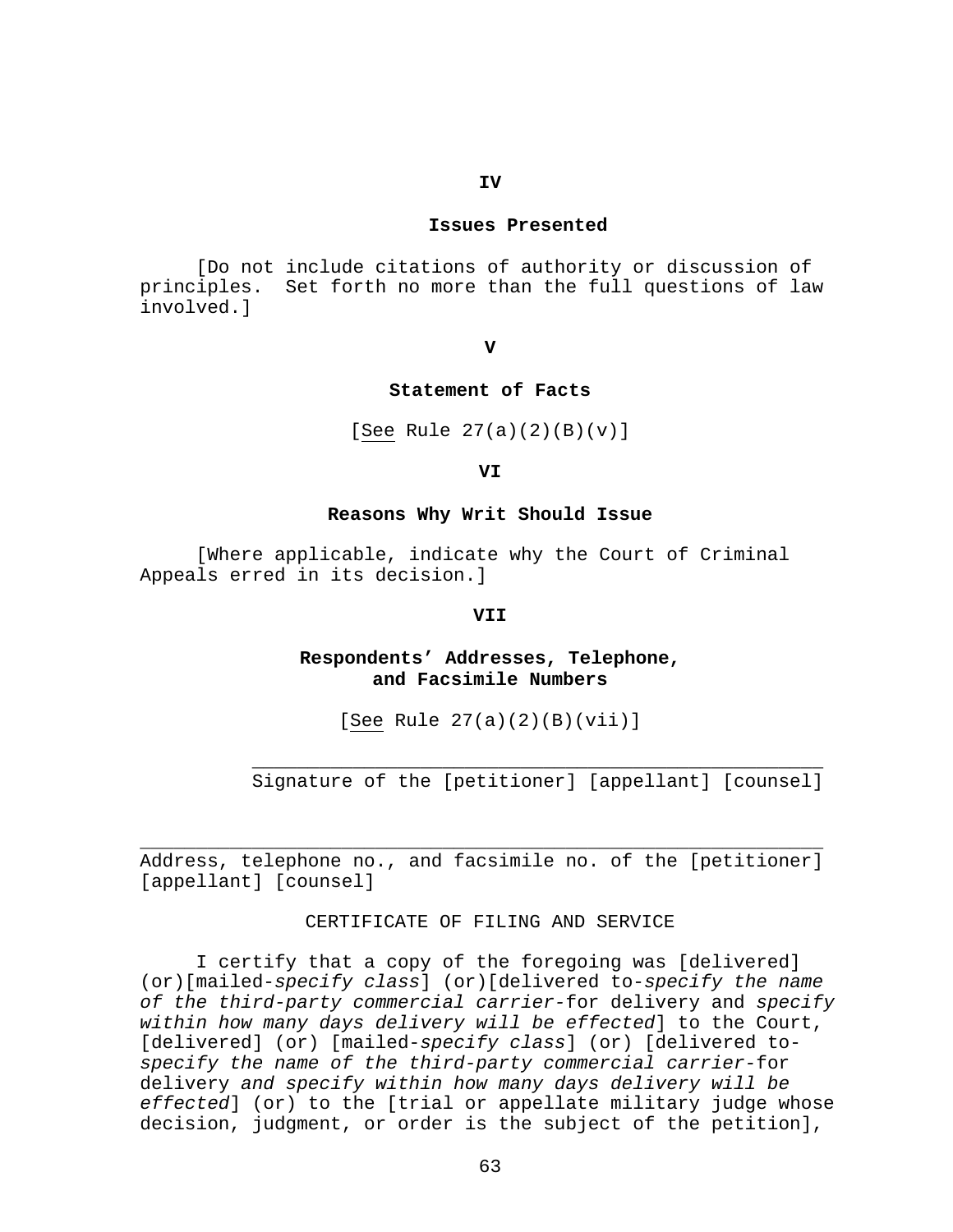## **IV**

#### **Issues Presented**

[Do not include citations of authority or discussion of principles. Set forth no more than the full questions of law involved.]

**V** 

#### **Statement of Facts**

[See Rule 27(a)(2)(B)(v)]

**VI** 

#### **Reasons Why Writ Should Issue**

[Where applicable, indicate why the Court of Criminal Appeals erred in its decision.]

## **VII**

## **Respondents' Addresses, Telephone, and Facsimile Numbers**

[See Rule 27(a)(2)(B)(vii)]

 $\overline{\phantom{a}}$  ,  $\overline{\phantom{a}}$  ,  $\overline{\phantom{a}}$  ,  $\overline{\phantom{a}}$  ,  $\overline{\phantom{a}}$  ,  $\overline{\phantom{a}}$  ,  $\overline{\phantom{a}}$  ,  $\overline{\phantom{a}}$  ,  $\overline{\phantom{a}}$  ,  $\overline{\phantom{a}}$  ,  $\overline{\phantom{a}}$  ,  $\overline{\phantom{a}}$  ,  $\overline{\phantom{a}}$  ,  $\overline{\phantom{a}}$  ,  $\overline{\phantom{a}}$  ,  $\overline{\phantom{a}}$ 

Signature of the [petitioner] [appellant] [counsel]

Address, telephone no., and facsimile no. of the [petitioner] [appellant] [counsel]

\_\_\_\_\_\_\_\_\_\_\_\_\_\_\_\_\_\_\_\_\_\_\_\_\_\_\_\_\_\_\_\_\_\_\_\_\_\_\_\_\_\_\_\_\_\_\_\_\_\_\_\_\_\_\_\_\_\_\_\_\_

#### CERTIFICATE OF FILING AND SERVICE

 I certify that a copy of the foregoing was [delivered] (or)[mailed-*specify class*] (or)[delivered to-*specify the name of the third-party commercial carrier-*for delivery and *specify within how many days delivery will be effected*] to the Court, [delivered] (or) [mailed-*specify class*] (or) [delivered to*specify the name of the third-party commercial carrier-*for delivery *and specify within how many days delivery will be effected*] (or) to the [trial or appellate military judge whose decision, judgment, or order is the subject of the petition],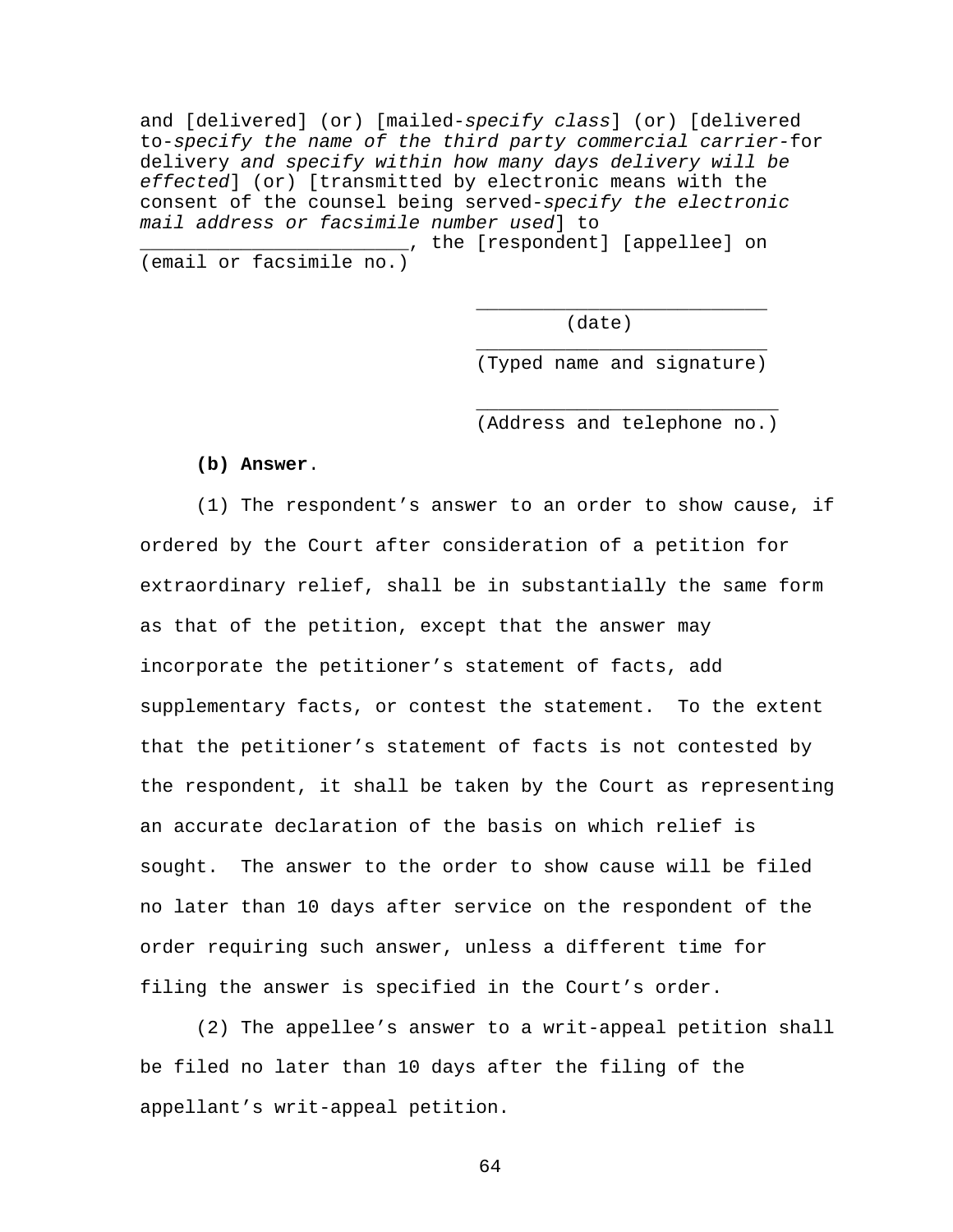and [delivered] (or) [mailed-*specify class*] (or) [delivered to-*specify the name of the third party commercial carrier-*for delivery *and specify within how many days delivery will be effected*] (or) [transmitted by electronic means with the consent of the counsel being served-*specify the electronic mail address or facsimile number used*] to

\_\_\_\_\_\_\_\_\_\_\_\_\_\_\_\_\_\_\_\_\_\_\_\_, the [respondent] [appellee] on (email or facsimile no.)

 $\frac{1}{\sqrt{2\pi}}$  ,  $\frac{1}{\sqrt{2\pi}}$  ,  $\frac{1}{\sqrt{2\pi}}$  ,  $\frac{1}{\sqrt{2\pi}}$  ,  $\frac{1}{\sqrt{2\pi}}$  ,  $\frac{1}{\sqrt{2\pi}}$  ,  $\frac{1}{\sqrt{2\pi}}$  ,  $\frac{1}{\sqrt{2\pi}}$  ,  $\frac{1}{\sqrt{2\pi}}$  ,  $\frac{1}{\sqrt{2\pi}}$  ,  $\frac{1}{\sqrt{2\pi}}$  ,  $\frac{1}{\sqrt{2\pi}}$  ,  $\frac{1}{\sqrt{2\pi}}$  ,

 $\frac{1}{\sqrt{2\pi}}$  ,  $\frac{1}{\sqrt{2\pi}}$  ,  $\frac{1}{\sqrt{2\pi}}$  ,  $\frac{1}{\sqrt{2\pi}}$  ,  $\frac{1}{\sqrt{2\pi}}$  ,  $\frac{1}{\sqrt{2\pi}}$  ,  $\frac{1}{\sqrt{2\pi}}$  ,  $\frac{1}{\sqrt{2\pi}}$  ,  $\frac{1}{\sqrt{2\pi}}$  ,  $\frac{1}{\sqrt{2\pi}}$  ,  $\frac{1}{\sqrt{2\pi}}$  ,  $\frac{1}{\sqrt{2\pi}}$  ,  $\frac{1}{\sqrt{2\pi}}$  ,

 $\frac{1}{\sqrt{2\pi}}$  ,  $\frac{1}{\sqrt{2\pi}}$  ,  $\frac{1}{\sqrt{2\pi}}$  ,  $\frac{1}{\sqrt{2\pi}}$  ,  $\frac{1}{\sqrt{2\pi}}$  ,  $\frac{1}{\sqrt{2\pi}}$  ,  $\frac{1}{\sqrt{2\pi}}$  ,  $\frac{1}{\sqrt{2\pi}}$  ,  $\frac{1}{\sqrt{2\pi}}$  ,  $\frac{1}{\sqrt{2\pi}}$  ,  $\frac{1}{\sqrt{2\pi}}$  ,  $\frac{1}{\sqrt{2\pi}}$  ,  $\frac{1}{\sqrt{2\pi}}$  ,

(date)

(Typed name and signature)

(Address and telephone no.)

**(b) Answer**.

(1) The respondent's answer to an order to show cause, if ordered by the Court after consideration of a petition for extraordinary relief, shall be in substantially the same form as that of the petition, except that the answer may incorporate the petitioner's statement of facts, add supplementary facts, or contest the statement. To the extent that the petitioner's statement of facts is not contested by the respondent, it shall be taken by the Court as representing an accurate declaration of the basis on which relief is sought. The answer to the order to show cause will be filed no later than 10 days after service on the respondent of the order requiring such answer, unless a different time for filing the answer is specified in the Court's order.

(2) The appellee's answer to a writ-appeal petition shall be filed no later than 10 days after the filing of the appellant's writ-appeal petition.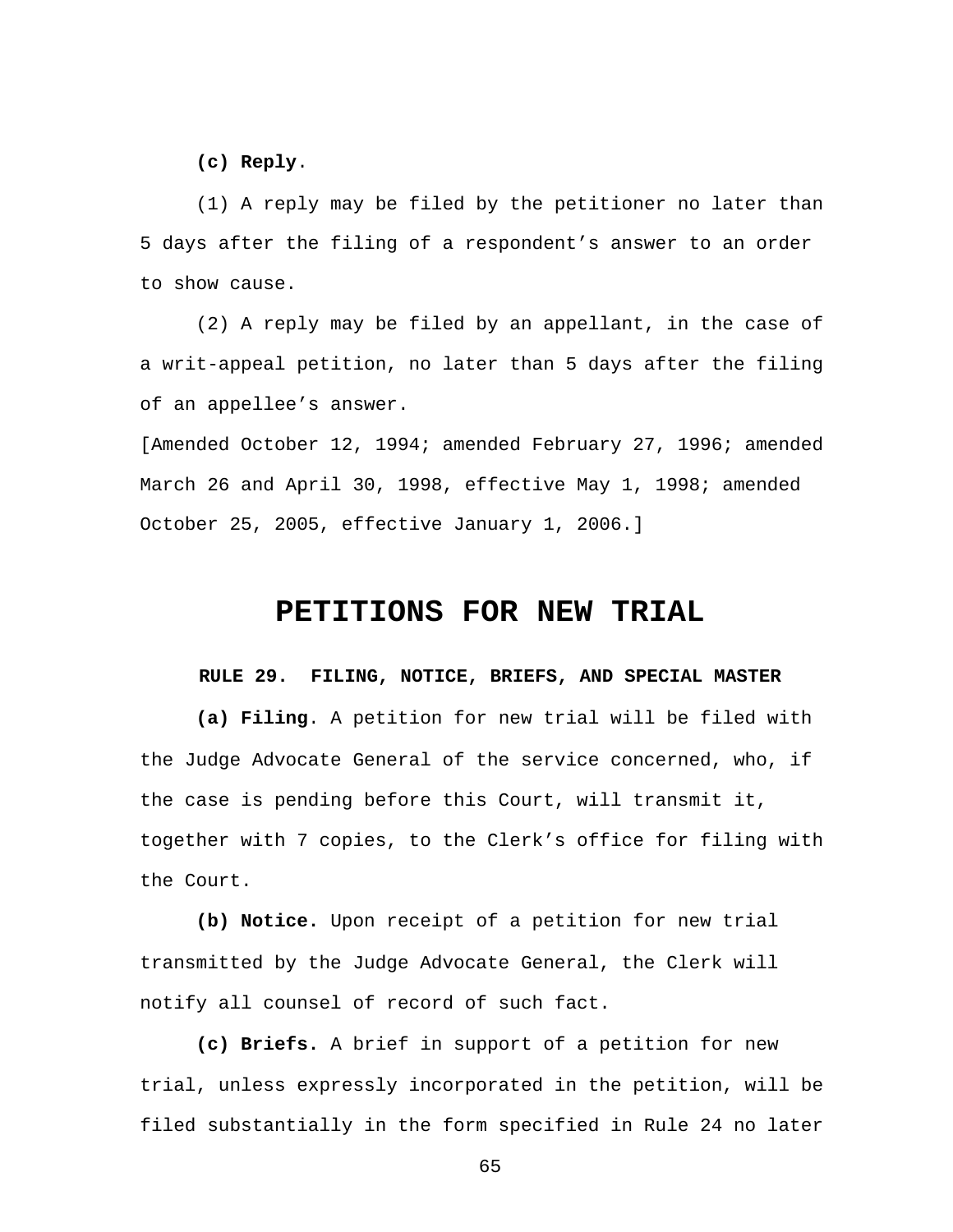**(c) Reply**.

(1) A reply may be filed by the petitioner no later than 5 days after the filing of a respondent's answer to an order to show cause.

(2) A reply may be filed by an appellant, in the case of a writ-appeal petition, no later than 5 days after the filing of an appellee's answer.

[Amended October 12, 1994; amended February 27, 1996; amended March 26 and April 30, 1998, effective May 1, 1998; amended October 25, 2005, effective January 1, 2006.]

# **PETITIONS FOR NEW TRIAL**

## **RULE 29. FILING, NOTICE, BRIEFS, AND SPECIAL MASTER**

**(a) Filing**. A petition for new trial will be filed with the Judge Advocate General of the service concerned, who, if the case is pending before this Court, will transmit it, together with 7 copies, to the Clerk's office for filing with the Court.

**(b) Notice.** Upon receipt of a petition for new trial transmitted by the Judge Advocate General, the Clerk will notify all counsel of record of such fact.

**(c) Briefs.** A brief in support of a petition for new trial, unless expressly incorporated in the petition, will be filed substantially in the form specified in Rule 24 no later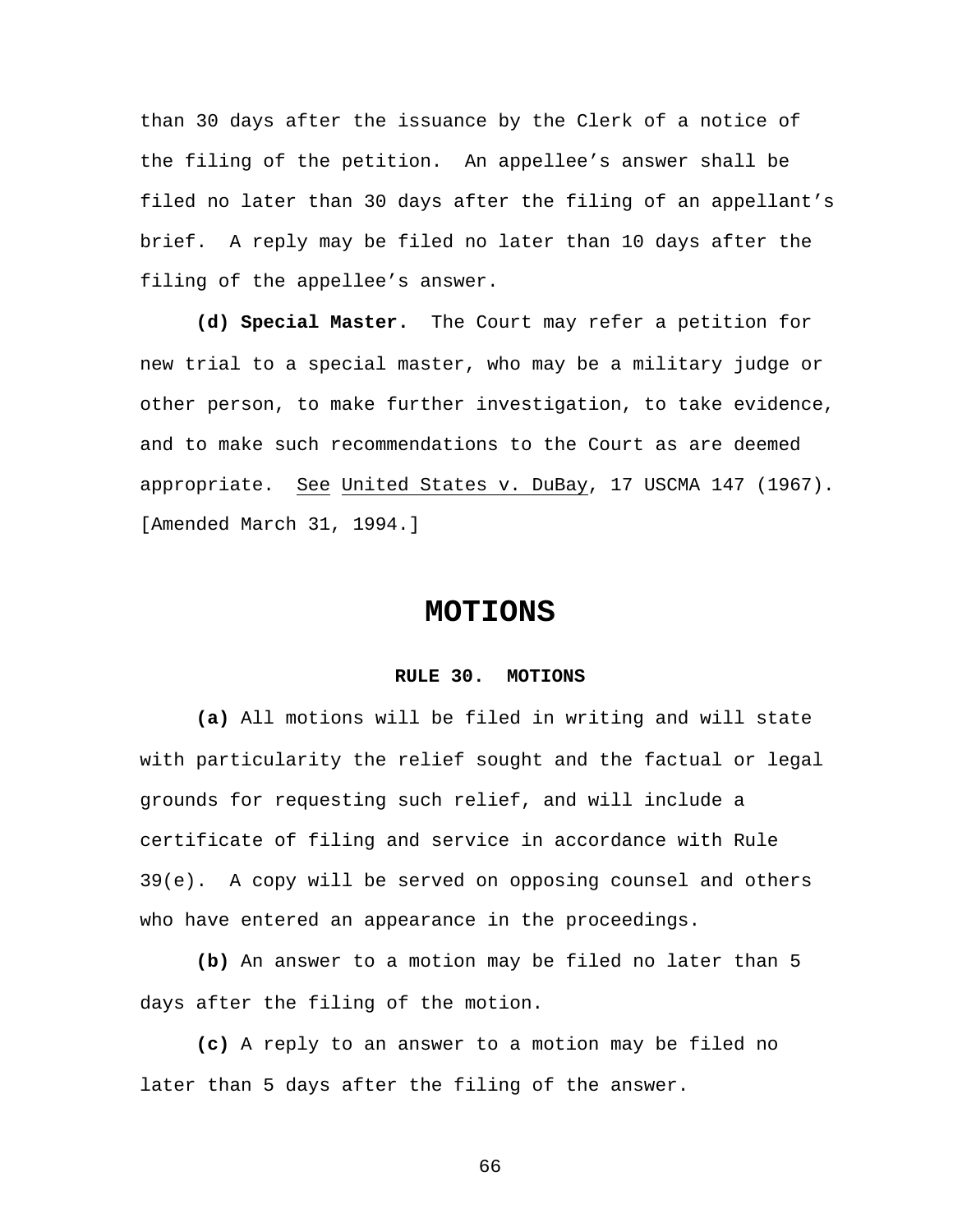than 30 days after the issuance by the Clerk of a notice of the filing of the petition. An appellee's answer shall be filed no later than 30 days after the filing of an appellant's brief. A reply may be filed no later than 10 days after the filing of the appellee's answer.

**(d) Special Master.** The Court may refer a petition for new trial to a special master, who may be a military judge or other person, to make further investigation, to take evidence, and to make such recommendations to the Court as are deemed appropriate. See United States v. DuBay, 17 USCMA 147 (1967). [Amended March 31, 1994.]

## **MOTIONS**

## **RULE 30. MOTIONS**

**(a)** All motions will be filed in writing and will state with particularity the relief sought and the factual or legal grounds for requesting such relief, and will include a certificate of filing and service in accordance with Rule 39(e). A copy will be served on opposing counsel and others who have entered an appearance in the proceedings.

**(b)** An answer to a motion may be filed no later than 5 days after the filing of the motion.

**(c)** A reply to an answer to a motion may be filed no later than 5 days after the filing of the answer.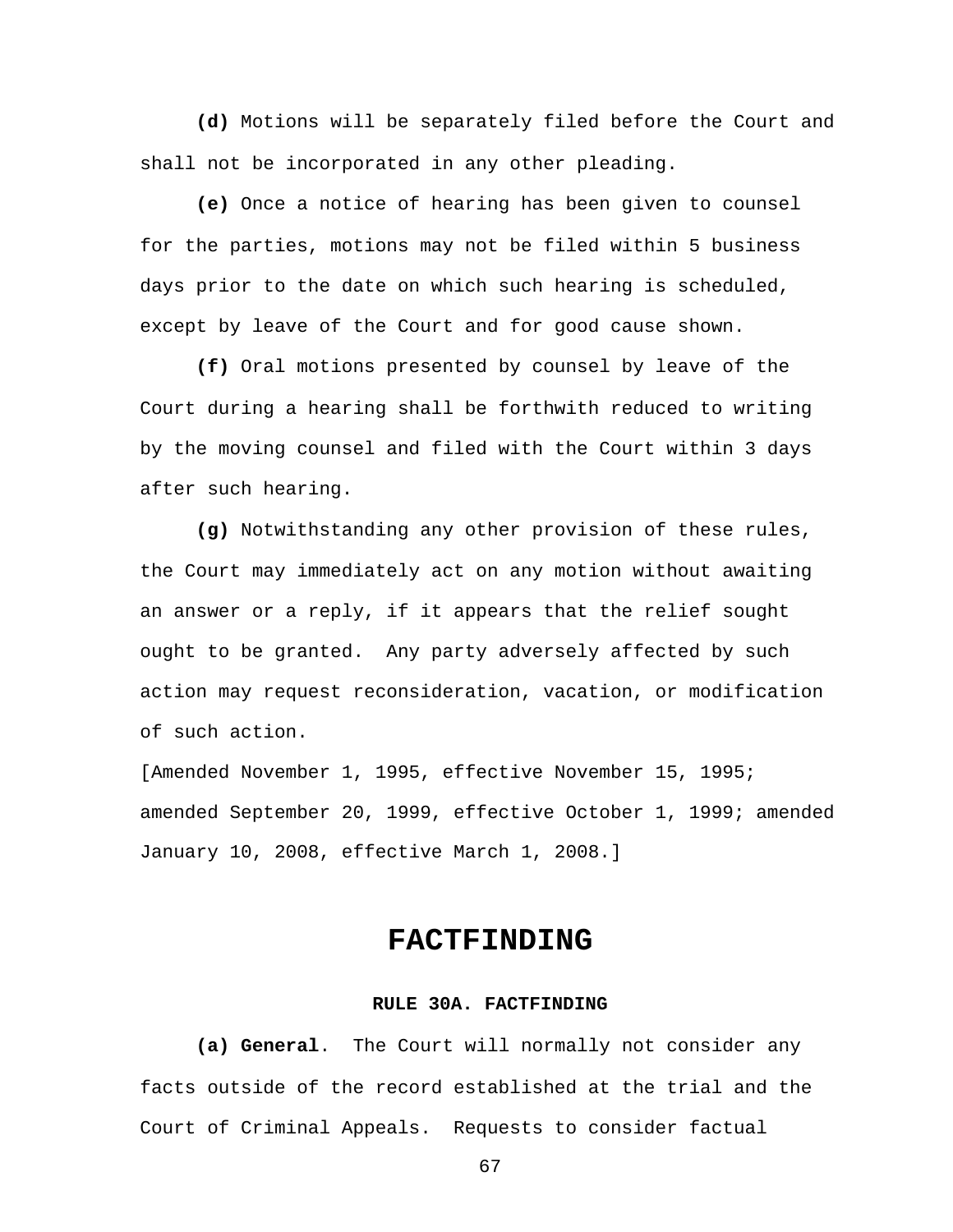**(d)** Motions will be separately filed before the Court and shall not be incorporated in any other pleading.

**(e)** Once a notice of hearing has been given to counsel for the parties, motions may not be filed within 5 business days prior to the date on which such hearing is scheduled, except by leave of the Court and for good cause shown.

**(f)** Oral motions presented by counsel by leave of the Court during a hearing shall be forthwith reduced to writing by the moving counsel and filed with the Court within 3 days after such hearing.

**(g)** Notwithstanding any other provision of these rules, the Court may immediately act on any motion without awaiting an answer or a reply, if it appears that the relief sought ought to be granted. Any party adversely affected by such action may request reconsideration, vacation, or modification of such action.

[Amended November 1, 1995, effective November 15, 1995; amended September 20, 1999, effective October 1, 1999; amended January 10, 2008, effective March 1, 2008.]

## **FACTFINDING**

## **RULE 30A. FACTFINDING**

**(a) General**. The Court will normally not consider any facts outside of the record established at the trial and the Court of Criminal Appeals. Requests to consider factual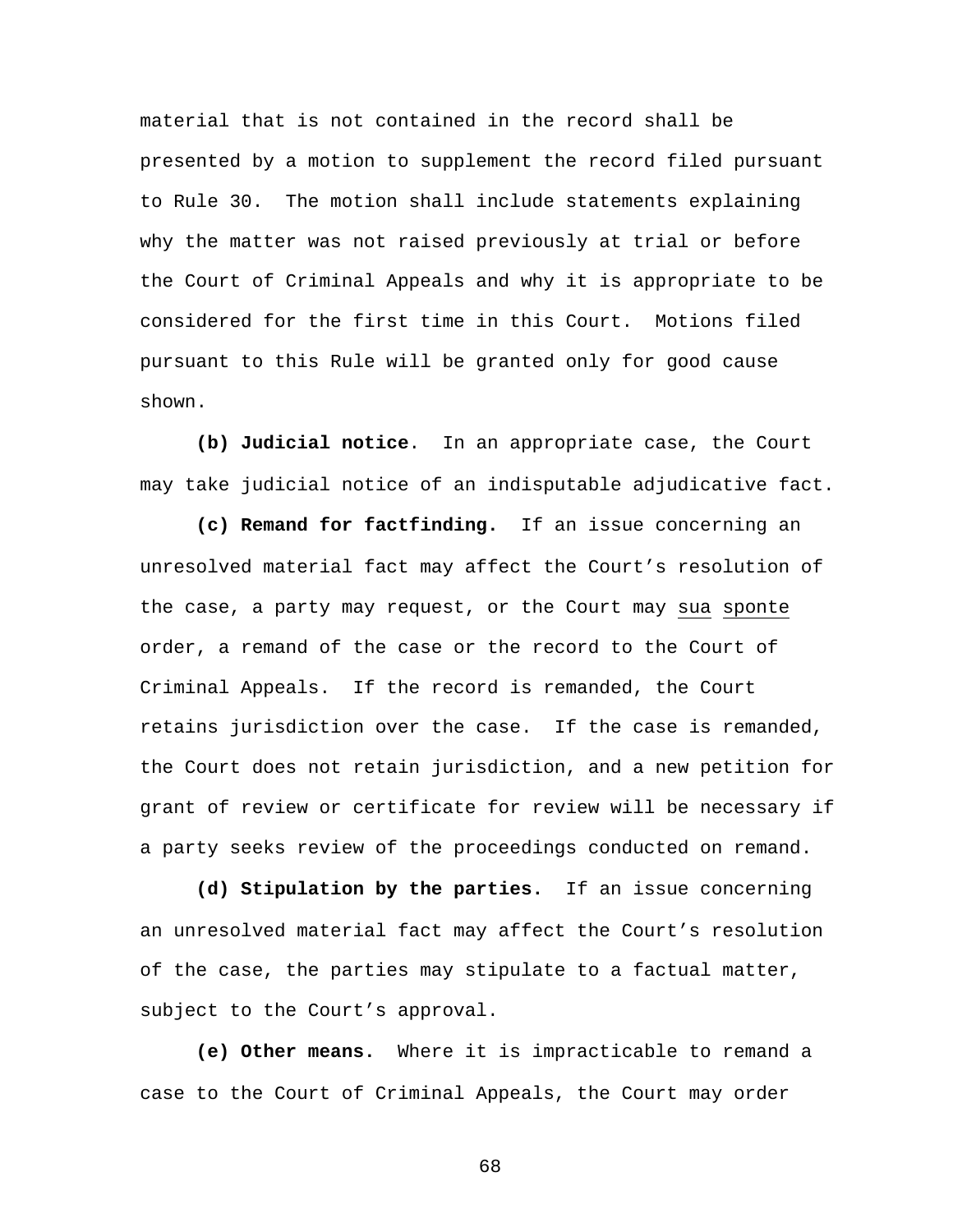material that is not contained in the record shall be presented by a motion to supplement the record filed pursuant to Rule 30. The motion shall include statements explaining why the matter was not raised previously at trial or before the Court of Criminal Appeals and why it is appropriate to be considered for the first time in this Court. Motions filed pursuant to this Rule will be granted only for good cause shown.

**(b) Judicial notice**. In an appropriate case, the Court may take judicial notice of an indisputable adjudicative fact.

**(c) Remand for factfinding.** If an issue concerning an unresolved material fact may affect the Court's resolution of the case, a party may request, or the Court may sua sponte order, a remand of the case or the record to the Court of Criminal Appeals. If the record is remanded, the Court retains jurisdiction over the case. If the case is remanded, the Court does not retain jurisdiction, and a new petition for grant of review or certificate for review will be necessary if a party seeks review of the proceedings conducted on remand.

**(d) Stipulation by the parties.** If an issue concerning an unresolved material fact may affect the Court's resolution of the case, the parties may stipulate to a factual matter, subject to the Court's approval.

**(e) Other means.** Where it is impracticable to remand a case to the Court of Criminal Appeals, the Court may order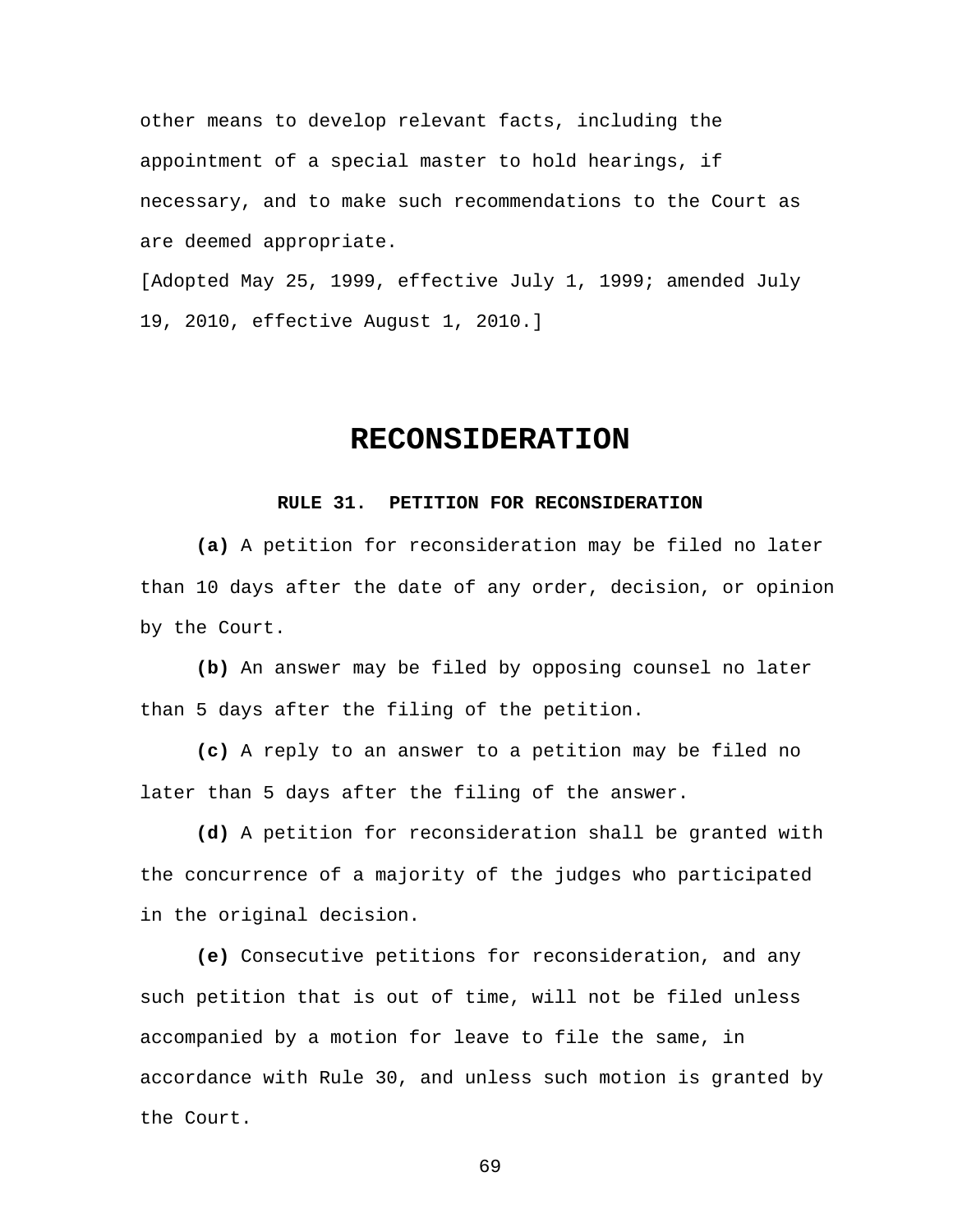other means to develop relevant facts, including the appointment of a special master to hold hearings, if necessary, and to make such recommendations to the Court as are deemed appropriate.

[Adopted May 25, 1999, effective July 1, 1999; amended July 19, 2010, effective August 1, 2010.]

# **RECONSIDERATION**

#### **RULE 31. PETITION FOR RECONSIDERATION**

**(a)** A petition for reconsideration may be filed no later than 10 days after the date of any order, decision, or opinion by the Court.

**(b)** An answer may be filed by opposing counsel no later than 5 days after the filing of the petition.

**(c)** A reply to an answer to a petition may be filed no later than 5 days after the filing of the answer.

**(d)** A petition for reconsideration shall be granted with the concurrence of a majority of the judges who participated in the original decision.

**(e)** Consecutive petitions for reconsideration, and any such petition that is out of time, will not be filed unless accompanied by a motion for leave to file the same, in accordance with Rule 30, and unless such motion is granted by the Court.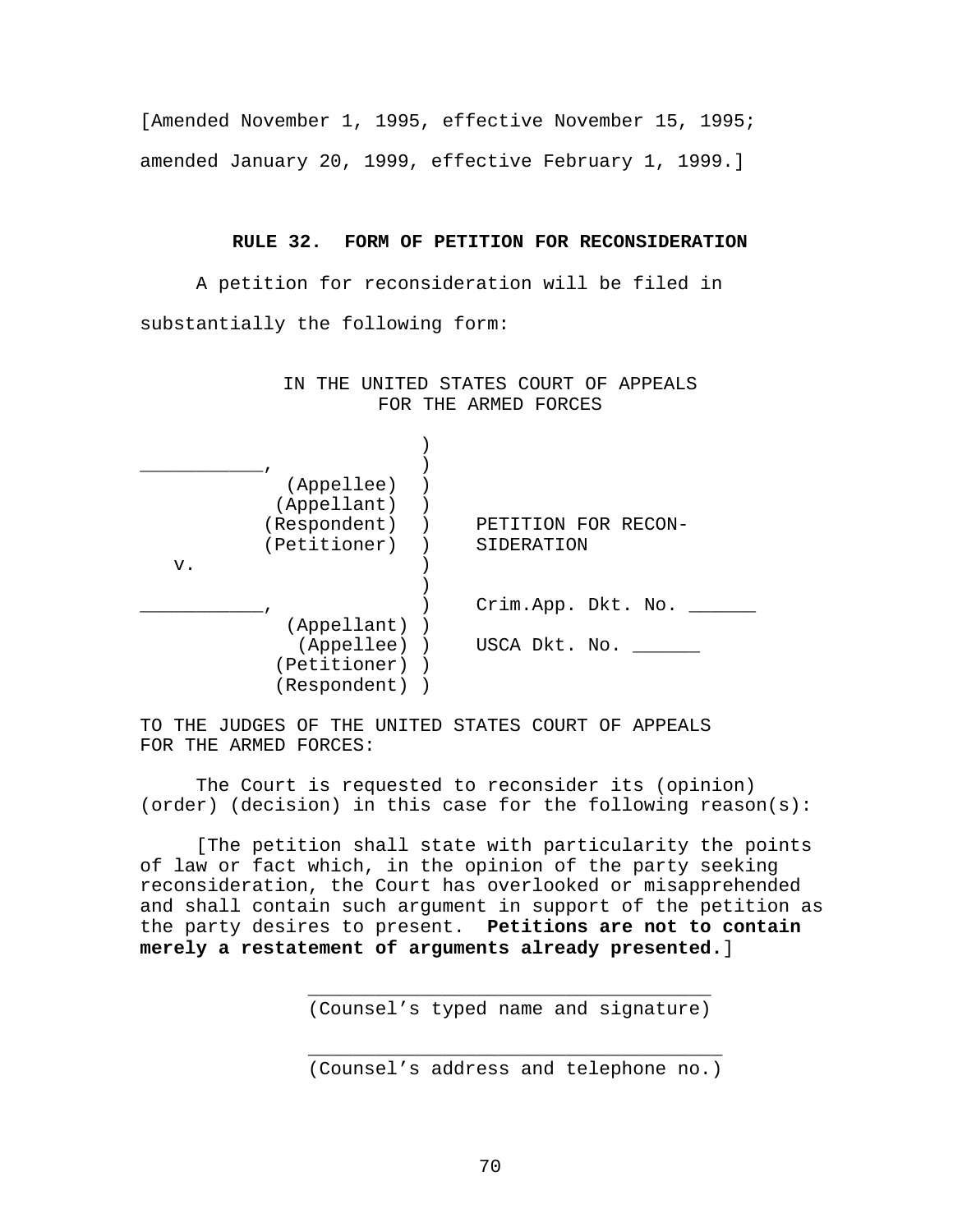[Amended November 1, 1995, effective November 15, 1995; amended January 20, 1999, effective February 1, 1999.]

#### **RULE 32. FORM OF PETITION FOR RECONSIDERATION**

A petition for reconsideration will be filed in substantially the following form:

> IN THE UNITED STATES COURT OF APPEALS FOR THE ARMED FORCES

|    | (Appellee)   |                     |
|----|--------------|---------------------|
|    | (Appellant)  |                     |
|    | (Respondent) | PETITION FOR RECON- |
|    | (Petitioner) | SIDERATION          |
| v. |              |                     |
|    |              |                     |
|    |              | Crim.App. Dkt. No.  |
|    | (Appellant)  |                     |
|    | (Appellee))  | USCA Dkt. No.       |
|    | (Petitioner) |                     |
|    | (Respondent) |                     |

TO THE JUDGES OF THE UNITED STATES COURT OF APPEALS FOR THE ARMED FORCES:

 $\frac{1}{\sqrt{2}}$  ,  $\frac{1}{\sqrt{2}}$  ,  $\frac{1}{\sqrt{2}}$  ,  $\frac{1}{\sqrt{2}}$  ,  $\frac{1}{\sqrt{2}}$  ,  $\frac{1}{\sqrt{2}}$  ,  $\frac{1}{\sqrt{2}}$  ,  $\frac{1}{\sqrt{2}}$  ,  $\frac{1}{\sqrt{2}}$  ,  $\frac{1}{\sqrt{2}}$  ,  $\frac{1}{\sqrt{2}}$  ,  $\frac{1}{\sqrt{2}}$  ,  $\frac{1}{\sqrt{2}}$  ,  $\frac{1}{\sqrt{2}}$  ,  $\frac{1}{\sqrt{2}}$ 

 The Court is requested to reconsider its (opinion) (order) (decision) in this case for the following reason(s):

[The petition shall state with particularity the points of law or fact which, in the opinion of the party seeking reconsideration, the Court has overlooked or misapprehended and shall contain such argument in support of the petition as the party desires to present. **Petitions are not to contain merely a restatement of arguments already presented.**]

(Counsel's typed name and signature)

\_\_\_\_\_\_\_\_\_\_\_\_\_\_\_\_\_\_\_\_\_\_\_\_\_\_\_\_\_\_\_\_\_\_\_\_\_ (Counsel's address and telephone no.)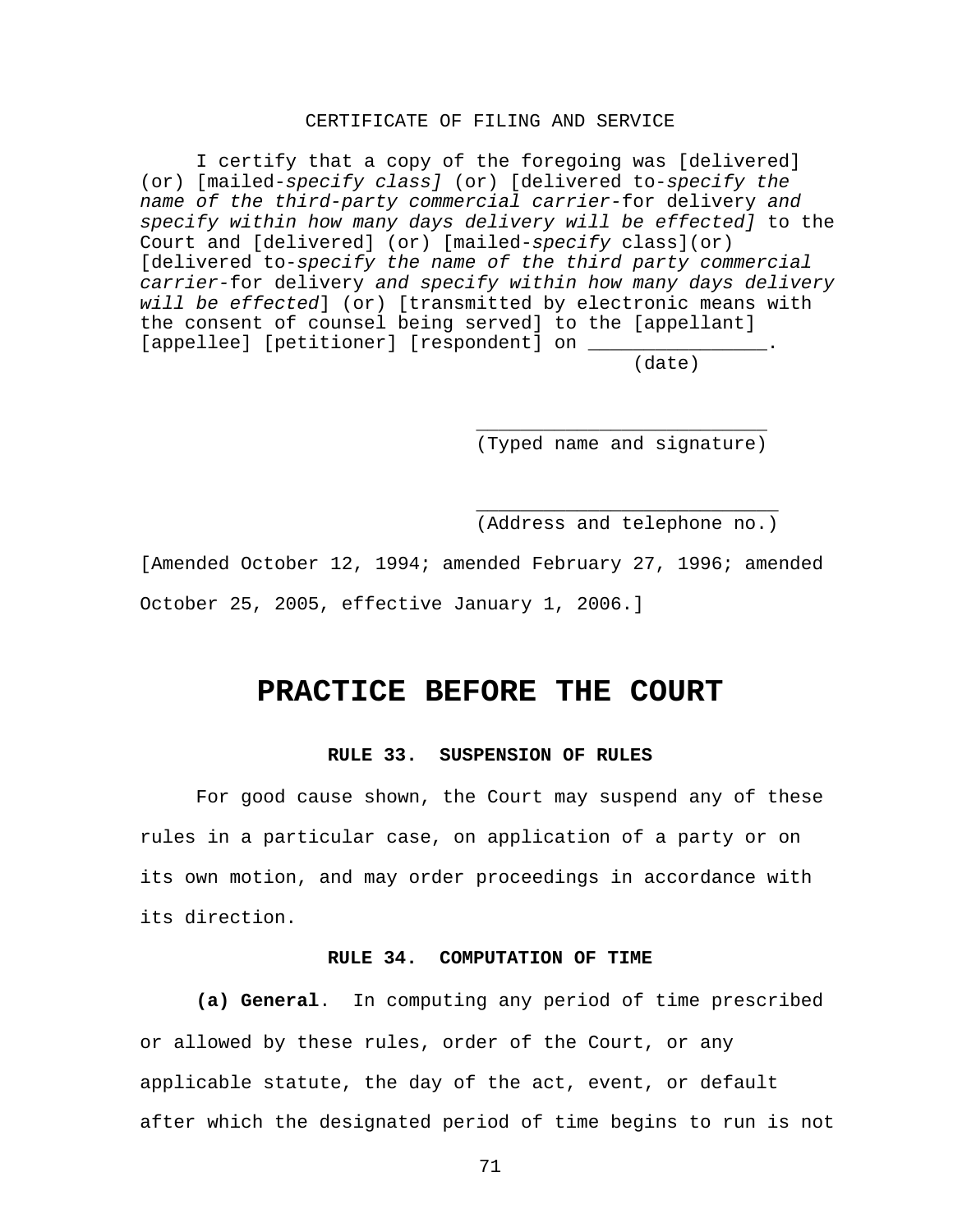## CERTIFICATE OF FILING AND SERVICE

 I certify that a copy of the foregoing was [delivered] (or) [mailed-*specify class]* (or) [delivered to-*specify the name of the third-party commercial carrier-*for delivery *and specify within how many days delivery will be effected]* to the Court and [delivered] (or) [mailed-*specify* class](or) [delivered to-*specify the name of the third party commercial carrier-*for delivery *and specify within how many days delivery will be effected*] (or) [transmitted by electronic means with the consent of counsel being served] to the [appellant] [appellee] [petitioner] [respondent] on

(date)  $($ date)

(Typed name and signature)

(Address and telephone no.)

[Amended October 12, 1994; amended February 27, 1996; amended October 25, 2005, effective January 1, 2006.]

 $\frac{1}{\sqrt{2\pi}}$  ,  $\frac{1}{\sqrt{2\pi}}$  ,  $\frac{1}{\sqrt{2\pi}}$  ,  $\frac{1}{\sqrt{2\pi}}$  ,  $\frac{1}{\sqrt{2\pi}}$  ,  $\frac{1}{\sqrt{2\pi}}$  ,  $\frac{1}{\sqrt{2\pi}}$  ,  $\frac{1}{\sqrt{2\pi}}$  ,  $\frac{1}{\sqrt{2\pi}}$  ,  $\frac{1}{\sqrt{2\pi}}$  ,  $\frac{1}{\sqrt{2\pi}}$  ,  $\frac{1}{\sqrt{2\pi}}$  ,  $\frac{1}{\sqrt{2\pi}}$  ,

 $\frac{1}{\sqrt{2\pi}}$  ,  $\frac{1}{\sqrt{2\pi}}$  ,  $\frac{1}{\sqrt{2\pi}}$  ,  $\frac{1}{\sqrt{2\pi}}$  ,  $\frac{1}{\sqrt{2\pi}}$  ,  $\frac{1}{\sqrt{2\pi}}$  ,  $\frac{1}{\sqrt{2\pi}}$  ,  $\frac{1}{\sqrt{2\pi}}$  ,  $\frac{1}{\sqrt{2\pi}}$  ,  $\frac{1}{\sqrt{2\pi}}$  ,  $\frac{1}{\sqrt{2\pi}}$  ,  $\frac{1}{\sqrt{2\pi}}$  ,  $\frac{1}{\sqrt{2\pi}}$  ,

## **PRACTICE BEFORE THE COURT**

## **RULE 33. SUSPENSION OF RULES**

 For good cause shown, the Court may suspend any of these rules in a particular case, on application of a party or on its own motion, and may order proceedings in accordance with its direction.

## **RULE 34. COMPUTATION OF TIME**

**(a) General**. In computing any period of time prescribed or allowed by these rules, order of the Court, or any applicable statute, the day of the act, event, or default after which the designated period of time begins to run is not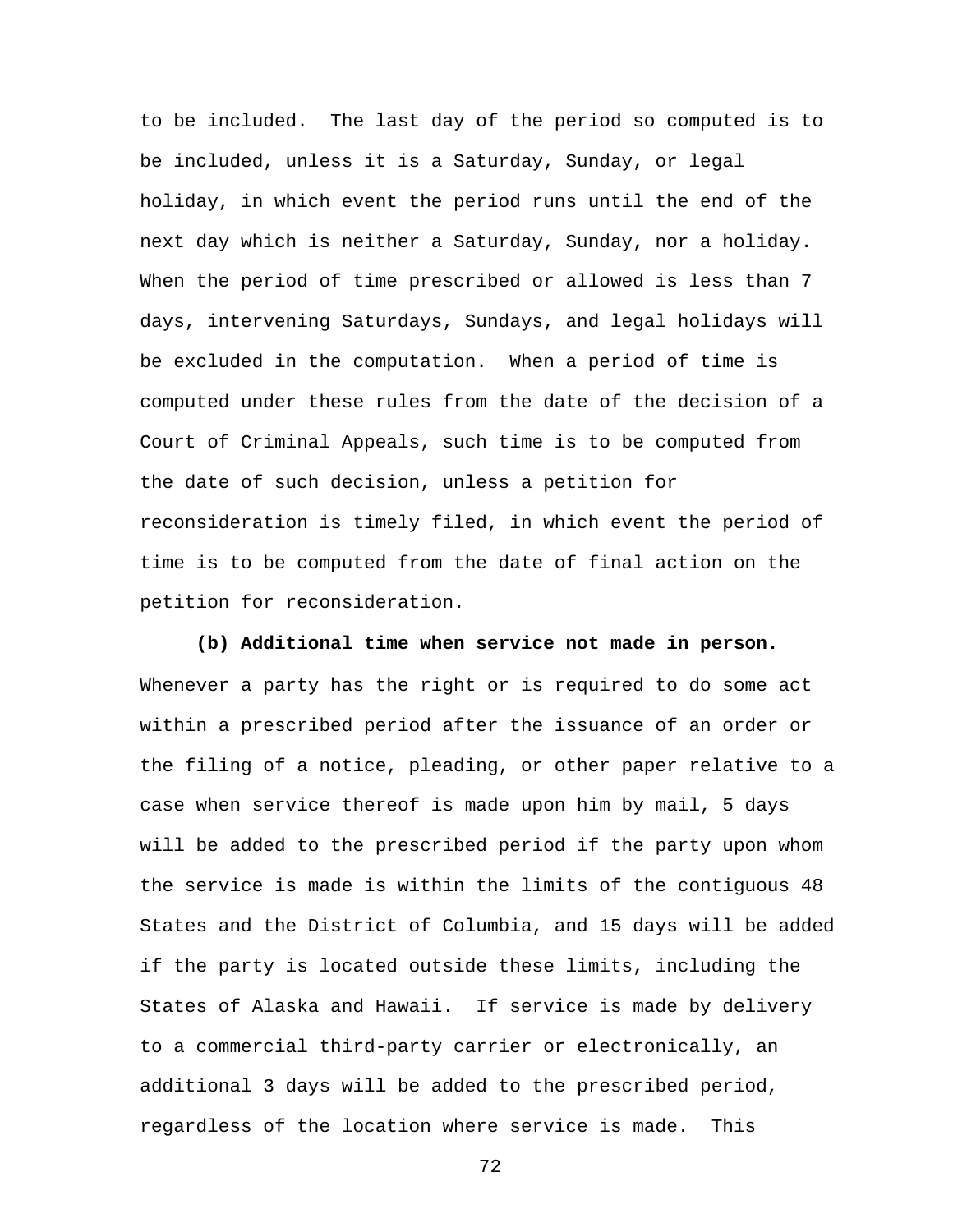to be included. The last day of the period so computed is to be included, unless it is a Saturday, Sunday, or legal holiday, in which event the period runs until the end of the next day which is neither a Saturday, Sunday, nor a holiday. When the period of time prescribed or allowed is less than 7 days, intervening Saturdays, Sundays, and legal holidays will be excluded in the computation. When a period of time is computed under these rules from the date of the decision of a Court of Criminal Appeals, such time is to be computed from the date of such decision, unless a petition for reconsideration is timely filed, in which event the period of time is to be computed from the date of final action on the petition for reconsideration.

**(b) Additional time when service not made in person.** Whenever a party has the right or is required to do some act within a prescribed period after the issuance of an order or the filing of a notice, pleading, or other paper relative to a case when service thereof is made upon him by mail, 5 days will be added to the prescribed period if the party upon whom the service is made is within the limits of the contiguous 48 States and the District of Columbia, and 15 days will be added if the party is located outside these limits, including the States of Alaska and Hawaii. If service is made by delivery to a commercial third-party carrier or electronically, an additional 3 days will be added to the prescribed period, regardless of the location where service is made. This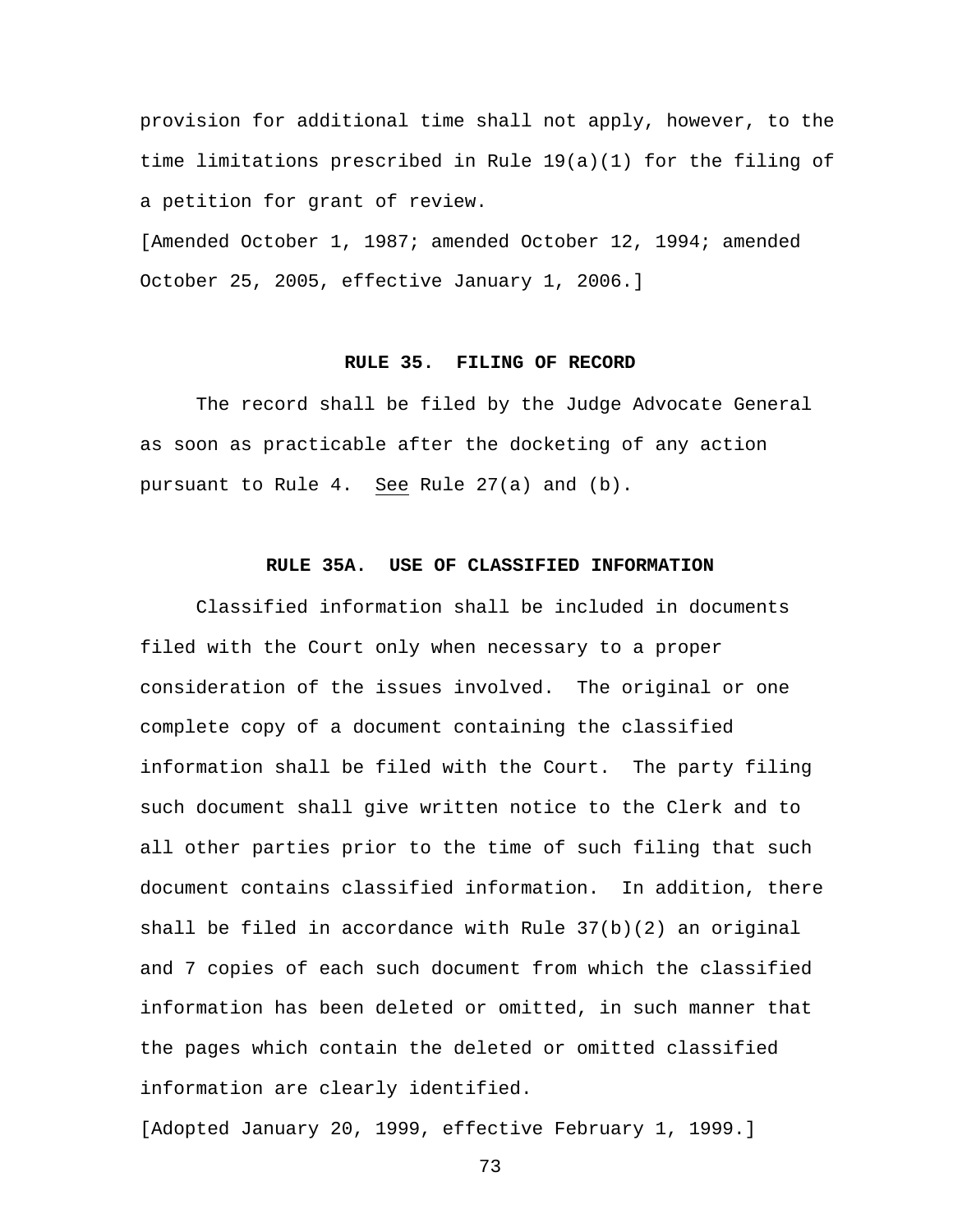provision for additional time shall not apply, however, to the time limitations prescribed in Rule 19(a)(1) for the filing of a petition for grant of review.

[Amended October 1, 1987; amended October 12, 1994; amended October 25, 2005, effective January 1, 2006.]

#### **RULE 35. FILING OF RECORD**

 The record shall be filed by the Judge Advocate General as soon as practicable after the docketing of any action pursuant to Rule 4. See Rule 27(a) and (b).

#### **RULE 35A. USE OF CLASSIFIED INFORMATION**

 Classified information shall be included in documents filed with the Court only when necessary to a proper consideration of the issues involved. The original or one complete copy of a document containing the classified information shall be filed with the Court. The party filing such document shall give written notice to the Clerk and to all other parties prior to the time of such filing that such document contains classified information. In addition, there shall be filed in accordance with Rule 37(b)(2) an original and 7 copies of each such document from which the classified information has been deleted or omitted, in such manner that the pages which contain the deleted or omitted classified information are clearly identified.

[Adopted January 20, 1999, effective February 1, 1999.]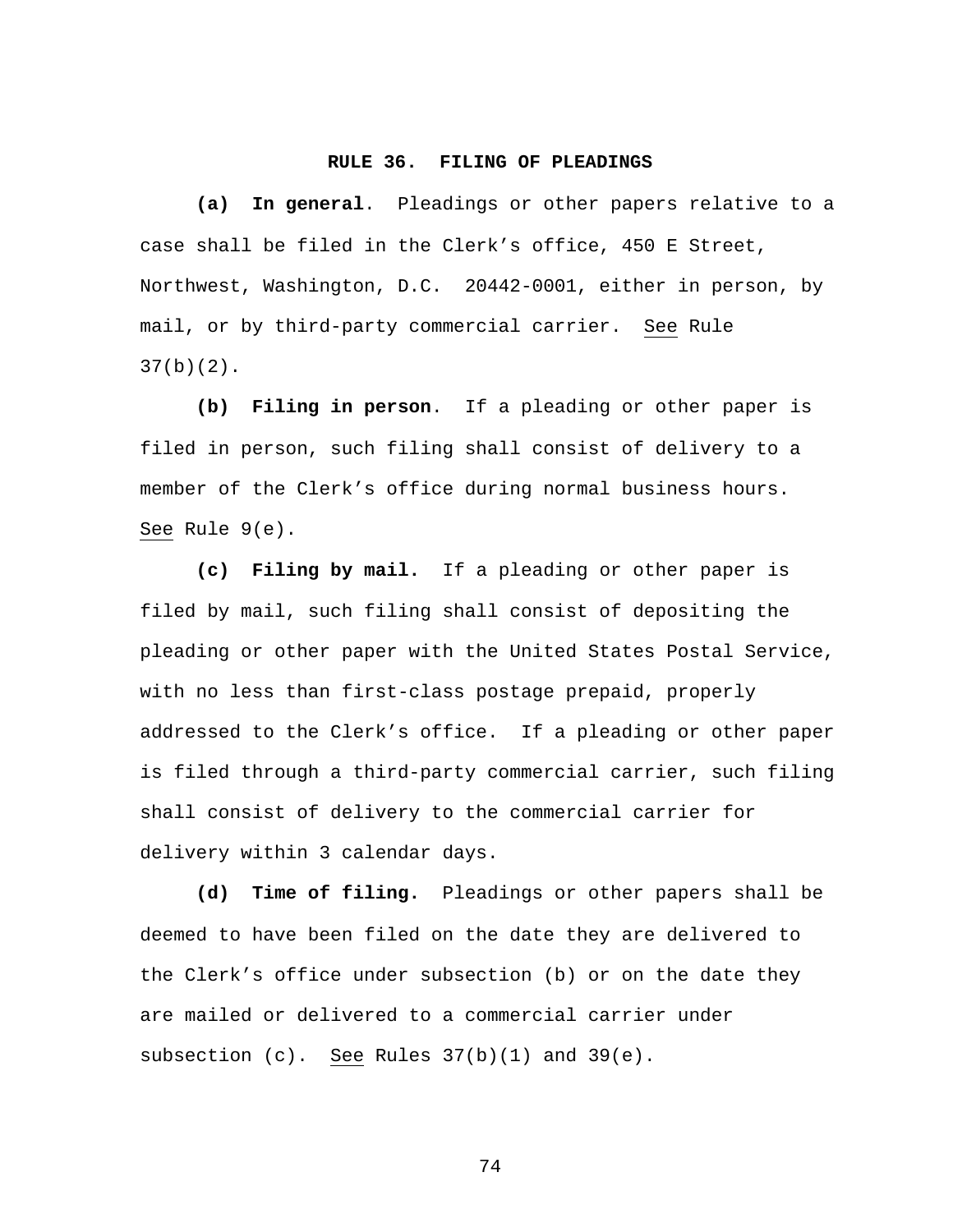#### **RULE 36. FILING OF PLEADINGS**

**(a) In general**. Pleadings or other papers relative to a case shall be filed in the Clerk's office, 450 E Street, Northwest, Washington, D.C. 20442-0001, either in person, by mail, or by third-party commercial carrier. See Rule  $37(b)(2)$ .

**(b) Filing in person**. If a pleading or other paper is filed in person, such filing shall consist of delivery to a member of the Clerk's office during normal business hours. See Rule 9(e).

**(c) Filing by mail.** If a pleading or other paper is filed by mail, such filing shall consist of depositing the pleading or other paper with the United States Postal Service, with no less than first-class postage prepaid, properly addressed to the Clerk's office. If a pleading or other paper is filed through a third-party commercial carrier, such filing shall consist of delivery to the commercial carrier for delivery within 3 calendar days.

**(d) Time of filing.** Pleadings or other papers shall be deemed to have been filed on the date they are delivered to the Clerk's office under subsection (b) or on the date they are mailed or delivered to a commercial carrier under subsection (c). See Rules 37(b)(1) and 39(e).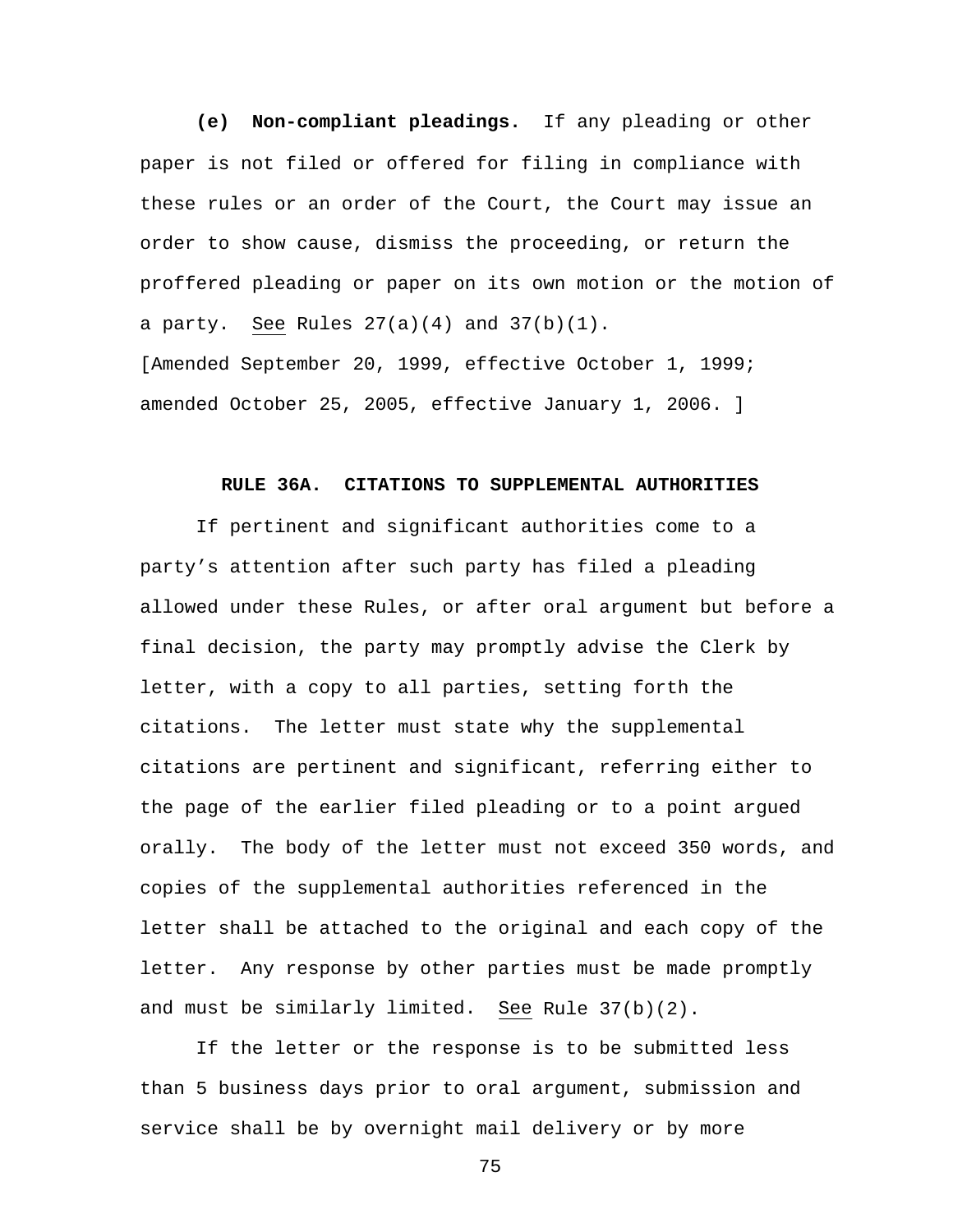**(e) Non-compliant pleadings.** If any pleading or other paper is not filed or offered for filing in compliance with these rules or an order of the Court, the Court may issue an order to show cause, dismiss the proceeding, or return the proffered pleading or paper on its own motion or the motion of a party. See Rules  $27(a)(4)$  and  $37(b)(1)$ . [Amended September 20, 1999, effective October 1, 1999;

amended October 25, 2005, effective January 1, 2006. ]

#### **RULE 36A. CITATIONS TO SUPPLEMENTAL AUTHORITIES**

If pertinent and significant authorities come to a party's attention after such party has filed a pleading allowed under these Rules, or after oral argument but before a final decision, the party may promptly advise the Clerk by letter, with a copy to all parties, setting forth the citations. The letter must state why the supplemental citations are pertinent and significant, referring either to the page of the earlier filed pleading or to a point argued orally. The body of the letter must not exceed 350 words, and copies of the supplemental authorities referenced in the letter shall be attached to the original and each copy of the letter. Any response by other parties must be made promptly and must be similarly limited. See Rule 37(b)(2).

If the letter or the response is to be submitted less than 5 business days prior to oral argument, submission and service shall be by overnight mail delivery or by more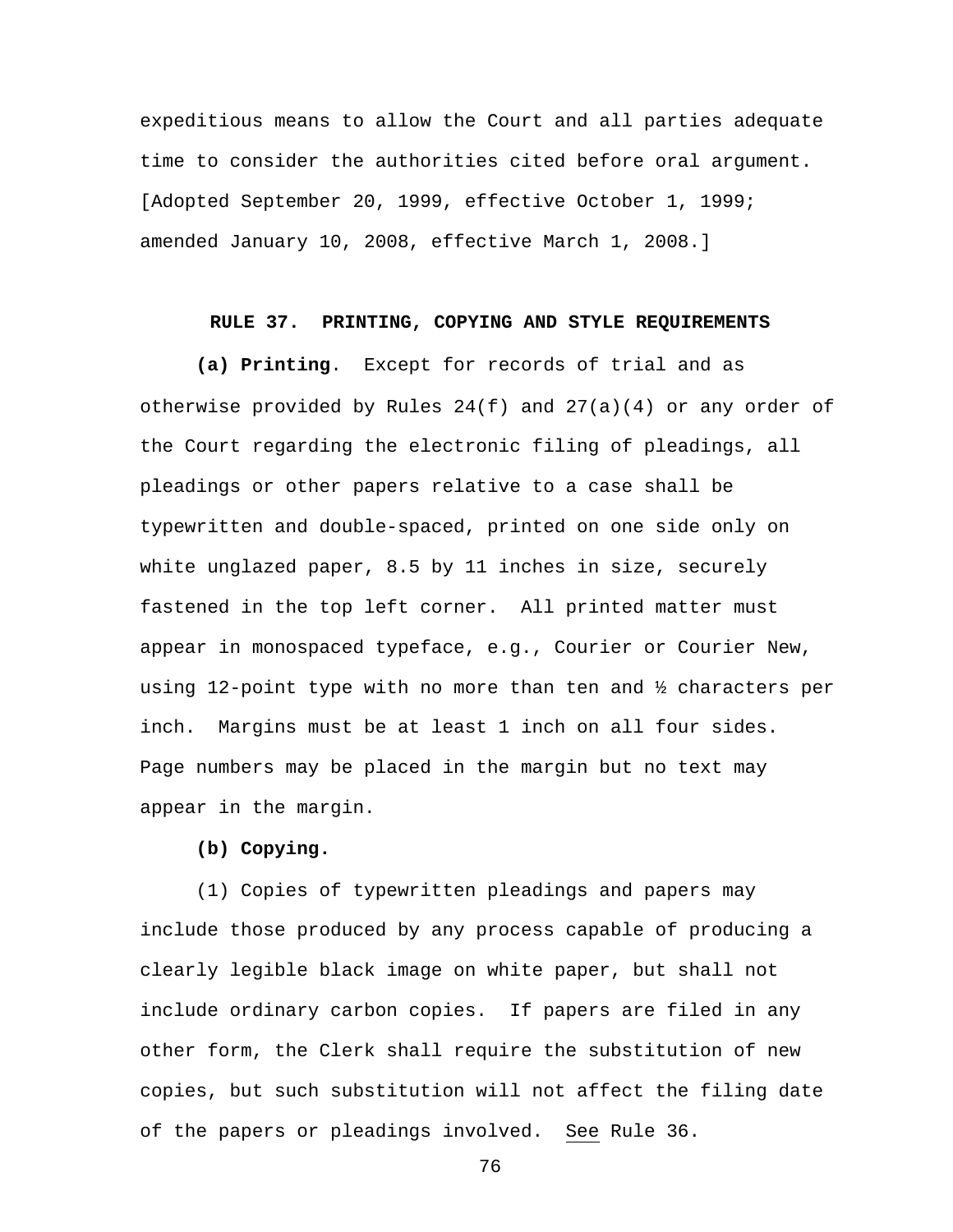expeditious means to allow the Court and all parties adequate time to consider the authorities cited before oral argument. [Adopted September 20, 1999, effective October 1, 1999; amended January 10, 2008, effective March 1, 2008.]

#### **RULE 37. PRINTING, COPYING AND STYLE REQUIREMENTS**

**(a) Printing**. Except for records of trial and as otherwise provided by Rules  $24(f)$  and  $27(a)(4)$  or any order of the Court regarding the electronic filing of pleadings, all pleadings or other papers relative to a case shall be typewritten and double-spaced, printed on one side only on white unglazed paper, 8.5 by 11 inches in size, securely fastened in the top left corner. All printed matter must appear in monospaced typeface, e.g., Courier or Courier New, using 12-point type with no more than ten and ½ characters per inch. Margins must be at least 1 inch on all four sides. Page numbers may be placed in the margin but no text may appear in the margin.

#### **(b) Copying.**

 (1) Copies of typewritten pleadings and papers may include those produced by any process capable of producing a clearly legible black image on white paper, but shall not include ordinary carbon copies. If papers are filed in any other form, the Clerk shall require the substitution of new copies, but such substitution will not affect the filing date of the papers or pleadings involved. See Rule 36.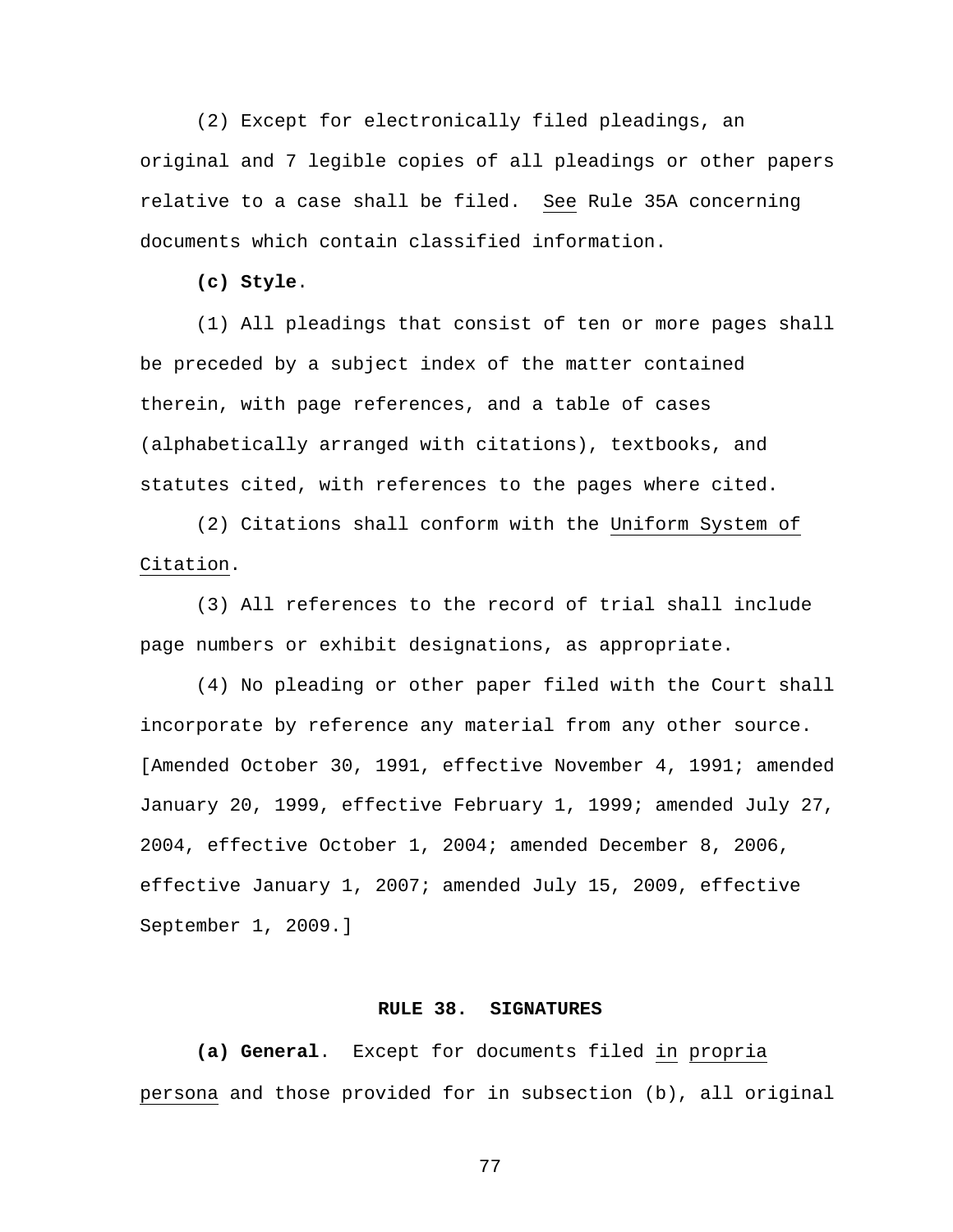(2) Except for electronically filed pleadings, an original and 7 legible copies of all pleadings or other papers relative to a case shall be filed. See Rule 35A concerning documents which contain classified information.

**(c) Style**.

 (1) All pleadings that consist of ten or more pages shall be preceded by a subject index of the matter contained therein, with page references, and a table of cases (alphabetically arranged with citations), textbooks, and statutes cited, with references to the pages where cited.

 (2) Citations shall conform with the Uniform System of Citation.

 (3) All references to the record of trial shall include page numbers or exhibit designations, as appropriate.

 (4) No pleading or other paper filed with the Court shall incorporate by reference any material from any other source. [Amended October 30, 1991, effective November 4, 1991; amended January 20, 1999, effective February 1, 1999; amended July 27, 2004, effective October 1, 2004; amended December 8, 2006, effective January 1, 2007; amended July 15, 2009, effective September 1, 2009.]

#### **RULE 38. SIGNATURES**

**(a) General**. Except for documents filed in propria persona and those provided for in subsection (b), all original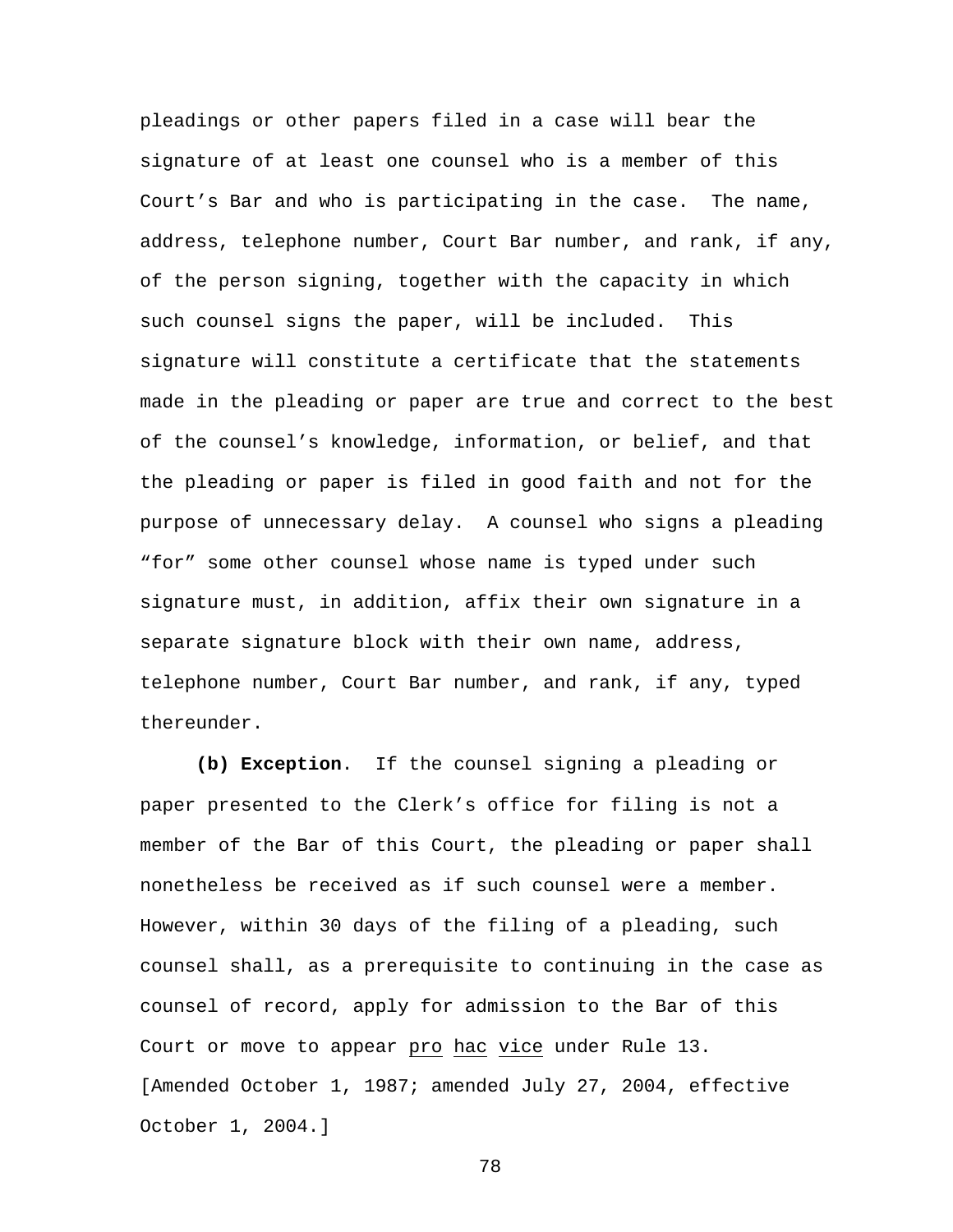pleadings or other papers filed in a case will bear the signature of at least one counsel who is a member of this Court's Bar and who is participating in the case. The name, address, telephone number, Court Bar number, and rank, if any, of the person signing, together with the capacity in which such counsel signs the paper, will be included. This signature will constitute a certificate that the statements made in the pleading or paper are true and correct to the best of the counsel's knowledge, information, or belief, and that the pleading or paper is filed in good faith and not for the purpose of unnecessary delay. A counsel who signs a pleading "for" some other counsel whose name is typed under such signature must, in addition, affix their own signature in a separate signature block with their own name, address, telephone number, Court Bar number, and rank, if any, typed thereunder.

**(b) Exception**. If the counsel signing a pleading or paper presented to the Clerk's office for filing is not a member of the Bar of this Court, the pleading or paper shall nonetheless be received as if such counsel were a member. However, within 30 days of the filing of a pleading, such counsel shall, as a prerequisite to continuing in the case as counsel of record, apply for admission to the Bar of this Court or move to appear pro hac vice under Rule 13. [Amended October 1, 1987; amended July 27, 2004, effective October 1, 2004.]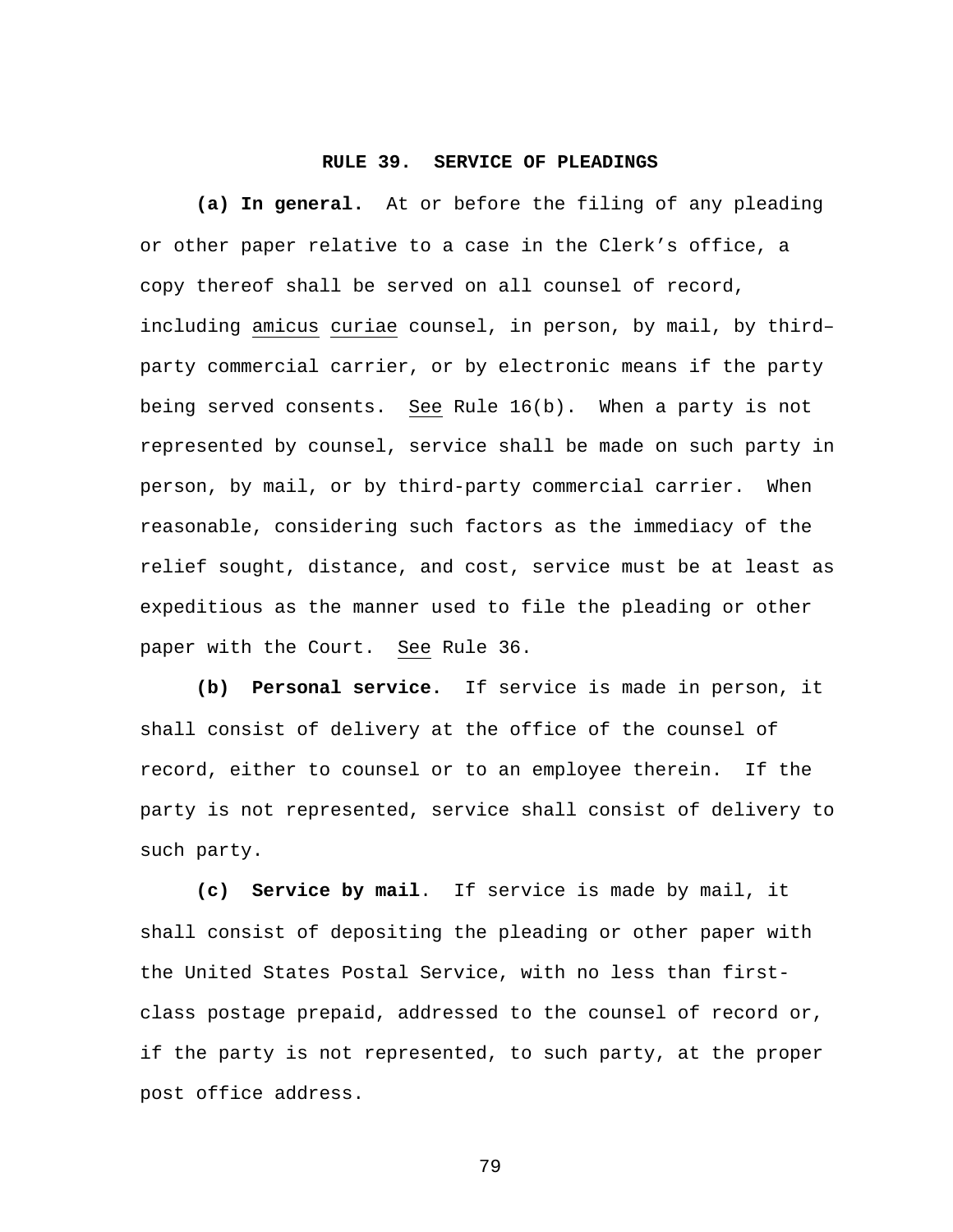#### **RULE 39. SERVICE OF PLEADINGS**

**(a) In general.** At or before the filing of any pleading or other paper relative to a case in the Clerk's office, a copy thereof shall be served on all counsel of record, including amicus curiae counsel, in person, by mail, by third– party commercial carrier, or by electronic means if the party being served consents. See Rule 16(b). When a party is not represented by counsel, service shall be made on such party in person, by mail, or by third-party commercial carrier. When reasonable, considering such factors as the immediacy of the relief sought, distance, and cost, service must be at least as expeditious as the manner used to file the pleading or other paper with the Court. See Rule 36.

**(b) Personal service.** If service is made in person, it shall consist of delivery at the office of the counsel of record, either to counsel or to an employee therein. If the party is not represented, service shall consist of delivery to such party.

**(c) Service by mail**. If service is made by mail, it shall consist of depositing the pleading or other paper with the United States Postal Service, with no less than firstclass postage prepaid, addressed to the counsel of record or, if the party is not represented, to such party, at the proper post office address.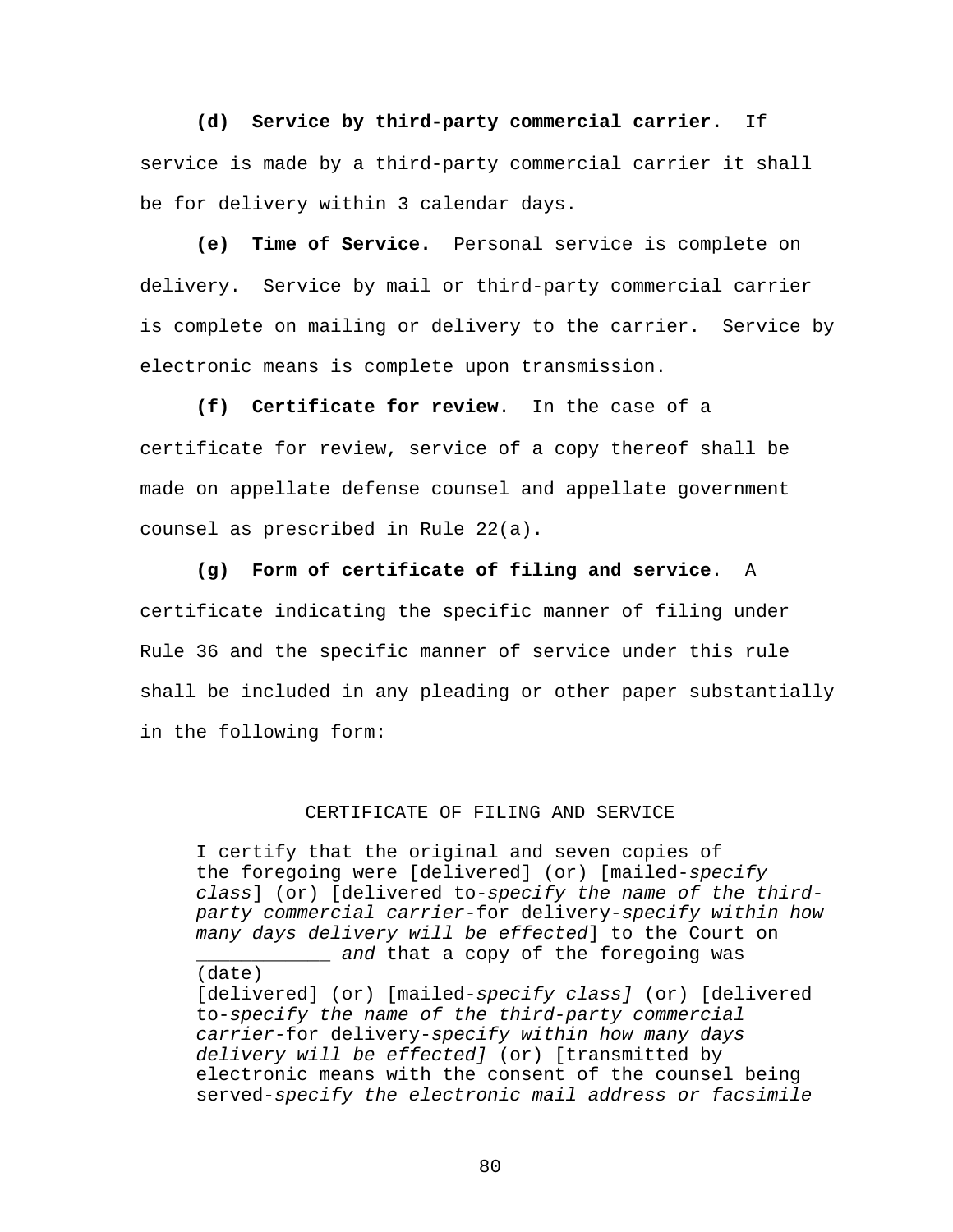**(d) Service by third-party commercial carrier.** If service is made by a third-party commercial carrier it shall be for delivery within 3 calendar days.

**(e) Time of Service.** Personal service is complete on delivery. Service by mail or third-party commercial carrier is complete on mailing or delivery to the carrier. Service by electronic means is complete upon transmission.

**(f) Certificate for review**. In the case of a certificate for review, service of a copy thereof shall be made on appellate defense counsel and appellate government counsel as prescribed in Rule 22(a).

**(g) Form of certificate of filing and service**. A certificate indicating the specific manner of filing under Rule 36 and the specific manner of service under this rule shall be included in any pleading or other paper substantially in the following form:

#### CERTIFICATE OF FILING AND SERVICE

I certify that the original and seven copies of the foregoing were [delivered] (or) [mailed-*specify class*] (or) [delivered to-*specify the name of the thirdparty commercial carrier-*for delivery*-specify within how many days delivery will be effected*] to the Court on \_\_\_\_\_\_\_\_\_\_\_\_ *and* that a copy of the foregoing was

(date) [delivered] (or) [mailed-*specify class]* (or) [delivered to-*specify the name of the third-party commercial carrier-*for delivery-*specify within how many days delivery will be effected]* (or) [transmitted by electronic means with the consent of the counsel being served-*specify the electronic mail address or facsimile*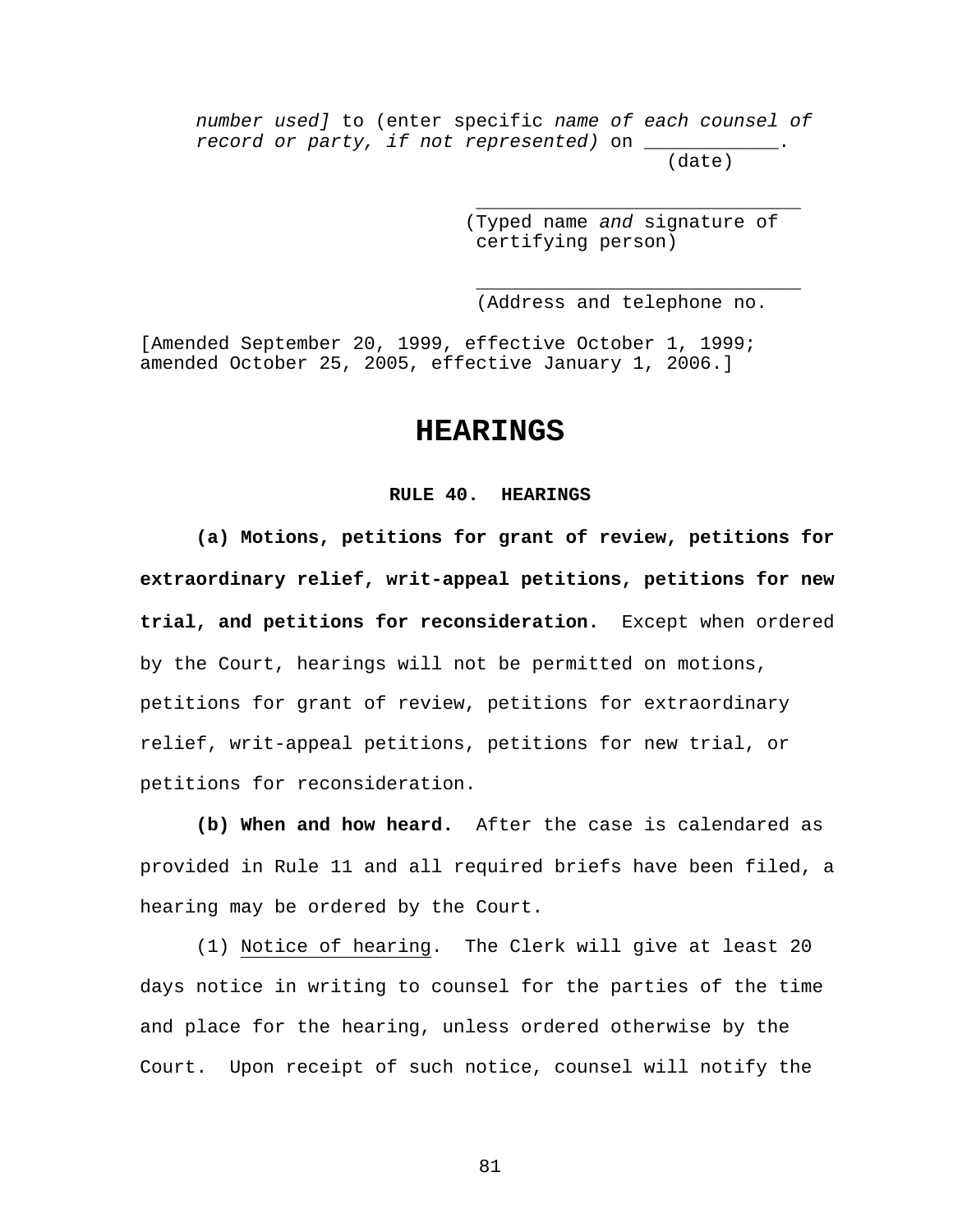*number used]* to (enter specific *name of each counsel of record or party, if not represented)* on \_\_\_\_\_\_\_\_\_\_\_\_. (date)

 $\frac{1}{\sqrt{2}}$  ,  $\frac{1}{\sqrt{2}}$  ,  $\frac{1}{\sqrt{2}}$  ,  $\frac{1}{\sqrt{2}}$  ,  $\frac{1}{\sqrt{2}}$  ,  $\frac{1}{\sqrt{2}}$  ,  $\frac{1}{\sqrt{2}}$  ,  $\frac{1}{\sqrt{2}}$  ,  $\frac{1}{\sqrt{2}}$  ,  $\frac{1}{\sqrt{2}}$  ,  $\frac{1}{\sqrt{2}}$  ,  $\frac{1}{\sqrt{2}}$  ,  $\frac{1}{\sqrt{2}}$  ,  $\frac{1}{\sqrt{2}}$  ,  $\frac{1}{\sqrt{2}}$ 

 $\frac{1}{\sqrt{2}}$  ,  $\frac{1}{\sqrt{2}}$  ,  $\frac{1}{\sqrt{2}}$  ,  $\frac{1}{\sqrt{2}}$  ,  $\frac{1}{\sqrt{2}}$  ,  $\frac{1}{\sqrt{2}}$  ,  $\frac{1}{\sqrt{2}}$  ,  $\frac{1}{\sqrt{2}}$  ,  $\frac{1}{\sqrt{2}}$  ,  $\frac{1}{\sqrt{2}}$  ,  $\frac{1}{\sqrt{2}}$  ,  $\frac{1}{\sqrt{2}}$  ,  $\frac{1}{\sqrt{2}}$  ,  $\frac{1}{\sqrt{2}}$  ,  $\frac{1}{\sqrt{2}}$ 

 (Typed name *and* signature of certifying person)

(Address and telephone no.

[Amended September 20, 1999, effective October 1, 1999; amended October 25, 2005, effective January 1, 2006.]

### **HEARINGS**

#### **RULE 40. HEARINGS**

**(a) Motions, petitions for grant of review, petitions for extraordinary relief, writ-appeal petitions, petitions for new trial, and petitions for reconsideration.** Except when ordered by the Court, hearings will not be permitted on motions, petitions for grant of review, petitions for extraordinary relief, writ-appeal petitions, petitions for new trial, or petitions for reconsideration.

**(b) When and how heard.** After the case is calendared as provided in Rule 11 and all required briefs have been filed, a hearing may be ordered by the Court.

(1) Notice of hearing. The Clerk will give at least 20 days notice in writing to counsel for the parties of the time and place for the hearing, unless ordered otherwise by the Court. Upon receipt of such notice, counsel will notify the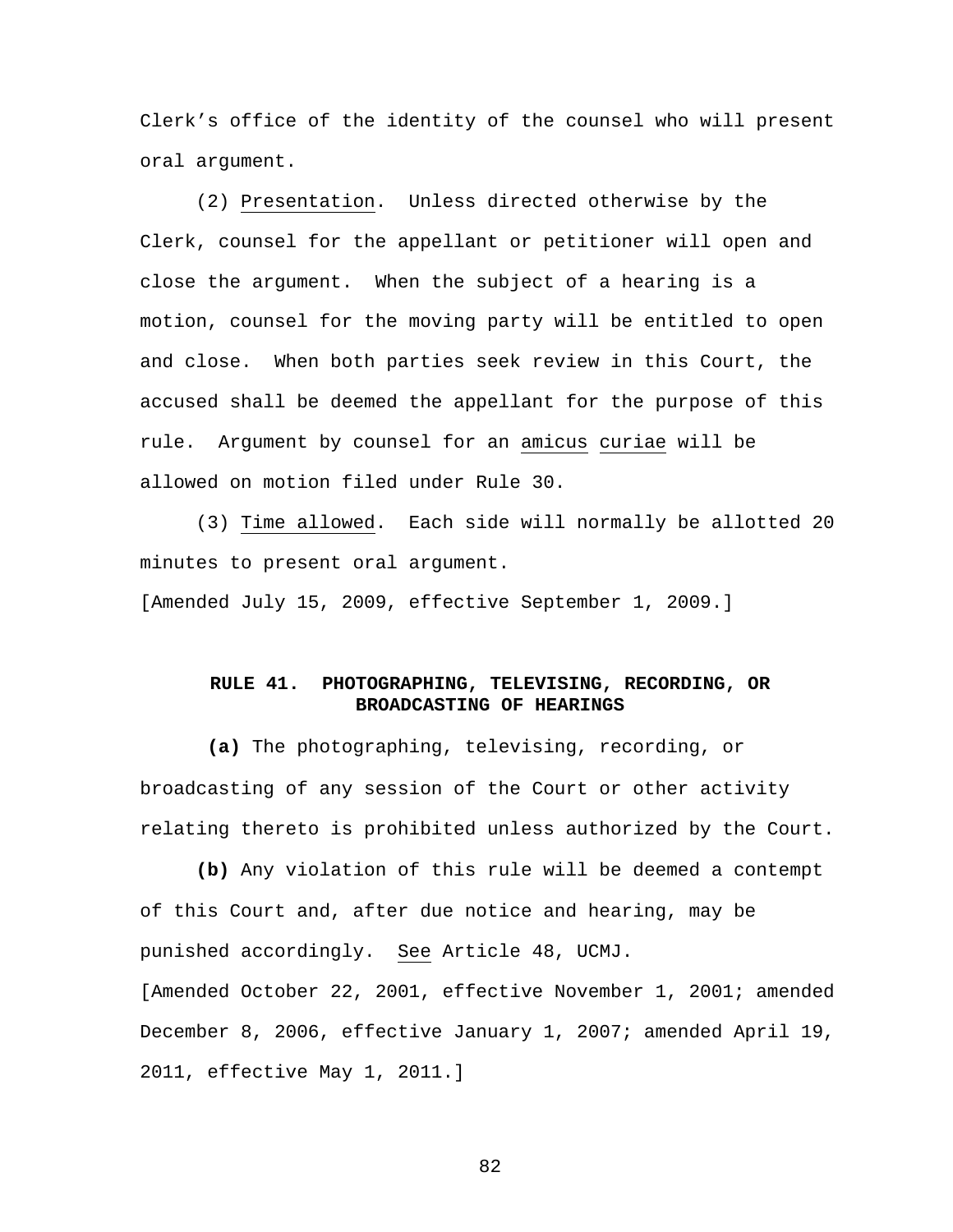Clerk's office of the identity of the counsel who will present oral argument.

(2) Presentation. Unless directed otherwise by the Clerk, counsel for the appellant or petitioner will open and close the argument. When the subject of a hearing is a motion, counsel for the moving party will be entitled to open and close. When both parties seek review in this Court, the accused shall be deemed the appellant for the purpose of this rule. Argument by counsel for an amicus curiae will be allowed on motion filed under Rule 30.

(3) Time allowed. Each side will normally be allotted 20 minutes to present oral argument.

[Amended July 15, 2009, effective September 1, 2009.]

#### **RULE 41. PHOTOGRAPHING, TELEVISING, RECORDING, OR BROADCASTING OF HEARINGS**

 **(a)** The photographing, televising, recording, or broadcasting of any session of the Court or other activity relating thereto is prohibited unless authorized by the Court.

**(b)** Any violation of this rule will be deemed a contempt of this Court and, after due notice and hearing, may be punished accordingly. See Article 48, UCMJ.

[Amended October 22, 2001, effective November 1, 2001; amended December 8, 2006, effective January 1, 2007; amended April 19, 2011, effective May 1, 2011.]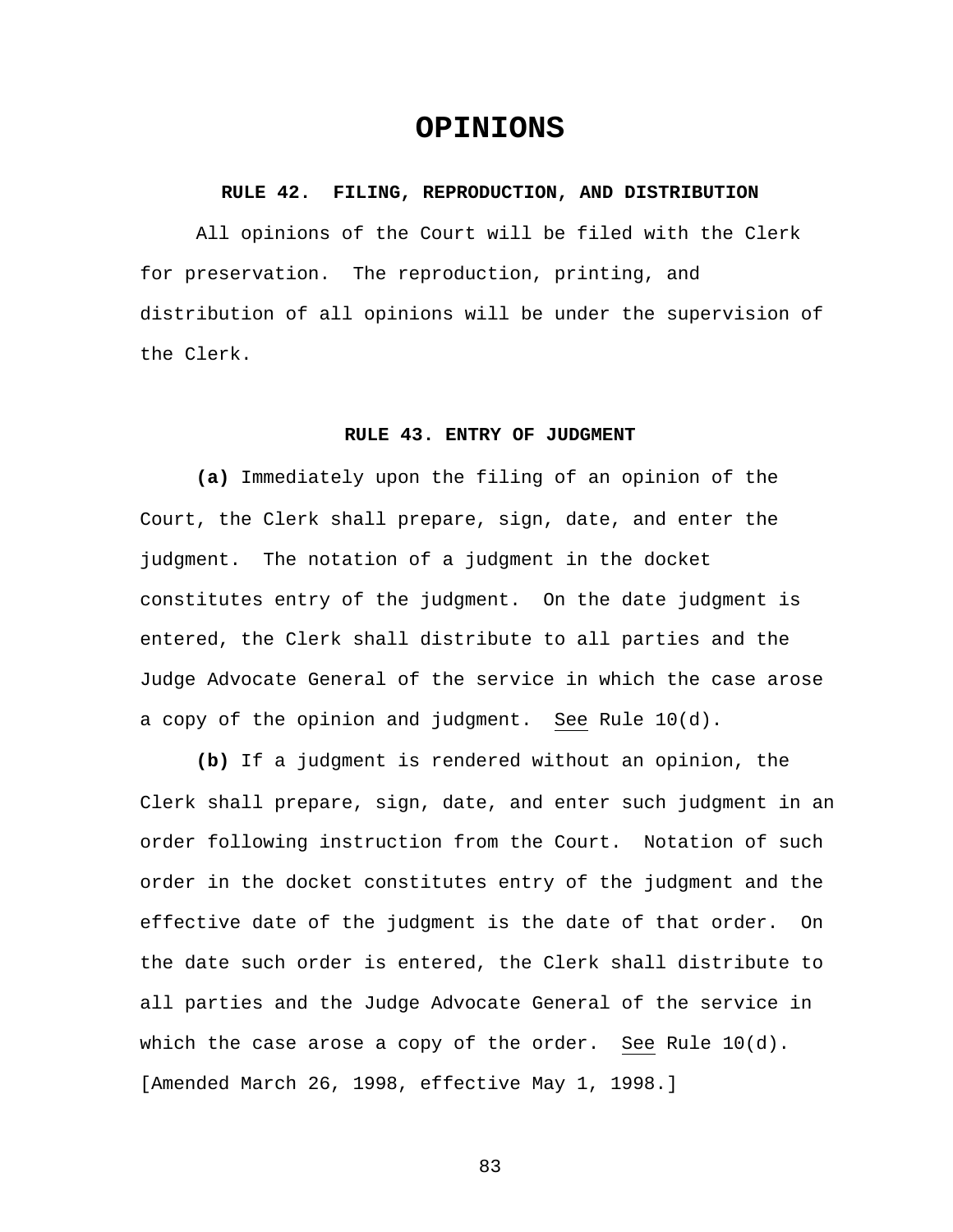## **OPINIONS**

#### **RULE 42. FILING, REPRODUCTION, AND DISTRIBUTION**

All opinions of the Court will be filed with the Clerk for preservation. The reproduction, printing, and distribution of all opinions will be under the supervision of the Clerk.

#### **RULE 43. ENTRY OF JUDGMENT**

**(a)** Immediately upon the filing of an opinion of the Court, the Clerk shall prepare, sign, date, and enter the judgment. The notation of a judgment in the docket constitutes entry of the judgment. On the date judgment is entered, the Clerk shall distribute to all parties and the Judge Advocate General of the service in which the case arose a copy of the opinion and judgment. See Rule 10(d).

 **(b)** If a judgment is rendered without an opinion, the Clerk shall prepare, sign, date, and enter such judgment in an order following instruction from the Court. Notation of such order in the docket constitutes entry of the judgment and the effective date of the judgment is the date of that order. On the date such order is entered, the Clerk shall distribute to all parties and the Judge Advocate General of the service in which the case arose a copy of the order. See Rule 10(d). [Amended March 26, 1998, effective May 1, 1998.]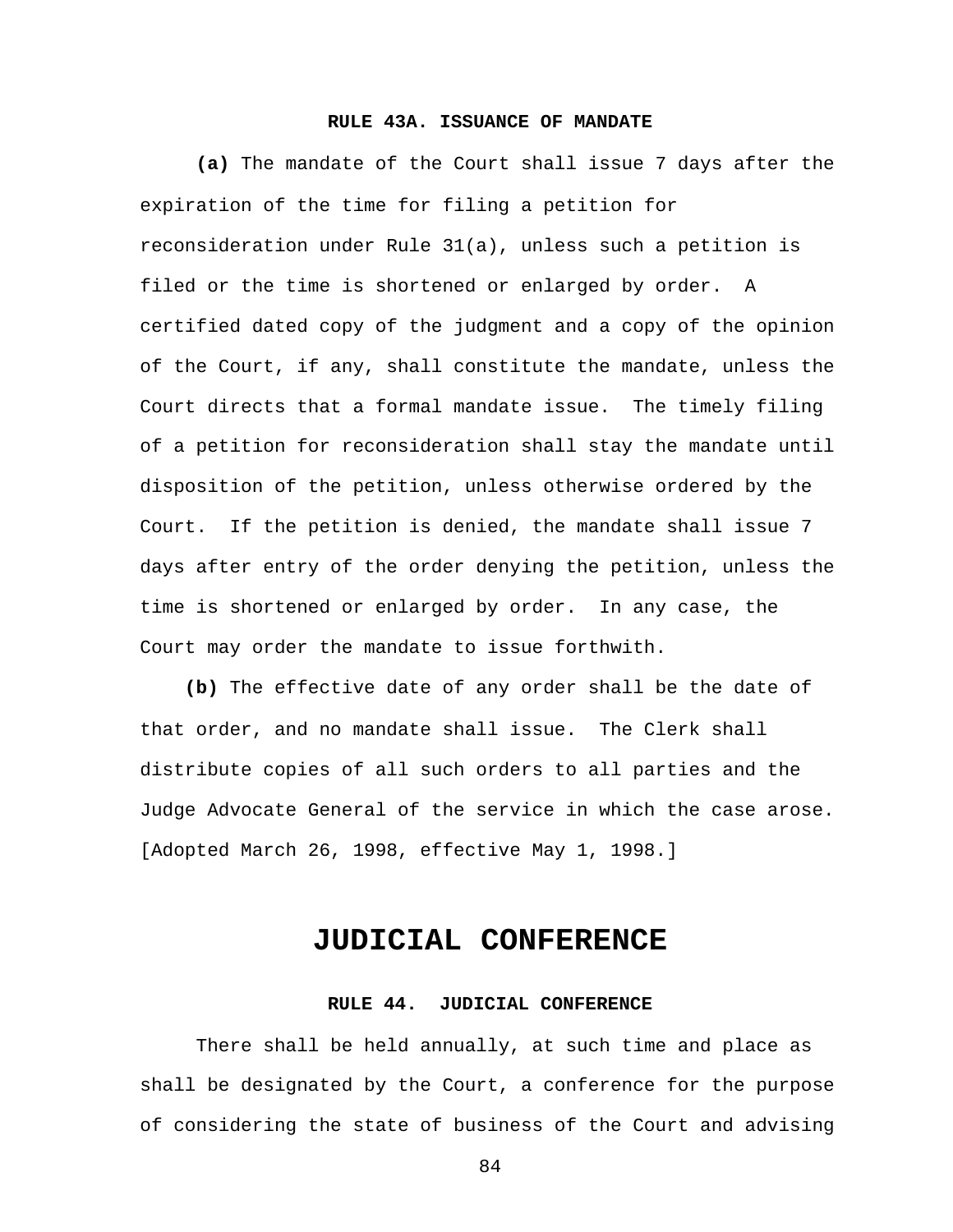#### **RULE 43A. ISSUANCE OF MANDATE**

 **(a)** The mandate of the Court shall issue 7 days after the expiration of the time for filing a petition for reconsideration under Rule 31(a), unless such a petition is filed or the time is shortened or enlarged by order. A certified dated copy of the judgment and a copy of the opinion of the Court, if any, shall constitute the mandate, unless the Court directs that a formal mandate issue. The timely filing of a petition for reconsideration shall stay the mandate until disposition of the petition, unless otherwise ordered by the Court. If the petition is denied, the mandate shall issue 7 days after entry of the order denying the petition, unless the time is shortened or enlarged by order. In any case, the Court may order the mandate to issue forthwith.

 **(b)** The effective date of any order shall be the date of that order, and no mandate shall issue. The Clerk shall distribute copies of all such orders to all parties and the Judge Advocate General of the service in which the case arose. [Adopted March 26, 1998, effective May 1, 1998.]

## **JUDICIAL CONFERENCE**

#### **RULE 44. JUDICIAL CONFERENCE**

There shall be held annually, at such time and place as shall be designated by the Court, a conference for the purpose of considering the state of business of the Court and advising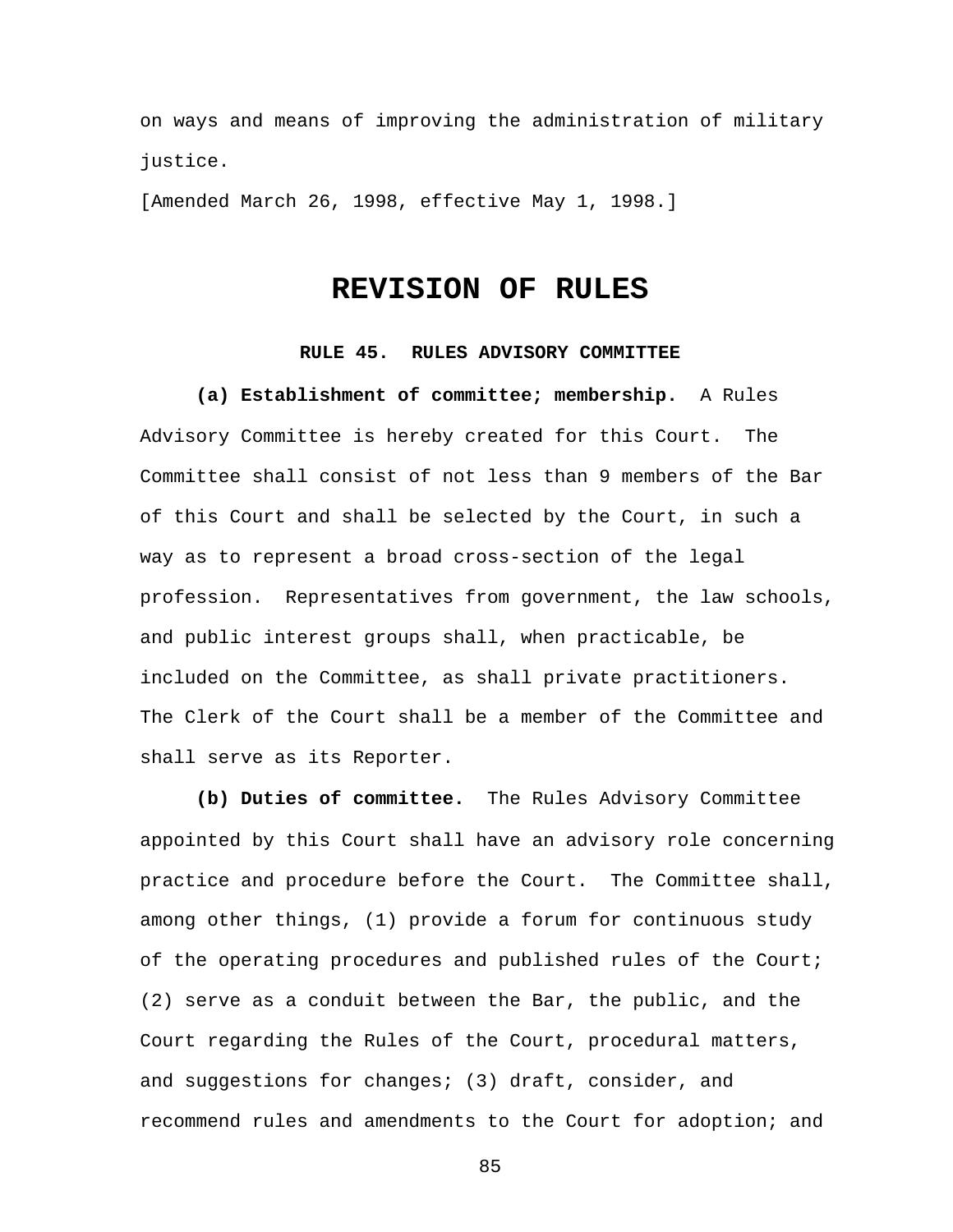on ways and means of improving the administration of military justice.

[Amended March 26, 1998, effective May 1, 1998.]

# **REVISION OF RULES**

#### **RULE 45. RULES ADVISORY COMMITTEE**

 **(a) Establishment of committee; membership.** A Rules Advisory Committee is hereby created for this Court. The Committee shall consist of not less than 9 members of the Bar of this Court and shall be selected by the Court, in such a way as to represent a broad cross-section of the legal profession. Representatives from government, the law schools, and public interest groups shall, when practicable, be included on the Committee, as shall private practitioners. The Clerk of the Court shall be a member of the Committee and shall serve as its Reporter.

**(b) Duties of committee.** The Rules Advisory Committee appointed by this Court shall have an advisory role concerning practice and procedure before the Court. The Committee shall, among other things, (1) provide a forum for continuous study of the operating procedures and published rules of the Court; (2) serve as a conduit between the Bar, the public, and the Court regarding the Rules of the Court, procedural matters, and suggestions for changes; (3) draft, consider, and recommend rules and amendments to the Court for adoption; and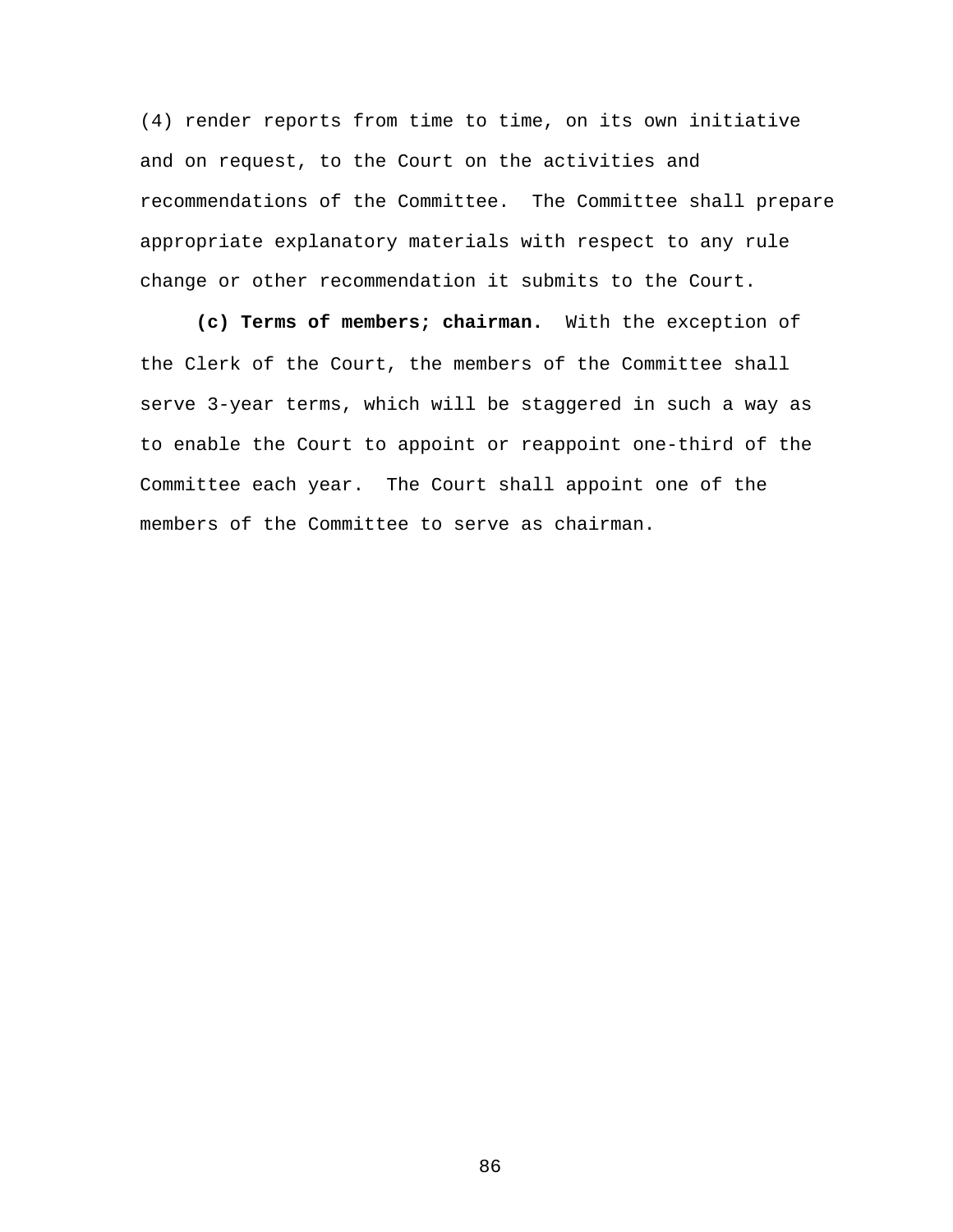(4) render reports from time to time, on its own initiative and on request, to the Court on the activities and recommendations of the Committee. The Committee shall prepare appropriate explanatory materials with respect to any rule change or other recommendation it submits to the Court.

**(c) Terms of members; chairman.** With the exception of the Clerk of the Court, the members of the Committee shall serve 3-year terms, which will be staggered in such a way as to enable the Court to appoint or reappoint one-third of the Committee each year. The Court shall appoint one of the members of the Committee to serve as chairman.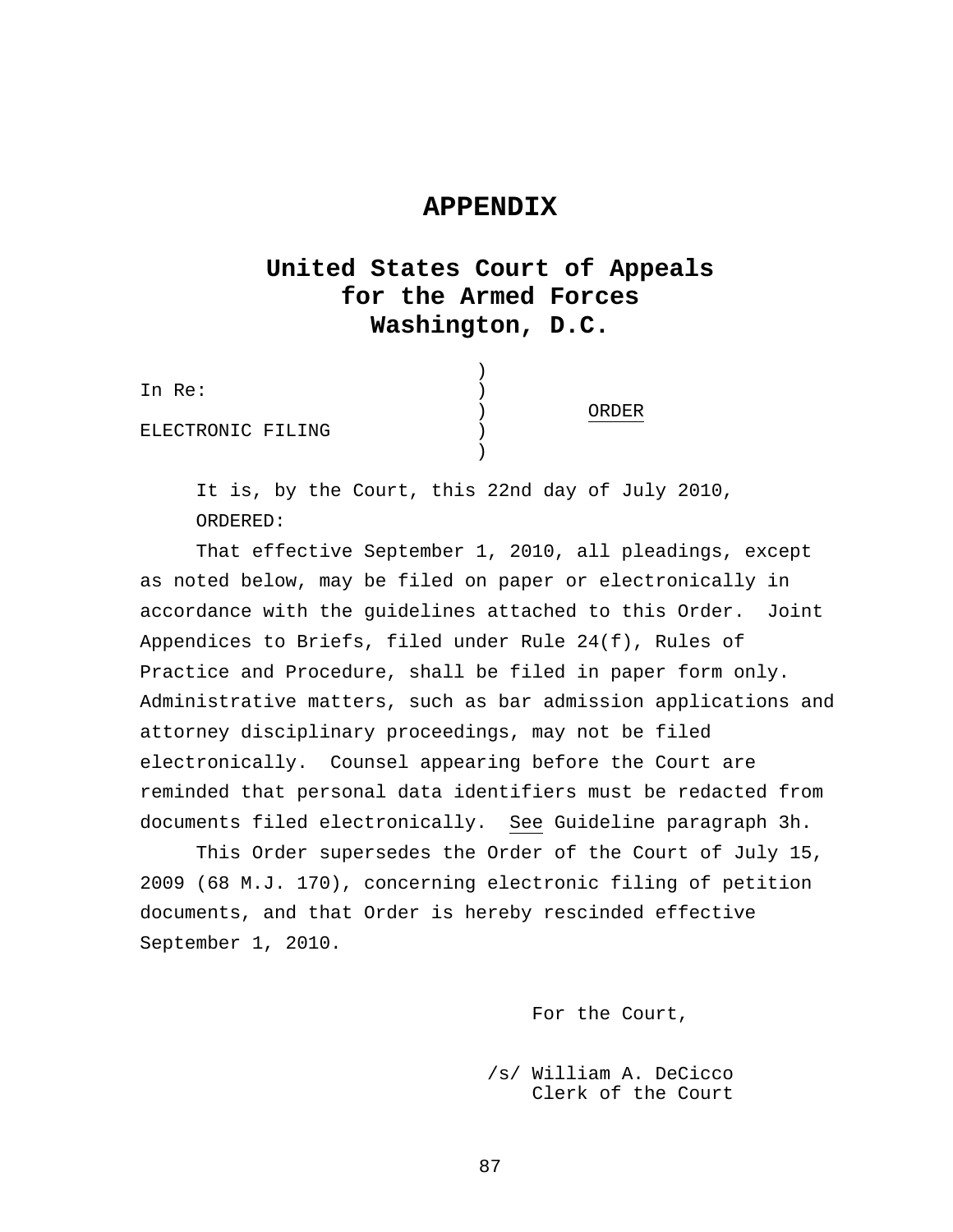### **APPENDIX**

# **United States Court of Appeals for the Armed Forces Washington, D.C.**

| In Re:            |              |
|-------------------|--------------|
|                   | <b>UBDER</b> |
| ELECTRONIC FILING |              |
|                   |              |

It is, by the Court, this 22nd day of July 2010, ORDERED:

That effective September 1, 2010, all pleadings, except as noted below, may be filed on paper or electronically in accordance with the guidelines attached to this Order. Joint Appendices to Briefs, filed under Rule 24(f), Rules of Practice and Procedure, shall be filed in paper form only. Administrative matters, such as bar admission applications and attorney disciplinary proceedings, may not be filed electronically. Counsel appearing before the Court are reminded that personal data identifiers must be redacted from documents filed electronically. See Guideline paragraph 3h.

This Order supersedes the Order of the Court of July 15, 2009 (68 M.J. 170), concerning electronic filing of petition documents, and that Order is hereby rescinded effective September 1, 2010.

For the Court,

 /s/ William A. DeCicco Clerk of the Court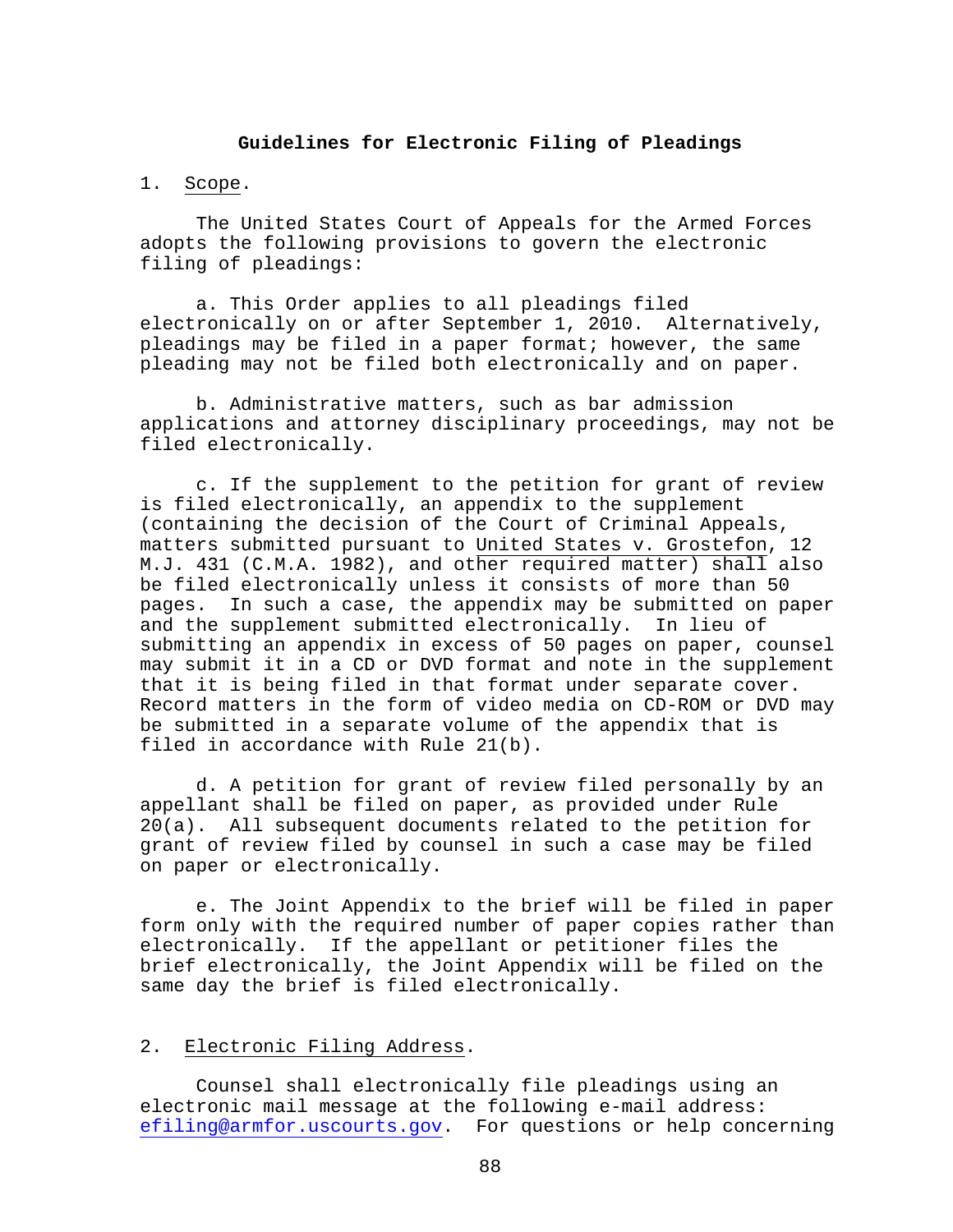#### **Guidelines for Electronic Filing of Pleadings**

#### 1. Scope.

 The United States Court of Appeals for the Armed Forces adopts the following provisions to govern the electronic filing of pleadings:

 a. This Order applies to all pleadings filed electronically on or after September 1, 2010. Alternatively, pleadings may be filed in a paper format; however, the same pleading may not be filed both electronically and on paper.

 b. Administrative matters, such as bar admission applications and attorney disciplinary proceedings, may not be filed electronically.

 c. If the supplement to the petition for grant of review is filed electronically, an appendix to the supplement (containing the decision of the Court of Criminal Appeals, matters submitted pursuant to United States v. Grostefon, 12 M.J. 431 (C.M.A. 1982), and other required matter) shall also be filed electronically unless it consists of more than 50 pages. In such a case, the appendix may be submitted on paper and the supplement submitted electronically. In lieu of submitting an appendix in excess of 50 pages on paper, counsel may submit it in a CD or DVD format and note in the supplement that it is being filed in that format under separate cover. Record matters in the form of video media on CD-ROM or DVD may be submitted in a separate volume of the appendix that is filed in accordance with Rule 21(b).

 d. A petition for grant of review filed personally by an appellant shall be filed on paper, as provided under Rule 20(a). All subsequent documents related to the petition for grant of review filed by counsel in such a case may be filed on paper or electronically.

 e. The Joint Appendix to the brief will be filed in paper form only with the required number of paper copies rather than electronically. If the appellant or petitioner files the brief electronically, the Joint Appendix will be filed on the same day the brief is filed electronically.

#### 2. Electronic Filing Address.

 Counsel shall electronically file pleadings using an electronic mail message at the following e-mail address: efiling@armfor.uscourts.gov. For questions or help concerning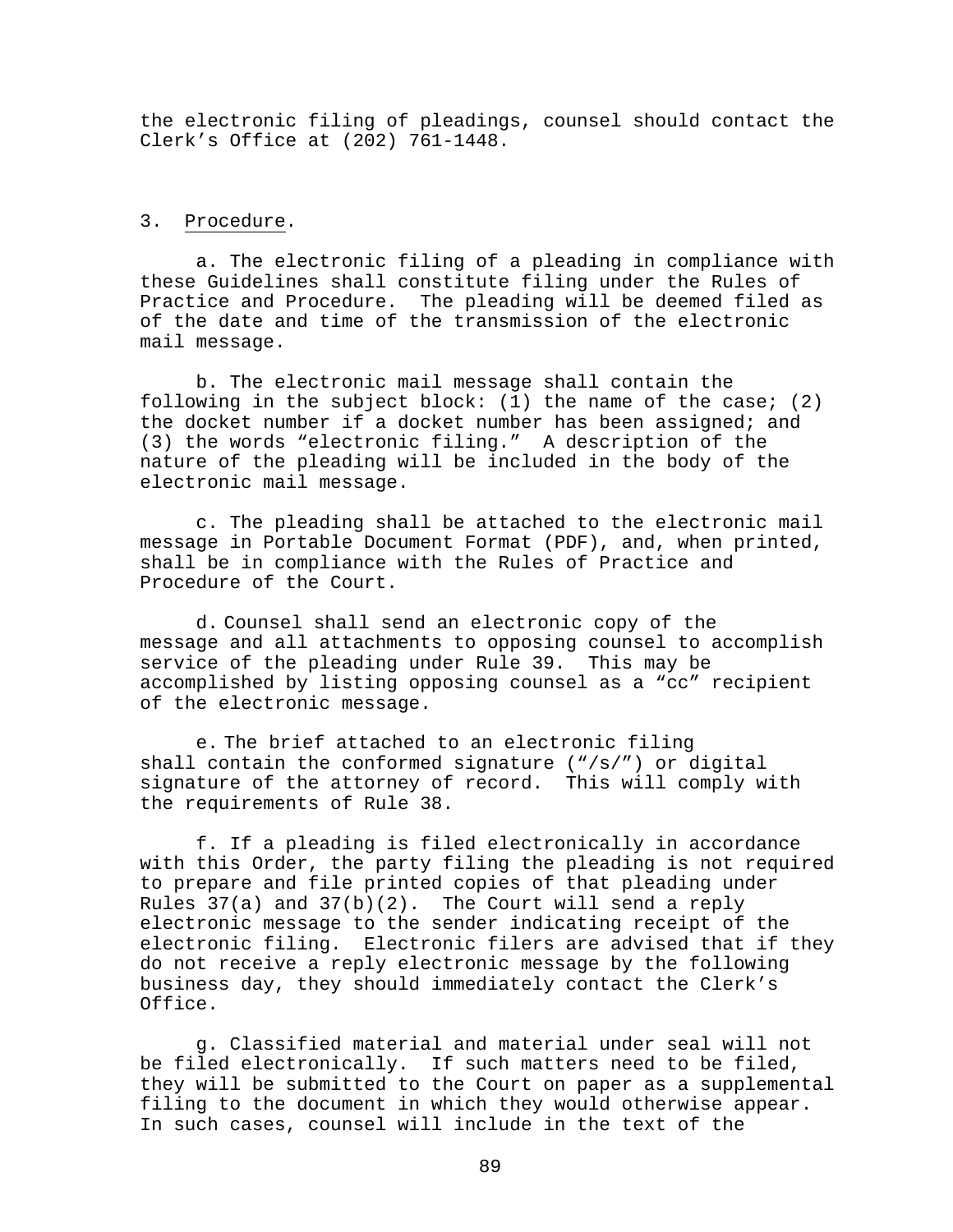the electronic filing of pleadings, counsel should contact the Clerk's Office at (202) 761-1448.

#### 3. Procedure.

 a. The electronic filing of a pleading in compliance with these Guidelines shall constitute filing under the Rules of Practice and Procedure. The pleading will be deemed filed as of the date and time of the transmission of the electronic mail message.

 b. The electronic mail message shall contain the following in the subject block: (1) the name of the case; (2) the docket number if a docket number has been assigned; and (3) the words "electronic filing." A description of the nature of the pleading will be included in the body of the electronic mail message.

 c. The pleading shall be attached to the electronic mail message in Portable Document Format (PDF), and, when printed, shall be in compliance with the Rules of Practice and Procedure of the Court.

d. Counsel shall send an electronic copy of the message and all attachments to opposing counsel to accomplish service of the pleading under Rule 39. This may be accomplished by listing opposing counsel as a "cc" recipient of the electronic message.

e. The brief attached to an electronic filing shall contain the conformed signature  $(\sqrt{s}/r)$  or digital signature of the attorney of record. This will comply with the requirements of Rule 38.

 f. If a pleading is filed electronically in accordance with this Order, the party filing the pleading is not required to prepare and file printed copies of that pleading under Rules  $37(a)$  and  $37(b)(2)$ . The Court will send a reply electronic message to the sender indicating receipt of the electronic filing. Electronic filers are advised that if they do not receive a reply electronic message by the following business day, they should immediately contact the Clerk's Office.

 g. Classified material and material under seal will not be filed electronically. If such matters need to be filed, they will be submitted to the Court on paper as a supplemental filing to the document in which they would otherwise appear. In such cases, counsel will include in the text of the